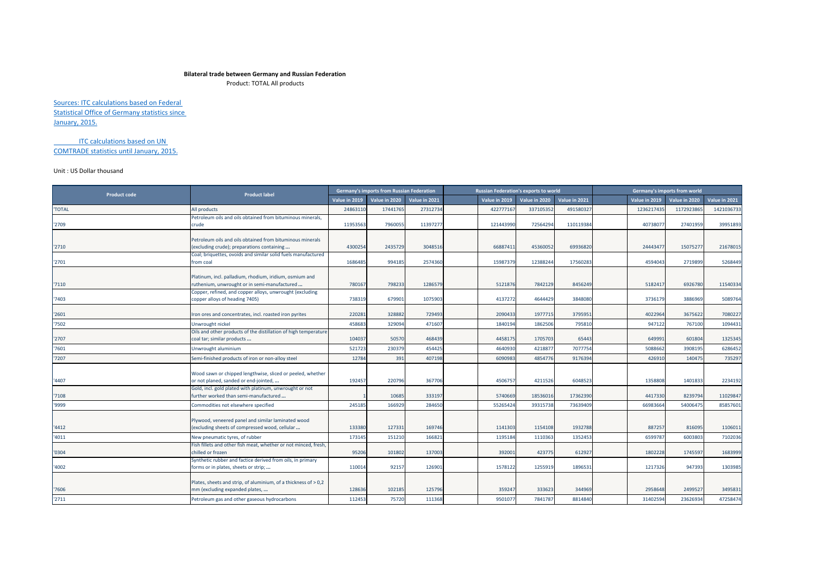## **Bilateral trade between Germany and Russian Federation**

Product: TOTAL All products

Sources: ITC calculations based on Federal Statistical Office of Germany statistics since January, 2015.

ITC calculations based on UN COMTRADE statistics until January, 2015.

## Unit : US Dollar thousand

| <b>Product code</b> | <b>Product label</b>                                                                                                                                                     |                  | <b>Germany's imports from Russian Federation</b> |                  |                 | <b>Russian Federation's exports to world</b> |                   |                     | Germany's imports from world |                     |
|---------------------|--------------------------------------------------------------------------------------------------------------------------------------------------------------------------|------------------|--------------------------------------------------|------------------|-----------------|----------------------------------------------|-------------------|---------------------|------------------------------|---------------------|
|                     |                                                                                                                                                                          | Value in 2019    | Value in 2020                                    | Value in 2021    | Value in 2019   | Value in 2020                                | Value in 2021     | Value in 2019       | Value in 2020                | Value in 2021       |
| <b>TOTAL</b>        | All products                                                                                                                                                             | 24863110         | 17441765                                         | 27312734         | 422777167       | 337105352                                    | 491580327         | 123621743           | 1172923865                   | 1421036733          |
| '2709               | Petroleum oils and oils obtained from bituminous minerals,<br>crude                                                                                                      | 11953563         | 796005                                           | 11397277         | 121443990       | 72564294                                     | 110119384         | 40738077            | 27401959                     | 39951893            |
| '2710'              | Petroleum oils and oils obtained from bituminous minerals<br>(excluding crude); preparations containing<br>Coal; briquettes, ovoids and similar solid fuels manufactured | 4300254          | 2435729                                          | 3048516          | 6688741         | 4536005                                      | 69936820          | 2444347             | 15075277                     | 21678015            |
| '2701               | from coal                                                                                                                                                                | 1686485          | 994185                                           | 2574360          | 15987379        | 12388244                                     | 17560283          | 4594043             | 2719899                      | 5268449             |
| '7110               | Platinum, incl. palladium, rhodium, iridium, osmium and<br>ruthenium, unwrought or in semi-manufactured                                                                  | 780167           | 798233                                           | 1286579          | 5121870         | 7842129                                      | 8456249           | 5182417             | 6926780                      | 11540334            |
| '7403               | Copper, refined, and copper alloys, unwrought (excluding<br>copper alloys of heading 7405)                                                                               | 738319           | 679901                                           | 1075903          | 4137272         | 4644429                                      | 3848080           | 3736179             | 3886969                      | 5089764             |
| '2601               | Iron ores and concentrates, incl. roasted iron pyrites                                                                                                                   | 220281           | 328882                                           | 729493           | 2090433         | 1977715                                      | 3795951           | 4022964             | 3675622                      | 7080227             |
| '7502               | Unwrought nickel                                                                                                                                                         | 458683           | 329094                                           | 471607           | 1840194         | 1862506                                      | 79581             | 947122              | 767100                       | 1094431             |
| '2707               | Oils and other products of the distillation of high temperature<br>coal tar; similar products                                                                            | 104037           | 50570                                            | 468439           | 445817          | 170570                                       | 65443             | 649991              | 601804                       | 1325345             |
| '7601               | Unwrought aluminium                                                                                                                                                      | 521723           | 230379                                           | 454425           | 4640930         | 421887                                       | 7077754           | 5088662             | 3908195                      | 6286452             |
| '7207               | Semi-finished products of iron or non-alloy steel                                                                                                                        | 12784            | 391                                              | 407198           | 609098          | 4854776                                      | 9176394           | 426910              | 140475                       | 735297              |
| '4407               | Wood sawn or chipped lengthwise, sliced or peeled, whether<br>or not planed, sanded or end-jointed,<br>Gold, incl. gold plated with platinum, unwrought or not           | 192457           | 220796                                           | 367706           | 4506757         | 4211526                                      | 6048523           | 1358808             | 1401833                      | 2234192             |
| '7108               | further worked than semi-manufactured                                                                                                                                    |                  | 10685                                            | 333197           | 5740669         | 18536016                                     | 17362390          | 4417330             | 8239794                      | 11029847            |
| '9999               | Commodities not elsewhere specified                                                                                                                                      | 245185           | 166929                                           | 284650           | 55265424        | 39315738                                     | 73639409          | 66983664            | 54006475                     | 85857601            |
| '4412               | Plywood, veneered panel and similar laminated wood<br>excluding sheets of compressed wood, cellular                                                                      | 133380           | 127331                                           | 169746           | 1141303         | 1154108                                      | 1932788           | 887257              | 816095                       | 1106011             |
| '4011               | New pneumatic tyres, of rubber                                                                                                                                           | 173145           | 151210                                           | 166821           | 1195184         | 1110363                                      | 1352453           | 6599787             | 6003803                      | 7102036             |
| '0304               | Fish fillets and other fish meat, whether or not minced, fresh,<br>chilled or frozen                                                                                     | 95206            | 101802                                           | 13700            | 39200           | 423775                                       | 612927            | 1802228             | 1745597                      | 1683999             |
| '4002               | Synthetic rubber and factice derived from oils, in primary<br>forms or in plates, sheets or strip;                                                                       | 110014           | 92157                                            | 12690            | 157812          | 125591                                       | 1896531           | 1217326             | 947393                       | 1303985             |
| '7606<br>'2711      | Plates, sheets and strip, of aluminium, of a thickness of > 0,2<br>mm (excluding expanded plates,<br>Petroleum gas and other gaseous hydrocarbons                        | 128636<br>112453 | 102185<br>75720                                  | 125796<br>111368 | 35924<br>950107 | 333623<br>7841787                            | 344969<br>8814840 | 2958648<br>31402594 | 2499527<br>23626934          | 3495831<br>47258474 |
|                     |                                                                                                                                                                          |                  |                                                  |                  |                 |                                              |                   |                     |                              |                     |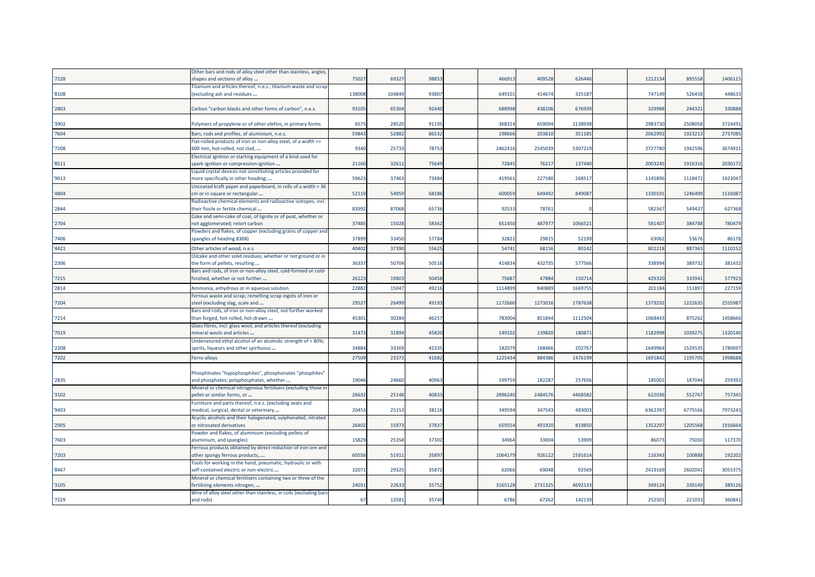|       | Other bars and rods of alloy steel other than stainless, angles,   |        |       |       |        |         |         |         |         |         |
|-------|--------------------------------------------------------------------|--------|-------|-------|--------|---------|---------|---------|---------|---------|
| 7228  | shapes and sections of alloy                                       | 75027  | 69327 | 98853 | 46691  | 409528  | 626446  | 1212134 | 895558  | 1406115 |
|       | Titanium and articles thereof, n.e.s.; titanium waste and scrap    |        |       |       |        |         |         |         |         |         |
| '8108 | (excluding ash and residues                                        | 138008 | 10484 | 93807 | 64910  | 414674  | 325187  | 747149  | 526458  | 448633  |
|       |                                                                    |        |       |       |        |         |         |         |         |         |
| '2803 | Carbon "carbon blacks and other forms of carbon", n.e.s.           | 93105  | 65304 | 92440 | 68899  | 438106  | 676939  | 329988  | 244321  | 330888  |
|       |                                                                    |        |       |       |        |         |         |         |         |         |
| '3902 | Polymers of propylene or of other olefins, in primary forms        | 657    | 2852  | 91195 | 36831  | 659094  | 1138938 | 2983730 | 2508058 | 3724491 |
| '7604 | Bars, rods and profiles, of aluminium, n.e.s.                      | 5984   | 5288  | 86532 | 19866  | 20381   | 35118   | 2062992 | 192321  | 2737085 |
|       |                                                                    |        |       |       |        |         |         |         |         |         |
|       | Flat-rolled products of iron or non-alloy steel, of a width >=     |        |       |       |        |         |         |         |         |         |
| '7208 | 500 mm, hot-rolled, not clad,                                      | 9340   | 2573  | 78753 | 246241 | 254503  | 5307219 | 2727780 | 1942596 | 3674911 |
|       | Electrical ignition or starting equipment of a kind used for       |        |       |       |        |         |         |         |         |         |
| '8511 | spark-ignition or compression-ignition                             | 21160  | 3261  | 75649 | 7284   | 76217   | 137440  | 200324  | 1916316 | 2030172 |
|       | Liquid crystal devices not constituting articles provided for      |        |       |       |        |         |         |         |         |         |
| '9013 | more specifically in other heading;                                | 59623  | 37463 | 73484 | 41956  | 227580  | 26851   | 1145896 | 1118472 | 1423047 |
|       | Uncoated kraft paper and paperboard, in rolls of a width > 36      |        |       |       |        |         |         |         |         |         |
| '4804 | cm or in square or rectangular                                     | 52119  | 5495  | 68186 | 60005  | 649492  | 849087  | 133019: | 1246499 | 1516087 |
|       | Radioactive chemical elements and radioactive isotopes, incl.      |        |       |       |        |         |         |         |         |         |
| '2844 | their fissile or fertile chemical                                  | 8399   | 87068 | 65736 | 9253   | 78761   |         | 582567  | 549437  | 627368  |
|       | Coke and semi-coke of coal, of lignite or of peat, whether or      |        |       |       |        |         |         |         |         |         |
| '2704 | not agglomerated; retort carbon                                    | 37485  | 15028 | 58362 | 651450 | 487977  | 1066521 | 581407  | 384788  | 780479  |
|       | Powders and flakes, of copper (excluding grains of copper and      |        |       |       |        |         |         |         |         |         |
| '7406 | spangles of heading 8308)                                          | 37899  | 33450 | 57784 | 32822  | 29815   | 52199   | 63062   | 53676   | 86178   |
| '4421 | Other articles of wood, n.e.s.                                     | 4040   | 3739  | 55625 | 5474   | 6815    | 80142   | 802218  | 88736   | 1110152 |
|       | Oilcake and other solid residues, whether or not ground or in      |        |       |       |        |         |         |         |         |         |
| '2306 | the form of pellets, resulting                                     | 3633   | 50704 | 50516 | 41483  | 432735  | 577566  | 338994  | 389732  | 381432  |
|       | Bars and rods, of iron or non-alloy steel, cold-formed or cold-    |        |       |       |        |         |         |         |         |         |
| '7215 | finished, whether or not further                                   | 2612   | 19803 | 50458 | 7568   | 47884   | 150714  | 429320  | 333941  | 577923  |
| '2814 |                                                                    | 2288   | 1504  |       |        | 84088   | 166975  |         |         | 227159  |
|       | Ammonia, anhydrous or in aqueous solution                          |        |       | 49216 | 111489 |         |         | 201184  | 15189   |         |
|       | Ferrous waste and scrap; remelting scrap ingots of iron or         |        |       |       |        |         |         |         |         |         |
| '7204 | steel (excluding slag, scale and                                   | 2952   | 2649  | 49193 | 117266 | 127301  | 1787638 | 1379292 | 1222635 | 2555987 |
|       | Bars and rods, of iron or non-alloy steel, not further worked      |        |       |       |        |         |         |         |         |         |
| '7214 | than forged, hot-rolled, hot-drawn                                 | 4530   | 30284 | 46257 | 78300  | 851844  | 1112504 | 1068443 | 875262  | 1458666 |
|       | Glass fibres, incl. glass wool, and articles thereof (excluding    |        |       |       |        |         |         |         |         |         |
| '7019 | mineral wools and articles                                         | 31473  | 31894 | 45820 | 14910  | 139820  | 180871  | 1182998 | 1039275 | 1320140 |
|       | Undenatured ethyl alcohol of an alcoholic strength of < 80%;       |        |       |       |        |         |         |         |         |         |
| '2208 | spirits, liqueurs and other spirituous                             | 3488   | 33169 | 42335 | 18207  | 168466  | 202767  | 1649964 | 1529535 | 1780697 |
| '7202 | Ferro-alloys                                                       | 27509  | 2337  | 41682 | 122543 | 884386  | 1476199 | 169184  | 1195705 | 1998688 |
|       |                                                                    |        |       |       |        |         |         |         |         |         |
|       | Phosphinates "hypophosphites", phosphonates "phosphites"           |        |       |       |        |         |         |         |         |         |
| '2835 | and phosphates; polyphosphates, whether                            | 1904   | 2466  | 40963 | 19975  | 182287  | 257656  | 185001  | 187044  | 259392  |
|       | Mineral or chemical nitrogenous fertilisers (excluding those in    |        |       |       |        |         |         |         |         |         |
| '3102 | pellet or similar forms, or                                        | 26632  | 25148 | 40833 | 289624 | 2484576 | 4468582 | 622036  | 552767  | 757345  |
|       | Furniture and parts thereof, n.e.s. (excluding seats and           |        |       |       |        |         |         |         |         |         |
| '9403 | medical, surgical, dental or veterinary                            | 20453  | 2515  | 38116 | 34959  | 347543  | 483003  | 636239  | 6779166 | 7973243 |
|       | Acyclic alcohols and their halogenated, sulphonated, nitrated      |        |       |       |        |         |         |         |         |         |
| '2905 | or nitrosated derivatives                                          | 26402  | 1597  | 37837 | 65955  | 491920  | 819850  | 1352297 | 1205568 | 1916664 |
|       | Powder and flakes, of aluminium (excluding pellets of              |        |       |       |        |         |         |         |         |         |
| '7603 | aluminium, and spangles)                                           | 15829  | 25358 | 37302 | 3496   | 33004   | 53909   | 86073   | 75030   | 117370  |
|       | Ferrous products obtained by direct reduction of iron ore and      |        |       |       |        |         |         |         |         |         |
| '7203 | other spongy ferrous products,                                     | 6055   | 5191  | 35897 | 106417 | 926122  | 1591614 | 11634   | 100888  | 192202  |
|       | Tools for working in the hand, pneumatic, hydraulic or with        |        |       |       |        |         |         |         |         |         |
| '8467 | self-contained electric or non-electric                            | 3207   | 2932  | 35872 | 6206   | 69048   | 92569   | 2419169 | 2602041 | 3055375 |
|       | Mineral or chemical fertilisers containing two or three of the     |        |       |       |        |         |         |         |         |         |
| '3105 | fertilising elements nitrogen,                                     | 2403   | 2263  | 35752 | 316512 | 2731325 | 4692133 | 349124  | 330149  | 389126  |
|       | Wire of alloy steel other than stainless, in coils (excluding bar. |        |       |       |        |         |         |         |         |         |
| '7229 | and rods)                                                          | 67     | 13581 | 35740 | 6786   | 67262   | 142139  | 252501  | 221033  | 360841  |
|       |                                                                    |        |       |       |        |         |         |         |         |         |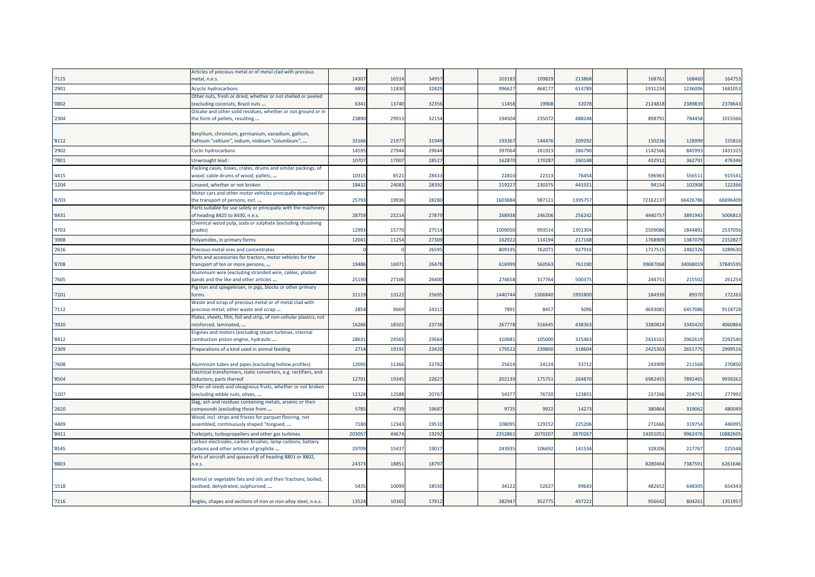|       | Articles of precious metal or of metal clad with precious                                          |       |       |       |         |         |         |          |          |          |
|-------|----------------------------------------------------------------------------------------------------|-------|-------|-------|---------|---------|---------|----------|----------|----------|
| '7115 | metal, n.e.s.                                                                                      | 14307 | 1651  | 34957 | 10318   | 109829  | 213868  | 168761   | 168460   | 164753   |
| '2901 | Acyclic hydrocarbons                                                                               | 6892  | 1183  | 32829 | 99662   | 46817   | 614789  | 193123   | 123600   | 1681053  |
|       | Other nuts, fresh or dried, whether or not shelled or peeled                                       |       |       |       |         |         |         |          |          |          |
| '0802 | (excluding coconuts, Brazil nuts                                                                   | 6341  | 13740 | 32356 | 11458   | 19908   | 32078   | 2124818  | 2389839  | 2378643  |
|       | Oilcake and other solid residues, whether or not ground or in                                      |       |       |       |         |         |         |          |          |          |
| '2304 | the form of pellets, resulting                                                                     | 23890 | 2991  | 32154 | 194504  | 235072  | 488248  | 898791   | 784458   | 1015566  |
|       | Beryllium, chromium, germanium, vanadium, gallium,                                                 |       |       |       |         |         |         |          |          |          |
| '8112 | hafnium "celtium", indium, niobium "columbium",                                                    | 33166 | 2197  | 31949 | 19336   | 144476  | 209292  | 150236   | 128999   | 155816   |
| '2902 | <b>Cyclic hydrocarbons</b>                                                                         | 1459  | 27944 | 29644 | 39706   | 261923  | 286790  | 1142566  | 845993   | 1431325  |
| '7801 | Unwrought lead                                                                                     | 1070  | 1700  | 28527 | 16287   | 17028   | 260148  | 43291    | 362791   | 476346   |
|       | Packing cases, boxes, crates, drums and similar packings, of                                       |       |       |       |         |         |         |          |          |          |
| '4415 | wood; cable-drums of wood; pallets,                                                                | 1031  | 852   | 28433 | 2281    | 22313   | 76454   | 596963   | 55651    | 915541   |
| '1204 | Linseed, whether or not broken                                                                     | 1843  | 2408  | 28392 | 21922   | 23037   | 441921  | 94154    | 10290    | 122266   |
|       | Motor cars and other motor vehicles principally designed for                                       |       |       |       |         |         |         |          |          |          |
| '8703 | the transport of persons, incl                                                                     | 2579  | 1993  | 28280 | 160388  | 987121  | 1395757 | 7216213  | 6642678  | 66696409 |
|       | Parts suitable for use solely or principally with the machinery                                    |       |       |       |         |         |         |          |          |          |
| '8431 | of heading 8425 to 8430, n.e.s.                                                                    | 2875  | 23214 | 27879 | 26893   | 246206  | 256242  | 4440757  | 3891943  | 5006813  |
|       | Chemical wood pulp, soda or sulphate (excluding dissolving                                         |       |       |       |         |         |         |          | 1844892  |          |
| '4703 | grades)                                                                                            | 1299  | 1577  | 27514 | 100905  | 993514  | 1301304 | 2509086  |          | 2537056  |
| '3908 | Polyamides, in primary forms                                                                       | 1204  | 1125  | 27309 | 16292   | 11419   | 217168  | 176890   | 138707   | 2152827  |
| '2616 | Precious-metal ores and concentrates                                                               |       |       | 26595 | 80919   | 76207   | 92791   | 171751   | 248232   | 3289630  |
|       | Parts and accessories for tractors, motor vehicles for the                                         |       |       |       |         |         |         |          |          |          |
| '8708 | transport of ten or more persons,                                                                  | 19486 | 1697  | 26478 | 61699   | 560563  | 761190  | 39687068 | 34068019 | 37845595 |
| '7605 | Aluminium wire (excluding stranded wire, cables, plaited<br>bands and the like and other articles  | 2519  | 27106 | 26400 | 27465   | 317764  | 50037   | 244751   | 215502   | 261254   |
|       | Pig iron and spiegeleisen, in pigs, blocks or other primary                                        |       |       |       |         |         |         |          |          |          |
| '7201 | forms                                                                                              | 31119 | 13122 | 25695 | 1440744 | 1306840 | 1992800 | 184939   | 89370    | 172263   |
|       | Waste and scrap of precious metal or of metal clad with                                            |       |       |       |         |         |         |          |          |          |
| '7112 | precious metal; other waste and scrap                                                              | 2854  | 9669  | 24311 | 7891    | 8457    | 5096    | 4693081  | 6457086  | 9118728  |
|       | Plates, sheets, film, foil and strip, of non-cellular plastics, not                                |       |       |       |         |         |         |          |          |          |
| '3920 | reinforced, laminated,<br>Engines and motors (excluding steam turbines, internal                   | 16266 | 18501 | 23738 | 26777   | 316645  | 438363  | 3380824  | 3345420  | 4060864  |
| '8412 | combustion piston engine, hydraulic                                                                | 2863  | 2456  | 23664 | 31068   | 105000  | 315463  | 2416161  | 2062619  | 2292540  |
| '2309 | Preparations of a kind used in animal feeding                                                      | 2714  | 1919  | 23420 | 17952   | 239800  | 318604  | 242530   | 265177   | 2999516  |
|       |                                                                                                    |       |       |       |         |         |         |          |          |          |
| 7608  | Aluminium tubes and pipes (excluding hollow profiles)                                              | 12095 | 11366 | 22782 | 2561    | 24124   | 33712   | 243909   | 211568   | 270850   |
|       | Electrical transformers, static converters, e.g. rectifiers, and                                   |       |       |       |         |         |         |          |          |          |
| '8504 | nductors; parts thereof                                                                            | 12701 | 1934  | 22627 | 20213   | 175751  | 264870  | 6982455  | 7892465  | 9939262  |
|       | Other oil seeds and oleaginous fruits, whether or not broken                                       |       |       |       |         |         |         |          |          |          |
| '1207 | (excluding edible nuts, olives,                                                                    | 12328 | 12588 | 20767 | 5437    | 76720   | 12385   | 237266   | 254751   | 277992   |
| '2620 | Slag, ash and residues containing metals, arsenic or their<br>compounds (excluding those from      | 5785  | 4739  | 19687 | 9725    | 9922    | 14273   | 380864   | 319062   | 480049   |
|       | Wood, incl. strips and friezes for parquet flooring, not                                           |       |       |       |         |         |         |          |          |          |
| '4409 | assembled, continuously shaped "tongued,                                                           | 7180  | 1234  | 19510 | 10809   | 129152  | 225206  | 271666   | 319754   | 446995   |
| '8411 | Turbojets, turbopropellers and other gas turbines                                                  | 20305 | 4467  | 19292 | 235286  | 207020  | 2870267 | 1420105  | 996247   | 10882605 |
|       |                                                                                                    |       |       |       |         |         |         |          |          |          |
|       |                                                                                                    |       |       |       |         |         |         |          |          |          |
| '8545 | Carbon electrodes, carbon brushes, lamp carbons, battery<br>carbons and other articles of graphite | 29709 | 15437 | 19017 | 24393   | 106692  | 141534  | 328206   | 217767   | 225548   |
|       | Parts of aircraft and spacecraft of heading 8801 or 8802,                                          |       |       |       |         |         |         |          |          |          |
| '8803 | n.e.s.                                                                                             | 24373 | 1885  | 18797 |         |         |         | 8280464  | 7387591  | 6261646  |
|       |                                                                                                    |       |       |       |         |         |         |          |          |          |
|       | Animal or vegetable fats and oils and their fractions, boiled,                                     |       |       |       |         |         |         |          |          |          |
| '1518 | oxidised, dehydrated, sulphurised,                                                                 | 5435  | 1009  | 18550 | 3412    | 52627   | 99643   | 482652   | 648305   | 654343   |
| '7216 | Angles, shapes and sections of iron or non-alloy steel, n.e.s.                                     | 13524 | 10365 | 17912 | 382947  | 352775  | 497222  | 956642   | 804261   | 1351957  |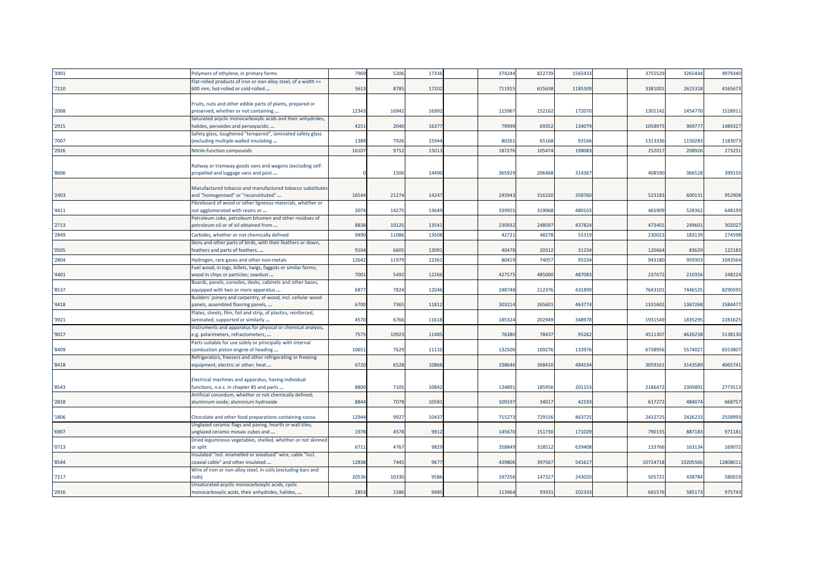| '3901 | Polymers of ethylene, in primary forms                                                                             | 7969  | 5206  | 17336 | 374244 | 822739 | 1565433 | 3755529  | 3265444  | 4979340  |
|-------|--------------------------------------------------------------------------------------------------------------------|-------|-------|-------|--------|--------|---------|----------|----------|----------|
| '7210 | Flat-rolled products of iron or non-alloy steel, of a width >=<br>600 mm, hot-rolled or cold-rolled                | 5613  | 8785  | 17202 | 711915 | 615638 | 1185509 | 3381001  | 2615318  | 4165673  |
|       |                                                                                                                    |       |       |       |        |        |         |          |          |          |
|       | Fruits, nuts and other edible parts of plants, prepared or                                                         |       |       |       |        |        |         |          |          |          |
| '2008 | preserved, whether or not containing                                                                               | 12343 | 16942 | 16992 | 115967 | 152162 | 172070  | 1301142  | 1454770  | 1528911  |
| '2915 | Saturated acyclic monocarboxylic acids and their anhydrides,<br>halides, peroxides and peroxyacids;                | 4251  | 2040  | 16377 | 79999  | 69352  | 134079  | 1058975  | 969777   | 1489327  |
|       | Safety glass, toughened "tempered", laminated safety glass                                                         |       |       |       |        |        |         |          |          |          |
| '7007 | (excluding multiple-walled insulating                                                                              | 1389  | 7926  | 15944 | 8026   | 65168  | 93166   | 1313336  | 1150283  | 1183073  |
| '2926 | Nitrile-function compounds                                                                                         | 16107 | 9752  | 1501  | 18727  | 10547  | 19808   | 25201    | 20892    | 273251   |
|       |                                                                                                                    |       |       |       |        |        |         |          |          |          |
| '8606 | Railway or tramway goods vans and wagons (excluding self-<br>propelled and luggage vans and post                   |       | 1506  | 14490 | 365929 | 206468 | 314367  | 408590   | 366528   | 399150   |
|       |                                                                                                                    |       |       |       |        |        |         |          |          |          |
|       | Manufactured tobacco and manufactured tobacco substitutes                                                          |       |       |       |        |        |         |          |          |          |
| '2403 | and "homogenised" or "reconstituted"                                                                               | 16544 | 21274 | 14247 | 245943 | 31632  | 358760  | 52318    | 600131   | 952908   |
| '4411 | Fibreboard of wood or other ligneous materials, whether or                                                         | 2074  | 14275 | 13649 | 33995  | 319068 | 480103  | 465909   | 528362   | 648199   |
|       | not agglomerated with resins or<br>Petroleum coke, petroleum bitumen and other residues of                         |       |       |       |        |        |         |          |          |          |
| '2713 | petroleum oil or of oil obtained from                                                                              | 8838  | 10125 | 13541 | 230932 | 24859  | 437824  | 473401   | 249601   | 302027   |
| '2849 | Carbides, whether or not chemically defined                                                                        | 9490  | 11086 | 13508 | 4272   | 48278  | 55319   | 230023   | 183139   | 274598   |
|       | Skins and other parts of birds, with their feathers or down,                                                       |       |       |       |        |        |         |          |          |          |
| '0505 | feathers and parts of feathers,                                                                                    | 9104  | 6605  | 13091 | 40478  | 20312  | 31234   | 120664   | 83639    | 122183   |
| '2804 | Hydrogen, rare gases and other non-metals                                                                          | 12642 | 11979 | 1236  | 8041   | 7405   | 9523    | 943180   | 95930    | 1043564  |
|       | Fuel wood, in logs, billets, twigs, faggots or similar forms;                                                      |       |       |       |        |        |         |          |          |          |
| '4401 | wood in chips or particles; sawdust                                                                                | 7001  | 5492  | 12266 | 42757  | 485000 | 487083  | 237672   | 210356   | 248224   |
| '8537 | Boards, panels, consoles, desks, cabinets and other bases,<br>equipped with two or more apparatus                  | 6877  | 7824  | 12046 | 248748 | 212376 | 431899  | 764310   | 7446525  | 8290595  |
|       | Builders' joinery and carpentry, of wood, incl. cellular wood                                                      |       |       |       |        |        |         |          |          |          |
| '4418 | panels, assembled flooring panels,                                                                                 | 6700  | 7365  | 1181  | 303214 | 26560  | 463774  | 1331602  | 1367268  | 1584477  |
|       | Plates, sheets, film, foil and strip, of plastics, reinforced,                                                     |       |       |       |        |        |         |          |          |          |
| '3921 | aminated, supported or similarly                                                                                   | 4570  | 6766  | 11618 | 185324 | 20294  | 348978  | 1931549  | 1835295  | 2281625  |
| '9027 | Instruments and apparatus for physical or chemical analysis,<br>e.g. polarimeters, refractometers,                 | 7575  | 10923 | 11485 | 76380  | 78437  | 95262   | 4511307  | 4626258  | 5138130  |
|       | Parts suitable for use solely or principally with internal                                                         |       |       |       |        |        |         |          |          |          |
| '8409 | combustion piston engine of heading                                                                                | 10651 | 7629  | 11110 | 132500 | 109276 | 133976  | 6738956  | 5574027  | 6553807  |
|       | Refrigerators, freezers and other refrigerating or freezing                                                        |       |       |       |        |        |         |          |          |          |
| '8418 | equipment, electric or other; heat                                                                                 | 6720  | 6528  | 10868 | 338646 | 368410 | 484534  | 305916   | 3143589  | 4065741  |
|       |                                                                                                                    |       |       |       |        |        |         |          |          |          |
| '8543 | Electrical machines and apparatus, having individual<br>functions, n.e.s. in chapter 85 and parts                  | 8800  | 7105  | 10842 | 134891 | 18595  | 201153  | 2186472  | 2309892  | 2773513  |
|       | Artificial corundum, whether or not chemically defined;                                                            |       |       |       |        |        |         |          |          |          |
| '2818 | aluminium oxide; aluminium hydroxide                                                                               | 8844  | 7078  | 10581 | 109197 | 34017  | 42193   | 617272   | 484074   | 668757   |
| '1806 |                                                                                                                    | 12944 | 9927  | 10437 | 715273 | 729156 | 863725  | 2432725  | 2426233  | 2558993  |
|       | Chocolate and other food preparations containing cocoa<br>Unglazed ceramic flags and paving, hearth or wall tiles; |       |       |       |        |        |         |          |          |          |
| '6907 | unglazed ceramic mosaic cubes and                                                                                  | 1978  | 4578  | 9912  | 145670 | 151730 | 171029  | 790135   | 887183   | 971181   |
|       | Dried leguminous vegetables, shelled, whether or not skinned                                                       |       |       |       |        |        |         |          |          |          |
| '0713 | or split                                                                                                           | 6711  | 4767  | 9829  | 358849 | 31851  | 639408  | 133766   | 163134   | 169072   |
|       | Insulated "incl. enamelled or anodised" wire, cable "incl.                                                         |       |       |       |        |        |         |          |          |          |
| '8544 | coaxial cable" and other insulated                                                                                 | 12838 | 7445  | 9677  | 43980  | 397567 | 541617  | 10724718 | 10205566 | 12808011 |
| '7217 | Wire of iron or non-alloy steel, in coils (excluding bars and<br>rods)                                             | 20536 | 10330 | 9586  | 19725  | 14732  | 243020  | 505723   | 438784   | 580019   |
|       | Unsaturated acyclic monocarboxylic acids, cyclic                                                                   |       |       |       |        |        |         |          |          |          |
| '2916 | monocarboxylic acids, their anhydrides, halides,                                                                   | 2853  | 1586  | 9485  | 113964 | 9393   | 202333  | 665576   | 585173   | 975743   |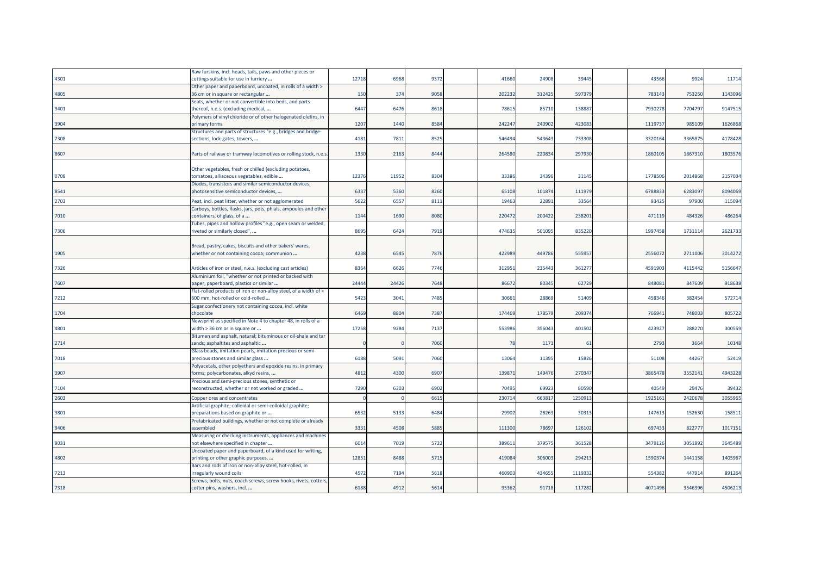|       | Raw furskins, incl. heads, tails, paws and other pieces or       |       |       |      |        |        |        |         |         |         |
|-------|------------------------------------------------------------------|-------|-------|------|--------|--------|--------|---------|---------|---------|
| '4301 | cuttings suitable for use in furriery                            | 12718 | 6968  | 9372 | 41660  | 24908  | 39445  | 43566   | 9924    | 11714   |
|       | Other paper and paperboard, uncoated, in rolls of a width >      |       |       |      |        |        |        |         |         |         |
| '4805 | 36 cm or in square or rectangular                                | 150   | 374   | 9058 | 202232 | 312425 | 597379 | 783143  | 753250  | 1143096 |
|       | Seats, whether or not convertible into beds, and parts           |       |       |      |        |        |        |         |         |         |
| '9401 | thereof, n.e.s. (excluding medical,                              | 6447  | 6476  | 8618 | 78615  | 85710  | 138887 | 7930278 | 7704797 | 9147515 |
|       | Polymers of vinyl chloride or of other halogenated olefins, in   |       |       |      |        |        |        |         |         |         |
| '3904 | primary forms                                                    | 1207  | 1440  | 8584 | 242247 | 240902 | 423083 | 111973  | 985109  | 1626868 |
|       | Structures and parts of structures "e.g., bridges and bridge-    |       |       |      |        |        |        |         |         |         |
| '7308 | sections, lock-gates, towers,                                    | 4181  | 7811  | 8525 | 546494 | 543643 | 733308 | 332016  | 3365875 | 4178428 |
|       |                                                                  |       |       |      |        |        |        |         |         |         |
| '8607 | Parts of railway or tramway locomotives or rolling stock, n.e.s. | 1330  | 2163  | 8444 | 264580 | 220834 | 297930 | 1860105 | 1867310 | 1803576 |
|       |                                                                  |       |       |      |        |        |        |         |         |         |
|       | Other vegetables, fresh or chilled (excluding potatoes,          |       |       |      |        |        |        |         |         |         |
| '0709 | tomatoes, alliaceous vegetables, edible                          | 12376 | 1195  | 8304 | 33386  | 34396  | 31145  | 177850  | 2014868 | 2157034 |
|       | Diodes, transistors and similar semiconductor devices;           |       |       |      |        |        |        |         |         |         |
| '8541 | photosensitive semiconductor devices,                            | 6337  | 5360  | 8260 | 65108  | 10187  | 111979 | 678883  | 6283097 | 8094069 |
| '2703 | Peat, incl. peat litter, whether or not agglomerated             | 5622  | 655   | 8111 | 19463  | 2289   | 33564  | 9342    | 97900   | 115094  |
|       | Carboys, bottles, flasks, jars, pots, phials, ampoules and other |       |       |      |        |        |        |         |         |         |
| '7010 | containers, of glass, of a                                       | 1144  | 1690  | 8080 | 22047  | 200422 | 238201 | 471119  | 484326  | 486264  |
|       | Tubes, pipes and hollow profiles "e.g., open seam or welded,     |       |       |      |        |        |        |         |         |         |
| '7306 | riveted or similarly closed",                                    | 8695  | 6424  | 7919 | 474635 | 501095 | 835220 | 1997458 | 1731114 | 2621733 |
|       |                                                                  |       |       |      |        |        |        |         |         |         |
|       | Bread, pastry, cakes, biscuits and other bakers' wares,          |       |       |      |        |        |        |         |         |         |
| '1905 | whether or not containing cocoa; communion                       | 4238  | 6545  | 7876 | 42298  | 449786 | 555957 | 255607  | 2711006 | 3014272 |
|       |                                                                  |       |       |      |        |        |        |         |         |         |
| '7326 | Articles of iron or steel, n.e.s. (excluding cast articles)      | 8364  | 6626  | 7746 | 31295  | 235443 | 36127  | 4591903 | 4115442 | 5156647 |
|       | Aluminium foil, "whether or not printed or backed with           |       |       |      |        |        |        |         |         |         |
| '7607 | paper, paperboard, plastics or similar                           | 24444 | 24426 | 7648 | 86672  | 80345  | 62729  | 84808   | 847609  | 918638  |
|       | Flat-rolled products of iron or non-alloy steel, of a width of < |       |       |      |        |        |        |         |         |         |
| '7212 | 600 mm, hot-rolled or cold-rolled                                | 5423  | 3041  | 7485 | 30661  | 28869  | 51409  | 458346  | 382454  | 572714  |
|       | Sugar confectionery not containing cocoa, incl. white            |       |       |      |        |        |        |         |         |         |
| '1704 | chocolate                                                        | 6469  | 8804  | 7387 | 174469 | 17857  | 209374 | 766941  | 748003  | 805722  |
|       | Newsprint as specified in Note 4 to chapter 48, in rolls of a    |       |       |      |        |        |        |         |         |         |
| '4801 | width > 36 cm or in square or                                    | 17258 | 9284  | 7137 | 55398  | 35604  | 401502 | 42392   | 288270  | 300559  |
|       | Bitumen and asphalt, natural; bituminous or oil-shale and tar    |       |       |      |        |        |        |         |         |         |
| '2714 | sands; asphaltites and asphaltic                                 |       |       | 7060 | 78     | 1171   | 61     | 2793    | 3664    | 10148   |
|       | Glass beads, imitation pearls, imitation precious or semi-       |       |       |      |        |        |        |         |         |         |
| '7018 | precious stones and similar glass                                | 6188  | 5091  | 7060 | 13064  | 11395  | 15826  | 51108   | 44267   | 52419   |
|       | Polyacetals, other polyethers and epoxide resins, in primary     |       |       |      |        |        |        |         |         |         |
| '3907 | forms; polycarbonates, alkyd resins,                             | 4812  | 4300  | 6907 | 13987  | 149476 | 27034  | 3865478 | 355214  | 4943228 |
|       | Precious and semi-precious stones, synthetic or                  |       |       |      |        |        |        |         |         |         |
| '7104 | reconstructed, whether or not worked or graded                   | 7290  | 6303  | 6902 | 70495  | 69923  | 80590  | 40549   | 29476   | 39432   |
| '2603 | Copper ores and concentrates                                     |       |       | 661  | 23071  | 66381  | 125091 | 192516  | 2420678 | 3055965 |
|       | Artificial graphite; colloidal or semi-colloidal graphite;       |       |       |      |        |        |        |         |         |         |
| '3801 | preparations based on graphite or                                | 6532  | 5133  | 6484 | 29902  | 26263  | 30313  | 147613  | 152630  | 158511  |
|       | Prefabricated buildings, whether or not complete or already      |       |       |      |        |        |        |         |         |         |
| '9406 | assembled                                                        | 3331  | 4508  | 5885 | 111300 | 7869   | 126102 | 697433  | 82277   | 1017151 |
|       |                                                                  |       |       |      |        |        |        |         |         |         |
|       | Measuring or checking instruments, appliances and machines       | 6014  | 7019  | 5722 | 38961  | 37957  | 361528 | 347912  | 3051892 | 3645489 |
| '9031 | not elsewhere specified in chapter                               |       |       |      |        |        |        |         |         |         |
| '4802 | Uncoated paper and paperboard, of a kind used for writing,       | 12851 | 8488  | 5715 | 419084 | 306003 | 294213 | 159037  | 1441158 | 1405967 |
|       | printing or other graphic purposes,                              |       |       |      |        |        |        |         |         |         |
|       | Bars and rods of iron or non-alloy steel, hot-rolled, in         |       |       |      |        |        |        |         |         |         |
| '7213 | rregularly wound coils                                           | 4572  | 7194  | 5618 | 46090  | 434655 | 111933 | 554382  | 44791   | 891264  |
|       | Screws, bolts, nuts, coach screws, screw hooks, rivets, cotters  |       |       |      |        |        |        |         |         |         |
| '7318 | cotter pins, washers, incl                                       | 6188  | 4912  | 5614 | 95362  | 91718  | 117282 | 4071496 | 3546396 | 4506213 |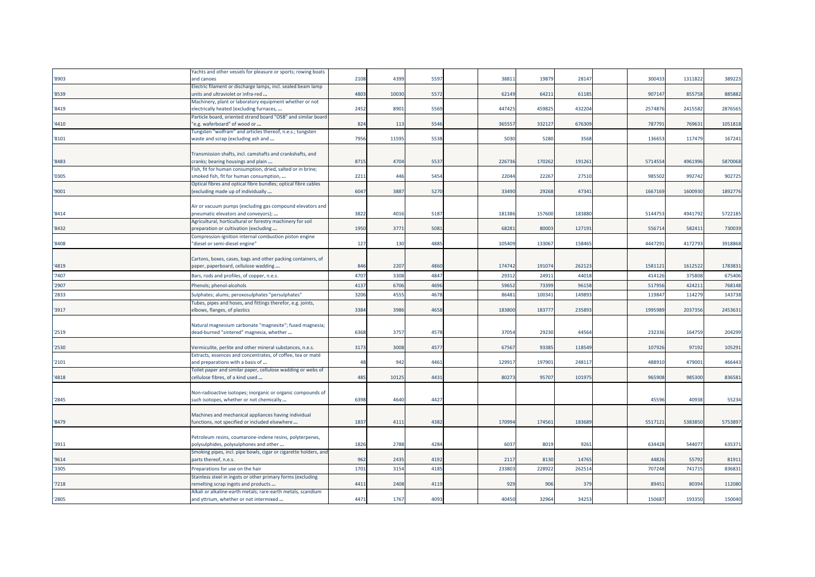|       | fachts and other vessels for pleasure or sports; rowing boats                                                   |      |       |      |        |        |        |         |         |         |
|-------|-----------------------------------------------------------------------------------------------------------------|------|-------|------|--------|--------|--------|---------|---------|---------|
| '8903 | and canoes                                                                                                      | 2108 | 4399  | 5597 | 3881   | 19879  | 28147  | 30043   | 1311822 | 389223  |
|       | Electric filament or discharge lamps, incl. sealed beam lamp                                                    |      |       |      |        |        |        |         |         |         |
| '8539 | units and ultraviolet or infra-red                                                                              | 4803 | 10030 | 5572 | 62149  | 64211  | 61185  | 907147  | 855758  | 885882  |
|       | Machinery, plant or laboratory equipment whether or not                                                         |      |       |      |        |        |        |         |         |         |
| '8419 | electrically heated (excluding furnaces,                                                                        | 2452 | 8901  | 5569 | 447425 | 459825 | 432204 | 2574876 | 2415582 | 2876565 |
|       | Particle board, oriented strand board "OSB" and similar board                                                   |      |       |      |        |        |        |         |         |         |
| '4410 | "e.g. waferboard" of wood or                                                                                    | 824  | 113   | 5546 | 36555  | 332127 | 676309 | 787791  | 769631  | 1051818 |
|       | Fungsten "wolfram" and articles thereof, n.e.s.; tungsten                                                       |      |       |      |        |        |        |         |         |         |
| '8101 | waste and scrap (excluding ash and                                                                              | 7956 | 11595 | 5538 | 5030   | 5280   | 3568   | 136653  | 117479  | 167241  |
|       |                                                                                                                 |      |       |      |        |        |        |         |         |         |
|       | Transmission shafts, incl. camshafts and crankshafts, and                                                       |      |       |      |        |        |        |         |         |         |
| '8483 | cranks; bearing housings and plain                                                                              | 8715 | 4704  | 5537 | 226736 | 170262 | 191261 | 5714554 | 4961996 | 5870068 |
|       | Fish, fit for human consumption, dried, salted or in brine;                                                     |      |       |      |        |        |        |         |         |         |
| '0305 | smoked fish, fit for human consumption,                                                                         | 2211 | 446   | 5454 | 22044  | 22267  | 27510  | 985502  | 992742  | 902725  |
|       | Optical fibres and optical fibre bundles; optical fibre cables                                                  |      |       |      |        |        |        |         |         |         |
| '9001 | (excluding made up of individually                                                                              | 6047 | 3887  | 5270 | 33490  | 29268  | 47341  | 1667169 | 1600930 | 1892776 |
|       |                                                                                                                 |      |       |      |        |        |        |         |         |         |
|       | Air or vacuum pumps (excluding gas compound elevators and                                                       |      |       |      |        |        |        |         |         |         |
| '8414 | pneumatic elevators and conveyors);                                                                             | 3822 | 4016  | 5187 | 18138  | 157600 | 183880 | 5144753 | 4941792 | 5722185 |
|       | Agricultural, horticultural or forestry machinery for soil                                                      |      |       |      |        |        |        |         |         |         |
| '8432 | preparation or cultivation (excluding                                                                           | 1950 | 3771  | 5081 | 6828   | 80003  | 127191 | 556714  | 582411  | 730039  |
|       | Compression-ignition internal combustion piston engine                                                          |      |       |      |        |        |        |         |         |         |
| '8408 | "diesel or semi-diesel engine"                                                                                  | 127  | 130   | 4885 | 105409 | 133067 | 158465 | 4447291 | 4172793 | 3918868 |
|       |                                                                                                                 |      |       |      |        |        |        |         |         |         |
|       | Cartons, boxes, cases, bags and other packing containers, of                                                    |      |       |      |        |        |        |         |         |         |
| '4819 | paper, paperboard, cellulose wadding                                                                            | 846  | 2207  | 4860 | 174742 | 191074 | 262123 | 1581121 | 1612522 | 1783831 |
| '7407 | Bars, rods and profiles, of copper, n.e.s.                                                                      | 4707 | 3308  | 4847 | 2931   | 2491   | 44018  | 414126  | 375808  | 675406  |
| '2907 | Phenols; phenol-alcohols                                                                                        | 4137 | 6706  | 4696 | 5965   | 73399  | 96158  | 517956  | 42421   | 768148  |
| '2833 |                                                                                                                 | 3206 | 4555  | 4678 | 8648   | 10034  | 149893 | 119847  | 114279  | 143738  |
|       | Sulphates; alums; peroxosulphates "persulphates"<br>Tubes, pipes and hoses, and fittings therefor, e.g. joints, |      |       |      |        |        |        |         |         |         |
| '3917 | elbows, flanges, of plastics                                                                                    | 3384 | 3986  | 4658 | 183800 | 183777 | 235893 | 1995989 | 2037356 | 2453631 |
|       |                                                                                                                 |      |       |      |        |        |        |         |         |         |
|       | Natural magnesium carbonate "magnesite"; fused magnesia;                                                        |      |       |      |        |        |        |         |         |         |
| '2519 | dead-burned "sintered" magnesia, whether                                                                        | 6368 | 3757  | 4578 | 37054  | 29230  | 44564  | 232336  | 164759  | 204299  |
|       |                                                                                                                 |      |       |      |        |        |        |         |         |         |
| '2530 | Vermiculite, perlite and other mineral substances, n.e.s.                                                       | 3173 | 3008  | 4577 | 6756   | 93385  | 118549 | 107926  | 97192   | 105291  |
|       | Extracts, essences and concentrates, of coffee, tea or maté                                                     |      |       |      |        |        |        |         |         |         |
| '2101 | and preparations with a basis of                                                                                | 48   | 942   | 4461 | 12991  | 197901 | 248117 | 488910  | 479001  | 466443  |
|       | Foilet paper and similar paper, cellulose wadding or webs of                                                    |      |       |      |        |        |        |         |         |         |
| '4818 | cellulose fibres, of a kind used                                                                                | 485  | 10125 | 4431 | 80273  | 95707  | 101975 | 965908  | 985300  | 836581  |
|       |                                                                                                                 |      |       |      |        |        |        |         |         |         |
|       | Non-radioactive isotopes; inorganic or organic compounds of                                                     |      |       |      |        |        |        |         |         |         |
| '2845 | such isotopes, whether or not chemically                                                                        | 6398 | 4640  | 4427 |        |        |        | 45596   | 40938   | 55234   |
|       |                                                                                                                 |      |       |      |        |        |        |         |         |         |
|       | Machines and mechanical appliances having individual                                                            |      |       |      |        |        |        |         |         |         |
| '8479 | functions, not specified or included elsewhere                                                                  | 1837 | 4111  | 4382 | 170994 | 174561 | 183689 | 5517121 | 5383850 | 5753897 |
|       |                                                                                                                 |      |       |      |        |        |        |         |         |         |
|       | Petroleum resins, coumarone-indene resins, polyterpenes,                                                        |      |       |      |        |        |        |         |         |         |
| '3911 | polysulphides, polysulphones and other                                                                          | 1826 | 2788  | 4284 | 603    | 8019   | 9261   | 634428  | 544077  | 635371  |
|       | Smoking pipes, incl. pipe bowls, cigar or cigarette holders, and                                                |      |       |      |        |        |        |         |         |         |
| '9614 | parts thereof, n.e.s.                                                                                           | 962  | 2435  | 4192 | 2117   | 8130   | 14765  | 44826   | 55792   | 81911   |
| '3305 | Preparations for use on the hair                                                                                | 1701 | 3154  | 4185 | 23380  | 22892  | 262514 | 707248  | 74171   | 836831  |
|       | Stainless steel in ingots or other primary forms (excluding                                                     |      |       |      |        |        |        |         |         |         |
| '7218 | remelting scrap ingots and products                                                                             | 4411 | 2408  | 4119 | 929    | 906    | 379    | 8945    | 80394   | 112080  |
|       | Alkali or alkaline-earth metals; rare-earth metals, scandium                                                    |      |       |      |        |        |        |         |         |         |
| '2805 | and yttrium, whether or not intermixed                                                                          | 4471 | 1767  | 4093 | 40450  | 32964  | 34253  | 150687  | 193350  | 150040  |
|       |                                                                                                                 |      |       |      |        |        |        |         |         |         |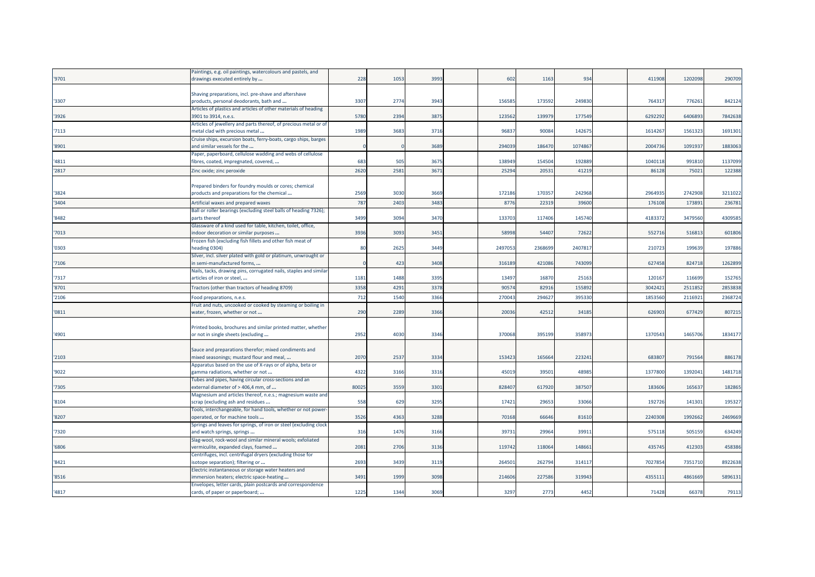|       | Paintings, e.g. oil paintings, watercolours and pastels, and      |       |      |      |        |        |         |         |         |         |
|-------|-------------------------------------------------------------------|-------|------|------|--------|--------|---------|---------|---------|---------|
| '9701 | drawings executed entirely by                                     | 228   | 1053 | 3993 | 602    | 1163   | 934     | 411908  | 1202098 | 290709  |
|       |                                                                   |       |      |      |        |        |         |         |         |         |
|       | Shaving preparations, incl. pre-shave and aftershave              |       |      |      |        |        |         |         |         |         |
| '3307 | products, personal deodorants, bath and                           | 3307  | 2774 | 3943 | 156585 | 17359  | 249830  | 76431   | 776261  | 842124  |
|       | Articles of plastics and articles of other materials of heading   |       |      |      |        |        |         |         |         |         |
| '3926 | 3901 to 3914, n.e.s.                                              | 5780  | 2394 | 3875 | 123562 | 13997  | 177549  | 629229  | 6406893 | 7842638 |
|       | Articles of jewellery and parts thereof, of precious metal or of  |       |      |      |        |        |         |         |         |         |
| '7113 | metal clad with precious metal                                    | 1989  | 3683 | 3716 | 9683   | 9008   | 14267   | 1614267 | 1561323 | 169130  |
|       | Cruise ships, excursion boats, ferry-boats, cargo ships, barges   |       |      |      |        |        |         |         |         |         |
| '8901 | and similar vessels for the                                       |       |      | 3689 | 29403  | 18647  | 1074867 | 2004736 | 109193  | 1883063 |
|       | Paper, paperboard, cellulose wadding and webs of cellulose        |       |      |      |        |        |         |         |         |         |
| '4811 | fibres, coated, impregnated, covered,                             | 683   | 505  | 3675 | 138949 | 154504 | 192889  | 1040118 | 991810  | 1137099 |
|       |                                                                   |       |      |      |        |        |         |         |         |         |
| '2817 | Zinc oxide; zinc peroxide                                         | 2620  | 2581 | 3671 | 25294  | 2053   | 41219   | 86128   | 7502    | 122388  |
|       |                                                                   |       |      |      |        |        |         |         |         |         |
|       | Prepared binders for foundry moulds or cores; chemical            |       |      |      |        |        |         |         |         |         |
| '3824 | products and preparations for the chemical                        | 2569  | 3030 | 3669 | 172186 | 17035  | 242968  | 2964935 | 2742908 | 3211022 |
| '3404 | Artificial waxes and prepared waxes                               | 787   | 2403 | 3483 | 877    | 2231   | 39600   | 17610   | 17389   | 236781  |
|       | Ball or roller bearings (excluding steel balls of heading 7326);  |       |      |      |        |        |         |         |         |         |
| '8482 | parts thereof                                                     | 3499  | 3094 | 3470 | 133703 | 117406 | 145740  | 418337  | 3479560 | 4309585 |
|       | Glassware of a kind used for table, kitchen, toilet, office,      |       |      |      |        |        |         |         |         |         |
| '7013 | indoor decoration or similar purposes                             | 3936  | 3093 | 3451 | 58998  | 5440   | 72622   | 55271   | 51681   | 601806  |
|       | Frozen fish (excluding fish fillets and other fish meat of        |       |      |      |        |        |         |         |         |         |
| '0303 | heading 0304)                                                     | 80    | 2625 | 3449 | 249705 | 236869 | 240781  | 21072   | 199639  | 197886  |
|       | Silver, incl. silver plated with gold or platinum, unwrought or   |       |      |      |        |        |         |         |         |         |
| '7106 | n semi-manufactured forms,                                        |       | 423  | 3408 | 316189 | 42108  | 743099  | 62745   | 824718  | 1262899 |
|       |                                                                   |       |      |      |        |        |         |         |         |         |
|       | Nails, tacks, drawing pins, corrugated nails, staples and similar |       |      |      |        |        |         |         |         |         |
| '7317 | articles of iron or steel,                                        | 1181  | 1488 | 3395 | 1349   | 1687   | 25163   | 120167  | 116699  | 152765  |
| '8701 | Tractors (other than tractors of heading 8709)                    | 3358  | 4291 | 3378 | 90574  | 8291   | 155892  | 3042421 | 251185  | 2853838 |
| '2106 | Food preparations, n.e.s.                                         | 712   | 1540 | 3366 | 270043 | 29462  | 395330  | 185356  | 211692  | 2368724 |
|       | Fruit and nuts, uncooked or cooked by steaming or boiling in      |       |      |      |        |        |         |         |         |         |
| '0811 | water, frozen, whether or not                                     | 290   | 2289 | 3366 | 20036  | 4251   | 34185   | 626903  | 677429  | 807215  |
|       |                                                                   |       |      |      |        |        |         |         |         |         |
|       | Printed books, brochures and similar printed matter, whether      |       |      |      |        |        |         |         |         |         |
| '4901 | or not in single sheets (excluding                                | 2952  | 4030 | 3346 | 370068 | 39519  | 35897   | 137054  | 1465706 | 1834177 |
|       |                                                                   |       |      |      |        |        |         |         |         |         |
|       | Sauce and preparations therefor; mixed condiments and             |       |      |      |        |        |         |         |         |         |
| '2103 | mixed seasonings; mustard flour and meal,                         | 2070  | 2537 | 3334 | 153423 | 16566  | 22324   | 68380   | 791564  | 886178  |
|       |                                                                   |       |      |      |        |        |         |         |         |         |
|       | Apparatus based on the use of X-rays or of alpha, beta or         |       |      |      |        |        |         |         |         |         |
| '9022 | gamma radiations, whether or not                                  | 4322  | 3166 | 3316 | 45019  | 3950   | 48985   | 1377800 | 139204: | 1481718 |
|       | Tubes and pipes, having circular cross-sections and an            |       |      |      |        |        |         |         |         |         |
| '7305 | external diameter of > 406,4 mm, of                               | 80025 | 3559 | 3301 | 828407 | 61792  | 38750   | 183606  | 165637  | 182865  |
|       | Magnesium and articles thereof, n.e.s.; magnesium waste and       |       |      |      |        |        |         |         |         |         |
| '8104 | scrap (excluding ash and residues                                 | 558   | 629  | 3295 | 1742   | 2965   | 33066   | 19272   | 141301  | 195327  |
|       | Tools, interchangeable, for hand tools, whether or not power-     |       |      |      |        |        |         |         |         |         |
| '8207 | operated, or for machine tools                                    | 3526  | 4363 | 3288 | 70168  | 66646  | 81610   | 2240308 | 1992662 | 2469669 |
|       | Springs and leaves for springs, of iron or steel (excluding clock |       |      |      |        |        |         |         |         |         |
| '7320 | and watch springs, springs                                        | 316   | 1476 | 3166 | 3973:  | 2996   | 3991    | 575118  | 505159  | 634249  |
|       | Slag-wool, rock-wool and similar mineral wools; exfoliated        |       |      |      |        |        |         |         |         |         |
| '6806 | vermiculite, expanded clays, foamed                               | 2081  | 2706 | 3136 | 119742 | 11806  | 148661  | 43574   | 412303  | 458386  |
|       | Centrifuges, incl. centrifugal dryers (excluding those for        |       |      |      |        |        |         |         |         |         |
| '8421 | isotope separation); filtering or                                 | 2693  | 3439 | 3119 | 26450  | 26279  | 31411   | 702785  | 7351710 | 8922638 |
|       | Electric instantaneous or storage water heaters and               |       |      |      |        |        |         |         |         |         |
| '8516 | mmersion heaters; electric space-heating                          | 3491  | 1999 | 3098 | 214606 | 22758  | 319943  | 4355111 | 4861669 | 5896131 |
|       | Envelopes, letter cards, plain postcards and correspondence       |       |      |      |        |        |         |         |         |         |
| '4817 | cards, of paper or paperboard;                                    | 1225  | 1344 | 3069 | 3297   | 2773   | 4452    | 71428   | 66378   | 79113   |
|       |                                                                   |       |      |      |        |        |         |         |         |         |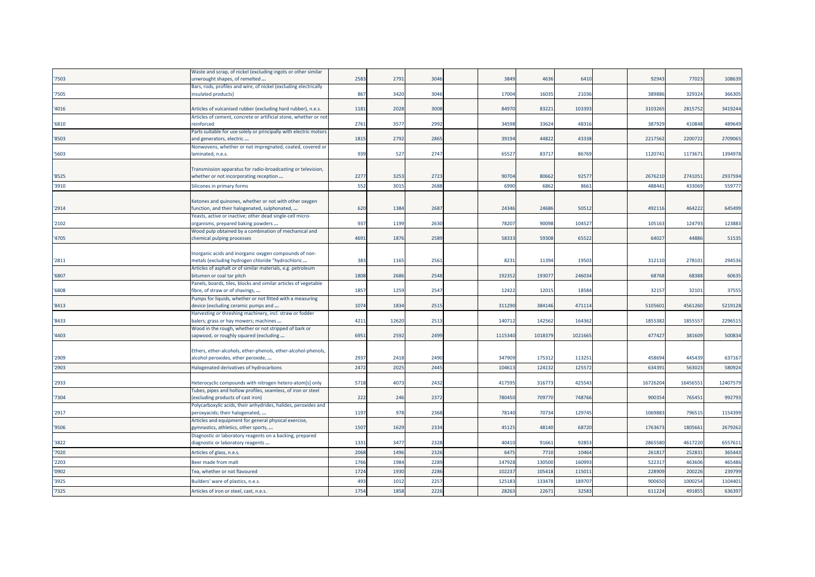|       | Waste and scrap, of nickel (excluding ingots or other similar                                          |      |       |      |         |        |         |          |         |          |
|-------|--------------------------------------------------------------------------------------------------------|------|-------|------|---------|--------|---------|----------|---------|----------|
| '7503 | unwrought shapes, of remelted                                                                          | 2583 | 2791  | 3046 | 3849    | 4636   | 6410    | 92943    | 77023   | 108639   |
|       | Bars, rods, profiles and wire, of nickel (excluding electrically                                       |      |       |      |         |        |         |          |         |          |
| '7505 | insulated products)                                                                                    | 867  | 3420  | 3046 | 17004   | 16035  | 21036   | 38988    | 329324  | 366305   |
|       |                                                                                                        |      |       |      |         |        |         |          |         |          |
| '4016 | Articles of vulcanised rubber (excluding hard rubber), n.e.s.                                          | 1181 | 2028  | 3008 | 84970   | 8322   | 103393  | 3103265  | 2815752 | 3419244  |
|       | Articles of cement, concrete or artificial stone, whether or not                                       |      |       |      |         |        |         |          |         |          |
| '6810 | reinforced                                                                                             | 2761 | 357   | 2992 | 34598   | 33624  | 48316   | 38792    | 410848  | 489649   |
|       | Parts suitable for use solely or principally with electric motors                                      |      |       |      |         |        |         |          |         |          |
| '8503 | and generators, electric                                                                               | 1815 | 2792  | 2865 | 39194   | 4482   | 43338   | 221756   | 2200722 | 2709065  |
|       | Nonwovens, whether or not impregnated, coated, covered or                                              |      |       |      |         |        |         |          |         |          |
| '5603 | laminated, n.e.s.                                                                                      | 939  | 527   | 2747 | 6552    | 83717  | 86769   | 1120741  | 117367  | 1394978  |
|       |                                                                                                        |      |       |      |         |        |         |          |         |          |
| '8525 | Transmission apparatus for radio-broadcasting or television,<br>whether or not incorporating reception | 2277 | 325   | 2723 | 90704   | 80662  | 9257    | 267621   | 274105  | 2937594  |
|       |                                                                                                        |      |       |      |         |        |         |          |         |          |
| '3910 | Silicones in primary forms                                                                             | 552  | 3015  | 2688 | 699     | 686    | 8661    | 488441   | 43306   | 559777   |
|       |                                                                                                        |      |       |      |         |        |         |          |         |          |
|       | Ketones and quinones, whether or not with other oxygen                                                 | 620  | 1384  | 268  | 24346   | 2468   | 50512   | 492116   | 464222  | 645499   |
| '2914 | function, and their halogenated, sulphonated,                                                          |      |       |      |         |        |         |          |         |          |
| '2102 | Yeasts, active or inactive; other dead single-cell micro-<br>organisms, prepared baking powders        | 937  | 1199  | 2630 | 78207   | 90098  | 104527  | 105163   | 124793  | 123883   |
|       | Wood pulp obtained by a combination of mechanical and                                                  |      |       |      |         |        |         |          |         |          |
| '4705 | chemical pulping processes                                                                             | 4691 | 1876  | 2589 | 58333   | 5930   | 65522   | 64027    | 44886   | 51535    |
|       |                                                                                                        |      |       |      |         |        |         |          |         |          |
|       | Inorganic acids and inorganic oxygen compounds of non-                                                 |      |       |      |         |        |         |          |         |          |
| '2811 | metals (excluding hydrogen chloride "hydrochloric                                                      | 383  | 1165  | 2561 | 8231    | 1139   | 19503   | 312110   | 278101  | 294536   |
|       | Articles of asphalt or of similar materials, e.g. petroleum                                            |      |       |      |         |        |         |          |         |          |
| '6807 | bitumen or coal tar pitch                                                                              | 1808 | 2686  | 2548 | 192352  | 19307  | 246034  | 68768    | 68388   | 60635    |
|       | Panels, boards, tiles, blocks and similar articles of vegetable                                        |      |       |      |         |        |         |          |         |          |
| '6808 | fibre, of straw or of shavings,                                                                        | 1857 | 1259  | 2547 | 12422   | 1201   | 18584   | 3215     | 32101   | 37555    |
|       | Pumps for liquids, whether or not fitted with a measuring                                              |      |       |      |         |        |         |          |         |          |
| '8413 | device (excluding ceramic pumps and                                                                    | 1074 | 1834  | 2515 | 311290  | 38414  | 471114  | 510560   | 4561260 | 5219128  |
|       | Harvesting or threshing machinery, incl. straw or fodder                                               |      |       |      |         |        |         |          |         |          |
| '8433 | balers; grass or hay mowers; machines                                                                  | 4211 | 12620 | 2513 | 140712  | 142562 | 164362  | 185538   | 185555  | 2296515  |
|       | Wood in the rough, whether or not stripped of bark or                                                  |      |       |      |         |        |         |          |         |          |
| '4403 | sapwood, or roughly squared (excluding                                                                 | 6951 | 2592  | 2499 | 1115340 | 101837 | 1021665 | 47742    | 381609  | 500834   |
|       |                                                                                                        |      |       |      |         |        |         |          |         |          |
|       | Ethers, ether-alcohols, ether-phenols, ether-alcohol-phenols,                                          |      |       |      |         |        |         |          |         |          |
| '2909 | alcohol peroxides, ether peroxide,                                                                     | 2937 | 2418  | 2490 | 347909  | 17531  | 11325:  | 45869    | 445439  | 637167   |
| '2903 | Halogenated derivatives of hydrocarbons                                                                | 2472 | 2025  | 2445 | 10461   | 12413  | 125572  | 63439    | 56302   | 580924   |
|       |                                                                                                        |      |       |      |         |        |         |          |         |          |
| '2933 | Heterocyclic compounds with nitrogen hetero-atom[s] only                                               | 5718 | 4073  | 2432 | 41759   | 31677  | 425543  | 16726204 | 1645655 | 12407579 |
|       | Tubes, pipes and hollow profiles, seamless, of iron or steel                                           |      |       |      |         |        |         |          |         |          |
| '7304 | (excluding products of cast iron)                                                                      | 222  | 246   | 2372 | 780450  | 70977  | 748766  | 90035    | 765451  | 992793   |
|       | Polycarboxylic acids, their anhydrides, halides, peroxides and                                         |      |       |      |         |        |         |          |         |          |
| '2917 | peroxyacids; their halogenated,                                                                        | 1197 | 978   | 2368 | 78140   | 70734  | 129745  | 106988   | 796515  | 1154399  |
|       | Articles and equipment for general physical exercise,                                                  |      |       |      |         |        |         |          |         |          |
| '9506 | gymnastics, athletics, other sports,                                                                   | 1507 | 1629  | 2334 | 45125   | 48140  | 68720   | 176367   | 180566  | 2679262  |
| '3822 | Diagnostic or laboratory reagents on a backing, prepared                                               | 1331 | 347   | 2328 | 40410   | 9166   | 92853   | 286558   | 4617220 | 6557611  |
|       | diagnostic or laboratory reagents                                                                      |      |       |      |         |        |         |          |         |          |
| '7020 | Articles of glass, n.e.s.                                                                              | 2068 | 1496  | 2326 | 647     | 771    | 10464   | 26181    | 25283   | 365443   |
| '2203 | Beer made from malt                                                                                    | 1766 | 1984  | 228  | 147928  | 13050  | 160993  | 52231    | 46360   | 465486   |
| '0902 | Tea, whether or not flavoured                                                                          | 1724 | 1930  | 2286 | 10223   | 10541  | 11501   | 22890    | 20022   | 239799   |
| '3925 | Builders' ware of plastics, n.e.s.                                                                     | 493  | 1012  | 2257 | 12518   | 133478 | 189707  | 900650   | 1000254 | 1104401  |
|       |                                                                                                        |      |       |      |         |        |         |          |         |          |
| '7325 | Articles of iron or steel, cast, n.e.s.                                                                | 1754 | 1858  | 2226 | 2826    | 2267   | 3258    | 61122    | 49185   | 636397   |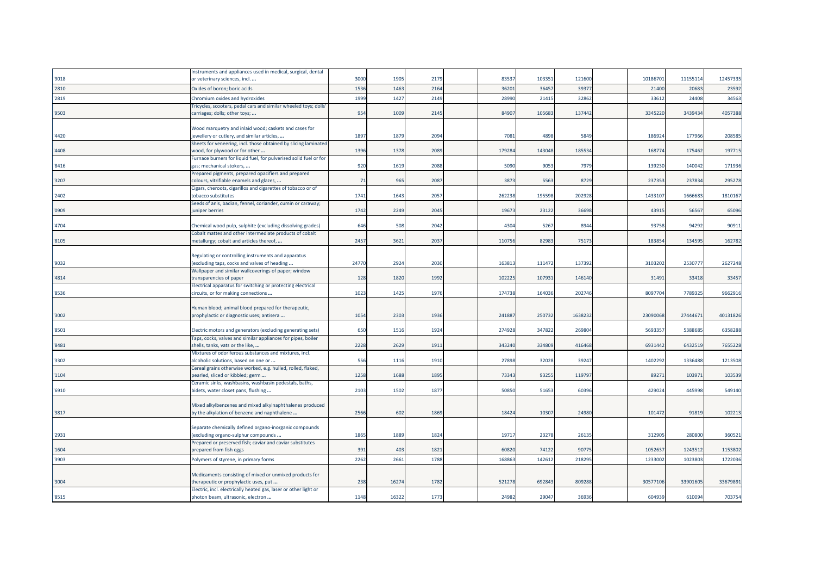|       | Instruments and appliances used in medical, surgical, dental                                             |       |       |      |        |        |        |          |          |          |
|-------|----------------------------------------------------------------------------------------------------------|-------|-------|------|--------|--------|--------|----------|----------|----------|
| '9018 | or veterinary sciences, incl                                                                             | 3000  | 1905  | 2179 | 8353   | 10335  | 121600 | 10186701 | 1115511  | 12457335 |
| '2810 | Oxides of boron; boric acids                                                                             | 1536  | 1463  | 2164 | 3620   | 3645   | 3937   | 21400    | 2068     | 23592    |
| '2819 | Chromium oxides and hydroxides                                                                           | 1999  | 1427  | 2149 | 28990  | 2141   | 32862  | 3361     | 24408    | 34563    |
| '9503 | Tricycles, scooters, pedal cars and similar wheeled toys; doll:<br>carriages; dolls; other toys;         | 954   | 1009  | 2145 | 84907  | 10568  | 137442 | 3345220  | 3439434  | 4057388  |
| '4420 | Wood marquetry and inlaid wood; caskets and cases for<br>jewellery or cutlery, and similar articles,     | 1897  | 1879  | 2094 | 7081   | 4898   | 5849   | 186924   | 177966   | 208585   |
| '4408 | Sheets for veneering, incl. those obtained by slicing laminated<br>wood, for plywood or for other        | 1396  | 1378  | 2089 | 179284 | 143048 | 185534 | 168774   | 175462   | 197715   |
| '8416 | Furnace burners for liquid fuel, for pulverised solid fuel or for<br>gas; mechanical stokers,            | 920   | 1619  | 2088 | 5090   | 9053   | 7979   | 139230   | 140042   | 171936   |
| '3207 | Prepared pigments, prepared opacifiers and prepared<br>colours, vitrifiable enamels and glazes,          | 71    | 965   | 2087 | 3873   | 5563   | 8729   | 237353   | 237834   | 295278   |
| '2402 | Cigars, cheroots, cigarillos and cigarettes of tobacco or of<br>obacco substitutes                       | 1741  | 1643  | 2057 | 262238 | 195598 | 202928 | 1433107  | 166668   | 1810167  |
| '0909 | Seeds of anis, badian, fennel, coriander, cumin or caraway;<br>juniper berries                           | 1742  | 2249  | 2045 | 1967   | 23122  | 36698  | 43915    | 56567    | 65096    |
| '4704 | Chemical wood pulp, sulphite (excluding dissolving grades)                                               | 646   | 508   | 2042 | 4304   | 5267   | 8944   | 93758    | 94292    | 90911    |
| '8105 | Cobalt mattes and other intermediate products of cobalt<br>metallurgy; cobalt and articles thereof,      | 2457  | 3621  | 2037 | 11075  | 8298   | 75173  | 183854   | 134595   | 162782   |
| '9032 | Regulating or controlling instruments and apparatus<br>excluding taps, cocks and valves of heading       | 24770 | 2924  | 2030 | 16381  | 111472 | 137392 | 3103202  | 2530777  | 2627248  |
| '4814 | Wallpaper and similar wallcoverings of paper; window<br>transparencies of paper                          | 128   | 1820  | 1992 | 10222  | 10793  | 146140 | 31491    | 33418    | 33457    |
| '8536 | Electrical apparatus for switching or protecting electrical<br>circuits, or for making connections       | 1023  | 1425  | 1976 | 174738 | 164036 | 202746 | 809770   | 7789325  | 9662916  |
| '3002 | Human blood; animal blood prepared for therapeutic,<br>prophylactic or diagnostic uses; antisera         | 1054  | 2303  | 1936 | 24188  | 25073  | 163823 | 2309006  | 2744467  | 40131826 |
| '8501 | Electric motors and generators (excluding generating sets)                                               | 650   | 1516  | 1924 | 274928 | 347822 | 269804 | 569335   | 5388685  | 6358288  |
| '8481 | Taps, cocks, valves and similar appliances for pipes, boiler<br>shells, tanks, vats or the like,         | 2228  | 2629  | 1911 | 343240 | 334809 | 416468 | 6931442  | 6432519  | 7655228  |
| '3302 | Mixtures of odoriferous substances and mixtures, incl.<br>alcoholic solutions, based on one or           | 556   | 1116  | 1910 | 27898  | 32028  | 39247  | 1402292  | 1336488  | 1213508  |
| '1104 | Cereal grains otherwise worked, e.g. hulled, rolled, flaked,<br>bearled, sliced or kibbled; germ         | 1258  | 1688  | 1895 | 73343  | 93255  | 119797 | 89271    | 103971   | 103539   |
| '6910 | Ceramic sinks, washbasins, washbasin pedestals, baths,<br>bidets, water closet pans, flushing            | 2103  | 1502  | 1877 | 50850  | 51653  | 60396  | 429024   | 445998   | 549140   |
| '3817 | Mixed alkylbenzenes and mixed alkylnaphthalenes produced<br>by the alkylation of benzene and naphthalene | 2566  | 602   | 1869 | 18424  | 10307  | 24980  | 101472   | 91819    | 102213   |
| '2931 | Separate chemically defined organo-inorganic compounds<br>excluding organo-sulphur compounds             | 1865  | 1889  | 1824 | 1971   | 23278  | 26135  | 312905   | 280800   | 360521   |
| '1604 | Prepared or preserved fish; caviar and caviar substitutes<br>prepared from fish eggs                     | 391   | 403   | 1821 | 60820  | 74122  | 90775  | 105263   | 1243512  | 1153802  |
| '3903 | Polymers of styrene, in primary forms                                                                    | 2262  | 266   | 1788 | 168863 | 14261  | 21829  | 1233002  | 1023803  | 1722036  |
| '3004 | Medicaments consisting of mixed or unmixed products for<br>therapeutic or prophylactic uses, put         | 238   | 16274 | 1782 | 521278 | 69284  | 809288 | 3057710  | 33901605 | 33679891 |
| '8515 | Electric, incl. electrically heated gas, laser or other light or<br>photon beam, ultrasonic, electron    | 1148  | 16322 | 1773 | 24982  | 29047  | 36936  | 604939   | 610094   | 703754   |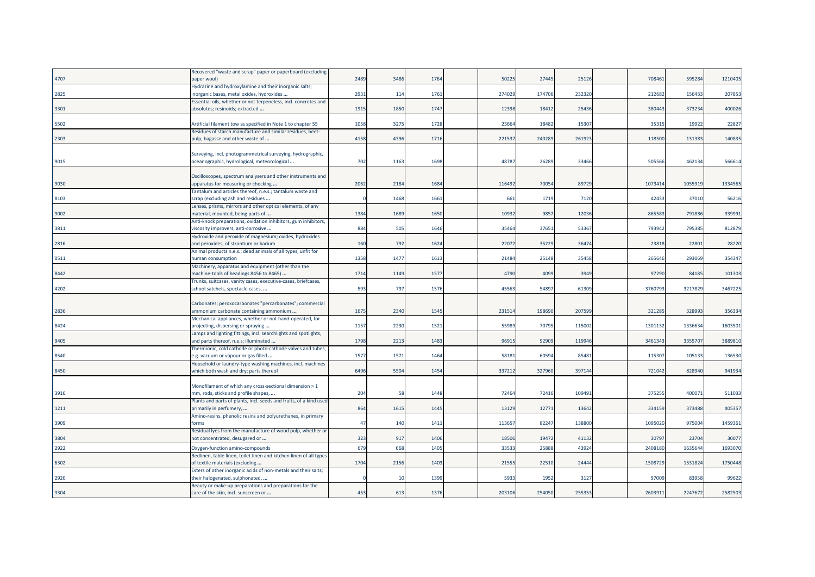|       | Recovered "waste and scrap" paper or paperboard (excluding         |      |                 |      |        |        |        |         |         |         |
|-------|--------------------------------------------------------------------|------|-----------------|------|--------|--------|--------|---------|---------|---------|
| '4707 | paper wool)                                                        | 2489 | 3486            | 1764 | 5022   | 27445  | 25126  | 708461  | 595284  | 1210405 |
|       | Hydrazine and hydroxylamine and their inorganic salts;             |      |                 |      |        |        |        |         |         |         |
| '2825 | inorganic bases, metal oxides, hydroxides                          | 2931 | 11 <sup>2</sup> | 1761 | 27402  | 174706 | 232320 | 212682  | 156433  | 207853  |
|       | Essential oils, whether or not terpeneless, incl. concretes and    |      |                 |      |        |        |        |         |         |         |
| '3301 | absolutes; resinoids; extracted                                    | 1915 | 1850            | 1747 | 12398  | 18412  | 25436  | 380443  | 373234  | 400026  |
|       |                                                                    |      |                 |      |        |        |        |         |         |         |
| '5502 | Artificial filament tow as specified in Note 1 to chapter 55       | 1058 | 3275            | 1728 | 23664  | 18482  | 15307  | 35315   | 19922   | 22827   |
|       | Residues of starch manufacture and similar residues, beet-         |      |                 |      |        |        |        |         |         |         |
| '2303 | pulp, bagasse and other waste of                                   | 4158 | 4396            | 1716 | 22153  | 24028  | 261923 | 118500  | 131383  | 140835  |
|       |                                                                    |      |                 |      |        |        |        |         |         |         |
|       | Surveying, incl. photogrammetrical surveying, hydrographic,        |      |                 |      |        |        |        |         |         |         |
| '9015 | oceanographic, hydrological, meteorological                        | 702  | 1163            | 1698 | 48787  | 26289  | 33466  | 505566  | 462134  | 566614  |
|       |                                                                    |      |                 |      |        |        |        |         |         |         |
|       | Oscilloscopes, spectrum analysers and other instruments and        |      |                 |      |        |        |        |         |         |         |
| '9030 | apparatus for measuring or checking                                | 2062 | 2184            | 1684 | 11649  | 70054  | 89729  | 1073414 | 105591  | 1334565 |
|       | Tantalum and articles thereof, n.e.s.; tantalum waste and          |      |                 |      |        |        |        |         |         |         |
| '8103 | scrap (excluding ash and residues                                  |      | 1468            | 1661 | 661    | 1719   | 7120   | 42433   | 37010   | 56216   |
|       | Lenses, prisms, mirrors and other optical elements, of any         |      |                 |      |        |        |        |         |         |         |
| '9002 | material, mounted, being parts of                                  | 1384 | 1689            | 1650 | 1093   | 9857   | 12036  | 865583  | 791886  | 939991  |
|       | Anti-knock preparations, oxidation inhibitors, gum inhibitors,     |      |                 |      |        |        |        |         |         |         |
| '3811 | viscosity improvers, anti-corrosive                                | 884  | 505             | 1646 | 35464  | 37651  | 53367  | 793942  | 795385  | 812879  |
|       | Hydroxide and peroxide of magnesium; oxides, hydroxides            |      |                 |      |        |        |        |         |         |         |
| '2816 | and peroxides, of strontium or barium                              | 160  | 792             | 1624 | 2207   | 35229  | 36474  | 23818   | 22801   | 28220   |
|       | Animal products n.e.s.; dead animals of all types, unfit for       |      |                 |      |        |        |        |         |         |         |
| '0511 | human consumption                                                  | 1358 | 1477            | 1613 | 21484  | 25148  | 35458  | 265646  | 293069  | 354347  |
|       | Machinery, apparatus and equipment (other than the                 |      |                 |      |        |        |        |         |         |         |
| '8442 | machine-tools of headings 8456 to 8465)                            | 1714 | 1149            | 1577 | 4790   | 4099   | 3949   | 97290   | 84185   | 101303  |
|       | Trunks, suitcases, vanity cases, executive-cases, briefcases,      |      |                 |      |        |        |        |         |         |         |
| '4202 | school satchels, spectacle cases,                                  | 593  | 797             | 1576 | 4556   | 54897  | 61309  | 376079  | 3217829 | 3467225 |
|       |                                                                    |      |                 |      |        |        |        |         |         |         |
|       | Carbonates; peroxocarbonates "percarbonates"; commercial           |      |                 |      |        |        |        |         |         |         |
| '2836 | ammonium carbonate containing ammonium                             | 1675 | 2340            | 1545 | 23151  | 198690 | 207599 | 321285  | 328993  | 356334  |
|       | Mechanical appliances, whether or not hand-operated, for           |      |                 |      |        |        |        |         |         |         |
| '8424 | projecting, dispersing or spraying                                 | 1157 | 2230            | 1521 | 5598   | 70795  | 115002 | 1301132 | 1336634 | 1603501 |
|       | Lamps and lighting fittings, incl. searchlights and spotlights,    |      |                 |      |        |        |        |         |         |         |
| '9405 | and parts thereof, n.e.s; illuminated                              | 1798 | 2213            | 1483 | 9691   | 92909  | 119946 | 3461343 | 3355707 | 3889810 |
|       | Thermionic, cold cathode or photo-cathode valves and tubes,        |      |                 |      |        |        |        |         |         |         |
| '8540 | e.g. vacuum or vapour or gas filled                                | 1577 | 1571            | 1464 | 5818   | 60594  | 85481  | 115307  | 10513   | 136530  |
|       | Household or laundry-type washing machines, incl. machines         |      |                 |      |        |        |        |         |         |         |
| '8450 | which both wash and dry; parts thereof                             | 6496 | 5504            | 1454 | 33721  | 327960 | 397144 | 721042  | 828940  | 941934  |
|       |                                                                    |      |                 |      |        |        |        |         |         |         |
|       | Monofilament of which any cross-sectional dimension > 1            |      |                 |      |        |        |        |         |         |         |
| '3916 | mm, rods, sticks and profile shapes,                               | 204  | 51              | 1448 | 72464  | 72416  | 109491 | 375255  | 400071  | 511033  |
|       | Plants and parts of plants, incl. seeds and fruits, of a kind used |      |                 |      |        |        |        |         |         |         |
| '1211 | primarily in perfumery,                                            | 864  | 1615            | 1445 | 13129  | 12771  | 13642  | 334159  | 373488  | 405357  |
|       | Amino-resins, phenolic resins and polyurethanes, in primary        |      |                 |      |        |        |        |         |         |         |
| '3909 | forms                                                              | 47   | 140             | 1411 | 113657 | 82247  | 138800 | 1095020 | 975004  | 1459361 |
|       | Residual lyes from the manufacture of wood pulp, whether or        |      |                 |      |        |        |        |         |         |         |
| '3804 | not concentrated, desugared or                                     | 323  | 917             | 1406 | 18506  | 19472  | 41132  | 30797   | 23704   | 30077   |
|       |                                                                    | 679  |                 | 1405 |        |        |        |         | 163564  | 1693070 |
| '2922 | Oxygen-function amino-compounds                                    |      | 668             |      | 3353   | 25888  | 43924  | 2408180 |         |         |
| '6302 | Bedlinen, table linen, toilet linen and kitchen linen of all types | 1704 | 2156            | 1403 | 2155   | 22510  | 24444  | 1508729 | 1531824 | 1750448 |
|       | of textile materials (excluding                                    |      |                 |      |        |        |        |         |         |         |
|       | Esters of other inorganic acids of non-metals and their salts;     |      | $\overline{1}$  | 1399 | 5933   | 1952   | 3127   | 97009   | 83958   |         |
| '2920 | their halogenated, sulphonated,                                    |      |                 |      |        |        |        |         |         | 99622   |
|       | Beauty or make-up preparations and preparations for the            |      |                 |      |        |        |        |         |         |         |
| '3304 | care of the skin, incl. sunscreen or                               | 453  | 613             | 1376 | 203106 | 254050 | 255353 | 260391  | 2247672 | 2582503 |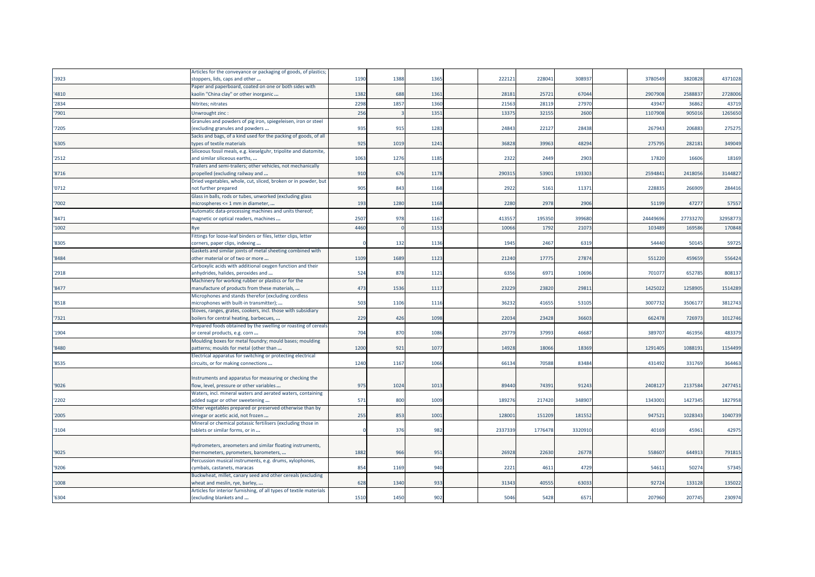|       | Articles for the conveyance or packaging of goods, of plastics      |      |      |      |         |         |         |          |          |          |
|-------|---------------------------------------------------------------------|------|------|------|---------|---------|---------|----------|----------|----------|
| '3923 | stoppers, lids, caps and other                                      | 1190 | 1388 | 1365 | 22212   | 228041  | 30893   | 3780549  | 3820828  | 4371028  |
|       | Paper and paperboard, coated on one or both sides with              |      |      |      |         |         |         |          |          |          |
| '4810 | kaolin "China clay" or other inorganic                              | 1382 | 688  | 1361 | 28181   | 25721   | 67044   | 2907908  | 258883   | 2728006  |
| '2834 | Nitrites; nitrates                                                  | 2298 | 1857 | 1360 | 2156    | 28119   | 2797    | 43947    | 36862    | 43719    |
| '7901 | Unwrought zinc :                                                    | 256  |      | 1351 | 1337    | 32155   | 2600    | 110790   | 90501    | 1265650  |
|       | Granules and powders of pig iron, spiegeleisen, iron or steel       |      |      |      |         |         |         |          |          |          |
| 7205  | (excluding granules and powders                                     | 935  | 915  | 1283 | 2484    | 22127   | 28438   | 267943   | 206883   | 275275   |
|       | Sacks and bags, of a kind used for the packing of goods, of all     |      |      |      |         |         |         |          |          |          |
| '6305 | ypes of textile materials                                           | 925  | 1019 | 1241 | 36828   | 39963   | 48294   | 275795   | 282181   | 349049   |
|       | Siliceous fossil meals, e.g. kieselguhr, tripolite and diatomite,   |      |      |      |         |         |         |          |          |          |
| '2512 | and similar siliceous earths,                                       | 1063 | 1276 | 1185 | 2322    | 2449    | 2903    | 17820    | 16606    | 18169    |
|       | Trailers and semi-trailers; other vehicles, not mechanically        |      |      |      |         |         |         |          |          |          |
| '8716 | propelled (excluding railway and                                    | 910  | 676  | 1178 | 29031   | 53901   | 193303  | 2594841  | 2418056  | 3144827  |
|       | Dried vegetables, whole, cut, sliced, broken or in powder, but      |      |      |      |         |         |         |          |          |          |
| '0712 | not further prepared                                                | 905  | 843  | 1168 | 2922    | 5161    | 11371   | 228835   | 266909   | 284416   |
|       | Glass in balls, rods or tubes, unworked (excluding glass            |      |      |      |         |         |         |          |          |          |
| '7002 | microspheres <= 1 mm in diameter,                                   | 193  | 1280 | 1168 | 2280    | 2978    | 2906    | 51199    | 47277    | 57557    |
|       | Automatic data-processing machines and units thereof;               |      |      |      |         |         |         |          |          |          |
| '8471 | magnetic or optical readers, machines                               | 2507 | 978  | 1167 | 41355   | 195350  | 399680  | 24449696 | 27733270 | 32958773 |
| '1002 | Rve                                                                 | 4460 |      | 1153 | 1006    | 1792    | 2107    | 10348    | 16958    | 170848   |
|       | Fittings for loose-leaf binders or files, letter clips, letter      |      |      |      |         |         |         |          |          |          |
| '8305 | corners, paper clips, indexing                                      |      | 132  | 1136 | 1945    | 2467    | 6319    | 54440    | 50145    | 59725    |
|       | Gaskets and similar joints of metal sheeting combined with          |      |      |      |         |         |         |          |          |          |
| '8484 | other material or of two or more                                    | 1109 | 1689 | 1123 | 21240   | 17775   | 27874   | 551220   | 459659   | 556424   |
|       | Carboxylic acids with additional oxygen function and their          |      |      |      |         |         |         |          |          |          |
| '2918 | anhydrides, halides, peroxides and                                  | 524  | 878  | 1121 | 6356    | 6971    | 10696   | 701077   | 652785   | 808137   |
|       | Machinery for working rubber or plastics or for the                 |      |      |      |         |         |         |          |          |          |
| '8477 | manufacture of products from these materials,                       | 473  | 1536 | 1117 | 23229   | 23820   | 29811   | 1425022  | 1258905  | 1514289  |
|       | Microphones and stands therefor (excluding cordless                 |      |      |      |         |         |         |          |          |          |
| '8518 | microphones with built-in transmitter);                             | 503  | 1106 | 1116 | 3623    | 41655   | 53105   | 300773   | 350617   | 3812743  |
|       | Stoves, ranges, grates, cookers, incl. those with subsidiary        |      |      |      |         |         |         |          |          |          |
| '7321 | boilers for central heating, barbecues,                             | 229  | 426  | 1098 | 2203    | 23428   | 36603   | 662478   | 726973   | 1012746  |
|       | Prepared foods obtained by the swelling or roasting of cereals      |      |      |      |         |         |         |          |          |          |
| '1904 | or cereal products, e.g. corn                                       | 704  | 870  | 1086 | 2977    | 37993   | 46687   | 389707   | 461956   | 483379   |
|       | Moulding boxes for metal foundry; mould bases; moulding             |      |      |      |         |         |         |          |          |          |
| '8480 | patterns; moulds for metal (other than                              | 1200 | 921  | 1077 | 1492    | 18066   | 18369   | 1291405  | 1088191  | 1154499  |
| '8535 | Electrical apparatus for switching or protecting electrical         | 1240 | 1167 | 1066 | 66134   | 70588   | 83484   | 431492   | 331769   | 364463   |
|       | circuits, or for making connections                                 |      |      |      |         |         |         |          |          |          |
|       | Instruments and apparatus for measuring or checking the             |      |      |      |         |         |         |          |          |          |
| '9026 | flow, level, pressure or other variables                            | 975  | 1024 | 1013 | 89440   | 74391   | 91243   | 2408127  | 2137584  | 2477451  |
|       | Waters, incl. mineral waters and aerated waters, containing         |      |      |      |         |         |         |          |          |          |
| '2202 | added sugar or other sweetening                                     | 571  | 800  | 1009 | 18927   | 217420  | 348907  | 1343001  | 1427345  | 1827958  |
|       | Other vegetables prepared or preserved otherwise than by            |      |      |      |         |         |         |          |          |          |
| '2005 | vinegar or acetic acid, not frozen                                  | 255  | 853  | 1001 | 12800   | 151209  | 181552  | 947521   | 1028343  | 1040739  |
|       | Mineral or chemical potassic fertilisers (excluding those in        |      |      |      |         |         |         |          |          |          |
| '3104 | tablets or similar forms, or in                                     |      | 376  | 982  | 2337339 | 1776478 | 3320910 | 40169    | 45961    | 42975    |
|       |                                                                     |      |      |      |         |         |         |          |          |          |
|       | Hydrometers, areometers and similar floating instruments,           |      |      |      |         |         |         |          |          |          |
| '9025 | thermometers, pyrometers, barometers,                               | 1882 | 966  | 951  | 2692    | 22630   | 26778   | 558607   | 644913   | 791815   |
|       | Percussion musical instruments, e.g. drums, xylophones,             |      |      |      |         |         |         |          |          |          |
| '9206 | cymbals, castanets, maracas                                         | 854  | 1169 | 940  | 2221    | 4611    | 4729    | 54611    | 50274    | 57345    |
|       | Buckwheat, millet, canary seed and other cereals (excluding         |      |      |      |         |         |         |          |          |          |
| '1008 | wheat and meslin, rye, barley,                                      | 628  | 1340 | 933  | 31343   | 40555   | 63033   | 92724    | 133128   | 135022   |
|       | Articles for interior furnishing, of all types of textile materials |      |      |      |         |         |         |          |          |          |
| '6304 | (excluding blankets and                                             | 1510 | 1450 | 902  | 5046    | 5428    | 6571    | 207960   | 207745   | 230974   |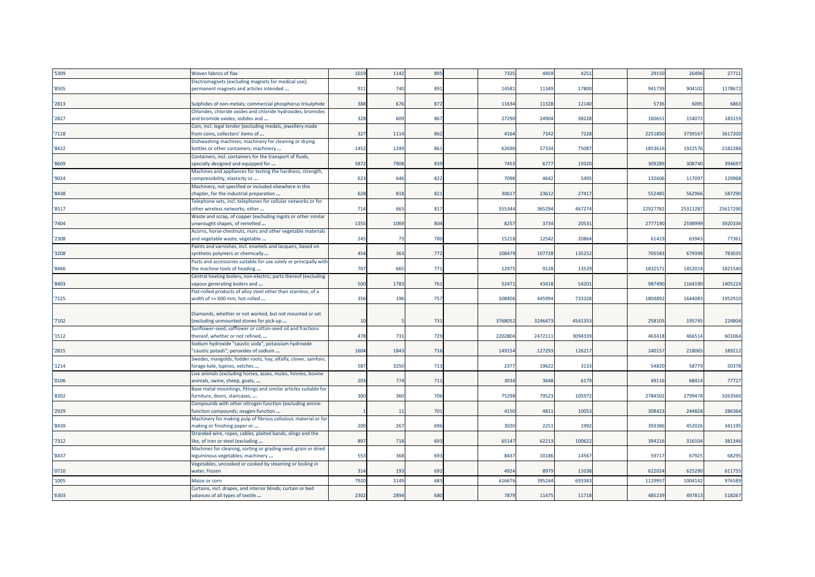| '5309  | Woven fabrics of flax                                                                               | 1019 | 1142 | 895 | 7325    | 4459    | 4251    | 29150   | 26496   | 27711    |
|--------|-----------------------------------------------------------------------------------------------------|------|------|-----|---------|---------|---------|---------|---------|----------|
|        | Electromagnets (excluding magnets for medical use);                                                 |      | 740  | 891 | 14581   | 11349   | 17800   | 941739  | 904102  | 1178672  |
| '8505  | permanent magnets and articles intended                                                             | 911  |      |     |         |         |         |         |         |          |
| '2813  | Sulphides of non-metals; commercial phosphorus trisulphide                                          | 388  | 676  | 872 | 11634   | 11328   | 12140   | 5736    | 6095    | 6863     |
|        | Chlorides, chloride oxides and chloride hydroxides; bromides                                        |      |      |     |         |         |         |         |         |          |
| '2827  | and bromide oxides; iodides and                                                                     | 328  | 609  | 867 | 27290   | 24904   | 38228   | 160651  | 154072  | 183159   |
|        | Coin, incl. legal tender (excluding medals, jewellery made                                          |      |      |     |         |         |         |         |         |          |
| '7118  | from coins, collectors' items of                                                                    | 327  | 1114 | 862 | 4164    | 7342    | 7228    | 2251850 | 373916  | 3617200  |
|        | Dishwashing machines; machinery for cleaning or drying                                              | 1452 | 1249 | 861 | 62690   | 57334   | 75087   | 1853616 | 192257  | 2182288  |
| '8422  | bottles or other containers; machinery<br>Containers, incl. containers for the transport of fluids, |      |      |     |         |         |         |         |         |          |
| '8609  | specially designed and equipped for                                                                 | 5872 | 7908 | 839 | 7453    | 6777    | 19320   | 309289  | 308740  | 394697   |
|        | Machines and appliances for testing the hardness, strength,                                         |      |      |     |         |         |         |         |         |          |
| '9024  | compressibility, elasticity or                                                                      | 623  | 646  | 822 | 7098    | 4642    | 5495    | 132606  | 117097  | 129968   |
|        | Machinery, not specified or included elsewhere in this                                              |      |      |     |         |         |         |         |         |          |
| '8438  | chapter, for the industrial preparation                                                             | 628  | 818  | 821 | 3061    | 23612   | 27417   | 552485  | 562966  | 587290   |
|        | Telephone sets, incl. telephones for cellular networks or for                                       |      |      |     |         |         |         |         |         |          |
| '8517  | other wireless networks; other                                                                      | 714  | 663  | 817 | 55534   | 36529   | 467274  | 2292778 | 2531128 | 25617290 |
| '7404  | Waste and scrap, of copper (excluding ingots or other similar<br>unwrought shapes, of remelted      | 1355 | 1069 | 804 | 8257    | 3734    | 20531   | 2777190 | 259899  | 3920336  |
|        | Acorns, horse-chestnuts, marc and other vegetable materials                                         |      |      |     |         |         |         |         |         |          |
| '2308  | and vegetable waste, vegetable                                                                      | 245  | 73   | 780 | 15218   | 12542   | 20864   | 61419   | 63943   | 77361    |
|        | Paints and varnishes, incl. enamels and lacquers, based on                                          |      |      |     |         |         |         |         |         |          |
| '3208  | synthetic polymers or chemically                                                                    | 454  | 363  | 772 | 108479  | 107728  | 135252  | 705583  | 679398  | 783035   |
|        | Parts and accessories suitable for use solely or principally with                                   |      |      |     |         |         |         |         |         |          |
| '8466  | the machine tools of heading                                                                        | 707  | 665  | 771 | 12975   | 9128    | 13529   | 1832571 | 145201  | 1821540  |
|        | Central heating boilers, non-electric; parts thereof (excluding                                     |      |      |     |         |         |         |         |         |          |
| '8403  | vapour generating boilers and                                                                       | 500  | 1783 | 761 | 5247    | 43418   | 54201   | 987490  | 1164190 | 1405224  |
|        | Flat-rolled products of alloy steel other than stainless, of a                                      |      |      |     | 508406  | 445994  | 733328  | 1804892 | 164408  |          |
| '7225  | width of >= 600 mm, hot-rolled                                                                      | 356  | 196  | 757 |         |         |         |         |         | 1952910  |
|        | Diamonds, whether or not worked, but not mounted or set                                             |      |      |     |         |         |         |         |         |          |
| '7102  | (excluding unmounted stones for pick-up                                                             | 10   |      | 731 | 3768052 | 3246473 | 4541353 | 258105  | 195745  | 224804   |
|        | Sunflower-seed, safflower or cotton-seed oil and fractions                                          |      |      |     |         |         |         |         |         |          |
| '1512  | thereof, whether or not refined,                                                                    | 478  | 731  | 729 | 2202804 | 2472111 | 3094339 | 463418  | 46651   | 601064   |
|        | Sodium hydroxide "caustic soda", potassium hydroxide                                                |      |      |     |         |         |         |         |         |          |
| '2815  | "caustic potash"; peroxides of sodium                                                               | 1604 | 1843 | 716 | 149154  | 127293  | 12621   | 240157  | 218065  | 189212   |
|        | Swedes, mangolds, fodder roots, hay, alfalfa, clover, sainfoin,                                     | 587  | 3250 |     | 2377    | 19622   | 3133    | 54820   | 58779   | 50378    |
| '1214  | forage kale, lupines, vetches<br>Live animals (excluding horses, asses, mules, hinnies, bovine      |      |      | 713 |         |         |         |         |         |          |
| '0106  | animals, swine, sheep, goats,                                                                       | 203  | 774  | 711 | 3034    | 3648    | 6179    | 49116   | 6841    | 77727    |
|        | Base metal mountings, fittings and similar articles suitable for                                    |      |      |     |         |         |         |         |         |          |
| '8302  | furniture, doors, staircases,                                                                       | 300  | 360  | 706 | 75298   | 79523   | 105972  | 2784502 | 2799478 | 3263560  |
|        | Compounds with other nitrogen function (excluding amine-                                            |      |      |     |         |         |         |         |         |          |
| '2929  | function compounds; oxygen-function                                                                 |      | 11   | 701 | 4150    | 4811    | 10053   | 308423  | 244828  | 286364   |
|        | Machinery for making pulp of fibrous cellulosic material or for                                     |      |      |     |         |         |         |         |         |          |
| '8439  | making or finishing paper or                                                                        | 200  | 267  | 696 | 3020    | 2251    | 1992    | 39338   | 45202   | 341195   |
| '7312  | Stranded wire, ropes, cables, plaited bands, slings and the<br>like, of iron or steel (excluding    | 897  | 718  | 693 | 65147   | 62213   | 100622  | 394216  | 316104  | 381346   |
|        | Machines for cleaning, sorting or grading seed, grain or dried                                      |      |      |     |         |         |         |         |         |          |
| '8437  | leguminous vegetables; machinery                                                                    | 553  | 368  | 693 | 8437    | 10186   | 14567   | 59717   | 67925   | 68295    |
|        | Vegetables, uncooked or cooked by steaming or boiling in                                            |      |      |     |         |         |         |         |         |          |
| '0710' | water, frozen                                                                                       | 314  | 193  | 692 | 4924    | 8979    | 11038   | 622024  | 625290  | 611755   |
| '1005  | Maize or corn                                                                                       | 7920 | 3149 | 683 | 61667   | 39524   | 693383  | 112995  | 1004142 | 976589   |
|        | Curtains, incl. drapes, and interior blinds; curtain or bed                                         |      |      |     |         |         |         |         |         |          |
| '6303  | valances of all types of textile                                                                    | 2302 | 2894 | 680 | 7879    | 11475   | 11718   | 485239  | 497813  | 518267   |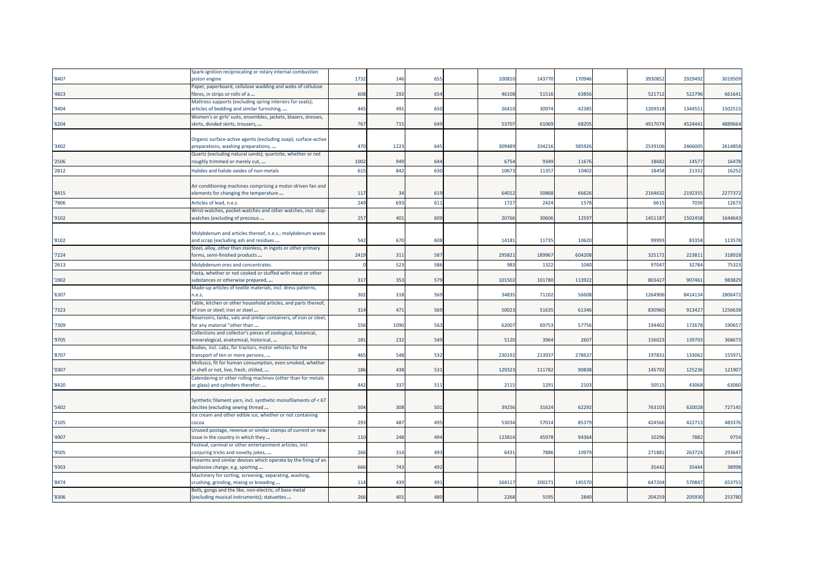|       | Spark-ignition reciprocating or rotary internal combustion                                        |      |      |                 |        |       |        |         |         |         |
|-------|---------------------------------------------------------------------------------------------------|------|------|-----------------|--------|-------|--------|---------|---------|---------|
| '8407 | piston engine                                                                                     | 1732 | 146  | 655             | 100810 | 14377 | 170946 | 393085  | 292949  | 3019509 |
|       | Paper, paperboard, cellulose wadding and webs of cellulose                                        |      |      |                 |        |       |        |         |         |         |
| '4823 | fibres, in strips or rolls of a                                                                   | 608  | 292  | 654             | 46108  | 5151  | 63856  | 521712  | 52279   | 661641  |
|       | Mattress supports (excluding spring interiors for seats);                                         |      |      |                 |        |       |        |         |         |         |
| '9404 | articles of bedding and similar furnishing,                                                       | 445  | 491  | 650             | 26410  | 3097  | 42385  | 120931  | 134455  | 1502515 |
|       | Women's or girls' suits, ensembles, jackets, blazers, dresses,                                    |      |      |                 |        |       |        |         |         |         |
| '6204 | skirts, divided skirts, trousers,                                                                 | 767  | 715  | 64 <sup>9</sup> | 53707  | 61069 | 68205  | 491707  | 4524441 | 4889664 |
|       |                                                                                                   |      |      |                 |        |       |        |         |         |         |
|       | Organic surface-active agents (excluding soap); surface-active                                    |      |      |                 |        |       |        |         |         |         |
| '3402 | preparations, washing preparations,                                                               | 470  | 1223 | 645             | 309489 | 33421 | 38592  | 253910  | 246600  | 2614858 |
|       | Quartz (excluding natural sands); quartzite, whether or not                                       |      |      |                 |        |       |        |         |         |         |
| '2506 | roughly trimmed or merely cut,                                                                    | 1002 | 949  | 644             | 6754   | 9349  | 11676  | 18682   | 1457    | 16478   |
| '2812 | Halides and halide oxides of non-metals                                                           | 615  | 842  | 630             | 1067   | 1135  | 10402  | 18458   | 2133    | 16252   |
|       |                                                                                                   |      |      |                 |        |       |        |         |         |         |
|       | Air conditioning machines comprising a motor-driven fan and                                       |      |      |                 |        |       |        |         |         |         |
| '8415 | elements for changing the temperature                                                             | 117  | 34   | 619             | 64012  | 50868 | 66626  | 2164632 | 2192355 | 2277372 |
| '7806 | Articles of lead, n.e.s.                                                                          | 249  | 693  | 61              | 1727   | 2424  | 1578   | 661     | 7039    | 1267    |
|       | Wrist-watches, pocket-watches and other watches, incl. stop-                                      |      |      |                 |        |       |        |         |         |         |
| '9102 | watches (excluding of precious                                                                    | 257  | 401  | 609             | 2076   | 3060  | 12597  | 145118  | 1502458 | 1644643 |
|       |                                                                                                   |      |      |                 |        |       |        |         |         |         |
|       | Molybdenum and articles thereof, n.e.s.; molybdenum waste                                         |      |      |                 |        |       |        |         |         |         |
| '8102 | and scrap (excluding ash and residues                                                             | 542  | 670  | 608             | 14181  | 1173  | 10620  | 99993   | 83358   | 113578  |
|       | Steel, alloy, other than stainless, in ingots or other primary                                    |      |      |                 |        |       |        |         |         |         |
| '7224 | forms, semi-finished products                                                                     | 2419 | 311  | 587             | 29582  | 18996 | 604208 | 325172  | 22381   | 318928  |
| '2613 | Molybdenum ores and concentrates                                                                  |      | 523  | 586             | 983    | 1322  | 104    | 9704    | 32784   | 75323   |
|       | Pasta, whether or not cooked or stuffed with meat or other                                        |      |      |                 |        |       |        |         |         |         |
| '1902 | substances or otherwise prepared,                                                                 | 317  | 353  | 579             | 10150  | 10178 | 113922 | 80342   | 90746   | 983829  |
|       | Made-up articles of textile materials, incl. dress patterns,                                      |      |      |                 |        |       |        |         |         |         |
| '6307 | n.e.s.                                                                                            | 302  | 318  | 569             | 34835  | 71102 | 56608  | 1264906 | 8414134 | 2806472 |
|       | Table, kitchen or other household articles, and parts thereof,                                    |      |      |                 |        |       |        |         |         |         |
| '7323 | of iron or steel; iron or steel                                                                   | 314  | 471  | 569             | 50023  | 51635 | 61346  | 830960  | 91342   | 1256638 |
|       | Reservoirs, tanks, vats and similar containers, of iron or steel,                                 |      |      |                 |        |       |        |         |         |         |
| '7309 | for any material "other than                                                                      | 556  | 1090 | 563             | 62007  | 6975  | 57756  | 19440   | 172678  | 190657  |
|       | Collections and collector's pieces of zoological, botanical,                                      |      |      |                 |        |       |        |         |         |         |
| '9705 | mineralogical, anatomical, historical,                                                            | 181  | 232  | 549             | 5120   | 396   | 2607   | 15602   | 139703  | 368673  |
|       | Bodies, incl. cabs, for tractors, motor vehicles for the                                          |      |      |                 |        |       |        |         |         |         |
| '8707 | transport of ten or more persons,                                                                 | 465  | 548  | 532             | 230192 | 21393 | 27863  | 19783   | 133062  | 155971  |
|       | Molluscs, fit for human consumption, even smoked, whether                                         |      |      |                 |        |       |        |         |         |         |
| '0307 | n shell or not, live, fresh, chilled,                                                             | 186  | 438  | 531             | 129323 | 11178 | 90838  | 14579   | 12523   | 121907  |
|       | Calendering or other rolling machines (other than for metals                                      |      |      |                 |        |       |        |         |         |         |
| '8420 | or glass) and cylinders therefor;                                                                 | 442  | 337  | 511             | 2115   | 1291  | 2103   | 5051    | 43068   | 63060   |
|       |                                                                                                   |      |      |                 |        |       |        |         |         |         |
|       | Synthetic filament yarn, incl. synthetic monofilaments of < 67                                    |      |      |                 |        |       |        |         |         |         |
| '5402 | decitex (excluding sewing thread                                                                  | 504  | 308  | 501             | 39256  | 3162  | 62292  | 76310   | 620028  | 727145  |
|       | Ice cream and other edible ice, whether or not containing                                         |      |      |                 |        |       |        |         |         |         |
| '2105 | cocoa                                                                                             | 293  | 487  | 495             | 53034  | 5701  | 85379  | 424566  | 422713  | 483376  |
|       | Unused postage, revenue or similar stamps of current or new                                       |      |      |                 |        |       |        |         |         |         |
| '4907 | issue in the country in which they                                                                | 110  | 248  | 494             | 12381  | 45978 | 94364  | 10296   | 7882    | 9754    |
| '9505 | Festival, carnival or other entertainment articles, incl.<br>conjuring tricks and novelty jokes,  | 266  | 314  | 493             | 6431   | 7886  | 10979  | 27188   | 263724  | 293647  |
|       |                                                                                                   |      |      |                 |        |       |        |         |         |         |
| '9303 | Firearms and similar devices which operate by the firing of an<br>explosive charge, e.g. sporting | 666  | 743  | 492             |        |       |        | 35442   | 35444   | 38998   |
|       |                                                                                                   |      |      |                 |        |       |        |         |         |         |
| '8474 | Machinery for sorting, screening, separating, washing,<br>crushing, grinding, mixing or kneading  | 114  | 439  | 491             | 16411  | 20027 | 145570 | 64720   | 57084   | 653755  |
|       | Bells, gongs and the like, non-electric, of base metal                                            |      |      |                 |        |       |        |         |         |         |
| '8306 | (excluding musical instruments); statuettes                                                       | 266  | 401  | 480             | 2268   | 5595  | 2840   | 20425   | 205930  | 253780  |
|       |                                                                                                   |      |      |                 |        |       |        |         |         |         |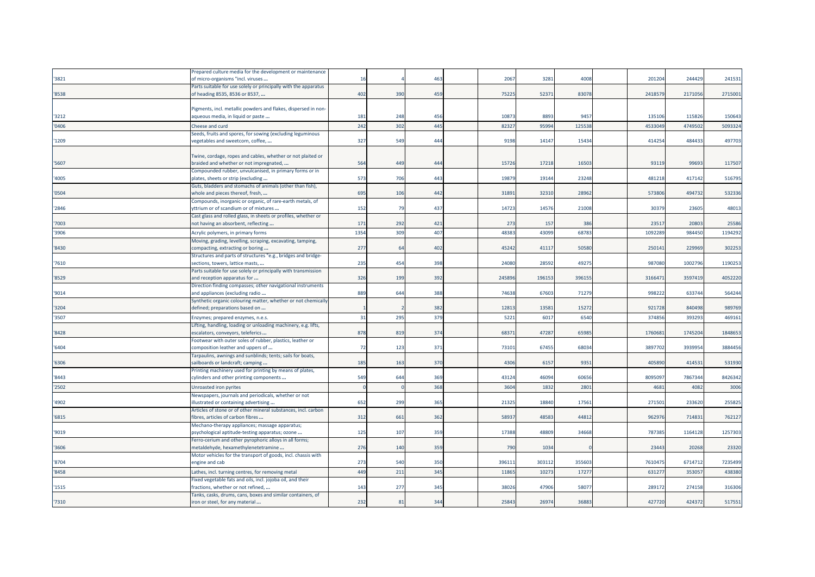|       | Prepared culture media for the development or maintenance       |      |     |     |       |        |        |         |         |         |
|-------|-----------------------------------------------------------------|------|-----|-----|-------|--------|--------|---------|---------|---------|
| '3821 | of micro-organisms "incl. viruses                               | 16   |     | 463 | 2067  | 3281   | 4008   | 201204  | 244429  | 241531  |
|       | Parts suitable for use solely or principally with the apparatus |      |     |     |       |        |        |         |         |         |
| '8538 | of heading 8535, 8536 or 8537,                                  | 402  | 390 | 459 | 7522  | 52371  | 83078  | 241857  | 2171056 | 2715001 |
|       |                                                                 |      |     |     |       |        |        |         |         |         |
|       | Pigments, incl. metallic powders and flakes, dispersed in non-  |      |     |     |       |        |        |         |         |         |
| '3212 | aqueous media, in liquid or paste                               | 181  | 248 | 456 | 1087  | 8893   | 9457   | 135106  | 115826  | 150643  |
| '0406 | Cheese and curd                                                 | 242  | 302 | 445 | 8232  | 9599   | 125538 | 453304  | 474950  | 5093324 |
|       | Seeds, fruits and spores, for sowing (excluding leguminous      |      |     |     |       |        |        |         |         |         |
| '1209 | regetables and sweetcorn, coffee,                               | 327  | 549 | 444 | 9198  | 14147  | 15434  | 414254  | 484433  | 497703  |
|       |                                                                 |      |     |     |       |        |        |         |         |         |
|       | Twine, cordage, ropes and cables, whether or not plaited or     |      |     |     |       |        |        |         |         |         |
| '5607 | braided and whether or not impregnated,                         | 564  | 449 | 444 | 1572  | 17218  | 16503  | 93119   | 99693   | 117507  |
|       | Compounded rubber, unvulcanised, in primary forms or in         |      |     |     |       |        |        |         |         |         |
| '4005 | plates, sheets or strip (excluding                              | 573  | 706 | 443 | 1987  | 19144  | 23248  | 481218  | 417142  | 516795  |
|       | Guts, bladders and stomachs of animals (other than fish),       |      |     |     |       |        |        |         |         |         |
| '0504 | whole and pieces thereof, fresh,                                | 695  | 106 | 442 | 3189  | 32310  | 28962  | 573806  | 494732  | 532336  |
|       | Compounds, inorganic or organic, of rare-earth metals, of       |      |     |     |       |        |        |         |         |         |
| '2846 | ttrium or of scandium or of mixtures                            | 152  | 79  | 437 | 14723 | 14576  | 21008  | 30379   | 23605   | 48013   |
|       | Cast glass and rolled glass, in sheets or profiles, whether or  |      |     |     |       |        |        |         |         |         |
| '7003 | not having an absorbent, reflecting                             | 171  | 292 | 421 | 273   | 157    | 386    | 23517   | 20803   | 25586   |
| '3906 | Acrylic polymers, in primary forms                              | 1354 | 309 | 407 | 48383 | 43099  | 68783  | 109228  | 984450  | 1194292 |
|       | Moving, grading, levelling, scraping, excavating, tamping,      |      |     |     |       |        |        |         |         |         |
| '8430 | compacting, extracting or boring                                | 277  | 6   | 402 | 4524  | 41117  | 50580  | 25014   | 229969  | 302253  |
|       | Structures and parts of structures "e.g., bridges and bridge-   |      |     |     |       |        |        |         |         |         |
| '7610 | sections, towers, lattice masts,                                | 235  | 454 | 398 | 24080 | 28592  | 49275  | 987080  | 1002796 | 1190253 |
|       | Parts suitable for use solely or principally with transmission  |      |     |     |       |        |        |         |         |         |
| '8529 | and reception apparatus for                                     | 326  | 199 | 392 | 24589 | 196153 | 396155 | 316647  | 3597419 | 4052220 |
|       | Direction finding compasses; other navigational instruments     |      |     |     |       |        |        |         |         |         |
| '9014 | and appliances (excluding radio                                 | 889  | 644 | 388 | 7463  | 67603  | 71279  | 998222  | 633744  | 564244  |
|       | Synthetic organic colouring matter, whether or not chemically   |      |     |     |       |        |        |         |         |         |
| '3204 | defined; preparations based on                                  |      |     | 382 | 1281  | 1358   | 15272  | 921728  | 840498  | 989769  |
| '3507 | Enzymes; prepared enzymes, n.e.s.                               | 31   | 295 | 379 | 522   | 6017   | 6540   | 374856  | 39329   | 469161  |
|       | Lifting, handling, loading or unloading machinery, e.g. lifts,  |      |     |     |       |        |        |         |         |         |
| '8428 | escalators, conveyors, teleferics                               | 878  | 819 | 374 | 6837  | 47287  | 65985  | 176068  | 1745204 | 1848653 |
|       | Footwear with outer soles of rubber, plastics, leather or       |      |     |     |       |        |        |         |         |         |
| '6404 | composition leather and uppers of                               | 72   | 123 | 371 | 73101 | 67455  | 68034  | 3897702 | 3939954 | 3884456 |
|       | Farpaulins, awnings and sunblinds; tents; sails for boats,      |      |     |     |       |        |        |         |         |         |
| '6306 | sailboards or landcraft; camping                                | 185  | 163 | 370 | 4306  | 6157   | 9351   | 405890  | 414531  | 531930  |
|       | Printing machinery used for printing by means of plates,        |      |     |     |       |        |        |         |         |         |
| '8443 | cylinders and other printing components                         | 549  | 644 | 369 | 43124 | 46094  | 60656  | 809509  | 7867344 | 8426342 |
| '2502 | Unroasted iron pyrites                                          |      |     | 368 | 3604  | 1832   | 280    | 468     | 4082    | 3006    |
|       | Newspapers, journals and periodicals, whether or not            |      |     |     |       |        |        |         |         |         |
| '4902 | illustrated or containing advertising                           | 652  | 299 | 365 | 2132  | 18840  | 17561  | 27150   | 233620  | 255825  |
|       | Articles of stone or of other mineral substances, incl. carbon  |      |     |     |       |        |        |         |         |         |
| '6815 | fibres, articles of carbon fibres                               | 312  | 661 | 362 | 5893  | 48583  | 44812  | 962976  | 714831  | 762127  |
|       | Mechano-therapy appliances; massage apparatus;                  |      |     |     |       |        |        |         |         |         |
| '9019 | psychological aptitude-testing apparatus; ozone                 | 125  | 107 | 359 | 1738  | 48809  | 34668  | 78738   | 1164128 | 1257303 |
|       | Ferro-cerium and other pyrophoric alloys in all forms;          |      |     |     |       |        |        |         |         |         |
| '3606 | metaldehyde, hexamethylenetetramine                             | 276  | 140 | 359 | 790   | 1034   |        | 2344    | 20268   | 23320   |
|       | Motor vehicles for the transport of goods, incl. chassis with   |      |     |     |       |        |        |         |         |         |
| '8704 | engine and cab                                                  | 273  | 540 | 350 | 39611 | 303112 | 355603 | 761047  | 6714712 | 7235499 |
| '8458 | Lathes, incl. turning centres, for removing metal               | 449  | 211 | 345 | 1186  | 10273  | 1727   | 63127   | 35305   | 438380  |
|       | Fixed vegetable fats and oils, incl. jojoba oil, and their      |      |     |     |       |        |        |         |         |         |
| '1515 | fractions, whether or not refined,                              | 143  | 277 | 345 | 3802  | 47906  | 5807   | 289172  | 274158  | 316306  |
|       | Tanks, casks, drums, cans, boxes and similar containers, of     |      |     |     |       |        |        |         |         |         |
| '7310 | iron or steel, for any material                                 | 232  | 81  | 344 | 2584  | 26974  | 36883  | 427720  | 424372  | 517551  |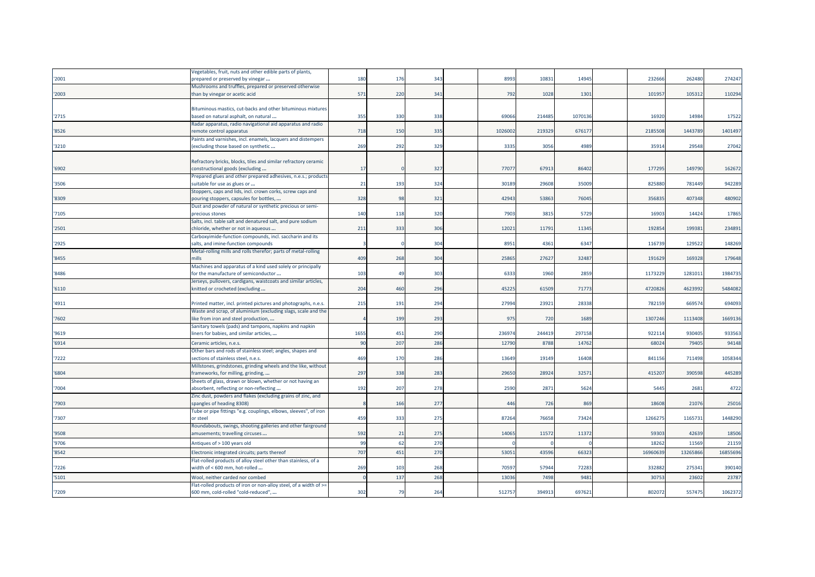|       | Jegetables, fruit, nuts and other edible parts of plants,         |      |                       |     |        |        |         |         |         |          |
|-------|-------------------------------------------------------------------|------|-----------------------|-----|--------|--------|---------|---------|---------|----------|
| '2001 | prepared or preserved by vinegar                                  | 180  | 176                   | 343 | 8993   | 10831  | 14945   | 232666  | 262480  | 274247   |
|       | Mushrooms and truffles, prepared or preserved otherwise           |      |                       |     |        |        |         |         |         |          |
| '2003 | than by vinegar or acetic acid                                    | 571  | 220                   | 341 | 792    | 1028   | 1301    | 101957  | 105312  | 110294   |
|       |                                                                   |      |                       |     |        |        |         |         |         |          |
|       | Bituminous mastics, cut-backs and other bituminous mixtures       |      |                       |     |        |        |         |         |         |          |
| '2715 | based on natural asphalt, on natural                              | 355  | 330                   | 338 | 6906   | 214485 | 1070136 | 16920   | 14984   | 17522    |
|       | Radar apparatus, radio navigational aid apparatus and radio       |      |                       |     |        |        |         |         |         |          |
| '8526 | remote control apparatus                                          | 718  | 150                   | 335 | 102600 | 219329 | 676177  | 2185508 | 1443789 | 1401497  |
|       | Paints and varnishes, incl. enamels, lacquers and distempers      |      |                       |     |        |        |         |         |         |          |
| '3210 | (excluding those based on synthetic                               | 269  | 292                   | 329 | 3335   | 3056   | 4989    | 35914   | 29548   | 27042    |
|       |                                                                   |      |                       |     |        |        |         |         |         |          |
|       | Refractory bricks, blocks, tiles and similar refractory ceramic   |      |                       |     |        |        |         |         |         |          |
| '6902 | constructional goods (excluding                                   | 17   |                       | 327 | 77077  | 67913  | 86402   | 177295  | 149790  | 162672   |
|       | Prepared glues and other prepared adhesives, n.e.s.; products     |      |                       |     |        |        |         |         |         |          |
| '3506 | suitable for use as glues or                                      | 21   | 193                   | 324 | 30189  | 29608  | 35009   | 825880  | 781449  | 942289   |
|       | Stoppers, caps and lids, incl. crown corks, screw caps and        |      |                       |     |        |        |         |         |         |          |
| '8309 | pouring stoppers, capsules for bottles,                           | 328  | 98                    | 321 | 42943  | 53863  | 76045   | 356835  | 407348  | 480902   |
|       | Dust and powder of natural or synthetic precious or semi-         |      |                       |     |        |        |         |         |         |          |
| '7105 | precious stones                                                   | 140  | 118                   | 320 | 7903   | 3815   | 5729    | 16903   | 14424   | 17865    |
|       | Salts, incl. table salt and denatured salt, and pure sodium       |      |                       |     |        |        |         |         |         |          |
| '2501 | chloride, whether or not in aqueous                               | 211  | 333                   | 306 | 1202   | 11791  | 11345   | 19285   | 199381  | 234891   |
|       | Carboxyimide-function compounds, incl. saccharin and its          |      |                       |     |        |        |         |         |         |          |
| '2925 | salts, and imine-function compounds                               |      |                       | 304 | 8951   | 4361   | 6347    | 116739  | 129522  | 148269   |
|       | Metal-rolling mills and rolls therefor; parts of metal-rolling    |      |                       |     |        |        |         |         |         |          |
| '8455 | mills                                                             | 409  | 268                   | 304 | 25865  | 27627  | 32487   | 191629  | 169328  | 179648   |
|       |                                                                   |      |                       |     |        |        |         |         |         |          |
|       | Machines and apparatus of a kind used solely or principally       |      | $\mathbf{A}^{\prime}$ |     |        |        |         |         |         | 1984735  |
| '8486 | for the manufacture of semiconductor                              | 103  |                       | 303 | 6333   | 1960   | 2859    | 1173229 | 1281011 |          |
|       | Jerseys, pullovers, cardigans, waistcoats and similar articles,   |      |                       |     |        |        |         |         |         |          |
| '6110 | knitted or crocheted (excluding                                   | 204  | 460                   | 296 | 4522   | 61509  | 71773   | 4720826 | 4623992 | 5484082  |
|       |                                                                   |      |                       |     |        |        |         |         |         |          |
| '4911 | Printed matter, incl. printed pictures and photographs, n.e.s.    | 215  | 191                   | 294 | 27994  | 23921  | 28338   | 782159  | 669574  | 694093   |
|       | Waste and scrap, of aluminium (excluding slags, scale and the     |      |                       |     |        |        |         |         |         |          |
| '7602 | like from iron and steel production,                              |      | 199                   | 293 | 975    | 720    | 1689    | 1307246 | 1113408 | 1669136  |
|       | Sanitary towels (pads) and tampons, napkins and napkin            |      |                       |     |        |        |         |         |         |          |
| '9619 | liners for babies, and similar articles,                          | 1655 | 451                   | 290 | 23697  | 244419 | 297158  | 922114  | 930405  | 933563   |
| '6914 | Ceramic articles, n.e.s.                                          | 90   | 207                   | 286 | 12790  | 8788   | 14762   | 68024   | 79405   | 94148    |
|       | Other bars and rods of stainless steel; angles, shapes and        |      |                       |     |        |        |         |         |         |          |
| '7222 | sections of stainless steel, n.e.s.                               | 469  | 170                   | 286 | 13649  | 19149  | 16408   | 841156  | 711498  | 1058344  |
|       | Millstones, grindstones, grinding wheels and the like, without    |      |                       |     |        |        |         |         |         |          |
| '6804 | frameworks, for milling, grinding,                                | 297  | 338                   | 283 | 29650  | 28924  | 32571   | 415207  | 390598  | 445289   |
|       | Sheets of glass, drawn or blown, whether or not having an         |      |                       |     |        |        |         |         |         |          |
| '7004 | absorbent, reflecting or non-reflecting                           | 192  | 207                   | 278 | 2590   | 2871   | 5624    | 5445    | 2681    | 4722     |
|       | Zinc dust, powders and flakes (excluding grains of zinc, and      |      |                       |     |        |        |         |         |         |          |
| '7903 | spangles of heading 8308)                                         |      | 166                   | 277 | 446    | 726    | 869     | 18608   | 21076   | 25016    |
|       | Tube or pipe fittings "e.g. couplings, elbows, sleeves", of iron  |      |                       |     |        |        |         |         |         |          |
| '7307 | or steel                                                          | 459  | 333                   | 275 | 87264  | 76658  | 73424   | 1266275 | 1165731 | 1448290  |
|       | Roundabouts, swings, shooting galleries and other fairground      |      |                       |     |        |        |         |         |         |          |
| '9508 | amusements; travelling circuses                                   | 592  | 21                    | 275 | 14065  | 11572  | 11372   | 59303   | 42639   | 18506    |
|       |                                                                   | 99   |                       | 270 |        |        |         |         |         |          |
| '9706 | Antiques of > 100 years old                                       |      | 62                    |     |        |        |         | 18262   | 11569   | 21159    |
| '8542 | Electronic integrated circuits; parts thereof                     | 707  | 451                   | 270 | 53051  | 43596  | 66323   | 1696063 | 1326586 | 16855696 |
|       | Flat-rolled products of alloy steel other than stainless, of a    |      |                       |     |        |        |         |         |         |          |
| '7226 | width of < 600 mm, hot-rolled                                     | 269  | 103                   | 268 | 7059   | 57944  | 72283   | 332882  | 275341  | 390140   |
| '5101 | Wool, neither carded nor combed                                   |      | 137                   | 268 | 1303   | 7498   | 9481    | 3075    | 23602   | 23787    |
|       | Flat-rolled products of iron or non-alloy steel, of a width of >= |      |                       |     |        |        |         |         |         |          |
| '7209 | 600 mm, cold-rolled "cold-reduced",                               | 302  | 79                    | 264 | 512757 | 394913 | 697621  | 802072  | 557475  | 1062372  |
|       |                                                                   |      |                       |     |        |        |         |         |         |          |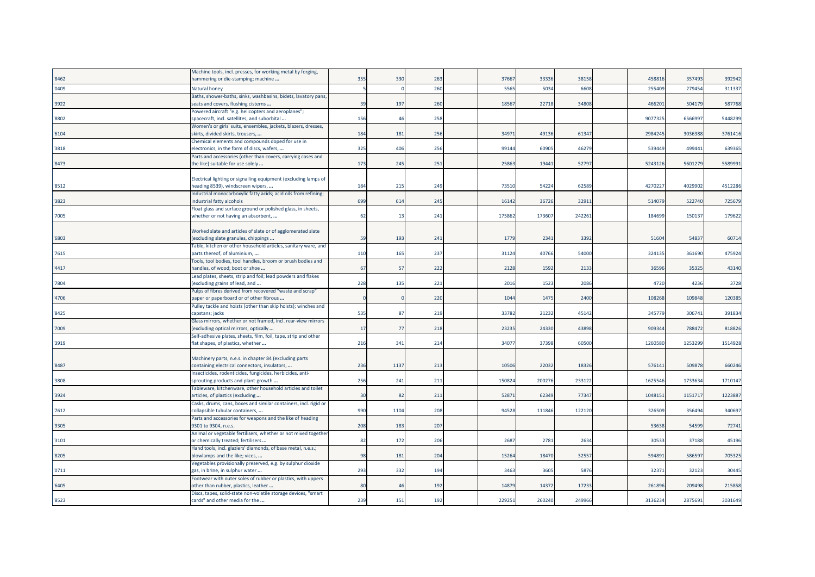| 355<br>330<br>263<br>3766<br>33336<br>38158<br>458816<br>357493<br>392942<br>nammering or die-stamping; machine<br>260<br>5565<br>6608<br>255409<br>279454<br>311337<br>5034<br>Natural honey<br>Baths, shower-baths, sinks, washbasins, bidets, lavatory pans,<br>587768<br>seats and covers, flushing cisterns<br>39<br>197<br>260<br>1856<br>22718<br>34808<br>466201<br>504179<br>Powered aircraft "e.g. helicopters and aeroplanes";<br>'8802<br>spacecraft, incl. satellites, and suborbital<br>156<br>258<br>9077325<br>6566997<br>5448299<br>46<br>Women's or girls' suits, ensembles, jackets, blazers, dresses,<br>3497<br>49136<br>61347<br>2984245<br>3036388<br>3761416<br>'6104<br>skirts, divided skirts, trousers,<br>184<br>181<br>256<br>Chemical elements and compounds doped for use in<br>46279<br>639365<br>325<br>406<br>256<br>9914<br>60905<br>539449<br>499441<br>'3818<br>electronics, in the form of discs, wafers,<br>Parts and accessories (other than covers, carrying cases and<br>173<br>52797<br>5589991<br>'8473<br>the like) suitable for use solely<br>245<br>251<br>2586<br>19441<br>5243126<br>5601279<br>Electrical lighting or signalling equipment (excluding lamps of<br>54224<br>4029902<br>4512286<br>heading 8539), windscreen wipers,<br>184<br>215<br>249<br>7351<br>62589<br>4270227<br>Industrial monocarboxylic fatty acids; acid oils from refining;<br>725679<br>industrial fatty alcohols<br>69 <sup>9</sup><br>614<br>245<br>16142<br>36726<br>32911<br>514079<br>522740<br>Float glass and surface ground or polished glass, in sheets,<br>62<br>175862<br>173607<br>242261<br>184699<br>150137<br>179622<br>whether or not having an absorbent,<br>13<br>241<br>Worked slate and articles of slate or of agglomerated slate<br>1779<br>54837<br>(excluding slate granules, chippings<br>59<br>193<br>2341<br>3392<br>51604<br>60714<br>'6803<br>241<br>Table, kitchen or other household articles, sanitary ware, and<br>'7615<br>parts thereof, of aluminium,<br>110<br>165<br>237<br>31124<br>40766<br>54000<br>324135<br>361690<br>475924<br>Tools, tool bodies, tool handles, broom or brush bodies and<br>'4417<br>222<br>2128<br>1592<br>2133<br>36596<br>35325<br>43140<br>handles, of wood; boot or shoe<br>67<br>57<br>Lead plates, sheets, strip and foil; lead powders and flakes<br>3728<br>(excluding grains of lead, and<br>228<br>135<br>221<br>2016<br>1523<br>2086<br>4720<br>4236<br>Pulps of fibres derived from recovered "waste and scrap"<br>220<br>1044<br>1475<br>2400<br>109848<br>120385<br>paper or paperboard or of other fibrous<br>108268<br>Pulley tackle and hoists (other than skip hoists); winches and<br>535<br>219<br>3378<br>21232<br>45142<br>345779<br>306741<br>391834<br>capstans; jacks<br>87<br>Glass mirrors, whether or not framed, incl. rear-view mirrors<br>'7009<br>(excluding optical mirrors, optically<br>17<br>77<br>218<br>23235<br>24330<br>43898<br>909344<br>788472<br>818826<br>Self-adhesive plates, sheets, film, foil, tape, strip and other<br>'3919<br>flat shapes, of plastics, whether<br>216<br>214<br>3407<br>37398<br>60500<br>1260580<br>1253299<br>1514928<br>341<br>Machinery parts, n.e.s. in chapter 84 (excluding parts<br>1137<br>10506<br>22032<br>18326<br>509878<br>660246<br>'8487<br>containing electrical connectors, insulators,<br>236<br>213<br>57614<br>Insecticides, rodenticides, fungicides, herbicides, anti-<br>256<br>15082<br>200276<br>233122<br>1625546<br>1733634<br>1710147<br>sprouting products and plant-growth<br>241<br>211<br>Tableware, kitchenware, other household articles and toilet<br>211<br>5287<br>62349<br>77347<br>1048151<br>1151717<br>1223887<br>articles, of plastics (excluding<br>3 <sup>c</sup><br>82<br>Casks, drums, cans, boxes and similar containers, incl. rigid or<br>990<br>94528<br>122120<br>340697<br>'7612<br>collapsible tubular containers,<br>1104<br>208<br>111846<br>326509<br>356494<br>Parts and accessories for weapons and the like of heading<br>'9305<br>208<br>183<br>207<br>53638<br>54599<br>72741<br>9301 to 9304, n.e.s.<br>Animal or vegetable fertilisers, whether or not mixed together<br>82<br>172<br>206<br>2687<br>2781<br>2634<br>30533<br>37188<br>45196<br>'3101<br>or chemically treated; fertilisers<br>Hand tools, incl. glaziers' diamonds, of base metal, n.e.s.;<br>'8205<br>blowlamps and the like; vices,<br>98<br>181<br>204<br>15264<br>18470<br>32557<br>594891<br>586597<br>705325<br>Vegetables provisionally preserved, e.g. by sulphur dioxide<br>293<br>332<br>3463<br>3605<br>5876<br>32371<br>32123<br>30445<br>'0711<br>gas, in brine, in sulphur water<br>194<br>Footwear with outer soles of rubber or plastics, with uppers<br>17233<br>209498<br>215858<br>other than rubber, plastics, leather<br>80<br>$\overline{4}$<br>192<br>1487<br>14372<br>261896<br>Discs, tapes, solid-state non-volatile storage devices, "smart<br>22925<br>249966<br>3136234<br>3031649<br>239<br>151<br>192<br>260240<br>2875691<br>cards" and other media for the |       | Machine tools, incl. presses, for working metal by forging, |  |  |  |  |  |  |
|-------------------------------------------------------------------------------------------------------------------------------------------------------------------------------------------------------------------------------------------------------------------------------------------------------------------------------------------------------------------------------------------------------------------------------------------------------------------------------------------------------------------------------------------------------------------------------------------------------------------------------------------------------------------------------------------------------------------------------------------------------------------------------------------------------------------------------------------------------------------------------------------------------------------------------------------------------------------------------------------------------------------------------------------------------------------------------------------------------------------------------------------------------------------------------------------------------------------------------------------------------------------------------------------------------------------------------------------------------------------------------------------------------------------------------------------------------------------------------------------------------------------------------------------------------------------------------------------------------------------------------------------------------------------------------------------------------------------------------------------------------------------------------------------------------------------------------------------------------------------------------------------------------------------------------------------------------------------------------------------------------------------------------------------------------------------------------------------------------------------------------------------------------------------------------------------------------------------------------------------------------------------------------------------------------------------------------------------------------------------------------------------------------------------------------------------------------------------------------------------------------------------------------------------------------------------------------------------------------------------------------------------------------------------------------------------------------------------------------------------------------------------------------------------------------------------------------------------------------------------------------------------------------------------------------------------------------------------------------------------------------------------------------------------------------------------------------------------------------------------------------------------------------------------------------------------------------------------------------------------------------------------------------------------------------------------------------------------------------------------------------------------------------------------------------------------------------------------------------------------------------------------------------------------------------------------------------------------------------------------------------------------------------------------------------------------------------------------------------------------------------------------------------------------------------------------------------------------------------------------------------------------------------------------------------------------------------------------------------------------------------------------------------------------------------------------------------------------------------------------------------------------------------------------------------------------------------------------------------------------------------------------------------------------------------------------------------------------------------------------------------------------------------------------------------------------------------------------------------------------------------------------------------------------------------------------------------------------------------------------------------------------------------------------------------------------------------------------------------------------------------------------------------------------------------------------------------------------------------------------------------------------------------------------------------------------------------------------------------------------------------------------------------------------------------------------------------------------------|-------|-------------------------------------------------------------|--|--|--|--|--|--|
|                                                                                                                                                                                                                                                                                                                                                                                                                                                                                                                                                                                                                                                                                                                                                                                                                                                                                                                                                                                                                                                                                                                                                                                                                                                                                                                                                                                                                                                                                                                                                                                                                                                                                                                                                                                                                                                                                                                                                                                                                                                                                                                                                                                                                                                                                                                                                                                                                                                                                                                                                                                                                                                                                                                                                                                                                                                                                                                                                                                                                                                                                                                                                                                                                                                                                                                                                                                                                                                                                                                                                                                                                                                                                                                                                                                                                                                                                                                                                                                                                                                                                                                                                                                                                                                                                                                                                                                                                                                                                                                                                                                                                                                                                                                                                                                                                                                                                                                                                                                                                                                                                                 | '8462 |                                                             |  |  |  |  |  |  |
|                                                                                                                                                                                                                                                                                                                                                                                                                                                                                                                                                                                                                                                                                                                                                                                                                                                                                                                                                                                                                                                                                                                                                                                                                                                                                                                                                                                                                                                                                                                                                                                                                                                                                                                                                                                                                                                                                                                                                                                                                                                                                                                                                                                                                                                                                                                                                                                                                                                                                                                                                                                                                                                                                                                                                                                                                                                                                                                                                                                                                                                                                                                                                                                                                                                                                                                                                                                                                                                                                                                                                                                                                                                                                                                                                                                                                                                                                                                                                                                                                                                                                                                                                                                                                                                                                                                                                                                                                                                                                                                                                                                                                                                                                                                                                                                                                                                                                                                                                                                                                                                                                                 | '0409 |                                                             |  |  |  |  |  |  |
|                                                                                                                                                                                                                                                                                                                                                                                                                                                                                                                                                                                                                                                                                                                                                                                                                                                                                                                                                                                                                                                                                                                                                                                                                                                                                                                                                                                                                                                                                                                                                                                                                                                                                                                                                                                                                                                                                                                                                                                                                                                                                                                                                                                                                                                                                                                                                                                                                                                                                                                                                                                                                                                                                                                                                                                                                                                                                                                                                                                                                                                                                                                                                                                                                                                                                                                                                                                                                                                                                                                                                                                                                                                                                                                                                                                                                                                                                                                                                                                                                                                                                                                                                                                                                                                                                                                                                                                                                                                                                                                                                                                                                                                                                                                                                                                                                                                                                                                                                                                                                                                                                                 |       |                                                             |  |  |  |  |  |  |
|                                                                                                                                                                                                                                                                                                                                                                                                                                                                                                                                                                                                                                                                                                                                                                                                                                                                                                                                                                                                                                                                                                                                                                                                                                                                                                                                                                                                                                                                                                                                                                                                                                                                                                                                                                                                                                                                                                                                                                                                                                                                                                                                                                                                                                                                                                                                                                                                                                                                                                                                                                                                                                                                                                                                                                                                                                                                                                                                                                                                                                                                                                                                                                                                                                                                                                                                                                                                                                                                                                                                                                                                                                                                                                                                                                                                                                                                                                                                                                                                                                                                                                                                                                                                                                                                                                                                                                                                                                                                                                                                                                                                                                                                                                                                                                                                                                                                                                                                                                                                                                                                                                 | '3922 |                                                             |  |  |  |  |  |  |
|                                                                                                                                                                                                                                                                                                                                                                                                                                                                                                                                                                                                                                                                                                                                                                                                                                                                                                                                                                                                                                                                                                                                                                                                                                                                                                                                                                                                                                                                                                                                                                                                                                                                                                                                                                                                                                                                                                                                                                                                                                                                                                                                                                                                                                                                                                                                                                                                                                                                                                                                                                                                                                                                                                                                                                                                                                                                                                                                                                                                                                                                                                                                                                                                                                                                                                                                                                                                                                                                                                                                                                                                                                                                                                                                                                                                                                                                                                                                                                                                                                                                                                                                                                                                                                                                                                                                                                                                                                                                                                                                                                                                                                                                                                                                                                                                                                                                                                                                                                                                                                                                                                 |       |                                                             |  |  |  |  |  |  |
|                                                                                                                                                                                                                                                                                                                                                                                                                                                                                                                                                                                                                                                                                                                                                                                                                                                                                                                                                                                                                                                                                                                                                                                                                                                                                                                                                                                                                                                                                                                                                                                                                                                                                                                                                                                                                                                                                                                                                                                                                                                                                                                                                                                                                                                                                                                                                                                                                                                                                                                                                                                                                                                                                                                                                                                                                                                                                                                                                                                                                                                                                                                                                                                                                                                                                                                                                                                                                                                                                                                                                                                                                                                                                                                                                                                                                                                                                                                                                                                                                                                                                                                                                                                                                                                                                                                                                                                                                                                                                                                                                                                                                                                                                                                                                                                                                                                                                                                                                                                                                                                                                                 |       |                                                             |  |  |  |  |  |  |
|                                                                                                                                                                                                                                                                                                                                                                                                                                                                                                                                                                                                                                                                                                                                                                                                                                                                                                                                                                                                                                                                                                                                                                                                                                                                                                                                                                                                                                                                                                                                                                                                                                                                                                                                                                                                                                                                                                                                                                                                                                                                                                                                                                                                                                                                                                                                                                                                                                                                                                                                                                                                                                                                                                                                                                                                                                                                                                                                                                                                                                                                                                                                                                                                                                                                                                                                                                                                                                                                                                                                                                                                                                                                                                                                                                                                                                                                                                                                                                                                                                                                                                                                                                                                                                                                                                                                                                                                                                                                                                                                                                                                                                                                                                                                                                                                                                                                                                                                                                                                                                                                                                 |       |                                                             |  |  |  |  |  |  |
|                                                                                                                                                                                                                                                                                                                                                                                                                                                                                                                                                                                                                                                                                                                                                                                                                                                                                                                                                                                                                                                                                                                                                                                                                                                                                                                                                                                                                                                                                                                                                                                                                                                                                                                                                                                                                                                                                                                                                                                                                                                                                                                                                                                                                                                                                                                                                                                                                                                                                                                                                                                                                                                                                                                                                                                                                                                                                                                                                                                                                                                                                                                                                                                                                                                                                                                                                                                                                                                                                                                                                                                                                                                                                                                                                                                                                                                                                                                                                                                                                                                                                                                                                                                                                                                                                                                                                                                                                                                                                                                                                                                                                                                                                                                                                                                                                                                                                                                                                                                                                                                                                                 |       |                                                             |  |  |  |  |  |  |
|                                                                                                                                                                                                                                                                                                                                                                                                                                                                                                                                                                                                                                                                                                                                                                                                                                                                                                                                                                                                                                                                                                                                                                                                                                                                                                                                                                                                                                                                                                                                                                                                                                                                                                                                                                                                                                                                                                                                                                                                                                                                                                                                                                                                                                                                                                                                                                                                                                                                                                                                                                                                                                                                                                                                                                                                                                                                                                                                                                                                                                                                                                                                                                                                                                                                                                                                                                                                                                                                                                                                                                                                                                                                                                                                                                                                                                                                                                                                                                                                                                                                                                                                                                                                                                                                                                                                                                                                                                                                                                                                                                                                                                                                                                                                                                                                                                                                                                                                                                                                                                                                                                 |       |                                                             |  |  |  |  |  |  |
|                                                                                                                                                                                                                                                                                                                                                                                                                                                                                                                                                                                                                                                                                                                                                                                                                                                                                                                                                                                                                                                                                                                                                                                                                                                                                                                                                                                                                                                                                                                                                                                                                                                                                                                                                                                                                                                                                                                                                                                                                                                                                                                                                                                                                                                                                                                                                                                                                                                                                                                                                                                                                                                                                                                                                                                                                                                                                                                                                                                                                                                                                                                                                                                                                                                                                                                                                                                                                                                                                                                                                                                                                                                                                                                                                                                                                                                                                                                                                                                                                                                                                                                                                                                                                                                                                                                                                                                                                                                                                                                                                                                                                                                                                                                                                                                                                                                                                                                                                                                                                                                                                                 |       |                                                             |  |  |  |  |  |  |
|                                                                                                                                                                                                                                                                                                                                                                                                                                                                                                                                                                                                                                                                                                                                                                                                                                                                                                                                                                                                                                                                                                                                                                                                                                                                                                                                                                                                                                                                                                                                                                                                                                                                                                                                                                                                                                                                                                                                                                                                                                                                                                                                                                                                                                                                                                                                                                                                                                                                                                                                                                                                                                                                                                                                                                                                                                                                                                                                                                                                                                                                                                                                                                                                                                                                                                                                                                                                                                                                                                                                                                                                                                                                                                                                                                                                                                                                                                                                                                                                                                                                                                                                                                                                                                                                                                                                                                                                                                                                                                                                                                                                                                                                                                                                                                                                                                                                                                                                                                                                                                                                                                 |       |                                                             |  |  |  |  |  |  |
|                                                                                                                                                                                                                                                                                                                                                                                                                                                                                                                                                                                                                                                                                                                                                                                                                                                                                                                                                                                                                                                                                                                                                                                                                                                                                                                                                                                                                                                                                                                                                                                                                                                                                                                                                                                                                                                                                                                                                                                                                                                                                                                                                                                                                                                                                                                                                                                                                                                                                                                                                                                                                                                                                                                                                                                                                                                                                                                                                                                                                                                                                                                                                                                                                                                                                                                                                                                                                                                                                                                                                                                                                                                                                                                                                                                                                                                                                                                                                                                                                                                                                                                                                                                                                                                                                                                                                                                                                                                                                                                                                                                                                                                                                                                                                                                                                                                                                                                                                                                                                                                                                                 |       |                                                             |  |  |  |  |  |  |
|                                                                                                                                                                                                                                                                                                                                                                                                                                                                                                                                                                                                                                                                                                                                                                                                                                                                                                                                                                                                                                                                                                                                                                                                                                                                                                                                                                                                                                                                                                                                                                                                                                                                                                                                                                                                                                                                                                                                                                                                                                                                                                                                                                                                                                                                                                                                                                                                                                                                                                                                                                                                                                                                                                                                                                                                                                                                                                                                                                                                                                                                                                                                                                                                                                                                                                                                                                                                                                                                                                                                                                                                                                                                                                                                                                                                                                                                                                                                                                                                                                                                                                                                                                                                                                                                                                                                                                                                                                                                                                                                                                                                                                                                                                                                                                                                                                                                                                                                                                                                                                                                                                 |       |                                                             |  |  |  |  |  |  |
|                                                                                                                                                                                                                                                                                                                                                                                                                                                                                                                                                                                                                                                                                                                                                                                                                                                                                                                                                                                                                                                                                                                                                                                                                                                                                                                                                                                                                                                                                                                                                                                                                                                                                                                                                                                                                                                                                                                                                                                                                                                                                                                                                                                                                                                                                                                                                                                                                                                                                                                                                                                                                                                                                                                                                                                                                                                                                                                                                                                                                                                                                                                                                                                                                                                                                                                                                                                                                                                                                                                                                                                                                                                                                                                                                                                                                                                                                                                                                                                                                                                                                                                                                                                                                                                                                                                                                                                                                                                                                                                                                                                                                                                                                                                                                                                                                                                                                                                                                                                                                                                                                                 | '8512 |                                                             |  |  |  |  |  |  |
|                                                                                                                                                                                                                                                                                                                                                                                                                                                                                                                                                                                                                                                                                                                                                                                                                                                                                                                                                                                                                                                                                                                                                                                                                                                                                                                                                                                                                                                                                                                                                                                                                                                                                                                                                                                                                                                                                                                                                                                                                                                                                                                                                                                                                                                                                                                                                                                                                                                                                                                                                                                                                                                                                                                                                                                                                                                                                                                                                                                                                                                                                                                                                                                                                                                                                                                                                                                                                                                                                                                                                                                                                                                                                                                                                                                                                                                                                                                                                                                                                                                                                                                                                                                                                                                                                                                                                                                                                                                                                                                                                                                                                                                                                                                                                                                                                                                                                                                                                                                                                                                                                                 |       |                                                             |  |  |  |  |  |  |
|                                                                                                                                                                                                                                                                                                                                                                                                                                                                                                                                                                                                                                                                                                                                                                                                                                                                                                                                                                                                                                                                                                                                                                                                                                                                                                                                                                                                                                                                                                                                                                                                                                                                                                                                                                                                                                                                                                                                                                                                                                                                                                                                                                                                                                                                                                                                                                                                                                                                                                                                                                                                                                                                                                                                                                                                                                                                                                                                                                                                                                                                                                                                                                                                                                                                                                                                                                                                                                                                                                                                                                                                                                                                                                                                                                                                                                                                                                                                                                                                                                                                                                                                                                                                                                                                                                                                                                                                                                                                                                                                                                                                                                                                                                                                                                                                                                                                                                                                                                                                                                                                                                 | '3823 |                                                             |  |  |  |  |  |  |
|                                                                                                                                                                                                                                                                                                                                                                                                                                                                                                                                                                                                                                                                                                                                                                                                                                                                                                                                                                                                                                                                                                                                                                                                                                                                                                                                                                                                                                                                                                                                                                                                                                                                                                                                                                                                                                                                                                                                                                                                                                                                                                                                                                                                                                                                                                                                                                                                                                                                                                                                                                                                                                                                                                                                                                                                                                                                                                                                                                                                                                                                                                                                                                                                                                                                                                                                                                                                                                                                                                                                                                                                                                                                                                                                                                                                                                                                                                                                                                                                                                                                                                                                                                                                                                                                                                                                                                                                                                                                                                                                                                                                                                                                                                                                                                                                                                                                                                                                                                                                                                                                                                 |       |                                                             |  |  |  |  |  |  |
|                                                                                                                                                                                                                                                                                                                                                                                                                                                                                                                                                                                                                                                                                                                                                                                                                                                                                                                                                                                                                                                                                                                                                                                                                                                                                                                                                                                                                                                                                                                                                                                                                                                                                                                                                                                                                                                                                                                                                                                                                                                                                                                                                                                                                                                                                                                                                                                                                                                                                                                                                                                                                                                                                                                                                                                                                                                                                                                                                                                                                                                                                                                                                                                                                                                                                                                                                                                                                                                                                                                                                                                                                                                                                                                                                                                                                                                                                                                                                                                                                                                                                                                                                                                                                                                                                                                                                                                                                                                                                                                                                                                                                                                                                                                                                                                                                                                                                                                                                                                                                                                                                                 | '7005 |                                                             |  |  |  |  |  |  |
|                                                                                                                                                                                                                                                                                                                                                                                                                                                                                                                                                                                                                                                                                                                                                                                                                                                                                                                                                                                                                                                                                                                                                                                                                                                                                                                                                                                                                                                                                                                                                                                                                                                                                                                                                                                                                                                                                                                                                                                                                                                                                                                                                                                                                                                                                                                                                                                                                                                                                                                                                                                                                                                                                                                                                                                                                                                                                                                                                                                                                                                                                                                                                                                                                                                                                                                                                                                                                                                                                                                                                                                                                                                                                                                                                                                                                                                                                                                                                                                                                                                                                                                                                                                                                                                                                                                                                                                                                                                                                                                                                                                                                                                                                                                                                                                                                                                                                                                                                                                                                                                                                                 |       |                                                             |  |  |  |  |  |  |
|                                                                                                                                                                                                                                                                                                                                                                                                                                                                                                                                                                                                                                                                                                                                                                                                                                                                                                                                                                                                                                                                                                                                                                                                                                                                                                                                                                                                                                                                                                                                                                                                                                                                                                                                                                                                                                                                                                                                                                                                                                                                                                                                                                                                                                                                                                                                                                                                                                                                                                                                                                                                                                                                                                                                                                                                                                                                                                                                                                                                                                                                                                                                                                                                                                                                                                                                                                                                                                                                                                                                                                                                                                                                                                                                                                                                                                                                                                                                                                                                                                                                                                                                                                                                                                                                                                                                                                                                                                                                                                                                                                                                                                                                                                                                                                                                                                                                                                                                                                                                                                                                                                 |       |                                                             |  |  |  |  |  |  |
|                                                                                                                                                                                                                                                                                                                                                                                                                                                                                                                                                                                                                                                                                                                                                                                                                                                                                                                                                                                                                                                                                                                                                                                                                                                                                                                                                                                                                                                                                                                                                                                                                                                                                                                                                                                                                                                                                                                                                                                                                                                                                                                                                                                                                                                                                                                                                                                                                                                                                                                                                                                                                                                                                                                                                                                                                                                                                                                                                                                                                                                                                                                                                                                                                                                                                                                                                                                                                                                                                                                                                                                                                                                                                                                                                                                                                                                                                                                                                                                                                                                                                                                                                                                                                                                                                                                                                                                                                                                                                                                                                                                                                                                                                                                                                                                                                                                                                                                                                                                                                                                                                                 |       |                                                             |  |  |  |  |  |  |
|                                                                                                                                                                                                                                                                                                                                                                                                                                                                                                                                                                                                                                                                                                                                                                                                                                                                                                                                                                                                                                                                                                                                                                                                                                                                                                                                                                                                                                                                                                                                                                                                                                                                                                                                                                                                                                                                                                                                                                                                                                                                                                                                                                                                                                                                                                                                                                                                                                                                                                                                                                                                                                                                                                                                                                                                                                                                                                                                                                                                                                                                                                                                                                                                                                                                                                                                                                                                                                                                                                                                                                                                                                                                                                                                                                                                                                                                                                                                                                                                                                                                                                                                                                                                                                                                                                                                                                                                                                                                                                                                                                                                                                                                                                                                                                                                                                                                                                                                                                                                                                                                                                 |       |                                                             |  |  |  |  |  |  |
|                                                                                                                                                                                                                                                                                                                                                                                                                                                                                                                                                                                                                                                                                                                                                                                                                                                                                                                                                                                                                                                                                                                                                                                                                                                                                                                                                                                                                                                                                                                                                                                                                                                                                                                                                                                                                                                                                                                                                                                                                                                                                                                                                                                                                                                                                                                                                                                                                                                                                                                                                                                                                                                                                                                                                                                                                                                                                                                                                                                                                                                                                                                                                                                                                                                                                                                                                                                                                                                                                                                                                                                                                                                                                                                                                                                                                                                                                                                                                                                                                                                                                                                                                                                                                                                                                                                                                                                                                                                                                                                                                                                                                                                                                                                                                                                                                                                                                                                                                                                                                                                                                                 |       |                                                             |  |  |  |  |  |  |
|                                                                                                                                                                                                                                                                                                                                                                                                                                                                                                                                                                                                                                                                                                                                                                                                                                                                                                                                                                                                                                                                                                                                                                                                                                                                                                                                                                                                                                                                                                                                                                                                                                                                                                                                                                                                                                                                                                                                                                                                                                                                                                                                                                                                                                                                                                                                                                                                                                                                                                                                                                                                                                                                                                                                                                                                                                                                                                                                                                                                                                                                                                                                                                                                                                                                                                                                                                                                                                                                                                                                                                                                                                                                                                                                                                                                                                                                                                                                                                                                                                                                                                                                                                                                                                                                                                                                                                                                                                                                                                                                                                                                                                                                                                                                                                                                                                                                                                                                                                                                                                                                                                 |       |                                                             |  |  |  |  |  |  |
|                                                                                                                                                                                                                                                                                                                                                                                                                                                                                                                                                                                                                                                                                                                                                                                                                                                                                                                                                                                                                                                                                                                                                                                                                                                                                                                                                                                                                                                                                                                                                                                                                                                                                                                                                                                                                                                                                                                                                                                                                                                                                                                                                                                                                                                                                                                                                                                                                                                                                                                                                                                                                                                                                                                                                                                                                                                                                                                                                                                                                                                                                                                                                                                                                                                                                                                                                                                                                                                                                                                                                                                                                                                                                                                                                                                                                                                                                                                                                                                                                                                                                                                                                                                                                                                                                                                                                                                                                                                                                                                                                                                                                                                                                                                                                                                                                                                                                                                                                                                                                                                                                                 |       |                                                             |  |  |  |  |  |  |
|                                                                                                                                                                                                                                                                                                                                                                                                                                                                                                                                                                                                                                                                                                                                                                                                                                                                                                                                                                                                                                                                                                                                                                                                                                                                                                                                                                                                                                                                                                                                                                                                                                                                                                                                                                                                                                                                                                                                                                                                                                                                                                                                                                                                                                                                                                                                                                                                                                                                                                                                                                                                                                                                                                                                                                                                                                                                                                                                                                                                                                                                                                                                                                                                                                                                                                                                                                                                                                                                                                                                                                                                                                                                                                                                                                                                                                                                                                                                                                                                                                                                                                                                                                                                                                                                                                                                                                                                                                                                                                                                                                                                                                                                                                                                                                                                                                                                                                                                                                                                                                                                                                 | '7804 |                                                             |  |  |  |  |  |  |
|                                                                                                                                                                                                                                                                                                                                                                                                                                                                                                                                                                                                                                                                                                                                                                                                                                                                                                                                                                                                                                                                                                                                                                                                                                                                                                                                                                                                                                                                                                                                                                                                                                                                                                                                                                                                                                                                                                                                                                                                                                                                                                                                                                                                                                                                                                                                                                                                                                                                                                                                                                                                                                                                                                                                                                                                                                                                                                                                                                                                                                                                                                                                                                                                                                                                                                                                                                                                                                                                                                                                                                                                                                                                                                                                                                                                                                                                                                                                                                                                                                                                                                                                                                                                                                                                                                                                                                                                                                                                                                                                                                                                                                                                                                                                                                                                                                                                                                                                                                                                                                                                                                 |       |                                                             |  |  |  |  |  |  |
|                                                                                                                                                                                                                                                                                                                                                                                                                                                                                                                                                                                                                                                                                                                                                                                                                                                                                                                                                                                                                                                                                                                                                                                                                                                                                                                                                                                                                                                                                                                                                                                                                                                                                                                                                                                                                                                                                                                                                                                                                                                                                                                                                                                                                                                                                                                                                                                                                                                                                                                                                                                                                                                                                                                                                                                                                                                                                                                                                                                                                                                                                                                                                                                                                                                                                                                                                                                                                                                                                                                                                                                                                                                                                                                                                                                                                                                                                                                                                                                                                                                                                                                                                                                                                                                                                                                                                                                                                                                                                                                                                                                                                                                                                                                                                                                                                                                                                                                                                                                                                                                                                                 | '4706 |                                                             |  |  |  |  |  |  |
|                                                                                                                                                                                                                                                                                                                                                                                                                                                                                                                                                                                                                                                                                                                                                                                                                                                                                                                                                                                                                                                                                                                                                                                                                                                                                                                                                                                                                                                                                                                                                                                                                                                                                                                                                                                                                                                                                                                                                                                                                                                                                                                                                                                                                                                                                                                                                                                                                                                                                                                                                                                                                                                                                                                                                                                                                                                                                                                                                                                                                                                                                                                                                                                                                                                                                                                                                                                                                                                                                                                                                                                                                                                                                                                                                                                                                                                                                                                                                                                                                                                                                                                                                                                                                                                                                                                                                                                                                                                                                                                                                                                                                                                                                                                                                                                                                                                                                                                                                                                                                                                                                                 |       |                                                             |  |  |  |  |  |  |
|                                                                                                                                                                                                                                                                                                                                                                                                                                                                                                                                                                                                                                                                                                                                                                                                                                                                                                                                                                                                                                                                                                                                                                                                                                                                                                                                                                                                                                                                                                                                                                                                                                                                                                                                                                                                                                                                                                                                                                                                                                                                                                                                                                                                                                                                                                                                                                                                                                                                                                                                                                                                                                                                                                                                                                                                                                                                                                                                                                                                                                                                                                                                                                                                                                                                                                                                                                                                                                                                                                                                                                                                                                                                                                                                                                                                                                                                                                                                                                                                                                                                                                                                                                                                                                                                                                                                                                                                                                                                                                                                                                                                                                                                                                                                                                                                                                                                                                                                                                                                                                                                                                 | '8425 |                                                             |  |  |  |  |  |  |
|                                                                                                                                                                                                                                                                                                                                                                                                                                                                                                                                                                                                                                                                                                                                                                                                                                                                                                                                                                                                                                                                                                                                                                                                                                                                                                                                                                                                                                                                                                                                                                                                                                                                                                                                                                                                                                                                                                                                                                                                                                                                                                                                                                                                                                                                                                                                                                                                                                                                                                                                                                                                                                                                                                                                                                                                                                                                                                                                                                                                                                                                                                                                                                                                                                                                                                                                                                                                                                                                                                                                                                                                                                                                                                                                                                                                                                                                                                                                                                                                                                                                                                                                                                                                                                                                                                                                                                                                                                                                                                                                                                                                                                                                                                                                                                                                                                                                                                                                                                                                                                                                                                 |       |                                                             |  |  |  |  |  |  |
|                                                                                                                                                                                                                                                                                                                                                                                                                                                                                                                                                                                                                                                                                                                                                                                                                                                                                                                                                                                                                                                                                                                                                                                                                                                                                                                                                                                                                                                                                                                                                                                                                                                                                                                                                                                                                                                                                                                                                                                                                                                                                                                                                                                                                                                                                                                                                                                                                                                                                                                                                                                                                                                                                                                                                                                                                                                                                                                                                                                                                                                                                                                                                                                                                                                                                                                                                                                                                                                                                                                                                                                                                                                                                                                                                                                                                                                                                                                                                                                                                                                                                                                                                                                                                                                                                                                                                                                                                                                                                                                                                                                                                                                                                                                                                                                                                                                                                                                                                                                                                                                                                                 |       |                                                             |  |  |  |  |  |  |
|                                                                                                                                                                                                                                                                                                                                                                                                                                                                                                                                                                                                                                                                                                                                                                                                                                                                                                                                                                                                                                                                                                                                                                                                                                                                                                                                                                                                                                                                                                                                                                                                                                                                                                                                                                                                                                                                                                                                                                                                                                                                                                                                                                                                                                                                                                                                                                                                                                                                                                                                                                                                                                                                                                                                                                                                                                                                                                                                                                                                                                                                                                                                                                                                                                                                                                                                                                                                                                                                                                                                                                                                                                                                                                                                                                                                                                                                                                                                                                                                                                                                                                                                                                                                                                                                                                                                                                                                                                                                                                                                                                                                                                                                                                                                                                                                                                                                                                                                                                                                                                                                                                 |       |                                                             |  |  |  |  |  |  |
|                                                                                                                                                                                                                                                                                                                                                                                                                                                                                                                                                                                                                                                                                                                                                                                                                                                                                                                                                                                                                                                                                                                                                                                                                                                                                                                                                                                                                                                                                                                                                                                                                                                                                                                                                                                                                                                                                                                                                                                                                                                                                                                                                                                                                                                                                                                                                                                                                                                                                                                                                                                                                                                                                                                                                                                                                                                                                                                                                                                                                                                                                                                                                                                                                                                                                                                                                                                                                                                                                                                                                                                                                                                                                                                                                                                                                                                                                                                                                                                                                                                                                                                                                                                                                                                                                                                                                                                                                                                                                                                                                                                                                                                                                                                                                                                                                                                                                                                                                                                                                                                                                                 |       |                                                             |  |  |  |  |  |  |
|                                                                                                                                                                                                                                                                                                                                                                                                                                                                                                                                                                                                                                                                                                                                                                                                                                                                                                                                                                                                                                                                                                                                                                                                                                                                                                                                                                                                                                                                                                                                                                                                                                                                                                                                                                                                                                                                                                                                                                                                                                                                                                                                                                                                                                                                                                                                                                                                                                                                                                                                                                                                                                                                                                                                                                                                                                                                                                                                                                                                                                                                                                                                                                                                                                                                                                                                                                                                                                                                                                                                                                                                                                                                                                                                                                                                                                                                                                                                                                                                                                                                                                                                                                                                                                                                                                                                                                                                                                                                                                                                                                                                                                                                                                                                                                                                                                                                                                                                                                                                                                                                                                 |       |                                                             |  |  |  |  |  |  |
|                                                                                                                                                                                                                                                                                                                                                                                                                                                                                                                                                                                                                                                                                                                                                                                                                                                                                                                                                                                                                                                                                                                                                                                                                                                                                                                                                                                                                                                                                                                                                                                                                                                                                                                                                                                                                                                                                                                                                                                                                                                                                                                                                                                                                                                                                                                                                                                                                                                                                                                                                                                                                                                                                                                                                                                                                                                                                                                                                                                                                                                                                                                                                                                                                                                                                                                                                                                                                                                                                                                                                                                                                                                                                                                                                                                                                                                                                                                                                                                                                                                                                                                                                                                                                                                                                                                                                                                                                                                                                                                                                                                                                                                                                                                                                                                                                                                                                                                                                                                                                                                                                                 |       |                                                             |  |  |  |  |  |  |
|                                                                                                                                                                                                                                                                                                                                                                                                                                                                                                                                                                                                                                                                                                                                                                                                                                                                                                                                                                                                                                                                                                                                                                                                                                                                                                                                                                                                                                                                                                                                                                                                                                                                                                                                                                                                                                                                                                                                                                                                                                                                                                                                                                                                                                                                                                                                                                                                                                                                                                                                                                                                                                                                                                                                                                                                                                                                                                                                                                                                                                                                                                                                                                                                                                                                                                                                                                                                                                                                                                                                                                                                                                                                                                                                                                                                                                                                                                                                                                                                                                                                                                                                                                                                                                                                                                                                                                                                                                                                                                                                                                                                                                                                                                                                                                                                                                                                                                                                                                                                                                                                                                 |       |                                                             |  |  |  |  |  |  |
|                                                                                                                                                                                                                                                                                                                                                                                                                                                                                                                                                                                                                                                                                                                                                                                                                                                                                                                                                                                                                                                                                                                                                                                                                                                                                                                                                                                                                                                                                                                                                                                                                                                                                                                                                                                                                                                                                                                                                                                                                                                                                                                                                                                                                                                                                                                                                                                                                                                                                                                                                                                                                                                                                                                                                                                                                                                                                                                                                                                                                                                                                                                                                                                                                                                                                                                                                                                                                                                                                                                                                                                                                                                                                                                                                                                                                                                                                                                                                                                                                                                                                                                                                                                                                                                                                                                                                                                                                                                                                                                                                                                                                                                                                                                                                                                                                                                                                                                                                                                                                                                                                                 | '3808 |                                                             |  |  |  |  |  |  |
|                                                                                                                                                                                                                                                                                                                                                                                                                                                                                                                                                                                                                                                                                                                                                                                                                                                                                                                                                                                                                                                                                                                                                                                                                                                                                                                                                                                                                                                                                                                                                                                                                                                                                                                                                                                                                                                                                                                                                                                                                                                                                                                                                                                                                                                                                                                                                                                                                                                                                                                                                                                                                                                                                                                                                                                                                                                                                                                                                                                                                                                                                                                                                                                                                                                                                                                                                                                                                                                                                                                                                                                                                                                                                                                                                                                                                                                                                                                                                                                                                                                                                                                                                                                                                                                                                                                                                                                                                                                                                                                                                                                                                                                                                                                                                                                                                                                                                                                                                                                                                                                                                                 |       |                                                             |  |  |  |  |  |  |
|                                                                                                                                                                                                                                                                                                                                                                                                                                                                                                                                                                                                                                                                                                                                                                                                                                                                                                                                                                                                                                                                                                                                                                                                                                                                                                                                                                                                                                                                                                                                                                                                                                                                                                                                                                                                                                                                                                                                                                                                                                                                                                                                                                                                                                                                                                                                                                                                                                                                                                                                                                                                                                                                                                                                                                                                                                                                                                                                                                                                                                                                                                                                                                                                                                                                                                                                                                                                                                                                                                                                                                                                                                                                                                                                                                                                                                                                                                                                                                                                                                                                                                                                                                                                                                                                                                                                                                                                                                                                                                                                                                                                                                                                                                                                                                                                                                                                                                                                                                                                                                                                                                 | '3924 |                                                             |  |  |  |  |  |  |
|                                                                                                                                                                                                                                                                                                                                                                                                                                                                                                                                                                                                                                                                                                                                                                                                                                                                                                                                                                                                                                                                                                                                                                                                                                                                                                                                                                                                                                                                                                                                                                                                                                                                                                                                                                                                                                                                                                                                                                                                                                                                                                                                                                                                                                                                                                                                                                                                                                                                                                                                                                                                                                                                                                                                                                                                                                                                                                                                                                                                                                                                                                                                                                                                                                                                                                                                                                                                                                                                                                                                                                                                                                                                                                                                                                                                                                                                                                                                                                                                                                                                                                                                                                                                                                                                                                                                                                                                                                                                                                                                                                                                                                                                                                                                                                                                                                                                                                                                                                                                                                                                                                 |       |                                                             |  |  |  |  |  |  |
|                                                                                                                                                                                                                                                                                                                                                                                                                                                                                                                                                                                                                                                                                                                                                                                                                                                                                                                                                                                                                                                                                                                                                                                                                                                                                                                                                                                                                                                                                                                                                                                                                                                                                                                                                                                                                                                                                                                                                                                                                                                                                                                                                                                                                                                                                                                                                                                                                                                                                                                                                                                                                                                                                                                                                                                                                                                                                                                                                                                                                                                                                                                                                                                                                                                                                                                                                                                                                                                                                                                                                                                                                                                                                                                                                                                                                                                                                                                                                                                                                                                                                                                                                                                                                                                                                                                                                                                                                                                                                                                                                                                                                                                                                                                                                                                                                                                                                                                                                                                                                                                                                                 |       |                                                             |  |  |  |  |  |  |
|                                                                                                                                                                                                                                                                                                                                                                                                                                                                                                                                                                                                                                                                                                                                                                                                                                                                                                                                                                                                                                                                                                                                                                                                                                                                                                                                                                                                                                                                                                                                                                                                                                                                                                                                                                                                                                                                                                                                                                                                                                                                                                                                                                                                                                                                                                                                                                                                                                                                                                                                                                                                                                                                                                                                                                                                                                                                                                                                                                                                                                                                                                                                                                                                                                                                                                                                                                                                                                                                                                                                                                                                                                                                                                                                                                                                                                                                                                                                                                                                                                                                                                                                                                                                                                                                                                                                                                                                                                                                                                                                                                                                                                                                                                                                                                                                                                                                                                                                                                                                                                                                                                 |       |                                                             |  |  |  |  |  |  |
|                                                                                                                                                                                                                                                                                                                                                                                                                                                                                                                                                                                                                                                                                                                                                                                                                                                                                                                                                                                                                                                                                                                                                                                                                                                                                                                                                                                                                                                                                                                                                                                                                                                                                                                                                                                                                                                                                                                                                                                                                                                                                                                                                                                                                                                                                                                                                                                                                                                                                                                                                                                                                                                                                                                                                                                                                                                                                                                                                                                                                                                                                                                                                                                                                                                                                                                                                                                                                                                                                                                                                                                                                                                                                                                                                                                                                                                                                                                                                                                                                                                                                                                                                                                                                                                                                                                                                                                                                                                                                                                                                                                                                                                                                                                                                                                                                                                                                                                                                                                                                                                                                                 |       |                                                             |  |  |  |  |  |  |
|                                                                                                                                                                                                                                                                                                                                                                                                                                                                                                                                                                                                                                                                                                                                                                                                                                                                                                                                                                                                                                                                                                                                                                                                                                                                                                                                                                                                                                                                                                                                                                                                                                                                                                                                                                                                                                                                                                                                                                                                                                                                                                                                                                                                                                                                                                                                                                                                                                                                                                                                                                                                                                                                                                                                                                                                                                                                                                                                                                                                                                                                                                                                                                                                                                                                                                                                                                                                                                                                                                                                                                                                                                                                                                                                                                                                                                                                                                                                                                                                                                                                                                                                                                                                                                                                                                                                                                                                                                                                                                                                                                                                                                                                                                                                                                                                                                                                                                                                                                                                                                                                                                 |       |                                                             |  |  |  |  |  |  |
|                                                                                                                                                                                                                                                                                                                                                                                                                                                                                                                                                                                                                                                                                                                                                                                                                                                                                                                                                                                                                                                                                                                                                                                                                                                                                                                                                                                                                                                                                                                                                                                                                                                                                                                                                                                                                                                                                                                                                                                                                                                                                                                                                                                                                                                                                                                                                                                                                                                                                                                                                                                                                                                                                                                                                                                                                                                                                                                                                                                                                                                                                                                                                                                                                                                                                                                                                                                                                                                                                                                                                                                                                                                                                                                                                                                                                                                                                                                                                                                                                                                                                                                                                                                                                                                                                                                                                                                                                                                                                                                                                                                                                                                                                                                                                                                                                                                                                                                                                                                                                                                                                                 |       |                                                             |  |  |  |  |  |  |
|                                                                                                                                                                                                                                                                                                                                                                                                                                                                                                                                                                                                                                                                                                                                                                                                                                                                                                                                                                                                                                                                                                                                                                                                                                                                                                                                                                                                                                                                                                                                                                                                                                                                                                                                                                                                                                                                                                                                                                                                                                                                                                                                                                                                                                                                                                                                                                                                                                                                                                                                                                                                                                                                                                                                                                                                                                                                                                                                                                                                                                                                                                                                                                                                                                                                                                                                                                                                                                                                                                                                                                                                                                                                                                                                                                                                                                                                                                                                                                                                                                                                                                                                                                                                                                                                                                                                                                                                                                                                                                                                                                                                                                                                                                                                                                                                                                                                                                                                                                                                                                                                                                 |       |                                                             |  |  |  |  |  |  |
|                                                                                                                                                                                                                                                                                                                                                                                                                                                                                                                                                                                                                                                                                                                                                                                                                                                                                                                                                                                                                                                                                                                                                                                                                                                                                                                                                                                                                                                                                                                                                                                                                                                                                                                                                                                                                                                                                                                                                                                                                                                                                                                                                                                                                                                                                                                                                                                                                                                                                                                                                                                                                                                                                                                                                                                                                                                                                                                                                                                                                                                                                                                                                                                                                                                                                                                                                                                                                                                                                                                                                                                                                                                                                                                                                                                                                                                                                                                                                                                                                                                                                                                                                                                                                                                                                                                                                                                                                                                                                                                                                                                                                                                                                                                                                                                                                                                                                                                                                                                                                                                                                                 |       |                                                             |  |  |  |  |  |  |
|                                                                                                                                                                                                                                                                                                                                                                                                                                                                                                                                                                                                                                                                                                                                                                                                                                                                                                                                                                                                                                                                                                                                                                                                                                                                                                                                                                                                                                                                                                                                                                                                                                                                                                                                                                                                                                                                                                                                                                                                                                                                                                                                                                                                                                                                                                                                                                                                                                                                                                                                                                                                                                                                                                                                                                                                                                                                                                                                                                                                                                                                                                                                                                                                                                                                                                                                                                                                                                                                                                                                                                                                                                                                                                                                                                                                                                                                                                                                                                                                                                                                                                                                                                                                                                                                                                                                                                                                                                                                                                                                                                                                                                                                                                                                                                                                                                                                                                                                                                                                                                                                                                 |       |                                                             |  |  |  |  |  |  |
|                                                                                                                                                                                                                                                                                                                                                                                                                                                                                                                                                                                                                                                                                                                                                                                                                                                                                                                                                                                                                                                                                                                                                                                                                                                                                                                                                                                                                                                                                                                                                                                                                                                                                                                                                                                                                                                                                                                                                                                                                                                                                                                                                                                                                                                                                                                                                                                                                                                                                                                                                                                                                                                                                                                                                                                                                                                                                                                                                                                                                                                                                                                                                                                                                                                                                                                                                                                                                                                                                                                                                                                                                                                                                                                                                                                                                                                                                                                                                                                                                                                                                                                                                                                                                                                                                                                                                                                                                                                                                                                                                                                                                                                                                                                                                                                                                                                                                                                                                                                                                                                                                                 |       |                                                             |  |  |  |  |  |  |
|                                                                                                                                                                                                                                                                                                                                                                                                                                                                                                                                                                                                                                                                                                                                                                                                                                                                                                                                                                                                                                                                                                                                                                                                                                                                                                                                                                                                                                                                                                                                                                                                                                                                                                                                                                                                                                                                                                                                                                                                                                                                                                                                                                                                                                                                                                                                                                                                                                                                                                                                                                                                                                                                                                                                                                                                                                                                                                                                                                                                                                                                                                                                                                                                                                                                                                                                                                                                                                                                                                                                                                                                                                                                                                                                                                                                                                                                                                                                                                                                                                                                                                                                                                                                                                                                                                                                                                                                                                                                                                                                                                                                                                                                                                                                                                                                                                                                                                                                                                                                                                                                                                 | '6405 |                                                             |  |  |  |  |  |  |
|                                                                                                                                                                                                                                                                                                                                                                                                                                                                                                                                                                                                                                                                                                                                                                                                                                                                                                                                                                                                                                                                                                                                                                                                                                                                                                                                                                                                                                                                                                                                                                                                                                                                                                                                                                                                                                                                                                                                                                                                                                                                                                                                                                                                                                                                                                                                                                                                                                                                                                                                                                                                                                                                                                                                                                                                                                                                                                                                                                                                                                                                                                                                                                                                                                                                                                                                                                                                                                                                                                                                                                                                                                                                                                                                                                                                                                                                                                                                                                                                                                                                                                                                                                                                                                                                                                                                                                                                                                                                                                                                                                                                                                                                                                                                                                                                                                                                                                                                                                                                                                                                                                 |       |                                                             |  |  |  |  |  |  |
|                                                                                                                                                                                                                                                                                                                                                                                                                                                                                                                                                                                                                                                                                                                                                                                                                                                                                                                                                                                                                                                                                                                                                                                                                                                                                                                                                                                                                                                                                                                                                                                                                                                                                                                                                                                                                                                                                                                                                                                                                                                                                                                                                                                                                                                                                                                                                                                                                                                                                                                                                                                                                                                                                                                                                                                                                                                                                                                                                                                                                                                                                                                                                                                                                                                                                                                                                                                                                                                                                                                                                                                                                                                                                                                                                                                                                                                                                                                                                                                                                                                                                                                                                                                                                                                                                                                                                                                                                                                                                                                                                                                                                                                                                                                                                                                                                                                                                                                                                                                                                                                                                                 | '8523 |                                                             |  |  |  |  |  |  |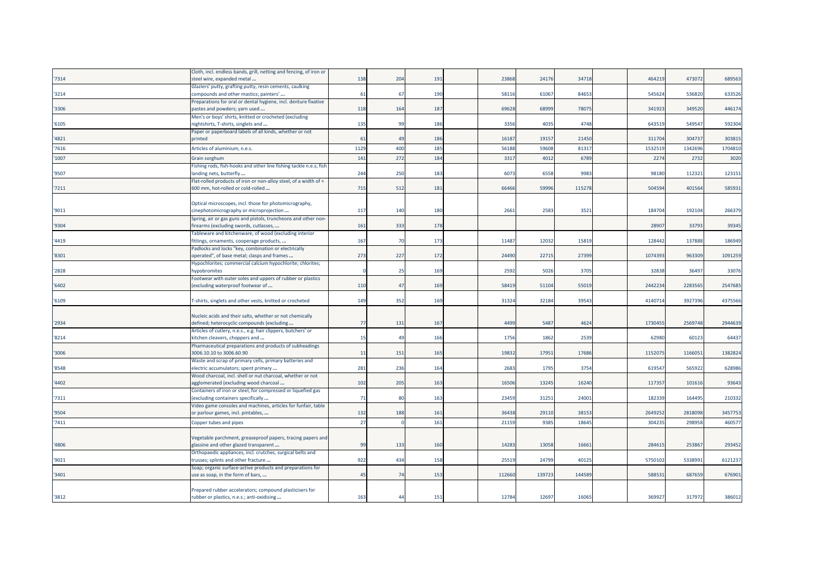|       | Cloth, incl. endless bands, grill, netting and fencing, of iron or                              |      |                |                 |        |       |        |         |         |         |
|-------|-------------------------------------------------------------------------------------------------|------|----------------|-----------------|--------|-------|--------|---------|---------|---------|
| '7314 | steel wire, expanded metal                                                                      | 138  | 204            | 191             | 23868  | 24176 | 34718  | 46421   | 473072  | 689563  |
|       | Glaziers' putty, grafting putty, resin cements, caulking                                        |      |                |                 |        |       |        |         |         |         |
| '3214 | compounds and other mastics; painters'                                                          | 61   | 67             | 190             | 58116  | 6106  | 84653  | 54562   | 536820  | 633526  |
|       | Preparations for oral or dental hygiene, incl. denture fixative                                 |      |                |                 |        |       |        |         |         |         |
| '3306 | pastes and powders; yarn used                                                                   | 118  | 164            | 187             | 69628  | 6899  | 78075  | 341923  | 349520  | 446174  |
|       | Men's or boys' shirts, knitted or crocheted (excluding                                          |      |                |                 |        |       |        |         |         |         |
| '6105 | nightshirts, T-shirts, singlets and                                                             | 135  | 99             | 186             | 3356   | 4035  | 4748   | 64351   | 54954   | 592304  |
|       | Paper or paperboard labels of all kinds, whether or not                                         |      |                |                 |        |       |        |         |         |         |
| '4821 | printed                                                                                         | 61   | 49             | 186             | 16187  | 1915  | 21450  | 311704  | 304737  | 303815  |
| '7616 | Articles of aluminium, n.e.s.                                                                   | 1129 | 400            | 185             | 56188  | 5960  | 81317  | 153251  | 134269  | 1704810 |
| '1007 | Grain sorghum                                                                                   | 141  | 272            | 184             | 331    | 4012  | 6789   | 227     | 2732    | 3020    |
|       | Fishing rods, fish-hooks and other line fishing tackle n.e.s; fish                              |      |                |                 |        |       |        |         |         |         |
| '9507 | landing nets, butterfly                                                                         | 244  | 250            | 183             | 607    | 655   | 9983   | 98180   | 11232:  | 123151  |
|       | Flat-rolled products of iron or non-alloy steel, of a width of <                                |      |                |                 |        |       |        |         |         |         |
| '7211 | 600 mm, hot-rolled or cold-rolled                                                               | 715  | 512            | 181             | 66466  | 5999  | 115278 | 50459   | 401564  | 585931  |
|       |                                                                                                 |      |                |                 |        |       |        |         |         |         |
|       | Optical microscopes, incl. those for photomicrography,                                          |      |                |                 |        |       |        |         |         |         |
| '9011 | cinephotomicrography or microprojection                                                         | 117  | 140            | 180             | 2661   | 258   | 3521   | 18470   | 192104  | 266379  |
|       | Spring, air or gas guns and pistols, truncheons and other non-                                  |      |                |                 |        |       |        |         |         |         |
| '9304 | firearms (excluding swords, cutlasses,                                                          | 161  | 333            | 178             |        |       |        | 28907   | 33793   | 39345   |
|       | <b>Fableware and kitchenware, of wood (excluding interior</b>                                   |      |                |                 |        |       |        |         |         |         |
| '4419 | fittings, ornaments, cooperage products,                                                        | 167  | 70             | 173             | 11487  | 1203  | 15819  | 12844   | 137888  | 186949  |
|       | Padlocks and locks "key, combination or electrically                                            |      |                |                 |        |       |        |         |         |         |
| '8301 | operated", of base metal; clasps and frames                                                     | 273  | 227            | 172             | 24490  | 2271  | 27399  | 107439  | 963309  | 1091259 |
|       | Hypochlorites; commercial calcium hypochlorite; chlorites;                                      |      |                |                 |        |       |        |         |         |         |
| '2828 | hypobromites                                                                                    |      | -25            | 16 <sup>9</sup> | 2592   | 5026  | 3705   | 3283    | 36497   | 33076   |
|       | Footwear with outer soles and uppers of rubber or plastics                                      |      |                |                 |        |       |        |         |         |         |
| '6402 | excluding waterproof footwear of                                                                | 110  | 47             | 169             | 58419  | 5110  | 55019  | 244223  | 228356  | 2547685 |
|       |                                                                                                 |      |                |                 |        |       |        |         |         |         |
| '6109 | T-shirts, singlets and other vests, knitted or crocheted                                        | 149  | 352            | 169             | 31324  | 3218  | 39543  | 414071  | 392739  | 4375566 |
|       |                                                                                                 |      |                |                 |        |       |        |         |         |         |
|       | Nucleic acids and their salts, whether or not chemically                                        |      |                |                 |        |       |        |         |         |         |
| '2934 | defined; heterocyclic compounds (excluding                                                      | 77   | 131            | 167             | 4499   | 548   | 4624   | 173045  | 2569748 | 2944639 |
|       | Articles of cutlery, n.e.s., e.g. hair clippers, butchers' or                                   |      | 4 <sup>0</sup> |                 |        |       |        |         |         |         |
| '8214 | kitchen cleavers, choppers and                                                                  | 15   |                | 166             | 1756   | 186   | 2539   | 6298    | 60123   | 64437   |
| '3006 | Pharmaceutical preparations and products of subheadings<br>3006.10.10 to 3006.60.90             |      | 151            | 165             | 19832  | 17951 | 17686  | 115207  | 116605  | 1382824 |
|       |                                                                                                 | 11   |                |                 |        |       |        |         |         |         |
| '8548 | Waste and scrap of primary cells, primary batteries and<br>electric accumulators; spent primary | 281  | 236            | 164             | 2683   | 1795  | 3754   | 61954   | 565922  | 628986  |
|       | Wood charcoal, incl. shell or nut charcoal, whether or not                                      |      |                |                 |        |       |        |         |         |         |
| '4402 | agglomerated (excluding wood charcoal                                                           | 102  | 205            | 163             | 16506  | 1324  | 16240  | 11735   | 10161   | 93643   |
|       | Containers of iron or steel, for compressed or liquefied gas                                    |      |                |                 |        |       |        |         |         |         |
| '7311 | (excluding containers specifically                                                              | 71   | 80             | 163             | 23459  | 31251 | 24001  | 18233   | 164495  | 210332  |
|       | Video game consoles and machines, articles for funfair, table                                   |      |                |                 |        |       |        |         |         |         |
| '9504 | or parlour games, incl. pintables,                                                              | 132  | 188            | 161             | 36438  | 2911  | 3815   | 264925  | 281809  | 3457753 |
|       |                                                                                                 |      |                |                 |        |       |        |         |         |         |
| '7411 | Copper tubes and pipes                                                                          | 27   |                | 161             | 21159  | 9385  | 18645  | 304235  | 298958  | 460577  |
|       |                                                                                                 |      |                |                 |        |       |        |         |         |         |
|       | Vegetable parchment, greaseproof papers, tracing papers and                                     |      |                |                 |        |       |        |         |         |         |
| '4806 | glassine and other glazed transparent                                                           | 99   | 133            | 160             | 14283  | 13058 | 16661  | 28461   | 25386   | 293452  |
|       | Orthopaedic appliances, incl. crutches, surgical belts and                                      |      |                |                 |        |       |        |         |         |         |
| '9021 | trusses; splints and other fracture                                                             | 922  | 434            | 158             | 25519  | 2479  | 40125  | 5750102 | 533899  | 6121237 |
| '3401 | Soap; organic surface-active products and preparations for                                      | 45   | 74             | 153             | 112660 | 13972 | 144589 | 58853   | 687659  | 676901  |
|       | use as soap, in the form of bars,                                                               |      |                |                 |        |       |        |         |         |         |
|       | Prepared rubber accelerators; compound plasticisers for                                         |      |                |                 |        |       |        |         |         |         |
| '3812 | rubber or plastics, n.e.s.; anti-oxidising                                                      | 163  | $\overline{4}$ | 151             | 12784  | 1269  | 16065  | 36992   | 317972  | 386012  |
|       |                                                                                                 |      |                |                 |        |       |        |         |         |         |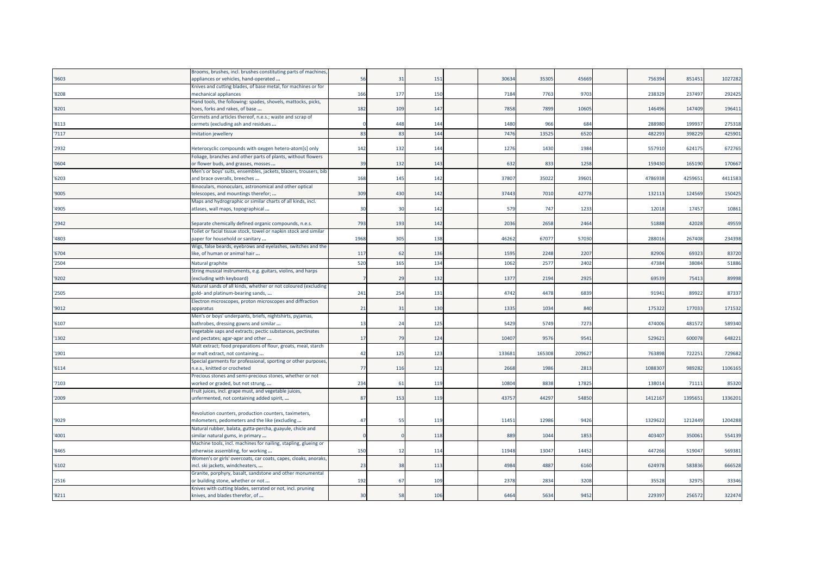|       | Brooms, brushes, incl. brushes constituting parts of machines,                                  |                       |                |     |       |        |        |         |         |         |
|-------|-------------------------------------------------------------------------------------------------|-----------------------|----------------|-----|-------|--------|--------|---------|---------|---------|
| '9603 | appliances or vehicles, hand-operated                                                           | 56                    | 31             | 151 | 3063  | 35305  | 45669  | 756394  | 851451  | 1027282 |
|       | Knives and cutting blades, of base metal, for machines or for                                   |                       |                |     |       |        |        |         |         |         |
| '8208 | mechanical appliances                                                                           | 166                   | 177            | 150 | 7184  | 7763   | 9703   | 238329  | 237497  | 292425  |
|       | Hand tools, the following: spades, shovels, mattocks, picks,                                    |                       |                |     |       |        |        |         |         |         |
| '8201 | hoes, forks and rakes, of base                                                                  | 182                   | 109            | 147 | 7858  | 7899   | 10605  | 146496  | 147409  | 196411  |
|       | Cermets and articles thereof, n.e.s.; waste and scrap of                                        |                       |                |     |       |        |        |         |         |         |
| '8113 | cermets (excluding ash and residues                                                             |                       | 448            | 144 | 1480  | 966    | 684    | 288980  | 199937  | 275318  |
| '7117 | mitation jewellery                                                                              | 83                    | -83            | 144 | 7476  | 1352   | 6520   | 48229   | 39822   | 425901  |
|       |                                                                                                 |                       |                |     |       |        |        |         |         |         |
| '2932 | Heterocyclic compounds with oxygen hetero-atom[s] only                                          | 142                   | 132            | 144 | 1276  | 1430   | 1984   | 557910  | 624175  | 672765  |
|       | Foliage, branches and other parts of plants, without flowers                                    |                       |                |     |       |        |        |         |         |         |
| '0604 | or flower buds, and grasses, mosses                                                             | 39                    | 132            | 143 | 632   | 833    | 1258   | 159430  | 165190  | 170667  |
|       | Men's or boys' suits, ensembles, jackets, blazers, trousers, bib                                |                       |                |     |       |        |        |         |         |         |
| '6203 | and brace overalls, breeches                                                                    | 168                   | 145            | 142 | 37807 | 35022  | 39601  | 4786938 | 4259651 | 4411583 |
|       | Binoculars, monoculars, astronomical and other optical                                          |                       |                |     |       |        |        |         |         |         |
| '9005 | telescopes, and mountings therefor;                                                             | 309                   | 430            | 142 | 3744  | 7010   | 42778  | 132113  | 124569  | 150425  |
|       | Maps and hydrographic or similar charts of all kinds, incl.                                     |                       |                |     |       |        |        |         |         |         |
| '4905 | atlases, wall maps, topographical                                                               | 3 <sub>C</sub>        | $\overline{3}$ | 142 | 579   | 747    | 1233   | 12018   | 17457   | 10861   |
|       |                                                                                                 |                       |                |     |       |        |        |         |         |         |
| '2942 | Separate chemically defined organic compounds, n.e.s.                                           | 793                   | 193            | 142 | 2036  | 2658   | 2464   | 51888   | 42028   | 49559   |
|       | Foilet or facial tissue stock, towel or napkin stock and similar                                |                       |                |     |       |        |        |         |         |         |
| '4803 | paper for household or sanitary                                                                 | 1968                  | 305            | 138 | 46262 | 67077  | 57030  | 288016  | 267408  | 234398  |
|       | Wigs, false beards, eyebrows and eyelashes, switches and the                                    |                       |                |     |       |        |        |         |         |         |
| '6704 | like, of human or animal hair                                                                   | 117                   | -62            | 136 | 1595  | 2248   | 2207   | 82906   | 69323   | 83720   |
| '2504 | Natural graphite                                                                                | 520                   | 165            | 134 | 1062  | 2577   | 2402   | 47384   | 38084   | 51886   |
|       | String musical instruments, e.g. guitars, violins, and harps                                    |                       |                |     |       |        |        |         |         |         |
| '9202 | (excluding with keyboard)                                                                       |                       | 29             | 132 | 1377  | 2194   | 2925   | 69539   | 75413   | 89998   |
|       | Natural sands of all kinds, whether or not coloured (excluding                                  |                       |                |     |       |        |        |         |         |         |
| '2505 | gold- and platinum-bearing sands,                                                               | 241                   | 254            | 131 | 4742  | 4478   | 6839   | 91941   | 89922   | 87337   |
|       | Electron microscopes, proton microscopes and diffraction                                        |                       |                |     |       |        |        |         | 177033  |         |
| '9012 | apparatus                                                                                       | 21                    | 31             | 130 | 1335  | 1034   | 840    | 175322  |         | 171532  |
| '6107 | Men's or boys' underpants, briefs, nightshirts, pyjamas,                                        | 13                    | 24             | 125 | 5429  | 5749   | 7273   | 474006  | 481572  | 589340  |
|       | bathrobes, dressing gowns and similar                                                           |                       |                |     |       |        |        |         |         |         |
| '1302 | Vegetable saps and extracts; pectic substances, pectinates<br>and pectates; agar-agar and other | 17                    | 79             | 124 | 10407 | 9576   | 9541   | 529621  | 600078  | 648221  |
|       | Malt extract; food preparations of flour, groats, meal, starch                                  |                       |                |     |       |        |        |         |         |         |
| '1901 | or malt extract, not containing                                                                 | 42                    | 125            | 123 | 13368 | 165308 | 209627 | 763898  | 722251  | 729682  |
|       | Special garments for professional, sporting or other purposes                                   |                       |                |     |       |        |        |         |         |         |
| '6114 | n.e.s., knitted or crocheted                                                                    | 77                    | 116            | 121 | 2668  | 1986   | 2813   | 108830  | 989282  | 1106165 |
|       | Precious stones and semi-precious stones, whether or not                                        |                       |                |     |       |        |        |         |         |         |
| 7103  | worked or graded, but not strung,                                                               | 234                   | 61             | 119 | 1080  | 8838   | 17825  | 138014  | 71111   | 85320   |
|       | Fruit juices, incl. grape must, and vegetable juices,                                           |                       |                |     |       |        |        |         |         |         |
| '2009 | unfermented, not containing added spirit,                                                       | 87                    | 153            | 119 | 4375  | 44297  | 54850  | 1412167 | 1395651 | 1336201 |
|       |                                                                                                 |                       |                |     |       |        |        |         |         |         |
|       | Revolution counters, production counters, taximeters,                                           |                       |                |     |       |        |        |         |         |         |
| '9029 | milometers, pedometers and the like (excluding                                                  | $\Delta$ <sup>-</sup> | 51             | 119 | 1145  | 12986  | 9426   | 1329622 | 1212449 | 1204288 |
|       | Natural rubber, balata, gutta-percha, guayule, chicle and                                       |                       |                |     |       |        |        |         |         |         |
| '4001 | similar natural gums, in primary                                                                |                       |                | 118 | 889   | 1044   | 1853   | 403407  | 350061  | 554139  |
|       | Machine tools, incl. machines for nailing, stapling, glueing or                                 |                       |                |     |       |        |        |         |         |         |
| '8465 | otherwise assembling, for working                                                               | <b>150</b>            | 12             | 114 | 11948 | 13047  | 14452  | 447266  | 519047  | 569381  |
|       | Women's or girls' overcoats, car coats, capes, cloaks, anoraks,                                 |                       |                |     |       |        |        |         |         |         |
| '6102 | incl. ski jackets, windcheaters,                                                                | 23                    | 38             | 113 | 4984  | 4887   | 6160   | 624978  | 583836  | 666528  |
|       | Granite, porphyry, basalt, sandstone and other monumental                                       |                       |                |     |       |        |        |         |         |         |
| '2516 | or building stone, whether or not                                                               | 192                   | 67             | 109 | 2378  | 2834   | 3208   | 35528   | 32975   | 33346   |
|       | Knives with cutting blades, serrated or not, incl. pruning                                      |                       |                |     |       |        |        |         |         |         |
| '8211 | knives, and blades therefor, of                                                                 | 3 <sup>c</sup>        | 58             | 106 | 6464  | 5634   | 9452   | 229397  | 256572  | 322474  |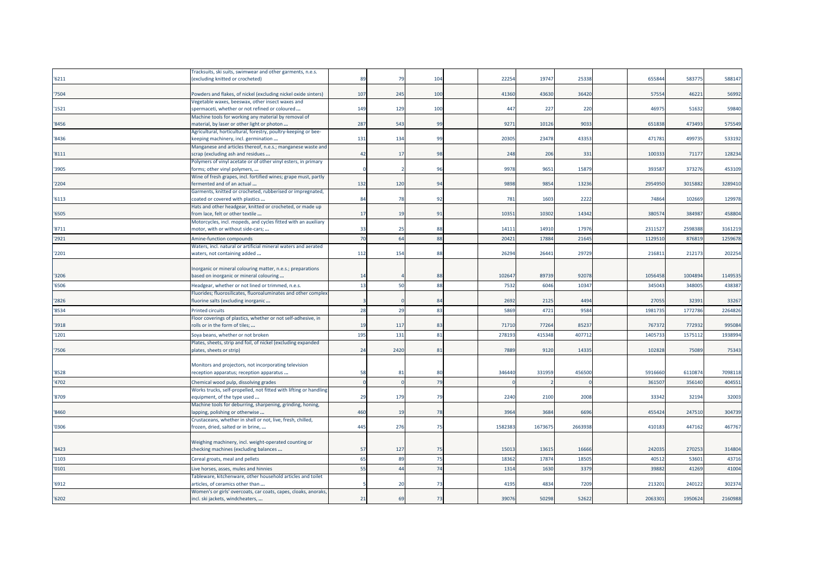|       | Fracksuits, ski suits, swimwear and other garments, n.e.s.                                          |                 |                |     |        |         |         |         |         |         |
|-------|-----------------------------------------------------------------------------------------------------|-----------------|----------------|-----|--------|---------|---------|---------|---------|---------|
| '6211 | (excluding knitted or crocheted)                                                                    | 89              | -79            | 104 | 2225   | 19747   | 25338   | 655844  | 583775  | 588147  |
|       |                                                                                                     |                 |                |     |        |         |         |         |         |         |
| '7504 | Powders and flakes, of nickel (excluding nickel oxide sinters)                                      | 107             | 245            | 100 | 41360  | 43630   | 36420   | 57554   | 46221   | 56992   |
|       | Jegetable waxes, beeswax, other insect waxes and                                                    |                 |                |     |        |         |         |         |         |         |
| '1521 | spermaceti, whether or not refined or coloured                                                      | 14 <sup>9</sup> | 129            | 100 | 447    | 227     | 220     | 46975   | 51632   | 59840   |
| '8456 | Machine tools for working any material by removal of<br>material, by laser or other light or photon | 287             | 543            | 99  | 9271   | 10126   | 9033    | 651838  | 473493  | 575549  |
|       | Agricultural, horticultural, forestry, poultry-keeping or bee-                                      |                 |                |     |        |         |         |         |         |         |
| '8436 | keeping machinery, incl. germination                                                                | 131             | 134            | 99  | 2030   | 23478   | 43353   | 47178   | 499735  | 533192  |
|       | Manganese and articles thereof, n.e.s.; manganese waste and                                         |                 |                |     |        |         |         |         |         |         |
| '8111 | scrap (excluding ash and residues                                                                   | 42              | 17             | 98  | 248    | 206     | 331     | 10033   | 71177   | 128234  |
|       | Polymers of vinyl acetate or of other vinyl esters, in primary                                      |                 |                |     |        |         |         |         |         |         |
| '3905 | forms; other vinyl polymers,                                                                        |                 |                | 96  | 9978   | 9651    | 15879   | 393587  | 373276  | 453109  |
|       | Wine of fresh grapes, incl. fortified wines; grape must, partly                                     |                 |                |     |        |         |         |         |         |         |
| '2204 | fermented and of an actual                                                                          | 132             | 120            | 94  | 9898   | 9854    | 13236   | 2954950 | 3015882 | 3289410 |
| '6113 | Garments, knitted or crocheted, rubberised or impregnated,<br>coated or covered with plastics       | 84              | 78             | 92  | 781    | 1603    | 2222    | 74864   | 102669  | 129978  |
|       | Hats and other headgear, knitted or crocheted, or made up                                           |                 |                |     |        |         |         |         |         |         |
| '6505 | from lace, felt or other textile                                                                    | 17              | 19             | 91  | 1035   | 10302   | 14342   | 38057   | 384987  | 458804  |
|       | Motorcycles, incl. mopeds, and cycles fitted with an auxiliary                                      |                 |                |     |        |         |         |         |         |         |
| '8711 | motor, with or without side-cars;                                                                   | 33              | -25            | 88  | 1411   | 14910   | 17976   | 2311527 | 2598388 | 3161219 |
| '2921 | Amine-function compounds                                                                            | 7 <sup>c</sup>  | 64             | 88  | 2042   | 1788    | 2164    | 112951  | 87681   | 1259678 |
|       | Waters, incl. natural or artificial mineral waters and aerated                                      |                 |                |     |        |         |         |         |         |         |
| '2201 | waters, not containing added                                                                        | 112             | 154            | 88  | 26294  | 26441   | 29729   | 21681   | 212173  | 202254  |
|       |                                                                                                     |                 |                |     |        |         |         |         |         |         |
|       | Inorganic or mineral colouring matter, n.e.s.; preparations                                         |                 |                |     |        |         |         |         |         |         |
| '3206 | based on inorganic or mineral colouring                                                             | 14              |                | 88  | 10264  | 89739   | 92078   | 1056458 | 1004894 | 1149535 |
| '6506 | Headgear, whether or not lined or trimmed, n.e.s.                                                   | 13              | 50             | 88  | 7532   | 6046    | 10347   | 34504   | 348005  | 438387  |
|       | Fluorides; fluorosilicates, fluoroaluminates and other complex                                      |                 |                |     |        |         |         |         |         |         |
| '2826 | fluorine salts (excluding inorganic                                                                 |                 |                | 84  | 2692   | 2125    | 4494    | 27055   | 32391   | 33267   |
| '8534 | <b>Printed circuits</b>                                                                             | 28              | 29             | 83  | 5869   | 4721    | 9584    | 198173  | 1772786 | 2264826 |
|       | Floor coverings of plastics, whether or not self-adhesive, in                                       |                 |                |     |        |         |         |         |         |         |
| '3918 | rolls or in the form of tiles;                                                                      | 1 <sup>5</sup>  | 117            | 83  | 7171   | 77264   | 85237   | 767372  | 772932  | 995084  |
| '1201 | Soya beans, whether or not broken                                                                   | 195             | 131            | 81  | 27819  | 415348  | 407712  | 140573  | 157511  | 1938994 |
|       | Plates, sheets, strip and foil, of nickel (excluding expanded                                       |                 |                |     |        |         |         |         |         |         |
| '7506 | plates, sheets or strip)                                                                            | 24              | 2420           | 81  | 7889   | 9120    | 14335   | 102828  | 75089   | 75343   |
|       | Monitors and projectors, not incorporating television                                               |                 |                |     |        |         |         |         |         |         |
| '8528 | reception apparatus; reception apparatus                                                            | 58              | 81             | 80  | 34644  | 331959  | 456500  | 5916660 | 611087  | 7098118 |
| '4702 | Chemical wood pulp, dissolving grades                                                               |                 |                | 79  |        |         |         | 36150   | 35614   | 404551  |
|       | Works trucks, self-propelled, not fitted with lifting or handling                                   |                 |                |     |        |         |         |         |         |         |
| '8709 | equipment, of the type used                                                                         | 2 <sub>5</sub>  | 179            | 79  | 2240   | 2100    | 2008    | 33342   | 32194   | 32003   |
|       | Machine tools for deburring, sharpening, grinding, honing,                                          |                 |                |     |        |         |         |         |         |         |
| '8460 | lapping, polishing or otherwise                                                                     | 460             | 19             | 78  | 3964   | 3684    | 6696    | 455424  | 247510  | 304739  |
|       | Crustaceans, whether in shell or not, live, fresh, chilled,                                         |                 |                |     |        |         |         |         |         |         |
| '0306 | frozen, dried, salted or in brine,                                                                  | 445             | 276            | 75  | 158238 | 1673675 | 2663938 | 410183  | 447162  | 467767  |
|       |                                                                                                     |                 |                |     |        |         |         |         |         |         |
| '8423 | Weighing machinery, incl. weight-operated counting or<br>checking machines (excluding balances      | 57              | 127            | 75  | 1501   | 13615   | 16666   | 242035  | 270253  | 314804  |
|       |                                                                                                     |                 |                |     |        |         |         |         |         |         |
| '1103 | Cereal groats, meal and pellets                                                                     | 65              | 89             | 75  | 1836   | 17874   | 1850    | 4051    | 53601   | 43716   |
| '0101 | Live horses, asses, mules and hinnies                                                               | 55              | $\overline{4}$ | 74  | 131    | 1630    | 3379    | 3988    | 41269   | 41004   |
|       | Tableware, kitchenware, other household articles and toilet                                         |                 |                |     |        |         |         |         |         |         |
| '6912 | articles, of ceramics other than<br>Women's or girls' overcoats, car coats, capes, cloaks, anoraks, |                 | 20             | 73  | 4195   | 4834    | 7209    | 21320   | 240122  | 302374  |
| '6202 | incl. ski jackets, windcheaters,                                                                    | 21              | 69             | 73  | 39076  | 50298   | 52622   | 2063301 | 1950624 | 2160988 |
|       |                                                                                                     |                 |                |     |        |         |         |         |         |         |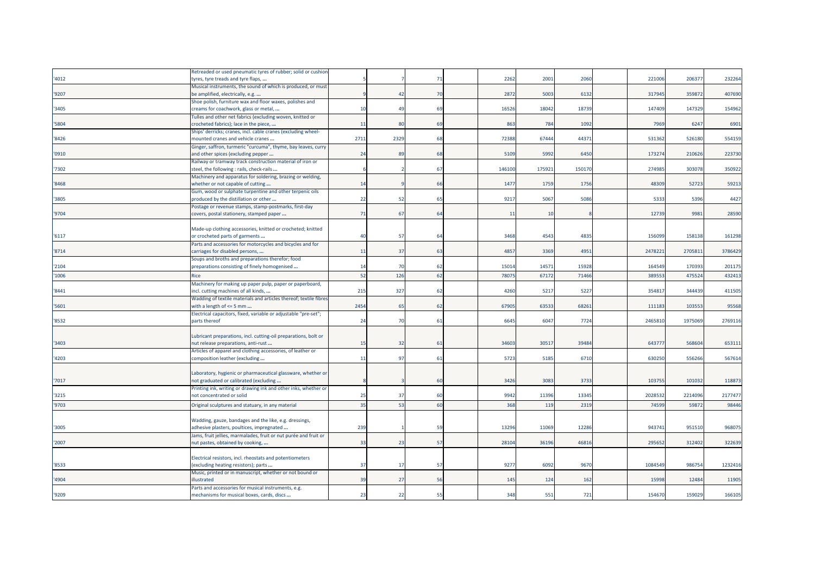|       | Retreaded or used pneumatic tyres of rubber; solid or cushior     |                |                |    |        |        |        |         |         |         |
|-------|-------------------------------------------------------------------|----------------|----------------|----|--------|--------|--------|---------|---------|---------|
| '4012 | tyres, tyre treads and tyre flaps,                                |                |                | 71 | 2262   | 2001   | 2060   | 221006  | 206377  | 232264  |
|       | Musical instruments, the sound of which is produced, or must      |                |                |    |        |        |        |         |         |         |
| '9207 | be amplified, electrically, e.g.                                  |                | 42             | 70 | 2872   | 5003   | 6132   | 317945  | 359872  | 407690  |
|       | Shoe polish, furniture wax and floor waxes, polishes and          |                |                |    |        |        |        |         |         |         |
| '3405 | creams for coachwork, glass or metal,                             | 10             | 49             | 69 | 16526  | 18042  | 18739  | 147409  | 147329  | 154962  |
|       | Tulles and other net fabrics (excluding woven, knitted or         |                |                |    |        |        |        |         |         |         |
| '5804 | crocheted fabrics); lace in the piece,                            | 11             | 8 <sup>0</sup> | 69 | 863    | 784    | 1092   | 7969    | 6247    | 6901    |
|       | Ships' derricks; cranes, incl. cable cranes (excluding wheel-     |                |                |    |        |        |        |         |         |         |
| '8426 | mounted cranes and vehicle cranes                                 | 2711           | 2329           | 68 | 72388  | 67444  | 44371  | 531362  | 526180  | 554159  |
|       | Ginger, saffron, turmeric "curcuma", thyme, bay leaves, curry     |                |                |    |        |        |        |         |         |         |
| '0910 | and other spices (excluding pepper                                | 24             | 8 <sup>0</sup> | 68 | 5109   | 5992   | 6450   | 173274  | 210626  | 223730  |
|       | Railway or tramway track construction material of iron or         |                |                |    |        |        |        |         |         |         |
| '7302 | steel, the following : rails, check-rails                         |                |                | 67 | 146100 | 175921 | 150170 | 274985  | 303078  | 350922  |
|       | Machinery and apparatus for soldering, brazing or welding,        |                |                |    |        |        |        |         |         |         |
| '8468 | whether or not capable of cutting                                 | 14             |                | 66 | 1477   | 1759   | 1756   | 48309   | 52723   | 59213   |
|       | Gum, wood or sulphate turpentine and other terpenic oils          |                |                |    |        |        |        |         |         |         |
| '3805 | produced by the distillation or other                             | 22             | 52             | 65 | 9217   | 5067   | 5086   | 5333    | 5396    | 4427    |
|       | Postage or revenue stamps, stamp-postmarks, first-day             |                |                |    |        |        |        |         |         |         |
| '9704 | covers, postal stationery, stamped paper                          | 71             | 67             | 64 | 11     | 10     |        | 12739   | 9981    | 28590   |
|       |                                                                   |                |                |    |        |        |        |         |         |         |
|       | Made-up clothing accessories, knitted or crocheted; knitted       |                |                |    |        |        |        |         |         |         |
| '6117 | or crocheted parts of garments                                    | 4(             | 57             | 64 | 3468   | 4543   | 4835   | 156099  | 158138  | 161298  |
|       |                                                                   |                |                |    |        |        |        |         |         |         |
| '8714 | Parts and accessories for motorcycles and bicycles and for        | 11             | 37             | 63 | 4857   | 3369   | 4951   | 2478221 | 2705811 | 3786429 |
|       | carriages for disabled persons,                                   |                |                |    |        |        |        |         |         |         |
|       | Soups and broths and preparations therefor; food                  | 14             | 7 <sup>1</sup> | 62 | 1501   | 14571  | 15928  | 164549  | 170393  | 201175  |
| '2104 | preparations consisting of finely homogenised                     |                |                |    |        |        |        |         |         |         |
| '1006 | <b>Rice</b>                                                       | 52             | 126            | 62 | 7807   | 67172  | 71466  | 389553  | 475524  | 432413  |
|       | Machinery for making up paper pulp, paper or paperboard,          |                |                |    |        |        |        |         |         |         |
| '8441 | incl. cutting machines of all kinds,                              | 215            | 327            | 62 | 4260   | 5217   | 5227   | 354817  | 344439  | 411505  |
|       | Wadding of textile materials and articles thereof; textile fibres |                |                |    |        |        |        |         |         |         |
| '5601 | with a length of $\leq$ 5 mm                                      | 2454           | 65             | 62 | 67905  | 63533  | 68261  | 111183  | 103553  | 95568   |
|       | Electrical capacitors, fixed, variable or adjustable "pre-set";   |                |                |    |        |        |        |         |         |         |
| '8532 | parts thereof                                                     | 24             | 70             | 61 | 6645   | 6047   | 7724   | 2465810 | 1975069 | 2769116 |
|       |                                                                   |                |                |    |        |        |        |         |         |         |
|       | Lubricant preparations, incl. cutting-oil preparations, bolt or   |                |                |    |        |        |        |         |         |         |
| '3403 | nut release preparations, anti-rust                               | 15             | 32             | 61 | 34603  | 30517  | 39484  | 643777  | 568604  | 653111  |
|       | Articles of apparel and clothing accessories, of leather or       |                |                |    |        |        |        |         |         |         |
| '4203 | composition leather (excluding                                    | 11             | 97             | 61 | 5723   | 5185   | 6710   | 630250  | 556266  | 567614  |
|       |                                                                   |                |                |    |        |        |        |         |         |         |
|       | Laboratory, hygienic or pharmaceutical glassware, whether or      |                |                |    |        |        |        |         |         |         |
| '7017 | not graduated or calibrated (excluding                            |                |                | 60 | 3426   | 3083   | 3733   | 103755  | 101032  | 118873  |
|       | Printing ink, writing or drawing ink and other inks, whether or   |                |                |    |        |        |        |         |         |         |
| '3215 | not concentrated or solid                                         | 25             | 37             | 60 | 9942   | 11396  | 13345  | 2028532 | 2214096 | 2177477 |
| '9703 | Original sculptures and statuary, in any material                 | 35             | -53            | 60 | 368    | 119    | 2319   | 74599   | 59872   | 98446   |
|       |                                                                   |                |                |    |        |        |        |         |         |         |
|       | Wadding, gauze, bandages and the like, e.g. dressings,            |                |                |    |        |        |        |         |         |         |
| '3005 | adhesive plasters, poultices, impregnated                         | 239            |                | 59 | 13296  | 11069  | 12286  | 943741  | 951510  | 968075  |
|       | Jams, fruit jellies, marmalades, fruit or nut purée and fruit or  |                |                |    |        |        |        |         |         |         |
| '2007 | nut pastes, obtained by cooking,                                  | 33             | 23             | 57 | 28104  | 36196  | 46816  | 295652  | 312402  | 322639  |
|       |                                                                   |                |                |    |        |        |        |         |         |         |
|       | Electrical resistors, incl. rheostats and potentiometers          |                |                |    |        |        |        |         |         |         |
| '8533 | (excluding heating resistors); parts                              | 37             | 17             | 57 | 9277   | 6092   | 9670   | 1084549 | 986754  | 1232416 |
|       | Music, printed or in manuscript, whether or not bound or          |                |                |    |        |        |        |         |         |         |
| '4904 | illustrated                                                       | 3 <sub>5</sub> | 27             | 56 | 145    | 124    | 162    | 15998   | 12484   | 11905   |
|       | Parts and accessories for musical instruments, e.g.               |                |                |    |        |        |        |         |         |         |
| '9209 | mechanisms for musical boxes, cards, discs                        | 23             | 22             | 55 | 348    | 551    | 721    | 154670  | 159029  | 166105  |
|       |                                                                   |                |                |    |        |        |        |         |         |         |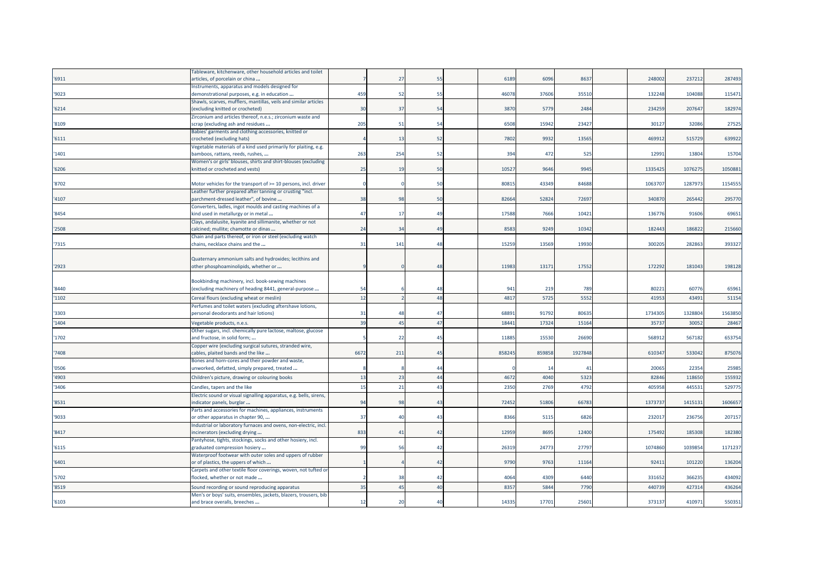|       | Fableware, kitchenware, other household articles and toilet        |                |                |                |       |        |         |         |         |         |
|-------|--------------------------------------------------------------------|----------------|----------------|----------------|-------|--------|---------|---------|---------|---------|
| '6911 | articles, of porcelain or china                                    |                | 27             | 55             | 6189  | 6096   | 8637    | 248002  | 237212  | 287493  |
|       | Instruments, apparatus and models designed for                     |                |                |                |       |        |         |         |         |         |
| '9023 | demonstrational purposes, e.g. in education                        | 459            | 52             | 55             | 4607  | 37606  | 35510   | 132248  | 104088  | 115471  |
|       | Shawls, scarves, mufflers, mantillas, veils and similar articles   |                |                |                |       |        |         |         |         |         |
| '6214 | (excluding knitted or crocheted)                                   | 3 <sub>C</sub> | 37             | 54             | 3870  | 5779   | 2484    | 234259  | 207647  | 182974  |
|       | Zirconium and articles thereof, n.e.s.; zirconium waste and        |                |                |                |       |        |         |         |         |         |
| '8109 | scrap (excluding ash and residues                                  | 205            | 51             | 54             | 6508  | 15942  | 23427   | 30127   | 32086   | 27525   |
|       | Babies' garments and clothing accessories, knitted or              |                |                |                |       |        |         |         |         |         |
| '6111 | crocheted (excluding hats)                                         |                | 13             | 52             | 7802  | 9932   | 13565   | 469912  | 515729  | 639922  |
|       | Vegetable materials of a kind used primarily for plaiting, e.g.    |                |                |                |       |        |         |         |         |         |
| '1401 | bamboos, rattans, reeds, rushes,                                   | 263            | 254            | 52             | 394   | 472    | 525     | 12991   | 13804   | 15704   |
|       | Women's or girls' blouses, shirts and shirt-blouses (excluding     |                |                |                |       |        |         |         |         |         |
| '6206 | knitted or crocheted and vests)                                    | 25             | 19             | 50             | 1052  | 9646   | 9945    | 1335425 | 1076275 | 1050881 |
|       |                                                                    |                |                |                |       |        |         |         |         |         |
| '8702 | Motor vehicles for the transport of >= 10 persons, incl. driver    |                |                | 50             | 8081  | 43349  | 84688   | 1063707 | 1287973 | 1154555 |
|       | Leather further prepared after tanning or crusting "incl.          |                |                |                |       |        |         |         |         |         |
| '4107 | parchment-dressed leather", of bovine                              | 38             | 98             | 50             | 8266  | 52824  | 72697   | 340870  | 265442  | 295770  |
|       | Converters, ladles, ingot moulds and casting machines of a         |                |                |                |       |        |         |         |         |         |
| '8454 | kind used in metallurgy or in metal                                | 47             | 17             | 49             | 17588 | 7666   | 10421   | 136776  | 91606   | 69651   |
|       | Clays, andalusite, kyanite and sillimanite, whether or not         |                |                |                |       |        |         |         |         |         |
| '2508 | calcined; mullite; chamotte or dinas                               | 24             | 34             | 49             | 8583  | 9249   | 10342   | 182443  | 186822  | 215660  |
|       | Chain and parts thereof, or iron or steel (excluding watch         |                |                |                |       |        |         |         |         |         |
| '7315 | chains, necklace chains and the                                    | 31             | 141            | 48             | 1525  | 13569  | 19930   | 300205  | 282863  | 393327  |
|       |                                                                    |                |                |                |       |        |         |         |         |         |
|       | Quaternary ammonium salts and hydroxides; lecithins and            |                |                |                |       |        |         |         |         |         |
| '2923 | other phosphoaminolipids, whether or                               |                |                | 48             | 11983 | 13171  | 17552   | 172292  | 181043  | 198128  |
|       |                                                                    |                |                |                |       |        |         |         |         |         |
|       | Bookbinding machinery, incl. book-sewing machines                  |                |                |                |       |        |         |         |         |         |
| '8440 | (excluding machinery of heading 8441, general-purpose              | 54             |                | 48             | 941   | 219    | 789     | 80221   | 60776   | 65961   |
| '1102 | Cereal flours (excluding wheat or meslin)                          | 12             |                | 48             | 4817  | 5725   | 5552    | 41953   | 43491   | 51154   |
|       | Perfumes and toilet waters (excluding aftershave lotions,          |                |                |                |       |        |         |         |         |         |
| '3303 | personal deodorants and hair lotions)                              | 31             | $\Delta$       | 47             | 6889  | 91792  | 80635   | 1734305 | 1328804 | 1563850 |
| '1404 | Vegetable products, n.e.s.                                         | 39             | $\overline{4}$ | 47             | 1844  | 1732   | 15164   | 3573    | 30052   | 28467   |
|       | Other sugars, incl. chemically pure lactose, maltose, glucose      |                |                |                |       |        |         |         |         |         |
| '1702 | and fructose, in solid form;                                       |                | -22            | 45             | 1188  | 15530  | 26690   | 56891   | 567182  | 653754  |
|       | Copper wire (excluding surgical sutures, stranded wire,            |                |                |                |       |        |         |         |         |         |
| '7408 | cables, plaited bands and the like                                 | 6672           | 211            | 45             | 85824 | 859858 | 1927848 | 61034   | 533042  | 875076  |
|       | Bones and horn-cores and their powder and waste,                   |                |                |                |       |        |         |         |         |         |
| '0506 | unworked, defatted, simply prepared, treated                       |                |                | $\Delta\Delta$ |       | 14     | 41      | 20065   | 22354   | 25985   |
|       |                                                                    |                |                | 44             |       |        |         |         |         |         |
| '4903 | Children's picture, drawing or colouring books                     | 13             | 23             |                | 4672  | 4040   | 5323    | 82846   | 11865   | 155932  |
| '3406 | Candles, tapers and the like                                       | 15             | 21             | 43             | 2350  | 2769   | 4792    | 405958  | 44553   | 529775  |
|       | Electric sound or visual signalling apparatus, e.g. bells, sirens, |                |                |                |       |        |         |         |         |         |
| '8531 | indicator panels, burglar                                          | 94             | 98             | 43             | 72452 | 51806  | 66783   | 1373737 | 1415131 | 1606657 |
|       | Parts and accessories for machines, appliances, instruments        |                |                |                |       |        |         |         |         |         |
| '9033 | or other apparatus in chapter 90,                                  | 37             | $\overline{4}$ | 43             | 8366  | 5115   | 6826    | 23201   | 236756  | 207157  |
|       | ndustrial or laboratory furnaces and ovens, non-electric, incl.    |                |                |                |       |        |         |         |         |         |
| '8417 | ncinerators (excluding drying                                      | 833            | $\overline{4}$ | 42             | 1295  | 8695   | 12400   | 175492  | 185308  | 182380  |
|       | Pantyhose, tights, stockings, socks and other hosiery, incl.       |                |                |                |       |        |         |         |         |         |
| '6115 | graduated compression hosiery                                      | 99             | 51             | 42             | 2631  | 24773  | 27797   | 1074860 | 1039854 | 1171237 |
|       | Waterproof footwear with outer soles and uppers of rubber          |                |                |                |       |        |         |         |         |         |
| '6401 | or of plastics, the uppers of which                                |                |                | 42             | 9790  | 9763   | 11164   | 92411   | 101220  | 136204  |
|       | Carpets and other textile floor coverings, woven, not tufted or    |                |                |                |       |        |         |         |         |         |
| '5702 | flocked, whether or not made                                       |                | 38             | 42             | 4064  | 4309   | 6440    | 331652  | 366235  | 434092  |
| '8519 | Sound recording or sound reproducing apparatus                     | 35             | -45            | 40             | 835   | 5844   | 7790    | 44073   | 42731   | 436264  |
|       | Men's or boys' suits, ensembles, jackets, blazers, trousers, bib   |                |                |                |       |        |         |         |         |         |
| '6103 | and brace overalls, breeches                                       | 12             | 20             | 40             | 14335 | 17701  | 25601   | 373137  | 410971  | 550351  |
|       |                                                                    |                |                |                |       |        |         |         |         |         |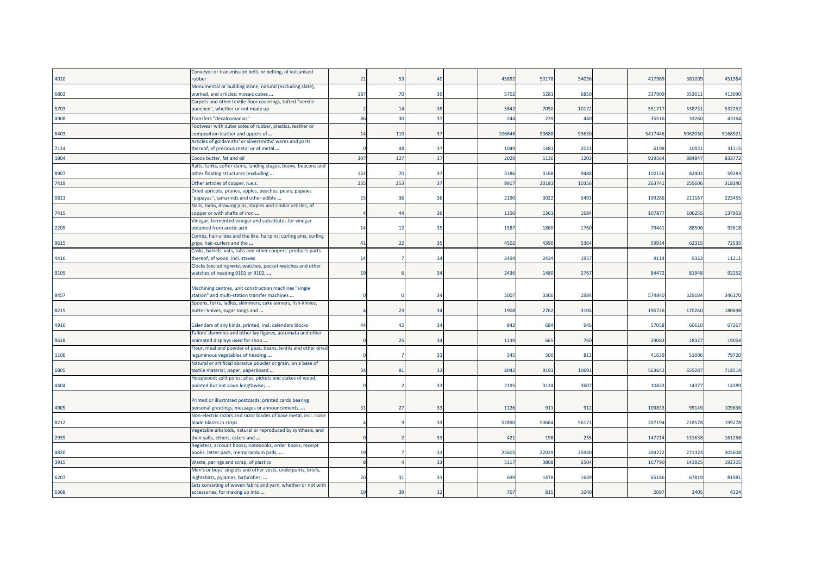|       | Conveyor or transmission belts or belting, of vulcanised                                          |                |                 |                 |       |       |       |         |         |         |
|-------|---------------------------------------------------------------------------------------------------|----------------|-----------------|-----------------|-------|-------|-------|---------|---------|---------|
| '4010 | rubber                                                                                            | 21             | 53              | $\Delta \Omega$ | 45892 | 50178 | 54036 | 417969  | 381009  | 451964  |
|       | Monumental or building stone, natural (excluding slate),                                          |                |                 |                 |       |       |       |         |         |         |
| '6802 | worked, and articles; mosaic cubes                                                                | 187            | 70              | 39              | 5702  | 5281  | 6850  | 337909  | 353011  | 413090  |
| '5703 | Carpets and other textile floor coverings, tufted "needle<br>punched", whether or not made up     |                | 14              | 38              | 5842  | 7050  | 10172 | 551717  | 538731  | 532252  |
| '4908 | <b>Transfers "decalcomanias"</b>                                                                  | 86             | 30              | 37              | 244   | 239   | 440   | 35516   | 33260   | 43364   |
|       | Footwear with outer soles of rubber, plastics, leather or                                         |                |                 |                 |       |       |       |         |         |         |
| '6403 | composition leather and uppers of                                                                 | 14             | 110             | 37              | 10664 | 90688 | 93630 | 5417446 | 5062050 | 5168921 |
|       | Articles of goldsmiths' or silversmiths' wares and parts                                          |                |                 |                 |       |       |       |         |         |         |
| '7114 | thereof, of precious metal or of metal                                                            |                | $\Lambda$       | 37              | 1049  | 1481  | 2021  | 6198    | 10931   | 31315   |
| '1804 | Cocoa butter, fat and oil                                                                         | 307            | 127             | 37              | 2029  | 1136  | 1203  | 92956   | 88484   | 833772  |
|       | Rafts, tanks, coffer-dams, landing stages, buoys, beacons and                                     |                |                 |                 |       |       |       |         |         |         |
| '8907 | other floating structures (excluding                                                              | 132            | 7 <sup>1</sup>  | 37              | 5186  | 3168  | 9488  | 102136  | 82402   | 59283   |
| '7419 | Other articles of copper, n.e.s.                                                                  | 235            | 25 <sup>2</sup> | 37              | 9917  | 2018: | 10356 | 26374   | 25560   | 318140  |
|       | Dried apricots, prunes, apples, peaches, pears, papaws                                            |                |                 |                 |       |       |       |         |         |         |
| '0813 | "papayas", tamarinds and other edible                                                             | 15             | 36              | 36              | 2190  | 3022  | 3493  | 199286  | 211167  | 223455  |
| '7415 | Nails, tacks, drawing pins, staples and similar articles, of                                      |                | 44              | 36              | 1150  | 1361  | 1684  | 107877  | 106255  | 137953  |
|       | copper or with shafts of iron<br>Vinegar, fermented vinegar and substitutes for vinegar           |                |                 |                 |       |       |       |         |         |         |
| '2209 | obtained from acetic acid                                                                         | 14             | 12              | 35              | 1587  | 1860  | 1760  | 79441   | 88506   | 92618   |
|       | Combs, hair-slides and the like; hairpins; curling pins, curling                                  |                |                 |                 |       |       |       |         |         |         |
| '9615 | grips, hair-curlers and the                                                                       | 41             | 22              | 35              | 4502  | 4390  | 5364  | 59934   | 62315   | 72535   |
|       | Casks, barrels, vats, tubs and other coopers' products parts                                      |                |                 |                 |       |       |       |         |         |         |
| '4416 | thereof, of wood, incl. staves                                                                    | 14             |                 | 34              | 2494  | 2434  | 1957  | 9114    | 9323    | 11211   |
|       | Clocks (excluding wrist-watches, pocket-watches and other                                         |                |                 |                 |       |       |       |         |         |         |
| '9105 | watches of heading 9101 or 9102,                                                                  | 1 <sup>5</sup> |                 | 34              | 2436  | 1480  | 2767  | 84472   | 81948   | 92252   |
|       | Machining centres, unit construction machines "single                                             |                |                 |                 |       |       |       |         |         |         |
| '8457 | station" and multi-station transfer machines                                                      |                |                 | 34              | 5007  | 3306  | 1984  | 574840  | 329184  | 346170  |
|       | Spoons, forks, ladles, skimmers, cake-servers, fish-knives,                                       |                |                 |                 |       |       |       |         |         |         |
| '8215 | butter-knives, sugar tongs and                                                                    |                | 23              | 34              | 1908  | 2762  | 3104  | 196726  | 170240  | 180698  |
|       |                                                                                                   |                |                 |                 |       |       |       |         |         |         |
| '4910 | Calendars of any kinds, printed, incl. calendars blocks                                           | 44             | $\overline{A}$  | 34              | 842   | 684   | 946   | 57058   | 60610   | 67267   |
|       | Tailors' dummies and other lay figures, automata and other                                        |                |                 |                 |       |       |       |         |         |         |
| '9618 | animated displays used for shop                                                                   |                | 25              | 34              | 1139  | 665   | 760   | 29083   | 18327   | 19054   |
| '1106 | Flour, meal and powder of peas, beans, lentils and other dried<br>eguminous vegetables of heading |                |                 | 33              | 345   | 500   | 813   | 41639   | 51006   | 79720   |
|       | Natural or artificial abrasive powder or grain, on a base of                                      |                |                 |                 |       |       |       |         |         |         |
| '6805 | textile material, paper, paperboard                                                               | 34             | 81              | 33              | 8042  | 9193  | 10691 | 563642  | 655287  | 718514  |
|       | Hoopwood; split poles; piles, pickets and stakes of wood,                                         |                |                 |                 |       |       |       |         |         |         |
| '4404 | pointed but not sawn lengthwise;                                                                  |                |                 | 33              | 2195  | 3124  | 3607  | 10433   | 14377   | 14389   |
|       |                                                                                                   |                |                 |                 |       |       |       |         |         |         |
|       | Printed or illustrated postcards; printed cards bearing                                           |                |                 |                 |       |       |       |         |         |         |
| '4909 | personal greetings, messages or announcements,                                                    | 31             | 27              | 33              | 1126  | 911   | 912   | 10983   | 99149   | 109836  |
| '8212 | Non-electric razors and razor blades of base metal, incl. razor<br>blade blanks in strips         |                |                 | 33              | 52890 | 50664 | 56171 | 207194  | 218578  | 199278  |
|       | Vegetable alkaloids, natural or reproduced by synthesis, and                                      |                |                 |                 |       |       |       |         |         |         |
| '2939 | their salts, ethers, esters and                                                                   |                |                 | 33              | 421   | 198   | 255   | 147214  | 131638  | 161256  |
|       | Registers, account books, notebooks, order books, receipt                                         |                |                 |                 |       |       |       |         |         |         |
| '4820 | books, letter pads, memorandum pads,                                                              | 19             |                 | 33              | 25605 | 22029 | 25940 | 304272  | 271323  | 305608  |
| '3915 | Waste, parings and scrap, of plastics                                                             |                |                 | 33              | 5117  | 3808  | 6504  | 167790  | 141925  | 192305  |
|       | Men's or boys' singlets and other vests, underpants, briefs,                                      |                |                 |                 |       |       |       |         |         |         |
| '6207 | nightshirts, pyjamas, bathrobes,                                                                  | 20             | 31              | 33              | 699   | 1478  | 1649  | 65186   | 67819   | 81981   |
|       | Sets consisting of woven fabric and yarn, whether or not with                                     |                |                 |                 |       |       |       |         |         |         |
| '6308 | accessories, for making up into                                                                   | 19             | 39              | 32              | 707   | 815   | 1040  | 2097    | 3405    | 4324    |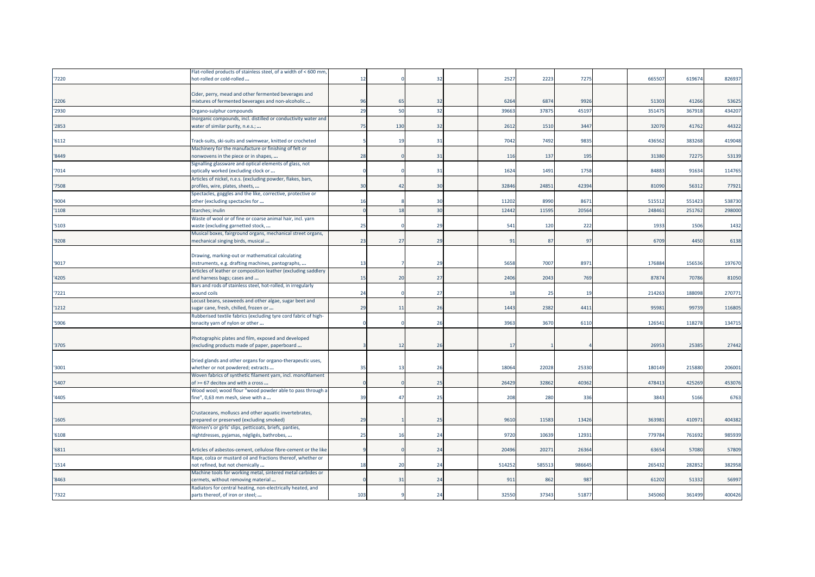|       | Flat-rolled products of stainless steel, of a width of < 600 mm                                 |                |                |    |        |        |        |        |        |        |
|-------|-------------------------------------------------------------------------------------------------|----------------|----------------|----|--------|--------|--------|--------|--------|--------|
| '7220 | hot-rolled or cold-rolled                                                                       | 12             |                | 32 | 2527   | 2223   | 7275   | 665507 | 619674 | 826937 |
|       |                                                                                                 |                |                |    |        |        |        |        |        |        |
|       | Cider, perry, mead and other fermented beverages and                                            |                |                |    |        |        |        |        |        |        |
| '2206 | mixtures of fermented beverages and non-alcoholic                                               | 96             | 6              | 32 | 6264   | 6874   | 9926   | 51303  | 41266  | 53625  |
| '2930 | Organo-sulphur compounds                                                                        | 2 <sub>S</sub> | 50             | 32 | 3966   | 37875  | 45197  | 35147  | 36791  | 434207 |
|       | norganic compounds, incl. distilled or conductivity water and                                   |                |                |    |        |        |        |        |        |        |
| '2853 | water of similar purity, n.e.s.;                                                                | 75             | 130            | 32 | 2612   | 1510   | 3447   | 32070  | 41762  | 44322  |
|       |                                                                                                 |                |                |    |        |        |        |        |        |        |
| '6112 | Track-suits, ski-suits and swimwear, knitted or crocheted                                       |                | -19            | 31 | 7042   | 7492   | 9835   | 436562 | 383268 | 419048 |
|       | Machinery for the manufacture or finishing of felt or                                           |                |                |    |        |        |        |        |        |        |
| '8449 | nonwovens in the piece or in shapes,                                                            | 28             |                | 31 | 116    | 137    | 195    | 31380  | 72275  | 53139  |
|       |                                                                                                 |                |                |    |        |        |        |        |        |        |
| '7014 | Signalling glassware and optical elements of glass, not<br>optically worked (excluding clock or |                |                | 31 | 1624   | 1491   | 1758   | 84883  | 91634  | 114765 |
|       |                                                                                                 |                |                |    |        |        |        |        |        |        |
| '7508 | Articles of nickel, n.e.s. (excluding powder, flakes, bars,                                     | 3 <sub>C</sub> | $\overline{4}$ | 30 | 32846  | 24851  | 42394  | 81090  | 56312  | 77921  |
|       | profiles, wire, plates, sheets,                                                                 |                |                |    |        |        |        |        |        |        |
|       | Spectacles, goggles and the like, corrective, protective or                                     |                |                |    |        |        |        |        |        |        |
| '9004 | other (excluding spectacles for                                                                 | 16             |                | 30 | 11202  | 8990   | 8671   | 51551  | 551423 | 538730 |
| '1108 | Starches; inulin                                                                                |                | 18             | 30 | 12442  | 11595  | 20564  | 248461 | 251762 | 298000 |
|       | Waste of wool or of fine or coarse animal hair, incl. yarn                                      |                |                |    |        |        |        |        |        |        |
| '5103 | waste (excluding garnetted stock,                                                               | 25             |                | 29 | 541    | 120    | 222    | 1933   | 1506   | 1432   |
|       | Musical boxes, fairground organs, mechanical street organs,                                     |                |                |    |        |        |        |        |        |        |
| '9208 | mechanical singing birds, musical                                                               | 23             | 27             | 29 | 91     | 87     | 97     | 6709   | 4450   | 6138   |
|       |                                                                                                 |                |                |    |        |        |        |        |        |        |
|       | Drawing, marking-out or mathematical calculating                                                |                |                |    |        |        |        |        |        |        |
| '9017 | instruments, e.g. drafting machines, pantographs,                                               | 13             |                | 29 | 5658   | 7007   | 8971   | 176884 | 156536 | 197670 |
|       | Articles of leather or composition leather (excluding saddlery                                  |                |                |    |        |        |        |        |        |        |
| '4205 | and harness bags; cases and                                                                     | 15             | 20             | 27 | 2406   | 2043   | 769    | 87874  | 70786  | 81050  |
|       | Bars and rods of stainless steel, hot-rolled, in irregularly                                    |                |                |    |        |        |        |        |        |        |
| '7221 | wound coils                                                                                     | 24             |                | 27 | 18     | 25     | 19     | 214263 | 188098 | 270771 |
|       | Locust beans, seaweeds and other algae, sugar beet and                                          |                |                |    |        |        |        |        |        |        |
| '1212 | sugar cane, fresh, chilled, frozen or                                                           | 29             | 11             | 26 | 1443   | 2382   | 4411   | 95981  | 99739  | 116805 |
|       | Rubberised textile fabrics (excluding tyre cord fabric of high-                                 |                |                |    |        |        |        |        |        |        |
| '5906 | tenacity yarn of nylon or other                                                                 |                |                | 26 | 3963   | 3670   | 6110   | 126541 | 118278 | 134715 |
|       |                                                                                                 |                |                |    |        |        |        |        |        |        |
|       | Photographic plates and film, exposed and developed                                             |                |                |    |        |        |        |        |        |        |
| '3705 | (excluding products made of paper, paperboard                                                   |                | 12             | 26 | 17     |        |        | 26953  | 25385  | 27442  |
|       |                                                                                                 |                |                |    |        |        |        |        |        |        |
|       | Dried glands and other organs for organo-therapeutic uses,                                      |                |                |    |        |        |        |        |        |        |
| '3001 | whether or not powdered; extracts                                                               | 35             | 13             | 26 | 18064  | 22028  | 25330  | 180149 | 215880 | 206001 |
|       | Woven fabrics of synthetic filament yarn, incl. monofilament                                    |                |                |    |        |        |        |        |        |        |
| '5407 | of >= 67 decitex and with a cross                                                               |                |                | 25 | 26429  | 32862  | 40362  | 478413 | 425269 | 453076 |
|       |                                                                                                 |                |                |    |        |        |        |        |        |        |
| '4405 | Wood wool; wood flour "wood powder able to pass through a                                       | 39             | 47             | 25 | 208    | 280    | 336    | 3843   | 5166   | 6763   |
|       | fine", 0,63 mm mesh, sieve with a                                                               |                |                |    |        |        |        |        |        |        |
|       |                                                                                                 |                |                |    |        |        |        |        |        |        |
|       | Crustaceans, molluscs and other aquatic invertebrates,                                          |                |                |    |        |        |        |        |        |        |
| '1605 | prepared or preserved (excluding smoked)                                                        | <b>29</b>      |                | 25 | 9610   | 11583  | 13426  | 36398  | 410971 | 404382 |
| '6108 | Women's or girls' slips, petticoats, briefs, panties,                                           | 25             | 16             | 24 | 9720   | 10639  | 12931  | 779784 | 761692 | 985939 |
|       | nightdresses, pyjamas, négligés, bathrobes,                                                     |                |                |    |        |        |        |        |        |        |
|       |                                                                                                 |                |                |    |        |        |        |        |        |        |
| '6811 | Articles of asbestos-cement, cellulose fibre-cement or the like                                 |                |                | 24 | 2049   | 20271  | 26364  | 6365   | 57080  | 57809  |
|       | Rape, colza or mustard oil and fractions thereof, whether or                                    |                |                |    |        |        |        |        |        |        |
| '1514 | not refined, but not chemically                                                                 | 18             | 20             | 24 | 514252 | 585513 | 986645 | 265432 | 282852 | 382958 |
|       | Machine tools for working metal, sintered metal carbides or                                     |                |                |    |        |        |        |        |        |        |
| '8463 | cermets, without removing material                                                              |                | 31             | 24 | 911    | 862    | 987    | 61202  | 51332  | 56997  |
|       | Radiators for central heating, non-electrically heated, and                                     |                |                |    |        |        |        |        |        |        |
| '7322 | parts thereof, of iron or steel;                                                                | 103            |                | 24 | 32550  | 37343  | 51877  | 345060 | 361499 | 400426 |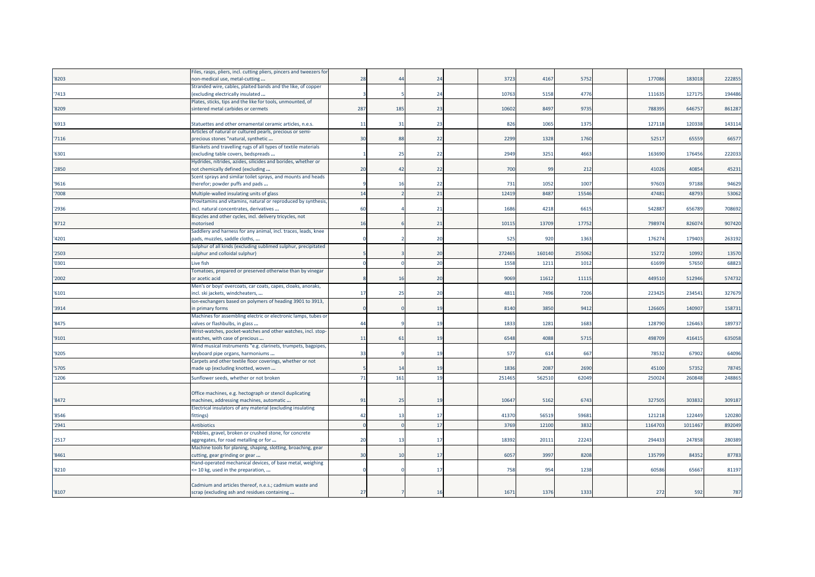|       | Files, rasps, pliers, incl. cutting pliers, pincers and tweezers for |     |                |                |        |        |        |        |        |        |
|-------|----------------------------------------------------------------------|-----|----------------|----------------|--------|--------|--------|--------|--------|--------|
| '8203 | non-medical use, metal-cutting                                       | 28  | $\Delta t$     | 24             | 3723   | 4167   | 5752   | 177086 | 183018 | 222855 |
|       | Stranded wire, cables, plaited bands and the like, of copper         |     |                |                |        |        |        |        |        |        |
| 7413  | excluding electrically insulated                                     |     |                | 24             | 1076   | 5158   | 4776   | 11163  | 127175 | 194486 |
|       | Plates, sticks, tips and the like for tools, unmounted, of           |     |                |                |        |        |        |        |        |        |
| '8209 | sintered metal carbides or cermets                                   | 287 | 185            | 23             | 10602  | 8497   | 9735   | 788395 | 646757 | 861287 |
|       |                                                                      |     |                |                |        |        |        |        |        |        |
| '6913 | Statuettes and other ornamental ceramic articles, n.e.s.             | 11  | 31             | 23             | 826    | 1065   | 1375   | 127118 | 120338 | 143114 |
|       | Articles of natural or cultured pearls, precious or semi-            |     |                |                |        |        |        |        |        |        |
| '7116 | precious stones "natural, synthetic                                  | 30  | 88             | 22             | 2299   | 1328   | 1760   | 5251   | 65559  | 66577  |
|       | Blankets and travelling rugs of all types of textile materials       |     |                |                |        |        |        |        |        |        |
| '6301 | excluding table covers, bedspreads                                   |     | 25             | 22             | 2949   | 3251   | 4663   | 163690 | 176456 | 222033 |
|       | Hydrides, nitrides, azides, silicides and borides, whether or        |     |                |                |        |        |        |        |        |        |
| '2850 | not chemically defined (excluding                                    | 20  | $\overline{4}$ | 22             | 700    | 99     | 212    | 41026  | 40854  | 45231  |
|       | Scent sprays and similar toilet sprays, and mounts and heads         |     |                |                |        |        |        |        |        |        |
| '9616 | therefor; powder puffs and pads                                      |     |                | 22             | 731    | 1052   | 1007   | 97603  | 97188  | 94629  |
| '7008 | Multiple-walled insulating units of glass                            | 14  |                | 21             | 12419  | 848    | 1554   | 4748   | 4879   | 53062  |
|       | Provitamins and vitamins, natural or reproduced by synthesis,        |     |                |                |        |        |        |        |        |        |
| '2936 | incl. natural concentrates, derivatives                              | 60  |                | 21             | 1686   | 4218   | 6615   | 54288  | 656789 | 708692 |
|       | Bicycles and other cycles, incl. delivery tricycles, not             |     |                |                |        |        |        |        |        |        |
| '8712 | motorised                                                            | 16  |                | 21             | 1011   | 13709  | 17752  | 798974 | 826074 | 907420 |
|       | Saddlery and harness for any animal, incl. traces, leads, knee       |     |                |                |        |        |        |        |        |        |
| '4201 | pads, muzzles, saddle cloths,                                        |     |                | 20             | 525    | 920    | 1363   | 176274 | 179403 | 263192 |
|       | Sulphur of all kinds (excluding sublimed sulphur, precipitated       |     |                |                |        |        |        |        |        |        |
| '2503 | sulphur and colloidal sulphur)                                       |     |                | 20             | 27246  | 160140 | 255062 | 15272  | 10992  | 13570  |
| '0301 | Live fish                                                            |     |                | 20             | 1558   | 1211   | 1012   | 61699  | 57650  | 68823  |
|       | Tomatoes, prepared or preserved otherwise than by vinegar            |     |                |                |        |        |        |        |        |        |
| '2002 | or acetic acid                                                       |     | 1(             | 20             | 9069   | 11612  | 11115  | 449510 | 512946 | 574732 |
|       | Men's or boys' overcoats, car coats, capes, cloaks, anoraks,         |     |                |                |        |        |        |        |        |        |
| '6101 | incl. ski jackets, windcheaters,                                     | 17  | 25             | 20             | 481    | 7496   | 7206   | 22342  | 234541 | 327679 |
|       | lon-exchangers based on polymers of heading 3901 to 3913,            |     |                |                |        |        |        |        |        |        |
| '3914 | n primary forms                                                      |     |                | 19             | 8140   | 3850   | 9412   | 126605 | 140907 | 158731 |
|       | Machines for assembling electric or electronic lamps, tubes or       |     |                |                |        |        |        |        |        |        |
| '8475 | valves or flashbulbs, in glass                                       | 44  |                | 19             | 1833   | 1281   | 1683   | 128790 | 126463 | 189737 |
|       | Wrist-watches, pocket-watches and other watches, incl. stop-         |     |                |                |        |        |        |        |        |        |
| '9101 | watches, with case of precious                                       | 11  | 61             | 19             | 6548   | 4088   | 5715   | 498709 | 416415 | 635058 |
|       | Wind musical instruments "e.g. clarinets, trumpets, bagpipes,        |     |                |                |        |        |        |        |        |        |
| '9205 | keyboard pipe organs, harmoniums                                     | 33  |                | 19             | 577    | 614    | 667    | 78532  | 67902  | 64096  |
|       | Carpets and other textile floor coverings, whether or not            |     |                |                |        |        |        |        |        |        |
| '5705 | made up (excluding knotted, woven                                    |     | $\overline{1}$ | 1 <sup>c</sup> | 1836   | 208    | 2690   | 45100  | 57352  | 78745  |
| '1206 | Sunflower seeds, whether or not broken                               | 71  | 161            | 19             | 251465 | 56251  | 62049  | 250024 | 260848 | 248865 |
|       |                                                                      |     |                |                |        |        |        |        |        |        |
|       | Office machines, e.g. hectograph or stencil duplicating              |     |                |                |        |        |        |        |        |        |
| '8472 | machines, addressing machines, automatic                             | 91  | 25             | 1 <sup>c</sup> | 1064   | 5162   | 6743   | 327505 | 303832 | 309187 |
|       | Electrical insulators of any material (excluding insulating          |     |                |                |        |        |        |        |        |        |
| '8546 | fittings)                                                            | 42  | 13             | 17             | 41370  | 5651   | 59681  | 121218 | 122449 | 120280 |
| '2941 | <b>Antibiotics</b>                                                   |     |                | 17             | 3769   | 1210   | 3832   | 116470 | 101146 | 892049 |
|       | Pebbles, gravel, broken or crushed stone, for concrete               |     |                |                |        |        |        |        |        |        |
| '2517 | aggregates, for road metalling or for                                | 20  |                | 17             | 1839   | 20111  | 22243  | 29443  | 247858 | 280389 |
|       | Machine tools for planing, shaping, slotting, broaching, gear        |     |                |                |        |        |        |        |        |        |
| '8461 | cutting, gear grinding or gear                                       | 30  | 10             | 17             | 6057   | 3997   | 8208   | 135799 | 84352  | 87783  |
|       | Hand-operated mechanical devices, of base metal, weighing            |     |                |                |        |        |        |        |        |        |
| '8210 | <= 10 kg, used in the preparation,                                   |     |                | 17             | 758    | 954    | 1238   | 60586  | 65667  | 81197  |
|       |                                                                      |     |                |                |        |        |        |        |        |        |
|       | Cadmium and articles thereof, n.e.s.; cadmium waste and              |     |                |                |        |        |        |        |        |        |
| '8107 | scrap (excluding ash and residues containing                         | 27  |                | 16             | 1671   | 1376   | 1333   | 272    | 592    | 787    |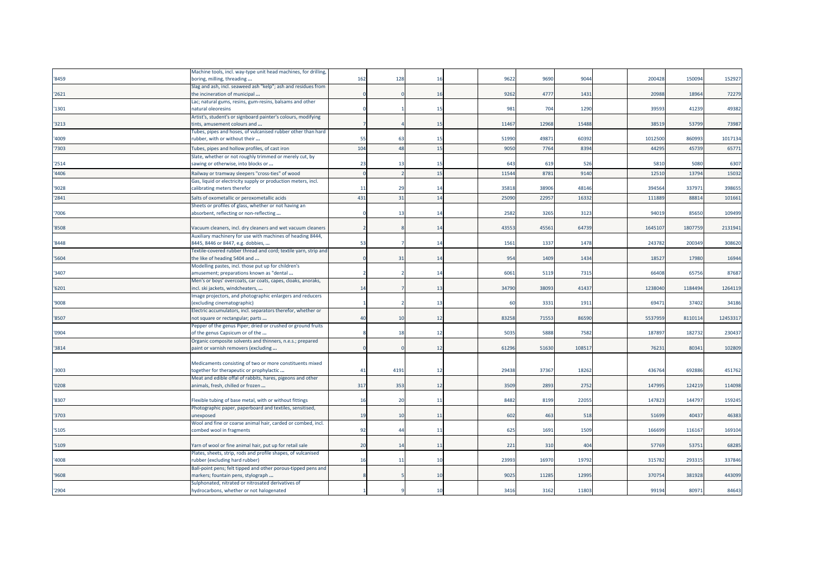|       | Machine tools, incl. way-type unit head machines, for drilling,                                      |     |                |     |       |                 |       |         |         |         |
|-------|------------------------------------------------------------------------------------------------------|-----|----------------|-----|-------|-----------------|-------|---------|---------|---------|
| '8459 | boring, milling, threading                                                                           | 162 | 128            | 16  | 9622  | 969             | 9044  | 200428  | 150094  | 152927  |
|       | Slag and ash, incl. seaweed ash "kelp"; ash and residues from                                        |     |                |     |       |                 |       |         |         |         |
| '2621 | the incineration of municipal                                                                        |     |                | 16  | 9262  | 477             | 1431  | 20988   | 18964   | 72279   |
|       | Lac; natural gums, resins, gum-resins, balsams and other                                             |     |                |     |       |                 |       |         |         |         |
| '1301 | natural oleoresins                                                                                   |     |                | 15  | 981   | 704             | 1290  | 3959    | 41239   | 49382   |
|       | Artist's, student's or signboard painter's colours, modifying                                        |     |                |     |       |                 |       |         |         |         |
| '3213 | tints, amusement colours and                                                                         |     |                | 15  | 1146  | 12968           | 15488 | 3851    | 53799   | 73987   |
|       | Tubes, pipes and hoses, of vulcanised rubber other than hard                                         |     |                |     |       |                 |       |         |         |         |
| '4009 | rubber, with or without their                                                                        | 55  | 63             | 15  | 51990 | 4987            | 60392 | 1012500 | 860993  | 1017134 |
| '7303 | Tubes, pipes and hollow profiles, of cast iron                                                       | 104 | 48             | 15  | 9050  | 7764            | 8394  | 44295   | 45739   | 65771   |
|       | Slate, whether or not roughly trimmed or merely cut, by                                              |     |                |     |       |                 |       |         |         |         |
| '2514 | sawing or otherwise, into blocks or                                                                  | 23  | -13            | -15 | 643   | 619             | 526   | 5810    | 5080    | 6307    |
| '4406 | Railway or tramway sleepers "cross-ties" of wood                                                     |     |                | 15  | 11544 | 878             | 9140  | 1251    | 13794   | 15032   |
|       | Gas, liquid or electricity supply or production meters, incl.                                        |     |                |     |       |                 |       |         |         |         |
| '9028 | calibrating meters therefor                                                                          | -11 | 29             | 14  | 35818 | 38906           | 48146 | 394564  | 33797   | 398655  |
|       |                                                                                                      |     |                |     |       |                 |       |         |         |         |
| '2841 | Salts of oxometallic or peroxometallic acids                                                         | 431 | 31             | 14  | 2509  | 2295            | 1633  | 11188   | 88814   | 101661  |
|       | Sheets or profiles of glass, whether or not having an                                                |     |                |     |       |                 |       |         |         |         |
| 7006  | absorbent, reflecting or non-reflecting                                                              |     |                | 14  | 2582  | 326             | 3123  | 9401    | 85650   | 109499  |
|       |                                                                                                      |     |                |     |       |                 |       |         |         |         |
| '8508 | Vacuum cleaners, incl. dry cleaners and wet vacuum cleaners                                          |     |                | 14  | 43553 | 4556            | 64739 | 164510  | 1807759 | 2131941 |
|       | Auxiliary machinery for use with machines of heading 8444,                                           |     |                |     |       |                 |       |         |         |         |
| '8448 | 8445, 8446 or 8447, e.g. dobbies,                                                                    | 53  |                | 14  | 1561  | 1337            | 1478  | 243782  | 200349  | 308620  |
|       | Fextile-covered rubber thread and cord; textile yarn, strip and                                      |     |                |     |       |                 |       |         |         |         |
| '5604 | the like of heading 5404 and                                                                         |     | 31             | 14  | 954   | 1409            | 1434  | 1852    | 17980   | 16944   |
|       | Modelling pastes, incl. those put up for children's                                                  |     |                |     |       |                 |       |         |         |         |
| '3407 | amusement; preparations known as "dental                                                             |     |                | 14  | 6061  | 5119            | 7315  | 6640    | 6575    | 87687   |
|       | Men's or boys' overcoats, car coats, capes, cloaks, anoraks,                                         |     |                |     |       |                 |       |         |         |         |
| '6201 | incl. ski jackets, windcheaters,                                                                     | 14  |                | 13  | 34790 | 3809            | 41437 | 123804  | 1184494 | 1264119 |
|       | mage projectors, and photographic enlargers and reducers                                             |     |                |     |       |                 |       |         |         |         |
| '9008 | (excluding cinematographic)                                                                          |     |                | 13  | 60    | 3331            | 1911  | 69471   | 37402   | 34186   |
|       | Electric accumulators, incl. separators therefor, whether or                                         |     |                |     |       |                 |       |         |         |         |
| '8507 | not square or rectangular; parts                                                                     | 40  | 10             | 12  | 83258 | 7155            | 86590 | 553795  | 8110114 | 1245331 |
|       | Pepper of the genus Piper; dried or crushed or ground fruits                                         |     |                |     | 5035  | 588             |       | 18789   | 182732  | 230437  |
| '0904 | of the genus Capsicum or of the                                                                      |     |                | 12  |       |                 | 7582  |         |         |         |
|       | Organic composite solvents and thinners, n.e.s.; prepared                                            |     |                | 12  | 61296 | 5163            | 10851 | 76231   | 8034    | 102809  |
| '3814 | paint or varnish removers (excluding                                                                 |     |                |     |       |                 |       |         |         |         |
|       |                                                                                                      |     |                |     |       |                 |       |         |         |         |
| '3003 | Medicaments consisting of two or more constituents mixed<br>together for therapeutic or prophylactic | 41  | 4191           | -12 | 29438 | 3736            | 18262 | 43676   | 69288   | 451762  |
|       | Meat and edible offal of rabbits, hares, pigeons and other                                           |     |                |     |       |                 |       |         |         |         |
| '0208 | animals, fresh, chilled or frozen                                                                    | 317 | 353            | 12  | 3509  | 289             | 2752  | 14799   | 124219  | 114098  |
|       |                                                                                                      |     |                |     |       |                 |       |         |         |         |
| '8307 | Flexible tubing of base metal, with or without fittings                                              | 16  | 20             | 11  | 8482  | 8199            | 22055 | 14782   | 144797  | 159245  |
|       | Photographic paper, paperboard and textiles, sensitised,                                             |     |                |     |       |                 |       |         |         |         |
| '3703 | unexposed                                                                                            | 19  | 10             | 11  | 602   | 463             | 518   | 51699   | 40437   | 46383   |
|       | Wool and fine or coarse animal hair, carded or combed, incl.                                         |     |                |     |       |                 |       |         |         |         |
| '5105 | combed wool in fragments                                                                             | 92  | $\overline{4}$ | 11  | 625   | 169             | 1509  | 16669   | 116167  | 169104  |
|       |                                                                                                      |     |                |     |       |                 |       |         |         |         |
| '5109 | Yarn of wool or fine animal hair, put up for retail sale                                             | 20  | 14             | 11  | 221   | 31 <sup>°</sup> | 404   | 5776    | 5375    | 68285   |
|       | Plates, sheets, strip, rods and profile shapes, of vulcanised                                        |     |                |     |       |                 |       |         |         |         |
| '4008 | rubber (excluding hard rubber)                                                                       | 16  | 11             | 10  | 23993 | 1697            | 19792 | 31578   | 29331   | 337846  |
|       | Ball-point pens; felt tipped and other porous-tipped pens and                                        |     |                |     |       |                 |       |         |         |         |
| '9608 | markers; fountain pens, stylograph                                                                   |     |                | 10  | 9025  | 1128            | 12995 | 370754  | 381928  | 443099  |
|       | Sulphonated, nitrated or nitrosated derivatives of                                                   |     |                |     |       |                 |       |         |         |         |
| '2904 | hydrocarbons, whether or not halogenated                                                             |     |                | 10  | 3416  | 3162            | 11803 | 99194   | 8097    | 84643   |
|       |                                                                                                      |     |                |     |       |                 |       |         |         |         |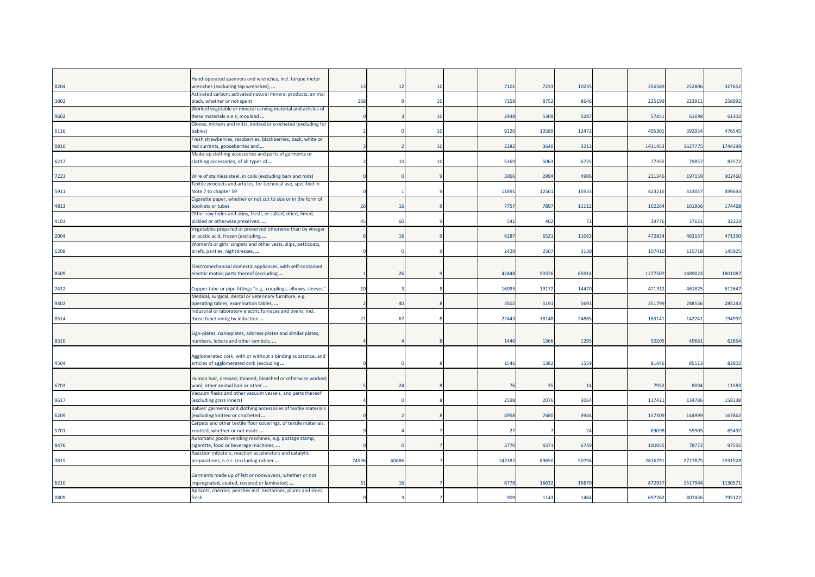| '8204 | Hand-operated spanners and wrenches, incl. torque meter<br>wrenches (excluding tap wrenches),       | 13    | 12             | 10 | 7101   | 7233  | 10235 | 256589  | 252806  | 32765   |
|-------|-----------------------------------------------------------------------------------------------------|-------|----------------|----|--------|-------|-------|---------|---------|---------|
|       | Activated carbon; activated natural mineral products; animal                                        |       |                |    |        |       |       |         |         |         |
| 3802  | black, whether or not spent                                                                         | 168   |                | 10 | 7159   | 8752  | 8646  | 225199  | 223911  | 25899   |
| '9602 | Worked vegetable or mineral carving material and articles of<br>these materials n.e.s; moulded      |       |                | 10 | 2938   | 5309  | 5287  | 57451   | 61698   | 61302   |
|       | Gloves, mittens and mitts, knitted or crocheted (excluding for                                      |       |                |    |        |       |       |         |         |         |
| '6116 | babies)                                                                                             |       |                | 10 | 9120   | 10589 | 12472 | 40530   | 392934  | 476545  |
|       | Fresh strawberries, raspberries, blackberries, back, white or                                       |       |                |    |        |       |       |         |         |         |
| '0810 | ed currants, gooseberries and                                                                       |       |                | 10 | 2282   | 3640  | 3213  | 1431453 | 1627775 | 1744399 |
| '6217 | Made-up clothing accessories and parts of garments or<br>clothing accessories, of all types of      |       |                | 10 | 5169   | 5063  | 6725  | 77355   | 79857   | 82572   |
|       |                                                                                                     |       |                |    |        |       |       |         |         |         |
| 7223  | Wire of stainless steel, in coils (excluding bars and rods)                                         |       |                |    | 3066   | 2994  | 4906  | 211346  | 197159  | 302460  |
|       | Textile products and articles, for technical use, specified in                                      |       |                |    |        |       |       |         |         |         |
| '5911 | Note 7 to chapter 59                                                                                |       |                |    | 11891  | 12501 | 15933 | 423216  | 433047  | 499693  |
| '4813 | Cigarette paper, whether or not cut to size or in the form of<br>booklets or tubes                  | 26    | 16             |    | 7757   | 7897  | 11112 | 162264  | 161966  | 174468  |
|       | Other raw hides and skins, fresh, or salted, dried, limed,                                          |       |                |    |        |       |       |         |         |         |
| '4103 | oickled or otherwise preserved,                                                                     | 45    | 60             |    | 541    | 402   | 71    | 39776   | 37621   | 32203   |
|       | Vegetables prepared or preserved otherwise than by vinegar                                          |       |                |    |        |       |       |         |         |         |
| 2004  | or acetic acid, frozen (excluding                                                                   |       | 16             |    | 6187   | 6521  | 11063 | 472834  | 463157  | 471350  |
|       | Women's or girls' singlets and other vests, slips, petticoats,                                      |       |                |    |        |       |       |         |         |         |
| 6208  | briefs, panties, nightdresses,                                                                      |       |                |    | 2429   | 2507  | 3130  | 107410  | 115718  | 145925  |
|       | Electromechanical domestic appliances, with self-contained                                          |       |                |    |        |       |       |         |         |         |
| '8509 | electric motor; parts thereof (excluding                                                            |       | 26             |    | 42448  | 50376 | 65914 | 1277507 | 1489023 | 180108  |
|       |                                                                                                     |       |                |    |        |       |       |         |         |         |
| 7412  | Copper tube or pipe fittings "e.g., couplings, elbows, sleeves"                                     | 10    |                |    | 1609   | 19172 | 14470 | 471312  | 461825  | 61264   |
|       | Medical, surgical, dental or veterinary furniture, e.g.                                             |       |                |    |        |       |       |         |         |         |
| '9402 | operating tables, examination tables,                                                               |       | 4 <sub>1</sub> |    | 3502   | 5191  | 5691  | 251799  | 288536  | 285243  |
| '8514 | Industrial or laboratory electric furnaces and ovens, incl.<br>those functioning by induction       | 21    | 67             |    | 22443  | 18148 | 24865 | 163141  | 142241  | 19499   |
|       |                                                                                                     |       |                |    |        |       |       |         |         |         |
|       | Sign-plates, nameplates, address-plates and similar plates,                                         |       |                |    |        |       |       |         |         |         |
| '8310 | numbers, letters and other symbols,                                                                 |       |                |    | 1440   | 1366  | 1295  | 50205   | 49681   | 62854   |
|       |                                                                                                     |       |                |    |        |       |       |         |         |         |
|       | Agglomerated cork, with or without a binding substance, and                                         |       |                |    | 1546   | 1382  | 1559  | 81446   | 85513   |         |
| '4504 | articles of agglomerated cork (excluding                                                            |       |                |    |        |       |       |         |         | 82802   |
|       | Human hair, dressed, thinned, bleached or otherwise worked;                                         |       |                |    |        |       |       |         |         |         |
| '6703 | wool, other animal hair or other                                                                    |       | 24             |    | - 76   | 35    | 14    | 7952    | 8094    | 1158    |
|       | Vacuum flasks and other vacuum vessels, and parts thereof                                           |       |                |    |        |       |       |         |         |         |
| '9617 | excluding glass inners)                                                                             |       |                |    | 2598   | 2076  | 3064  | 117421  | 134786  | 15833   |
|       | Babies' garments and clothing accessories of textile materials                                      |       |                |    |        |       |       | 157509  | 144999  | 16786   |
| '6209 | (excluding knitted or crocheted<br>Carpets and other textile floor coverings, of textile materials, |       |                |    | 4958   | 7680  | 9944  |         |         |         |
| '5701 | «notted, whether or not made                                                                        |       |                |    | 27     |       | 24    | 69098   | 59905   | 65497   |
|       | Automatic goods-vending machines, e.g. postage stamp,                                               |       |                |    |        |       |       |         |         |         |
| '8476 | igarette, food or beverage machines,                                                                |       |                |    | 3770   | 4371  | 6749  | 100055  | 78772   | 97555   |
|       | Reaction initiators, reaction accelerators and catalytic                                            |       |                |    |        |       |       |         |         |         |
| 3815  | preparations, n.e.s. (excluding rubber                                                              | 74536 | 40686          |    | 147382 | 89650 | 50794 | 2816791 | 2727875 | 3931528 |
|       | Garments made up of felt or nonwovens, whether or not                                               |       |                |    |        |       |       |         |         |         |
| '6210 | mpregnated, coated, covered or laminated;                                                           | 31    | 16             |    | 677    | 16632 | 15870 | 872937  | 1517944 | 113057  |
|       | Apricots, cherries, peaches incl. nectarines, plums and sloes,                                      |       |                |    |        |       |       |         |         |         |
| '0809 | fresh                                                                                               |       |                |    | 909    | 1143  | 1464  | 697762  | 807436  | 795122  |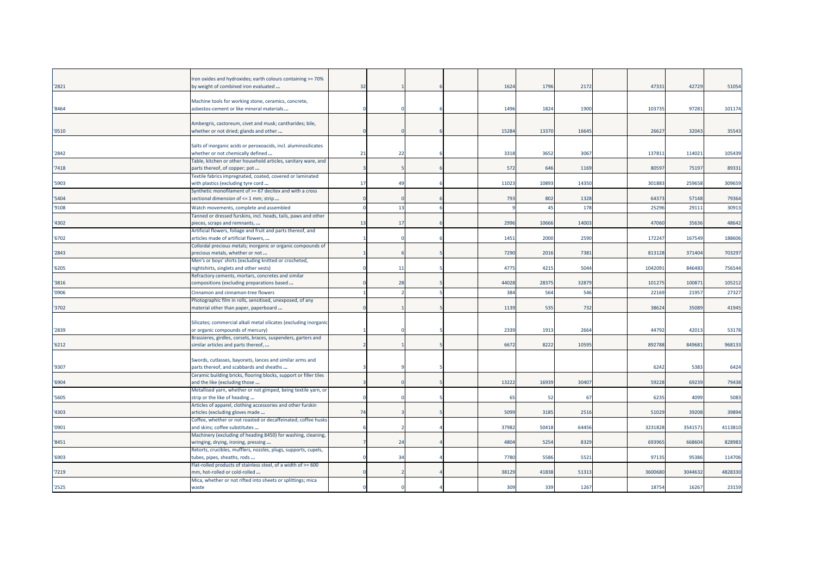| '2821 | Iron oxides and hydroxides; earth colours containing >= 70%<br>by weight of combined iron evaluated   | 32 |                |  | 1624  | 1796  | 2172  | 47331   | 42729   | 51054   |
|-------|-------------------------------------------------------------------------------------------------------|----|----------------|--|-------|-------|-------|---------|---------|---------|
| '8464 | Machine tools for working stone, ceramics, concrete,<br>asbestos-cement or like mineral materials     |    |                |  | 1496  | 1824  | 1900  | 103735  | 97281   | 101174  |
| '0510 | Ambergris, castoreum, civet and musk; cantharides; bile,<br>whether or not dried; glands and other    |    |                |  | 1528  | 13370 | 16645 | 2662    | 32043   | 35543   |
| '2842 | Salts of inorganic acids or peroxoacids, incl. aluminosilicates<br>whether or not chemically defined  | 21 | 22             |  | 3318  | 3652  | 3067  | 13781   | 114021  | 105439  |
| '7418 | Table, kitchen or other household articles, sanitary ware, and<br>parts thereof, of copper; pot       |    |                |  | 572   | 646   | 1169  | 80597   | 75197   | 89331   |
| '5903 | Textile fabrics impregnated, coated, covered or laminated<br>with plastics (excluding tyre cord       | 17 | $\overline{4}$ |  | 11023 | 1089  | 14350 | 30188   | 259658  | 309659  |
| '5404 | Synthetic monofilament of >= 67 decitex and with a cross<br>sectional dimension of <= 1 mm; strip     |    |                |  | 793   | 802   | 1328  | 64373   | 57148   | 79364   |
| '9108 | Watch movements, complete and assembled                                                               |    | 13             |  |       | 45    | 178   | 25296   | 2911    | 30913   |
| '4302 | Tanned or dressed furskins, incl. heads, tails, paws and other<br>pieces, scraps and remnants,        | 13 | 17             |  | 2996  | 10666 | 14003 | 47060   | 35636   | 48642   |
| '6702 | Artificial flowers, foliage and fruit and parts thereof, and<br>articles made of artificial flowers,  |    |                |  | 1451  | 2000  | 2590  | 17224   | 167549  | 188606  |
| '2843 | Colloidal precious metals; inorganic or organic compounds of<br>precious metals, whether or not       |    |                |  | 7290  | 2016  | 7381  | 813128  | 371404  | 703297  |
| '6205 | Men's or boys' shirts (excluding knitted or crocheted,<br>ightshirts, singlets and other vests)       |    | 11             |  | 4775  | 4215  | 5044  | 1042091 | 846483  | 756544  |
| '3816 | Refractory cements, mortars, concretes and similar<br>compositions (excluding preparations based      |    | 28             |  | 44028 | 2837  | 32879 | 101275  | 100871  | 105212  |
| '0906 | Cinnamon and cinnamon-tree flowers                                                                    |    |                |  | 384   | 564   | 546   | 22169   | 21957   | 27327   |
| '3702 | Photographic film in rolls, sensitised, unexposed, of any<br>material other than paper, paperboard    |    |                |  | 1139  | 535   | 732   | 38624   | 35089   | 41945   |
| '2839 | Silicates; commercial alkali metal silicates (excluding inorganic<br>or organic compounds of mercury) |    |                |  | 2339  | 1913  | 2664  | 44792   | 42013   | 53178   |
| '6212 | Brassieres, girdles, corsets, braces, suspenders, garters and<br>similar articles and parts thereof,  |    |                |  | 6672  | 8222  | 10595 | 892788  | 849681  | 968133  |
| '9307 | Swords, cutlasses, bayonets, lances and similar arms and<br>parts thereof, and scabbards and sheaths  |    |                |  |       |       |       | 6242    | 5383    | 6424    |
| '6904 | Ceramic building bricks, flooring blocks, support or filler tiles<br>and the like (excluding those    |    |                |  | 13222 | 16939 | 30407 | 59228   | 69239   | 79438   |
| '5605 | Metallised yarn, whether or not gimped, being textile yarn, or<br>strip or the like of heading        |    |                |  | 65    | 52    | 67    | 6235    | 4099    | 5083    |
| '4303 | Articles of apparel, clothing accessories and other furskin<br>articles (excluding gloves made        | 74 |                |  | 5099  | 3185  | 2516  | 51029   | 39208   | 39894   |
| '0901 | Coffee, whether or not roasted or decaffeinated; coffee husks<br>and skins; coffee substitutes        |    |                |  | 3798  | 50418 | 64456 | 3231828 | 3541571 | 4113810 |
| '8451 | Machinery (excluding of heading 8450) for washing, cleaning,<br>wringing, drying, ironing, pressing   |    | 24             |  | 4804  | 5254  | 8329  | 693965  | 668604  | 828983  |
| '6903 | Retorts, crucibles, mufflers, nozzles, plugs, supports, cupels,<br>tubes, pipes, sheaths, rods        |    | $\mathcal{B}$  |  | 7780  | 5586  | 5521  | 97135   | 95386   | 114706  |
| '7219 | Flat-rolled products of stainless steel, of a width of >= 600<br>mm, hot-rolled or cold-rolled        |    |                |  | 38129 | 41838 | 51313 | 3600680 | 3044632 | 4828330 |
| '2525 | Mica, whether or not rifted into sheets or splittings; mica<br>waste                                  |    |                |  | 309   | 339   | 1267  | 18754   | 16267   | 23159   |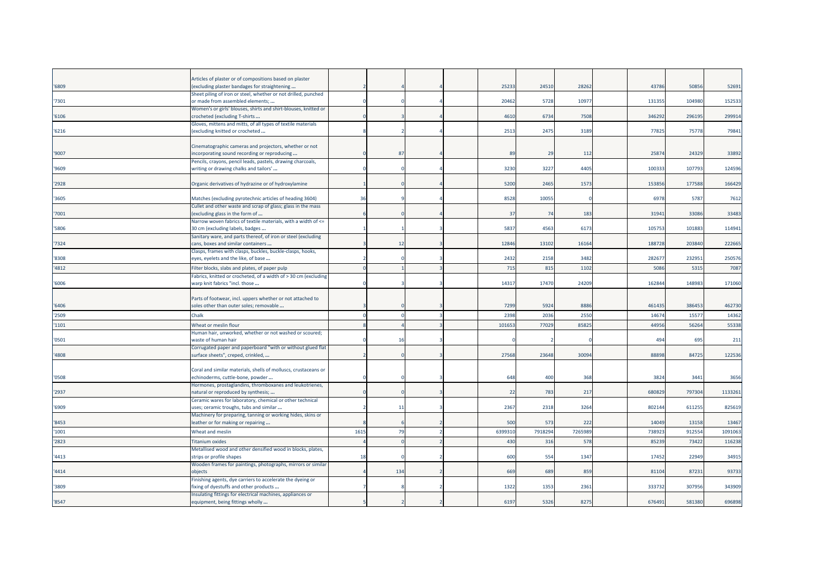|       | Articles of plaster or of compositions based on plaster                                               |      |     |  |         |                 |         |        |        |         |
|-------|-------------------------------------------------------------------------------------------------------|------|-----|--|---------|-----------------|---------|--------|--------|---------|
| '6809 | (excluding plaster bandages for straightening                                                         |      |     |  | 25233   | 24510           | 28262   | 43786  | 50856  | 5269    |
|       | Sheet piling of iron or steel, whether or not drilled, punched                                        |      |     |  |         |                 |         |        |        |         |
| '7301 | or made from assembled elements;                                                                      |      |     |  | 20462   | 5728            | 10977   | 131355 | 104980 | 152533  |
|       | Women's or girls' blouses, shirts and shirt-blouses, knitted or                                       |      |     |  |         |                 |         |        |        |         |
| '6106 | crocheted (excluding T-shirts                                                                         |      |     |  | 4610    | 6734            | 7508    | 346292 | 296195 | 299914  |
|       | Gloves, mittens and mitts, of all types of textile materials                                          |      |     |  |         |                 |         |        |        |         |
| '6216 | (excluding knitted or crocheted                                                                       |      |     |  | 2513    | 2475            | 3189    | 77825  | 75778  | 7984    |
|       | Cinematographic cameras and projectors, whether or not                                                |      |     |  |         |                 |         |        |        |         |
| '9007 | incorporating sound recording or reproducing                                                          |      | 87  |  | 89      | 29              | 112     | 25874  | 24329  | 33892   |
|       | Pencils, crayons, pencil leads, pastels, drawing charcoals,                                           |      |     |  |         |                 |         |        |        |         |
| '9609 | writing or drawing chalks and tailors'                                                                |      |     |  | 3230    | 3227            | 4405    | 100333 | 107793 | 124596  |
|       |                                                                                                       |      |     |  |         |                 |         |        |        |         |
| '2928 | Organic derivatives of hydrazine or of hydroxylamine                                                  |      |     |  | 5200    | 2465            | 1573    | 153856 | 177588 | 166429  |
|       |                                                                                                       |      |     |  |         |                 |         |        |        |         |
| '3605 | Matches (excluding pyrotechnic articles of heading 3604)                                              | 36   |     |  | 8528    | 10055           | ſ       | 6978   | 5787   | 7612    |
|       | Cullet and other waste and scrap of glass; glass in the mass                                          |      |     |  |         |                 |         |        |        |         |
| '7001 | (excluding glass in the form of                                                                       |      |     |  | 37      | 74              | 183     | 31941  | 33086  | 33483   |
|       | Narrow woven fabrics of textile materials, with a width of <=                                         |      |     |  |         |                 |         |        |        |         |
| '5806 | 30 cm (excluding labels, badges                                                                       |      |     |  | 5837    | 4563            | 6173    | 105753 | 101883 | 11494   |
|       | Sanitary ware, and parts thereof, of iron or steel (excluding                                         |      |     |  |         |                 |         |        |        |         |
| '7324 | cans, boxes and similar containers                                                                    |      | 12  |  | 1284    | 13102           | 16164   | 188728 | 203840 | 222665  |
| '8308 | Clasps, frames with clasps, buckles, buckle-clasps, hooks,<br>eyes, eyelets and the like, of base     |      |     |  | 2432    | 2158            | 3482    | 282677 | 232951 | 25057   |
|       |                                                                                                       |      |     |  |         |                 |         |        |        |         |
| '4812 | Filter blocks, slabs and plates, of paper pulp                                                        |      |     |  | 715     | 815             | 1102    | 5086   | 5315   | 7087    |
|       | abrics, knitted or crocheted, of a width of > 30 cm (excluding                                        |      |     |  |         |                 |         |        |        |         |
| '6006 | warp knit fabrics "incl. those                                                                        |      |     |  | 1431    | 17470           | 24209   | 162844 | 148983 | 171060  |
|       |                                                                                                       |      |     |  |         |                 |         |        |        |         |
| '6406 | Parts of footwear, incl. uppers whether or not attached to<br>soles other than outer soles; removable |      |     |  | 7299    | 5924            | 8886    | 461435 | 386453 | 462730  |
|       |                                                                                                       |      |     |  |         |                 |         |        |        |         |
| '2509 | Chalk                                                                                                 |      |     |  | 2398    | 2036            | 2550    | 14674  | 15577  | 14362   |
| '1101 | Wheat or meslin flour                                                                                 |      |     |  | 10165   | 77029           | 85825   | 44956  | 56264  | 55338   |
|       | Human hair, unworked, whether or not washed or scoured;                                               |      |     |  |         |                 |         |        |        |         |
| '0501 | waste of human hair                                                                                   |      |     |  |         |                 |         | 494    | 695    | 211     |
|       | Corrugated paper and paperboard "with or without glued flat                                           |      |     |  |         |                 |         |        |        |         |
| '4808 | surface sheets", creped, crinkled,                                                                    |      |     |  | 27568   | 23648           | 30094   | 88898  | 84725  | 122536  |
|       | Coral and similar materials, shells of molluscs, crustaceans or                                       |      |     |  |         |                 |         |        |        |         |
| '0508 | echinoderms, cuttle-bone, powder                                                                      |      |     |  | 648     | 400             | 368     | 3824   | 3441   | 3656    |
|       | Hormones, prostaglandins, thromboxanes and leukotrienes,                                              |      |     |  |         |                 |         |        |        |         |
| '2937 | natural or reproduced by synthesis;                                                                   |      |     |  | 22      | 783             | 217     | 680829 | 797304 | 1133261 |
|       | Ceramic wares for laboratory, chemical or other technical                                             |      |     |  |         |                 |         |        |        |         |
| '6909 | uses; ceramic troughs, tubs and similar                                                               |      | 11  |  | 2367    | 2318            | 3264    | 802144 | 611255 | 825619  |
|       | Machinery for preparing, tanning or working hides, skins or                                           |      |     |  |         |                 |         |        |        |         |
| '8453 | leather or for making or repairing                                                                    |      |     |  | 500     | 573             | 222     | 14049  | 13158  | 13467   |
| '1001 | Wheat and meslin                                                                                      | 1615 | 79  |  | 6399310 | 7918294         | 7265989 | 738923 | 912554 | 1091063 |
| '2823 | Titanium oxides                                                                                       |      |     |  | 430     | 316             | 578     | 85239  | 73422  | 116238  |
|       | Metallised wood and other densified wood in blocks, plates,                                           |      |     |  |         |                 |         |        |        |         |
| '4413 | strips or profile shapes                                                                              | 18   |     |  | 600     | 554             | 1347    | 17452  | 22949  | 3491    |
|       | Wooden frames for paintings, photographs, mirrors or similar                                          |      |     |  |         |                 |         |        |        |         |
| '4414 | objects                                                                                               |      | 134 |  | 669     | 68 <sup>9</sup> | 859     | 81104  | 87231  | 93733   |
|       | Finishing agents, dye carriers to accelerate the dyeing or                                            |      |     |  |         |                 |         |        |        |         |
| '3809 | fixing of dyestuffs and other products                                                                |      |     |  | 1322    | 1353            | 2361    | 333732 | 307956 | 343909  |
|       | Insulating fittings for electrical machines, appliances or                                            |      |     |  |         |                 |         |        |        |         |
| '8547 | equipment, being fittings wholly                                                                      |      |     |  | 6197    | 5326            | 8275    | 676491 | 581380 | 696898  |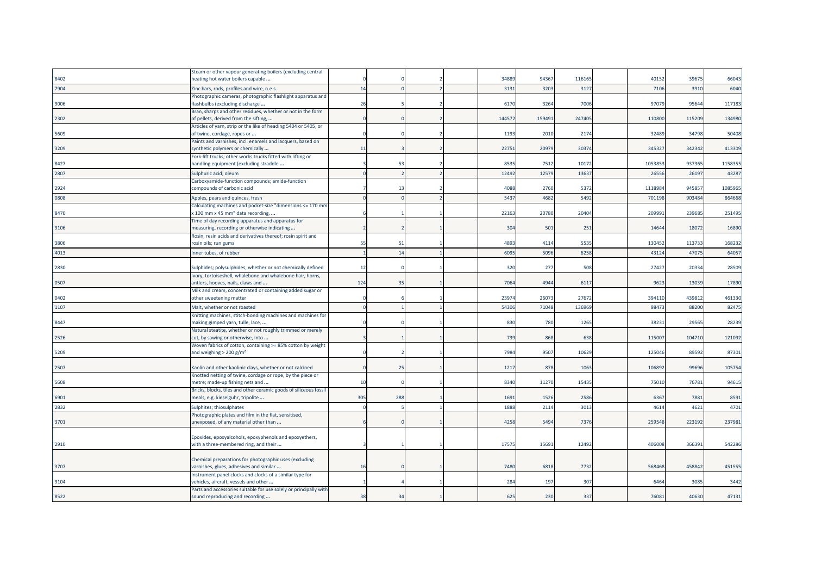|       | Steam or other vapour generating boilers (excluding central                                                            |     |     |  |       |        |        |        |        |         |
|-------|------------------------------------------------------------------------------------------------------------------------|-----|-----|--|-------|--------|--------|--------|--------|---------|
| '8402 | heating hot water boilers capable                                                                                      |     |     |  | 34889 | 94367  | 116165 | 40152  | 39675  | 66043   |
| '7904 | Zinc bars, rods, profiles and wire, n.e.s.                                                                             | 14  |     |  | 3131  | 3203   | 3127   | 7106   | 3910   | 6040    |
|       | Photographic cameras, photographic flashlight apparatus and                                                            |     |     |  |       |        |        |        |        |         |
| '9006 | flashbulbs (excluding discharge                                                                                        | 26  |     |  | 6170  | 3264   | 7006   | 97079  | 9564   | 117183  |
|       | Bran, sharps and other residues, whether or not in the form                                                            |     |     |  |       |        |        |        |        |         |
| '2302 | of pellets, derived from the sifting,                                                                                  |     |     |  | 14457 | 159491 | 247405 | 110800 | 115209 | 134980  |
|       | Articles of yarn, strip or the like of heading 5404 or 5405, or                                                        |     |     |  |       |        |        |        |        |         |
| '5609 | of twine, cordage, ropes or                                                                                            |     |     |  | 1193  | 2010   | 2174   | 32489  | 34798  | 50408   |
|       | Paints and varnishes, incl. enamels and lacquers, based on                                                             |     |     |  |       |        |        |        |        |         |
| '3209 | synthetic polymers or chemically                                                                                       | 11  |     |  | 22751 | 20979  | 30374  | 345327 | 342342 | 413309  |
|       | Fork-lift trucks; other works trucks fitted with lifting or                                                            |     |     |  |       |        |        |        |        |         |
| '8427 | handling equipment (excluding straddle                                                                                 |     | 53  |  | 8535  | 7512   | 10172  | 105385 | 937365 | 1158355 |
| '2807 | Sulphuric acid; oleum                                                                                                  |     |     |  | 12492 | 12579  | 13637  | 2655   | 26197  | 43287   |
|       | Carboxyamide-function compounds; amide-function                                                                        |     |     |  |       |        |        |        |        |         |
| '2924 | compounds of carbonic acid                                                                                             |     | -13 |  | 4088  | 2760   | 5372   | 111898 | 94585  | 1085965 |
| '0808 | Apples, pears and quinces, fresh                                                                                       |     |     |  | 5437  | 4682   | 5492   | 701198 | 903484 | 864668  |
|       | Calculating machines and pocket-size "dimensions <= 170 mm                                                             |     |     |  |       |        |        |        |        |         |
| '8470 | x 100 mm x 45 mm" data recording,                                                                                      |     |     |  | 22163 | 20780  | 20404  | 209991 | 23968  | 251495  |
|       | Time of day recording apparatus and apparatus for                                                                      |     |     |  |       |        |        |        |        |         |
| '9106 | measuring, recording or otherwise indicating                                                                           |     |     |  | 304   | 501    | 251    | 14644  | 1807   | 16890   |
|       | Rosin, resin acids and derivatives thereof; rosin spirit and                                                           |     |     |  |       |        |        |        |        |         |
| '3806 | rosin oils; run gums                                                                                                   | 55  | 51  |  | 4893  | 4114   | 5535   | 130452 | 113733 | 168232  |
| '4013 | Inner tubes, of rubber                                                                                                 |     | 14  |  | 6095  | 5096   | 6258   | 4312   | 4707   | 64057   |
| '2830 | Sulphides; polysulphides, whether or not chemically defined                                                            | 12  |     |  | 320   | 277    | 508    | 27427  | 20334  | 28509   |
|       | Ivory, tortoiseshell, whalebone and whalebone hair, horns,                                                             |     |     |  |       |        |        |        |        |         |
| '0507 | antlers, hooves, nails, claws and                                                                                      | 124 | 35  |  | 7064  | 4944   | 6117   | 9623   | 13039  | 17890   |
|       | Milk and cream, concentrated or containing added sugar or                                                              |     |     |  |       |        |        |        |        |         |
| '0402 | other sweetening matter                                                                                                |     |     |  | 23974 | 26073  | 27672  | 394110 | 43981  | 461330  |
| '1107 | Malt, whether or not roasted                                                                                           |     |     |  | 5430  | 7104   | 13696  | 9847   | 88200  | 82475   |
|       | Knitting machines, stitch-bonding machines and machines for                                                            |     |     |  |       |        |        |        |        |         |
| '8447 | making gimped yarn, tulle, lace,                                                                                       |     |     |  | 830   | 780    | 1265   | 38231  | 2956   | 28239   |
|       | Natural steatite, whether or not roughly trimmed or merely                                                             |     |     |  |       |        |        |        |        |         |
| '2526 | cut, by sawing or otherwise, into                                                                                      |     |     |  | 739   | 868    | 638    | 115007 | 104710 | 121092  |
|       | Woven fabrics of cotton, containing >= 85% cotton by weight                                                            |     |     |  |       |        |        |        |        |         |
| '5209 | and weighing $> 200$ g/m <sup>2</sup>                                                                                  |     |     |  | 7984  | 9507   | 10629  | 125046 | 89592  | 87301   |
|       |                                                                                                                        |     | 25  |  | 1217  | 878    |        |        |        | 105754  |
| '2507 | Kaolin and other kaolinic clays, whether or not calcined<br>Knotted netting of twine, cordage or rope, by the piece or |     |     |  |       |        | 1063   | 106892 | 99696  |         |
| '5608 | metre; made-up fishing nets and                                                                                        | 10  |     |  | 8340  | 11270  | 15435  | 75010  | 76781  | 9461    |
|       | Bricks, blocks, tiles and other ceramic goods of siliceous fossil                                                      |     |     |  |       |        |        |        |        |         |
| '6901 | meals, e.g. kieselguhr, tripolite                                                                                      | 305 | 288 |  | 1691  | 1526   | 2586   | 6367   | 7881   | 8591    |
| '2832 | Sulphites; thiosulphates                                                                                               |     |     |  | 1888  | 2114   | 3013   | 4614   | 4621   | 4701    |
|       | Photographic plates and film in the flat, sensitised,                                                                  |     |     |  |       |        |        |        |        |         |
| '3701 | unexposed, of any material other than                                                                                  |     |     |  | 4258  | 5494   | 7376   | 25954  | 223192 | 237981  |
|       |                                                                                                                        |     |     |  |       |        |        |        |        |         |
|       | Epoxides, epoxyalcohols, epoxyphenols and epoxyethers,                                                                 |     |     |  |       |        |        |        |        |         |
| '2910 | with a three-membered ring, and their                                                                                  |     |     |  | 1757  | 15691  | 12492  | 406008 | 36639: | 542286  |
|       |                                                                                                                        |     |     |  |       |        |        |        |        |         |
|       | Chemical preparations for photographic uses (excluding                                                                 |     |     |  |       |        |        |        |        |         |
| '3707 | varnishes, glues, adhesives and similar                                                                                | 16  |     |  | 7480  | 6818   | 7732   | 568468 | 458842 | 451555  |
|       | Instrument panel clocks and clocks of a similar type for                                                               |     |     |  |       |        |        |        |        |         |
| '9104 | vehicles, aircraft, vessels and other<br>Parts and accessories suitable for use solely or principally with             |     |     |  | 284   | 197    | 307    | 6464   | 3085   | 3442    |
| '8522 | sound reproducing and recording                                                                                        | 38  | 34  |  | 625   | 230    | 337    | 76081  | 40630  | 47131   |
|       |                                                                                                                        |     |     |  |       |        |        |        |        |         |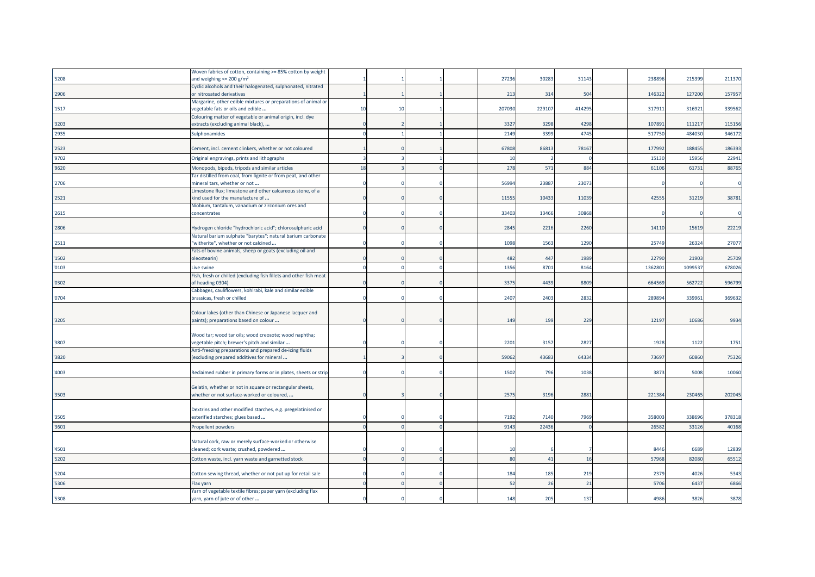|       | Woven fabrics of cotton, containing >= 85% cotton by weight        |    |    |  |                |        |        |        |        |        |
|-------|--------------------------------------------------------------------|----|----|--|----------------|--------|--------|--------|--------|--------|
| '5208 | and weighing $\leq$ 200 g/m <sup>2</sup>                           |    |    |  | 27236          | 3028   | 31143  | 23889  | 215399 | 211370 |
|       | Cyclic alcohols and their halogenated, sulphonated, nitrated       |    |    |  |                |        |        |        |        |        |
| '2906 | or nitrosated derivatives                                          |    |    |  | 213            | 314    | 504    | 146322 | 127200 | 157957 |
|       | Margarine, other edible mixtures or preparations of animal or      |    |    |  |                |        |        |        |        |        |
| '1517 | vegetable fats or oils and edible                                  | 10 | 10 |  | 207030         | 229107 | 414295 | 317911 | 316921 | 339562 |
|       | Colouring matter of vegetable or animal origin, incl. dye          |    |    |  |                |        |        |        |        |        |
| '3203 | extracts (excluding animal black),                                 |    |    |  | 3327           | 3298   | 4298   | 107891 | 111217 | 115156 |
| '2935 | Sulphonamides                                                      |    |    |  | 2149           | 3399   | 4745   | 51775  | 484030 | 346172 |
|       |                                                                    |    |    |  |                |        |        |        |        |        |
| '2523 | Cement, incl. cement clinkers, whether or not coloured             |    |    |  | 67808          | 8681   | 78167  | 177992 | 188455 | 186393 |
| '9702 | Original engravings, prints and lithographs                        |    |    |  | $\overline{1}$ |        |        | 15130  | 15956  | 22941  |
| '9620 | Monopods, bipods, tripods and similar articles                     | 18 |    |  | 278            | 571    | 884    | 61106  | 61731  | 88765  |
|       | Tar distilled from coal, from lignite or from peat, and other      |    |    |  |                |        |        |        |        |        |
| '2706 | mineral tars, whether or not                                       |    |    |  | 56994          | 2388   | 23073  |        |        |        |
|       | Limestone flux; limestone and other calcareous stone, of a         |    |    |  |                |        |        |        |        |        |
| '2521 | kind used for the manufacture of                                   |    |    |  | 1155           | 1043   | 11039  | 4255   | 31219  | 38781  |
|       | Niobium, tantalum, vanadium or zirconium ores and                  |    |    |  |                |        |        |        |        |        |
| '2615 | concentrates                                                       |    |    |  | 3340           | 13466  | 30868  |        |        |        |
|       |                                                                    |    |    |  |                |        |        |        |        |        |
| '2806 | Hydrogen chloride "hydrochloric acid"; chlorosulphuric acid        |    |    |  | 2845           | 2216   | 2260   | 14110  | 15619  | 22219  |
|       | Natural barium sulphate "barytes"; natural barium carbonate        |    |    |  |                |        |        |        |        |        |
| '2511 | 'witherite", whether or not calcined                               |    |    |  | 1098           | 1563   | 1290   | 25749  | 26324  | 27077  |
|       | Fats of bovine animals, sheep or goats (excluding oil and          |    |    |  |                |        |        |        |        |        |
| '1502 | oleostearin)                                                       |    |    |  | 482            | 447    | 1989   | 22790  | 21903  | 25709  |
| '0103 | Live swine                                                         |    |    |  | 1356           | 8701   | 8164   | 136280 | 109953 | 678026 |
|       | Fish, fresh or chilled (excluding fish fillets and other fish meat |    |    |  |                |        |        |        |        |        |
| '0302 | of heading 0304)                                                   |    |    |  | 3375           | 4439   | 8809   | 66456  | 562722 | 596799 |
|       | Cabbages, cauliflowers, kohlrabi, kale and similar edible          |    |    |  |                |        |        |        |        |        |
| '0704 | brassicas, fresh or chilled                                        |    |    |  | 2407           | 2403   | 2832   | 289894 | 339961 | 369632 |
|       |                                                                    |    |    |  |                |        |        |        |        |        |
|       | Colour lakes (other than Chinese or Japanese lacquer and           |    |    |  |                |        |        |        |        |        |
| '3205 | paints); preparations based on colour                              |    |    |  | 149            | 199    | 229    | 12197  | 10686  | 9934   |
|       |                                                                    |    |    |  |                |        |        |        |        |        |
|       | Wood tar; wood tar oils; wood creosote; wood naphtha;              |    |    |  |                |        |        |        |        |        |
| '3807 | regetable pitch; brewer's pitch and similar                        |    |    |  | 220:           | 3157   | 2827   | 1928   | 1122   | 1751   |
|       | Anti-freezing preparations and prepared de-icing fluids            |    |    |  |                |        |        |        |        |        |
| '3820 | (excluding prepared additives for mineral                          |    |    |  | 5906           | 4368   | 64334  | 73697  | 60860  | 75326  |
| '4003 | Reclaimed rubber in primary forms or in plates, sheets or strip    |    |    |  | 1502           | 796    | 1038   | 3873   | 5008   | 10060  |
|       |                                                                    |    |    |  |                |        |        |        |        |        |
|       | Gelatin, whether or not in square or rectangular sheets,           |    |    |  |                |        |        |        |        |        |
| '3503 | whether or not surface-worked or coloured,                         |    |    |  | 2575           | 3196   | 2881   | 221384 | 230465 | 202045 |
|       |                                                                    |    |    |  |                |        |        |        |        |        |
|       | Dextrins and other modified starches, e.g. pregelatinised or       |    |    |  |                |        |        |        |        |        |
| '3505 | esterified starches; glues based                                   |    |    |  | 7192           | 7140   | 7969   | 35800  | 338696 | 378318 |
| '3601 | Propellent powders                                                 |    |    |  | 9143           | 22436  |        | 2658   | 33126  | 40168  |
|       |                                                                    |    |    |  |                |        |        |        |        |        |
|       | Natural cork, raw or merely surface-worked or otherwise            |    |    |  |                |        |        |        |        |        |
| '4501 | cleaned; cork waste; crushed, powdered                             |    |    |  | $\overline{1}$ |        |        | 8446   | 6689   | 12839  |
|       |                                                                    |    |    |  | 80             | 41     | 16     | 57968  | 82080  | 65512  |
| '5202 | Cotton waste, incl. yarn waste and garnetted stock                 |    |    |  |                |        |        |        |        |        |
| '5204 | Cotton sewing thread, whether or not put up for retail sale        |    |    |  | 184            | 185    | 219    | 2379   | 4026   | 5343   |
|       |                                                                    |    |    |  |                |        |        |        |        |        |
| '5306 | Flax yarn                                                          |    |    |  | -52            | 26     | 21     | 5706   | 6437   | 6866   |
|       | Yarn of vegetable textile fibres; paper yarn (excluding flax       |    |    |  |                |        |        |        |        |        |
| '5308 | yarn, yarn of jute or of other                                     |    |    |  | 148            | 205    | 137    | 4986   | 3826   | 3878   |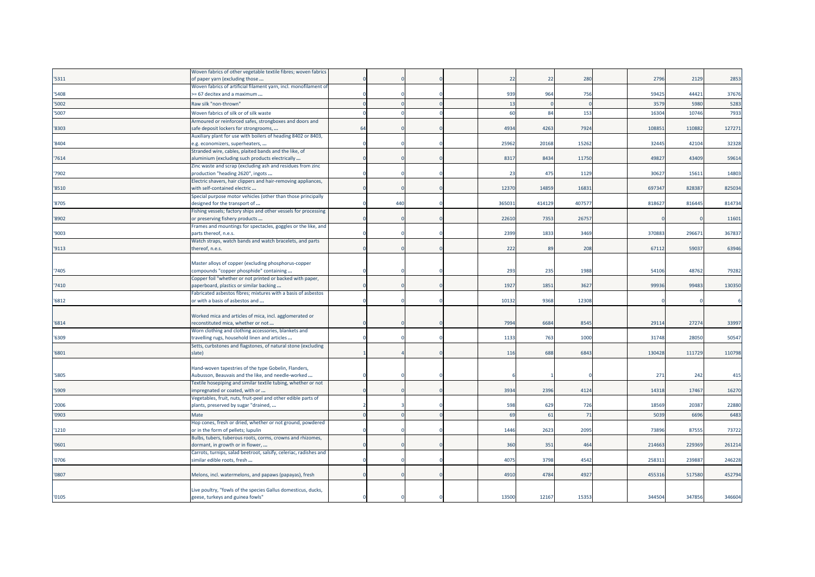|       | Woven fabrics of other vegetable textile fibres; woven fabrics    |    |     |  |       |        |        |        |        |        |
|-------|-------------------------------------------------------------------|----|-----|--|-------|--------|--------|--------|--------|--------|
| '5311 | of paper yarn (excluding those                                    |    |     |  | 22    | 22     | 280    | 2796   | 2129   | 2853   |
|       | Woven fabrics of artificial filament yarn, incl. monofilament of  |    |     |  |       |        |        |        |        |        |
| 5408  | >= 67 decitex and a maximum                                       |    |     |  | 939   | 964    | 756    | 59425  | 44421  | 37676  |
| '5002 | Raw silk "non-thrown"                                             |    |     |  | 13    |        |        | 3579   | 5980   | 5283   |
| '5007 | Woven fabrics of silk or of silk waste                            |    |     |  | 60    | 84     | 153    | 16304  | 10746  | 7933   |
|       | Armoured or reinforced safes, strongboxes and doors and           |    |     |  |       |        |        |        |        |        |
| '8303 | safe deposit lockers for strongrooms,                             | 64 |     |  | 4934  | 4263   | 7924   | 108851 | 110882 | 127271 |
|       | Auxiliary plant for use with boilers of heading 8402 or 8403,     |    |     |  |       |        |        |        |        |        |
| 8404  | e.g. economizers, superheaters,                                   |    |     |  | 25962 | 20168  | 15262  | 32445  | 42104  | 32328  |
|       | Stranded wire, cables, plaited bands and the like, of             |    |     |  |       |        |        |        |        |        |
| 7614  | aluminium (excluding such products electrically                   |    |     |  | 8317  | 8434   | 11750  | 49827  | 43409  | 59614  |
|       | Zinc waste and scrap (excluding ash and residues from zinc        |    |     |  |       |        |        |        |        |        |
| 7902  | production "heading 2620", ingots                                 |    |     |  | 23    | 475    | 1129   | 30627  | 15611  | 14803  |
|       | Electric shavers, hair clippers and hair-removing appliances,     |    |     |  |       |        |        |        |        |        |
| '8510 | with self-contained electric                                      |    |     |  | 12370 | 14859  | 16831  | 697347 | 828387 | 825034 |
|       | Special purpose motor vehicles (other than those principally      |    |     |  |       |        |        |        |        |        |
| '8705 | designed for the transport of                                     |    | 440 |  | 36503 | 414129 | 407577 | 818627 | 816445 | 814734 |
|       | Fishing vessels; factory ships and other vessels for processing   |    |     |  |       |        |        |        |        |        |
| '8902 | or preserving fishery products                                    |    |     |  | 22610 | 7353   | 26757  |        |        | 11601  |
|       | Frames and mountings for spectacles, goggles or the like, and     |    |     |  |       |        |        |        |        |        |
| '9003 | parts thereof, n.e.s.                                             |    |     |  | 2399  | 1833   | 3469   | 370883 | 296671 | 367837 |
|       | Watch straps, watch bands and watch bracelets, and parts          |    |     |  |       |        |        |        |        |        |
| '9113 | thereof, n.e.s.                                                   |    |     |  | 222   | 89     | 208    | 67112  | 59037  | 63946  |
|       |                                                                   |    |     |  |       |        |        |        |        |        |
|       | Master alloys of copper (excluding phosphorus-copper              |    |     |  |       |        |        |        |        |        |
| 7405  | compounds "copper phosphide" containing                           |    |     |  | 293   | 235    | 1988   | 54106  | 48762  | 79282  |
|       | Copper foil "whether or not printed or backed with paper,         |    |     |  |       |        |        |        |        |        |
| 7410  | paperboard, plastics or similar backing                           |    |     |  | 1927  | 1851   | 3627   | 99936  | 99483  | 130350 |
|       | Fabricated asbestos fibres; mixtures with a basis of asbestos     |    |     |  |       |        |        |        |        |        |
| '6812 | or with a basis of asbestos and                                   |    |     |  | 10132 | 9368   | 12308  |        |        |        |
|       | Worked mica and articles of mica, incl. agglomerated or           |    |     |  |       |        |        |        |        |        |
| '6814 | reconstituted mica, whether or not                                |    |     |  | 7994  | 6684   | 8545   | 29114  | 27274  | 33997  |
|       | Worn clothing and clothing accessories, blankets and              |    |     |  |       |        |        |        |        |        |
| '6309 | travelling rugs, household linen and articles                     |    |     |  | 1133  | 763    | 1000   | 31748  | 28050  | 50547  |
|       | Setts, curbstones and flagstones, of natural stone (excluding     |    |     |  |       |        |        |        |        |        |
| '6801 | slate)                                                            |    |     |  | 116   | 688    | 6843   | 130428 | 111729 | 110798 |
|       |                                                                   |    |     |  |       |        |        |        |        |        |
|       | Hand-woven tapestries of the type Gobelin, Flanders,              |    |     |  |       |        |        |        |        |        |
| 5805  | Aubusson, Beauvais and the like, and needle-worked                |    |     |  |       |        |        | 271    | 242    | 415    |
|       | Textile hosepiping and similar textile tubing, whether or not     |    |     |  |       |        |        |        |        |        |
| '5909 | impregnated or coated, with or                                    |    |     |  | 3934  | 2396   | 4124   | 14318  | 17467  | 16270  |
|       | /egetables, fruit, nuts, fruit-peel and other edible parts of     |    |     |  |       |        |        |        |        |        |
| '2006 | plants, preserved by sugar "drained,                              |    |     |  | 598   | 629    | 726    | 18569  | 20387  | 22880  |
| '0903 | Mate                                                              |    |     |  | 69    | 61     | 71     | 5039   | 6696   | 6483   |
|       | Hop cones, fresh or dried, whether or not ground, powdered        |    |     |  |       |        |        |        |        |        |
| '1210 | or in the form of pellets; lupulin                                |    |     |  | 1446  | 2623   | 2095   | 73896  | 87555  | 73722  |
|       | Bulbs, tubers, tuberous roots, corms, crowns and rhizomes,        |    |     |  |       |        |        |        |        |        |
| '0601 | dormant, in growth or in flower,                                  |    |     |  | 360   | 351    | 464    | 214663 | 229369 | 261214 |
|       | Carrots, turnips, salad beetroot, salsify, celeriac, radishes and |    |     |  |       |        |        |        |        |        |
| '0706 | similar edible roots, fresh                                       |    |     |  | 4075  | 3798   | 4542   | 258311 | 23988  | 246228 |
|       |                                                                   |    |     |  |       |        |        |        |        |        |
| '0807 | Melons, incl. watermelons, and papaws (papayas), fresh            |    |     |  | 4910  | 4784   | 4927   | 455316 | 517580 | 452794 |
|       |                                                                   |    |     |  |       |        |        |        |        |        |
|       | Live poultry, "fowls of the species Gallus domesticus, ducks,     |    |     |  |       |        |        |        |        |        |
| '0105 | geese, turkeys and guinea fowls"                                  |    |     |  | 13500 | 12167  | 15353  | 344504 | 347856 | 346604 |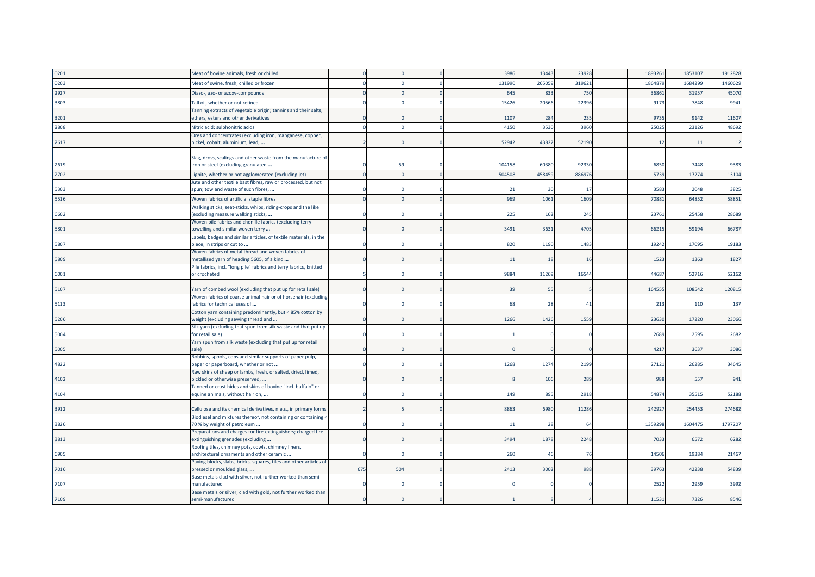| '0201 | Meat of bovine animals, fresh or chilled                                                         |     |     |  | 3986   | 13443  | 23928  | 1893261 | 1853107 | 1912828 |
|-------|--------------------------------------------------------------------------------------------------|-----|-----|--|--------|--------|--------|---------|---------|---------|
| '0203 | Meat of swine, fresh, chilled or frozen                                                          |     |     |  | 13199  | 265059 | 319621 | 186487  | 168429  | 1460629 |
| '2927 | Diazo-, azo- or azoxy-compounds                                                                  |     |     |  | 645    | 833    | 750    | 3686    | 31957   | 45070   |
| 3803  | Tall oil, whether or not refined                                                                 |     |     |  | 15426  | 20566  | 22396  | 9173    | 7848    | 9941    |
|       | Tanning extracts of vegetable origin; tannins and their salts,                                   |     |     |  |        |        |        |         |         |         |
| '3201 | ethers, esters and other derivatives                                                             |     |     |  | 1107   | 284    | 235    | 9735    | 9142    | 11607   |
| '2808 | Nitric acid; sulphonitric acids                                                                  |     |     |  | 4150   | 3530   | 3960   | 25025   | 23126   | 48692   |
|       | Ores and concentrates (excluding iron, manganese, copper,                                        |     |     |  |        |        |        |         |         |         |
| '2617 | nickel, cobalt, aluminium, lead,                                                                 |     |     |  | 52942  | 43822  | 52190  | 12      | 11      | 12      |
|       | Slag, dross, scalings and other waste from the manufacture of                                    |     |     |  |        |        |        |         |         |         |
| '2619 | iron or steel (excluding granulated                                                              |     | 59  |  | 104158 | 60380  | 92330  | 6850    | 7448    | 9383    |
| '2702 | Lignite, whether or not agglomerated (excluding jet)                                             |     |     |  | 50450  | 458459 | 886976 | 5739    | 17274   | 13104   |
|       | Jute and other textile bast fibres, raw or processed, but not                                    |     |     |  |        |        |        |         |         |         |
| '5303 | spun; tow and waste of such fibres,                                                              |     |     |  | 21     | 30     | 17     | 3583    | 2048    | 3825    |
| '5516 | Woven fabrics of artificial staple fibres                                                        |     |     |  | 969    | 1061   | 1609   | 70881   | 64852   | 58851   |
|       | Walking sticks, seat-sticks, whips, riding-crops and the like                                    |     |     |  |        |        |        |         |         |         |
| '6602 | (excluding measure walking sticks,                                                               |     |     |  | 225    | 162    | 245    | 23761   | 25458   | 28689   |
|       | Woven pile fabrics and chenille fabrics (excluding terry                                         |     |     |  |        |        |        |         |         |         |
| '5801 | towelling and similar woven terry                                                                |     |     |  | 3491   | 3631   | 4705   | 66215   | 59194   | 66787   |
| '5807 | Labels, badges and similar articles, of textile materials, in the<br>piece, in strips or cut to  |     |     |  | 820    | 1190   | 1483   | 19242   | 17095   | 19183   |
|       | Woven fabrics of metal thread and woven fabrics of                                               |     |     |  |        |        |        |         |         |         |
| '5809 | metallised yarn of heading 5605, of a kind                                                       |     |     |  | 11     | 18     | 16     | 1523    | 1363    | 1827    |
|       | Pile fabrics, incl. "long pile" fabrics and terry fabrics, knitted                               |     |     |  |        |        |        |         |         |         |
| '6001 | or crocheted                                                                                     |     |     |  | 9884   | 11269  | 16544  | 44687   | 52716   | 52162   |
| 5107  | Yarn of combed wool (excluding that put up for retail sale)                                      |     |     |  | 39     | 55     |        | 164555  | 108542  | 120815  |
|       | Woven fabrics of coarse animal hair or of horsehair (excluding                                   |     |     |  |        |        |        |         |         |         |
| '5113 | fabrics for technical uses of                                                                    |     |     |  | 6      | 28     | 41     | 213     | 110     | 137     |
|       | Cotton yarn containing predominantly, but < 85% cotton by                                        |     |     |  |        |        |        |         |         |         |
| '5206 | weight (excluding sewing thread and                                                              |     |     |  | 1266   | 1426   | 1559   | 23630   | 17220   | 23066   |
|       | Silk yarn (excluding that spun from silk waste and that put up                                   |     |     |  |        |        |        |         |         |         |
| '5004 | for retail sale)<br>Yarn spun from silk waste (excluding that put up for retail                  |     |     |  |        |        |        | 2689    | 2595    | 2682    |
| '5005 | sale)                                                                                            |     |     |  |        |        |        | 4217    | 3637    | 3086    |
|       | Bobbins, spools, cops and similar supports of paper pulp,                                        |     |     |  |        |        |        |         |         |         |
| '4822 | paper or paperboard, whether or not                                                              |     |     |  | 1268   | 1274   | 2199   | 27121   | 26285   | 34645   |
|       | Raw skins of sheep or lambs, fresh, or salted, dried, limed,                                     |     |     |  |        |        |        |         |         |         |
| '4102 | pickled or otherwise preserved,                                                                  |     |     |  |        | 106    | 289    | 988     | 557     | 941     |
| '4104 | Tanned or crust hides and skins of bovine "incl. buffalo" or<br>equine animals, without hair on, |     |     |  | 149    | 895    | 2918   | 54874   | 35515   | 52188   |
|       |                                                                                                  |     |     |  |        |        |        |         |         |         |
| '3912 | Cellulose and its chemical derivatives, n.e.s., in primary forms                                 |     |     |  | 8863   | 6980   | 11286  | 242927  | 254453  | 274682  |
|       | Biodiesel and mixtures thereof, not containing or containing <                                   |     |     |  |        |        |        |         |         |         |
| '3826 | 70 % by weight of petroleum                                                                      |     |     |  | 11     | 28     | 64     | 1359298 | 1604475 | 1797207 |
|       | Preparations and charges for fire-extinguishers; charged fire-                                   |     |     |  | 3494   |        |        |         | 6572    |         |
| '3813 | extinguishing grenades (excluding<br>Roofing tiles, chimney pots, cowls, chimney liners,         |     |     |  |        | 1878   | 2248   | 7033    |         | 6282    |
| '6905 | architectural ornaments and other ceramic                                                        |     |     |  | 260    | 46     | 76     | 14506   | 19384   | 21467   |
|       | Paving blocks, slabs, bricks, squares, tiles and other articles of                               |     |     |  |        |        |        |         |         |         |
| '7016 | pressed or moulded glass,                                                                        | 675 | 504 |  | 2413   | 3002   | 988    | 39763   | 42238   | 54839   |
|       | Base metals clad with silver, not further worked than semi-                                      |     |     |  |        |        |        |         |         |         |
| '7107 | nanufactured<br>Base metals or silver, clad with gold, not further worked than                   |     |     |  |        |        |        | 2522    | 2959    | 3992    |
| '7109 | semi-manufactured                                                                                |     |     |  |        |        |        | 11531   | 7326    | 8546    |
|       |                                                                                                  |     |     |  |        |        |        |         |         |         |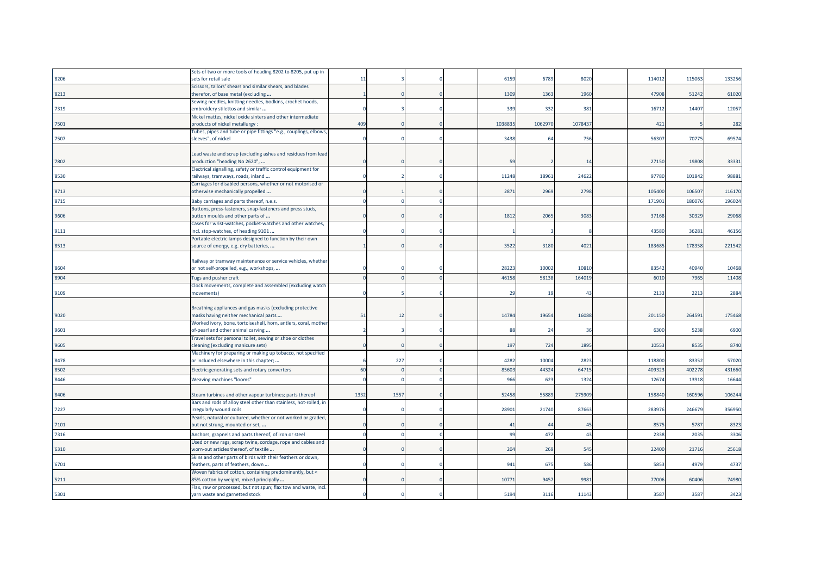|       | Sets of two or more tools of heading 8202 to 8205, put up in                                      |      |      |  |          |         |         |        |        |        |
|-------|---------------------------------------------------------------------------------------------------|------|------|--|----------|---------|---------|--------|--------|--------|
| '8206 | sets for retail sale                                                                              | 11   |      |  | 6159     | 6789    | 8020    | 114012 | 115063 | 133256 |
|       | Scissors, tailors' shears and similar shears, and blades                                          |      |      |  |          |         |         |        |        |        |
| '8213 | therefor, of base metal (excluding                                                                |      |      |  | 1309     | 1363    | 1960    | 47908  | 51242  | 61020  |
|       | Sewing needles, knitting needles, bodkins, crochet hoods,                                         |      |      |  |          |         |         |        |        |        |
| '7319 | embroidery stilettos and similar                                                                  |      |      |  | 339      | 332     | 381     | 16712  | 14407  | 12057  |
|       | Nickel mattes, nickel oxide sinters and other intermediate                                        |      |      |  |          |         |         |        |        |        |
| '7501 | products of nickel metallurgy                                                                     | 409  |      |  | 103883   | 1062970 | 1078437 | 421    |        | 282    |
|       | Tubes, pipes and tube or pipe fittings "e.g., couplings, elbows,                                  |      |      |  |          |         |         |        |        |        |
| '7507 | sleeves", of nickel                                                                               |      |      |  | 3438     | 64      | 756     | 56307  | 70775  | 69574  |
|       |                                                                                                   |      |      |  |          |         |         |        |        |        |
|       | Lead waste and scrap (excluding ashes and residues from lead                                      |      |      |  |          |         |         |        |        |        |
| '7802 | production "heading No 2620",                                                                     |      |      |  | 59       |         | 14      | 27150  | 19808  | 33331  |
|       | Electrical signalling, safety or traffic control equipment for                                    |      |      |  |          |         |         |        |        |        |
| '8530 | railways, tramways, roads, inland                                                                 |      |      |  | 11248    | 18961   | 24622   | 97780  | 101842 | 98881  |
|       | Carriages for disabled persons, whether or not motorised or                                       |      |      |  |          |         |         |        |        |        |
| '8713 | otherwise mechanically propelled                                                                  |      |      |  | 2871     | 2969    | 2798    | 105400 | 106507 | 116170 |
| '8715 | Baby carriages and parts thereof, n.e.s.                                                          |      |      |  |          |         |         | 171901 | 186076 | 196024 |
|       | Buttons, press-fasteners, snap-fasteners and press studs,                                         |      |      |  |          |         |         |        |        |        |
| '9606 | button moulds and other parts of                                                                  |      |      |  | 1812     | 2065    | 3083    | 37168  | 30329  | 29068  |
|       | Cases for wrist-watches, pocket-watches and other watches,                                        |      |      |  |          |         |         |        |        |        |
| '9111 | incl. stop-watches, of heading 9101                                                               |      |      |  |          |         |         | 43580  | 36281  | 46156  |
|       | Portable electric lamps designed to function by their own                                         |      |      |  |          |         |         |        |        |        |
| '8513 | source of energy, e.g. dry batteries,                                                             |      |      |  | 3522     | 3180    | 4021    | 183685 | 178358 | 221542 |
|       |                                                                                                   |      |      |  |          |         |         |        |        |        |
|       | Railway or tramway maintenance or service vehicles, whether                                       |      |      |  |          |         |         |        |        |        |
| '8604 | or not self-propelled, e.g., workshops,                                                           |      |      |  | 2822     | 10002   | 10810   | 83542  | 40940  | 10468  |
| '8904 | Tugs and pusher craft                                                                             |      |      |  | 46158    | 58138   | 164019  | 6010   | 7965   | 11408  |
|       | Clock movements, complete and assembled (excluding watch                                          |      |      |  |          |         |         |        |        |        |
| '9109 | movements)                                                                                        |      |      |  | 29       | 19      | 43      | 2133   | 2213   | 2884   |
|       |                                                                                                   |      |      |  |          |         |         |        |        |        |
|       | Breathing appliances and gas masks (excluding protective                                          |      |      |  |          |         |         |        |        |        |
| '9020 | masks having neither mechanical parts                                                             | 51   | 12   |  | 14784    | 19654   | 16088   | 201150 | 264591 | 175468 |
|       | Worked ivory, bone, tortoiseshell, horn, antlers, coral, mother                                   |      |      |  | -88      | 24      | 36      |        |        |        |
| '9601 | of-pearl and other animal carving                                                                 |      |      |  |          |         |         |        |        |        |
| '9605 | Travel sets for personal toilet, sewing or shoe or clothes                                        |      |      |  |          |         |         | 6300   | 5238   | 6900   |
|       |                                                                                                   |      |      |  |          |         |         |        |        |        |
|       | cleaning (excluding manicure sets)                                                                |      |      |  | 197      | 724     | 1895    | 10553  | 8535   | 8740   |
|       | Machinery for preparing or making up tobacco, not specified                                       |      |      |  |          |         |         |        |        |        |
| '8478 | or included elsewhere in this chapter;                                                            |      | 227  |  | 4282     | 10004   | 2823    | 118800 | 83352  | 57020  |
| '8502 | Electric generating sets and rotary converters                                                    | 60   |      |  | 8560     | 44324   | 64715   | 40932  | 402278 | 431660 |
| '8446 | Weaving machines "looms"                                                                          |      |      |  | 966      | 623     | 1324    | 12674  | 13918  | 16644  |
|       |                                                                                                   |      |      |  |          |         |         |        |        |        |
| '8406 | Steam turbines and other vapour turbines; parts thereof                                           | 1332 | 1557 |  | 52458    | 55889   | 275909  | 158840 | 160596 | 106244 |
|       | Bars and rods of alloy steel other than stainless, hot-rolled, in                                 |      |      |  |          |         |         |        |        |        |
| '7227 | irregularly wound coils                                                                           |      |      |  | 28901    | 21740   | 87663   | 283976 | 246679 | 356950 |
|       | Pearls, natural or cultured, whether or not worked or graded,                                     |      |      |  |          |         |         |        |        |        |
| '7101 | but not strung, mounted or set,                                                                   |      |      |  | $\sim$ 4 | -44     | 45      | 8575   | 5787   | 8323   |
| '7316 | Anchors, grapnels and parts thereof, of iron or steel                                             |      |      |  | 99       | 472     | 43      | 2338   | 2035   | 3306   |
|       | Used or new rags, scrap twine, cordage, rope and cables and                                       |      |      |  |          |         |         |        |        |        |
| '6310 | worn-out articles thereof, of textile                                                             |      |      |  | 204      | 269     | 545     | 22400  | 21716  | 25618  |
|       | Skins and other parts of birds with their feathers or down,                                       |      |      |  |          |         |         |        |        |        |
| '6701 | feathers, parts of feathers, down                                                                 |      |      |  | 941      | 675     | 586     | 5853   | 4979   | 4737   |
|       | Woven fabrics of cotton, containing predominantly, but <                                          |      |      |  |          |         |         |        |        |        |
| '5211 | 85% cotton by weight, mixed principally                                                           |      |      |  | 1077     | 9457    | 9981    | 77006  | 60406  | 74980  |
| '5301 | Flax, raw or processed, but not spun; flax tow and waste, incl.<br>yarn waste and garnetted stock |      |      |  | 5194     | 3116    | 11143   | 3587   | 3587   | 3423   |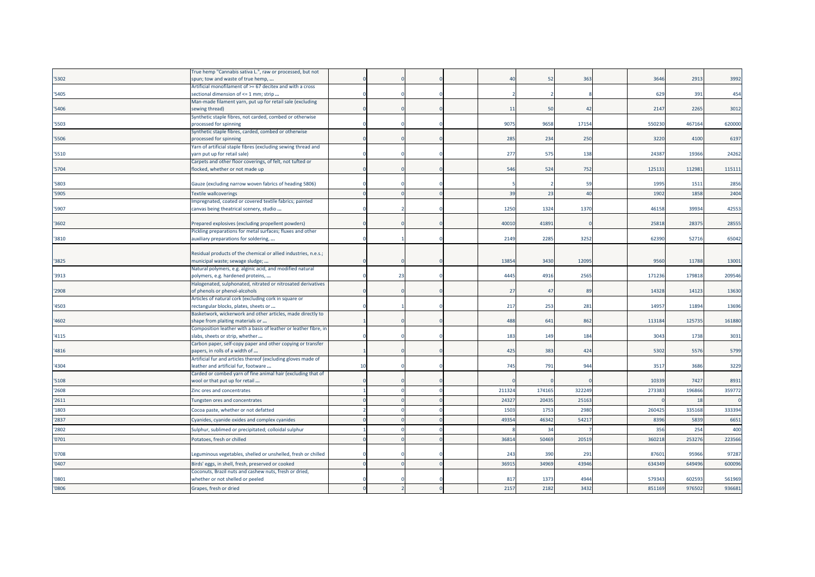|       | Frue hemp "Cannabis sativa L.", raw or processed, but not                                      |    |    |  |          |        |        |                 |        |        |
|-------|------------------------------------------------------------------------------------------------|----|----|--|----------|--------|--------|-----------------|--------|--------|
| '5302 | spun; tow and waste of true hemp,                                                              |    |    |  | $\Delta$ | 52     | 363    | 3646            | 2913   | 3992   |
|       | Artificial monofilament of >= 67 decitex and with a cross                                      |    |    |  |          |        |        |                 |        |        |
| '5405 | sectional dimension of <= 1 mm; strip                                                          |    |    |  |          |        |        | 62 <sup>9</sup> | 391    | 454    |
|       | Man-made filament yarn, put up for retail sale (excluding                                      |    |    |  |          |        |        |                 |        |        |
| '5406 | sewing thread)                                                                                 |    |    |  | 11       | 50     | 42     | 2147            | 2265   | 3012   |
|       | Synthetic staple fibres, not carded, combed or otherwise                                       |    |    |  |          |        |        |                 |        |        |
| '5503 | processed for spinning                                                                         |    |    |  | 9075     | 9658   | 17154  | 55023           | 467164 | 620000 |
| '5506 | Synthetic staple fibres, carded, combed or otherwise<br>processed for spinning                 |    |    |  | 285      | 234    | 250    | 3220            | 4100   | 6197   |
|       | Yarn of artificial staple fibres (excluding sewing thread and                                  |    |    |  |          |        |        |                 |        |        |
| '5510 | yarn put up for retail sale)                                                                   |    |    |  | 277      | 575    | 138    | 24387           | 19366  | 24262  |
|       | Carpets and other floor coverings, of felt, not tufted or                                      |    |    |  |          |        |        |                 |        |        |
| '5704 | flocked, whether or not made up                                                                |    |    |  | 546      | 524    | 752    | 125131          | 112981 | 115111 |
|       |                                                                                                |    |    |  |          |        |        |                 |        |        |
| '5803 | Gauze (excluding narrow woven fabrics of heading 5806)                                         |    |    |  |          |        | 59     | 1995            | 1511   | 2856   |
| '5905 | <b>Textile wallcoverings</b>                                                                   |    |    |  | 39       | 23     | 40     | 1902            | 1858   | 2404   |
|       | mpregnated, coated or covered textile fabrics; painted                                         |    |    |  |          |        |        |                 |        |        |
| '5907 | canvas being theatrical scenery, studio                                                        |    |    |  | 1250     | 1324   | 1370   | 46158           | 3993   | 42553  |
|       |                                                                                                |    |    |  |          |        |        |                 |        |        |
| '3602 | Prepared explosives (excluding propellent powders)                                             |    |    |  | 40010    | 41891  |        | 2581            | 28375  | 28555  |
|       | Pickling preparations for metal surfaces; fluxes and other                                     |    |    |  |          |        |        |                 |        |        |
| '3810 | auxiliary preparations for soldering,                                                          |    |    |  | 2149     | 2285   | 3252   | 62390           | 52716  | 65042  |
|       |                                                                                                |    |    |  |          |        |        |                 |        |        |
|       | Residual products of the chemical or allied industries, n.e.s.;                                |    |    |  |          |        |        |                 |        |        |
| '3825 | municipal waste; sewage sludge;                                                                |    |    |  | 13854    | 3430   | 12095  | 9560            | 11788  | 13001  |
| '3913 | Natural polymers, e.g. alginic acid, and modified natural<br>polymers, e.g. hardened proteins, |    | 23 |  | 4445     | 4916   | 2565   | 171236          | 179818 | 209546 |
|       | Halogenated, sulphonated, nitrated or nitrosated derivatives                                   |    |    |  |          |        |        |                 |        |        |
| '2908 | of phenols or phenol-alcohols                                                                  |    |    |  | 27       | 47     | 89     | 14328           | 14123  | 13630  |
|       | Articles of natural cork (excluding cork in square or                                          |    |    |  |          |        |        |                 |        |        |
| '4503 | ectangular blocks, plates, sheets or                                                           |    |    |  | 217      | 253    | 281    | 1495            | 11894  | 13696  |
|       | Basketwork, wickerwork and other articles, made directly to                                    |    |    |  |          |        |        |                 |        |        |
| '4602 | shape from plaiting materials or                                                               |    |    |  | 488      | 641    | 862    | 113184          | 125735 | 161880 |
|       | Composition leather with a basis of leather or leather fibre, in                               |    |    |  |          |        |        |                 |        |        |
| '4115 | slabs, sheets or strip, whether                                                                |    |    |  | 183      | 149    | 184    | 3043            | 1738   | 3031   |
|       | Carbon paper, self-copy paper and other copying or transfer                                    |    |    |  |          |        |        |                 |        |        |
| '4816 | papers, in rolls of a width of                                                                 |    |    |  | 425      | 383    | 424    | 5302            | 5576   | 5799   |
|       | Artificial fur and articles thereof (excluding gloves made of                                  |    |    |  |          |        |        |                 |        |        |
| '4304 | leather and artificial fur, footware                                                           | 10 |    |  | 745      | 791    | 944    | 351             | 3686   | 3229   |
|       | Carded or combed yarn of fine animal hair (excluding that of                                   |    |    |  |          |        |        |                 |        |        |
| '5108 | wool or that put up for retail                                                                 |    |    |  |          |        |        | 10339           | 7427   | 8931   |
| '2608 | Zinc ores and concentrates                                                                     |    |    |  | 21132    | 174165 | 322249 | 27338           | 19686  | 359772 |
| '2611 | Tungsten ores and concentrates                                                                 |    |    |  | 24327    | 2043   | 2516   |                 | 18     |        |
| '1803 | Cocoa paste, whether or not defatted                                                           |    |    |  | 1503     | 1753   | 2980   | 26042           | 335168 | 333394 |
| '2837 | Cyanides, cyanide oxides and complex cyanides                                                  |    |    |  | 4935     | 46342  | 54217  | 839             | 583    | 6651   |
| '2802 | Sulphur, sublimed or precipitated; colloidal sulphur                                           |    |    |  |          | 34     |        | 356             | 254    | 400    |
|       |                                                                                                |    |    |  |          |        |        |                 |        |        |
| '0701 | Potatoes, fresh or chilled                                                                     |    |    |  | 3681     | 50469  | 20519  | 360218          | 25327  | 223566 |
| '0708 | Leguminous vegetables, shelled or unshelled, fresh or chilled                                  |    |    |  | 243      | 390    | 291    | 8760            | 95966  | 97287  |
| '0407 | Birds' eggs, in shell, fresh, preserved or cooked                                              |    |    |  | 3691     | 34969  | 43946  | 63434           | 649496 | 600096 |
|       | Coconuts, Brazil nuts and cashew nuts, fresh or dried,                                         |    |    |  |          |        |        |                 |        |        |
| '0801 | whether or not shelled or peeled                                                               |    |    |  | 817      | 1373   | 4944   | 579343          | 602593 | 561969 |
| '0806 | Grapes, fresh or dried                                                                         |    |    |  | 2157     | 2182   | 3432   | 851169          | 976502 | 936681 |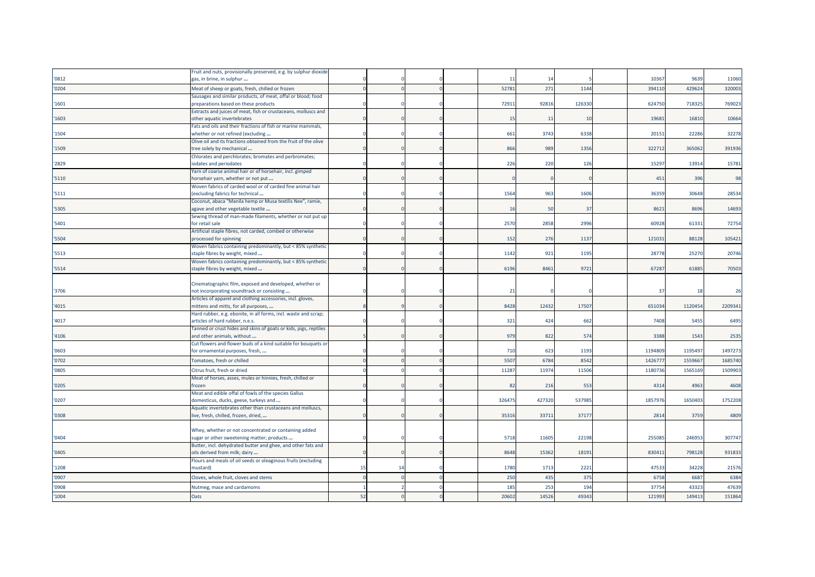|       | Fruit and nuts, provisionally preserved, e.g. by sulphur dioxide                                    |    |  |                       |         |        |         |         |         |
|-------|-----------------------------------------------------------------------------------------------------|----|--|-----------------------|---------|--------|---------|---------|---------|
| '0812 | gas, in brine, in sulphur                                                                           |    |  | $\mathbf{1}^{\prime}$ | 14      |        | 10367   | 9639    | 11060   |
| '0204 | Meat of sheep or goats, fresh, chilled or frozen                                                    |    |  | 5278                  | 271     | 1144   | 394110  | 429624  | 320003  |
|       | Sausages and similar products, of meat, offal or blood; food                                        |    |  |                       |         |        |         |         |         |
| '1601 | preparations based on these products                                                                |    |  | 7291:                 | 9281    | 126330 | 624750  | 718325  | 769023  |
|       | Extracts and juices of meat, fish or crustaceans, molluscs and                                      |    |  |                       |         |        |         |         |         |
| '1603 | other aquatic invertebrates                                                                         |    |  | $\frac{15}{25}$       | $_{11}$ | 10     | 1968    | 16810   | 10664   |
|       | Fats and oils and their fractions of fish or marine mammals,                                        |    |  |                       |         |        |         |         |         |
| '1504 | whether or not refined (excluding                                                                   |    |  | 661                   | 3743    | 6338   | 2015    | 22286   | 32278   |
|       | Olive oil and its fractions obtained from the fruit of the olive                                    |    |  |                       |         |        |         |         |         |
| '1509 | tree solely by mechanical                                                                           |    |  | 866                   | 989     | 1356   | 322712  | 365062  | 391936  |
|       | Chlorates and perchlorates; bromates and perbromates;                                               |    |  |                       |         |        |         |         |         |
| '2829 | iodates and periodates                                                                              |    |  | 226                   | 220     | 126    | 1529    | 13914   | 15781   |
|       | Yarn of coarse animal hair or of horsehair, incl. gimped                                            |    |  |                       |         |        |         |         |         |
| '5110 | norsehair yarn, whether or not put<br>Woven fabrics of carded wool or of carded fine animal hair    |    |  |                       |         |        | 451     | 396     | 98      |
| '5111 | (excluding fabrics for technical                                                                    |    |  | 1564                  | 963     | 1606   | 36359   | 30648   | 28534   |
|       | Coconut, abaca "Manila hemp or Musa textilis Nee", ramie,                                           |    |  |                       |         |        |         |         |         |
| '5305 | agave and other vegetable textile                                                                   |    |  | -1                    | 50      | 37     | 862     | 8696    | 14693   |
|       | Sewing thread of man-made filaments, whether or not put up                                          |    |  |                       |         |        |         |         |         |
| '5401 | or retail sale                                                                                      |    |  | 2570                  | 2858    | 2996   | 60928   | 61331   | 72754   |
|       | Artificial staple fibres, not carded, combed or otherwise                                           |    |  |                       |         |        |         |         |         |
| '5504 | processed for spinning                                                                              |    |  | 152                   | 276     | 1137   | 121031  | 88128   | 105421  |
|       | Woven fabrics containing predominantly, but < 85% synthetic                                         |    |  |                       |         |        |         |         |         |
| '5513 | staple fibres by weight, mixed                                                                      |    |  | 1142                  | 921     | 1195   | 28778   | 25270   | 20746   |
|       | Woven fabrics containing predominantly, but < 85% synthetic                                         |    |  |                       |         |        |         |         |         |
| '5514 | staple fibres by weight, mixed                                                                      |    |  | 6196                  | 8461    | 9721   | 6728    | 61885   | 70503   |
|       |                                                                                                     |    |  |                       |         |        |         |         |         |
|       | Cinematographic film, exposed and developed, whether or                                             |    |  |                       |         |        |         |         |         |
| '3706 | not incorporating soundtrack or consisting                                                          |    |  | 21                    |         |        | 37      | 18      | 26      |
|       | Articles of apparel and clothing accessories, incl. gloves,                                         |    |  |                       |         |        |         |         |         |
| '4015 | mittens and mitts, for all purposes,                                                                |    |  | 8428                  | 12432   | 17507  | 651034  | 1120454 | 2209341 |
|       | Hard rubber, e.g. ebonite, in all forms, incl. waste and scrap;                                     |    |  |                       |         |        |         |         |         |
| '4017 | articles of hard rubber, n.e.s.<br>Tanned or crust hides and skins of goats or kids, pigs, reptiles |    |  | 321                   | 424     | 662    | 7408    | 5455    | 6495    |
| '4106 | and other animals, without                                                                          |    |  | 979                   | 822     | 574    | 3388    | 1543    | 2535    |
|       | Cut flowers and flower buds of a kind suitable for bouquets or                                      |    |  |                       |         |        |         |         |         |
| '0603 | for ornamental purposes, fresh,                                                                     |    |  | 710                   | 623     | 1193   | 119480  | 1195497 | 1497273 |
|       |                                                                                                     |    |  | 550                   |         | 8542   | 142677  | 155966  | 1685740 |
| '0702 | Tomatoes, fresh or chilled                                                                          |    |  |                       | 6784    |        |         |         |         |
| '0805 | Citrus fruit, fresh or dried                                                                        |    |  | 1128                  | 1197    | 11506  | 1180736 | 1565169 | 1509903 |
|       | Meat of horses, asses, mules or hinnies, fresh, chilled or                                          |    |  |                       |         |        |         |         |         |
| '0205 | frozen                                                                                              |    |  | 82                    | 216     | 553    | 4314    | 4963    | 4608    |
|       | Meat and edible offal of fowls of the species Gallus                                                |    |  |                       | 42732   |        |         |         | 1752208 |
| '0207 | domesticus, ducks, geese, turkeys and<br>Aquatic invertebrates other than crustaceans and molluscs, |    |  | 32647                 |         | 537985 | 185797  | 1650403 |         |
| '0308 | ive, fresh, chilled, frozen, dried,                                                                 |    |  | 3531                  | 33711   | 37177  | 281     | 3759    | 4809    |
|       |                                                                                                     |    |  |                       |         |        |         |         |         |
|       | Whey, whether or not concentrated or containing added                                               |    |  |                       |         |        |         |         |         |
| '0404 | sugar or other sweetening matter; products                                                          |    |  | 5718                  | 11605   | 22198  | 25508   | 246953  | 307747  |
|       | Butter, incl. dehydrated butter and ghee, and other fats and                                        |    |  |                       |         |        |         |         |         |
| '0405 | oils derived from milk; dairy                                                                       |    |  | 8648                  | 15362   | 18191  | 83041   | 798128  | 931833  |
|       | Flours and meals of oil seeds or oleaginous fruits (excluding                                       |    |  |                       |         |        |         |         |         |
| '1208 | nustard)                                                                                            | 15 |  | 1780                  | 1713    | 2221   | 4753    | 34228   | 21576   |
| '0907 | Cloves, whole fruit, cloves and stems                                                               |    |  | 250                   | 435     | 375    | 6758    | 6687    | 6384    |
| '0908 | Nutmeg, mace and cardamoms                                                                          |    |  | 185                   | 253     | 194    | 3775    | 43323   | 47639   |
|       |                                                                                                     |    |  |                       |         |        |         |         |         |
| '1004 | Oats                                                                                                | 52 |  | 2060                  | 1452    | 49343  | 12199   | 14941   | 151864  |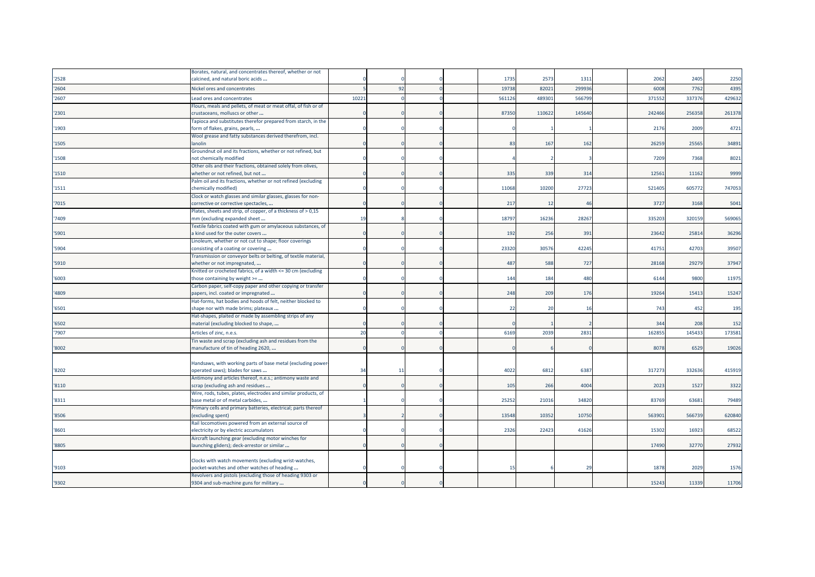|       | Borates, natural, and concentrates thereof, whether or not                                         |       |    |  |       |        |        |        |        |        |
|-------|----------------------------------------------------------------------------------------------------|-------|----|--|-------|--------|--------|--------|--------|--------|
| '2528 | calcined, and natural boric acids                                                                  |       |    |  | 1735  | 2573   | 1311   | 2062   | 2405   | 2250   |
| '2604 | Nickel ores and concentrates                                                                       |       | 92 |  | 19738 | 8202   | 29993  | 6008   | 7762   | 4395   |
| '2607 | Lead ores and concentrates                                                                         | 10221 |    |  | 56112 | 48930  | 566799 | 371552 | 337376 | 429632 |
|       | Flours, meals and pellets, of meat or meat offal, of fish or of                                    |       |    |  |       |        |        |        |        |        |
| '2301 | crustaceans, molluscs or other                                                                     |       |    |  | 87350 | 110622 | 145640 | 242466 | 256358 | 261378 |
|       | Tapioca and substitutes therefor prepared from starch, in the                                      |       |    |  |       |        |        |        |        |        |
| '1903 | form of flakes, grains, pearls,                                                                    |       |    |  |       |        |        | 2176   | 2009   | 4721   |
|       | Wool grease and fatty substances derived therefrom, incl.                                          |       |    |  |       |        |        |        |        |        |
| '1505 | lanolin<br>Groundnut oil and its fractions, whether or not refined, but                            |       |    |  | 83    | 167    | 162    | 26259  | 25565  | 34891  |
| '1508 | not chemically modified                                                                            |       |    |  |       |        |        | 7209   | 7368   | 8021   |
|       | Other oils and their fractions, obtained solely from olives,                                       |       |    |  |       |        |        |        |        |        |
| '1510 | whether or not refined, but not                                                                    |       |    |  | 335   | 339    | 314    | 12561  | 11162  | 9999   |
|       | Palm oil and its fractions, whether or not refined (excluding                                      |       |    |  |       |        |        |        |        |        |
| '1511 | chemically modified)                                                                               |       |    |  | 11068 | 10200  | 27723  | 521405 | 605772 | 747053 |
|       | Clock or watch glasses and similar glasses, glasses for non-                                       |       |    |  |       |        |        |        |        |        |
| '7015 | corrective or corrective spectacles,                                                               |       |    |  | 217   | 12     | 46     | 3727   | 3168   | 5041   |
|       | Plates, sheets and strip, of copper, of a thickness of > 0,15                                      |       |    |  |       |        |        |        |        |        |
| '7409 | mm (excluding expanded sheet<br>Textile fabrics coated with gum or amylaceous substances, of       | 19    |    |  | 18797 | 16236  | 28267  | 335203 | 320159 | 569065 |
| '5901 | a kind used for the outer covers                                                                   |       |    |  | 192   | 256    | 391    | 23642  | 25814  | 36296  |
|       | Linoleum, whether or not cut to shape; floor coverings                                             |       |    |  |       |        |        |        |        |        |
| '5904 | consisting of a coating or covering                                                                |       |    |  | 23320 | 30576  | 42245  | 41751  | 42703  | 39507  |
|       | Transmission or conveyor belts or belting, of textile material,                                    |       |    |  |       |        |        |        |        |        |
| '5910 | whether or not impregnated,                                                                        |       |    |  | 487   | 588    | 727    | 28168  | 29279  | 37947  |
|       | Knitted or crocheted fabrics, of a width <= 30 cm (excluding                                       |       |    |  |       |        |        |        |        |        |
| '6003 | those containing by weight >=                                                                      |       |    |  | 144   | 184    | 480    | 6144   | 9800   | 11975  |
| '4809 | Carbon paper, self-copy paper and other copying or transfer                                        |       |    |  | 248   | 209    | 176    | 19264  | 15413  | 15247  |
|       | oapers, incl. coated or impregnated<br>Hat-forms, hat bodies and hoods of felt, neither blocked to |       |    |  |       |        |        |        |        |        |
| '6501 | shape nor with made brims; plateaux                                                                |       |    |  | 22    | 20     | 16     | 743    | 452    | 195    |
|       | Hat-shapes, plaited or made by assembling strips of any                                            |       |    |  |       |        |        |        |        |        |
| '6502 | material (excluding blocked to shape,                                                              |       |    |  |       |        |        | 344    | 208    | 152    |
| '7907 | Articles of zinc, n.e.s.                                                                           | 20    |    |  | 6169  | 2039   | 2831   | 16285  | 14543  | 173581 |
|       | Tin waste and scrap (excluding ash and residues from the                                           |       |    |  |       |        |        |        |        |        |
| '8002 | manufacture of tin of heading 2620,                                                                |       |    |  |       |        |        | 8078   | 6529   | 19026  |
|       |                                                                                                    |       |    |  |       |        |        |        |        |        |
|       | Handsaws, with working parts of base metal (excluding power                                        |       |    |  |       |        |        |        |        |        |
| '8202 | operated saws); blades for saws                                                                    | 34    | 11 |  | 4022  | 6812   | 6387   | 31727  | 332636 | 415919 |
| '8110 | Antimony and articles thereof, n.e.s.; antimony waste and<br>scrap (excluding ash and residues     |       |    |  | 105   | 266    | 4004   | 2023   | 1527   | 3322   |
|       | Wire, rods, tubes, plates, electrodes and similar products, of                                     |       |    |  |       |        |        |        |        |        |
| '8311 | base metal or of metal carbides,                                                                   |       |    |  | 2525  | 21016  | 34820  | 83769  | 63681  | 79489  |
|       | Primary cells and primary batteries, electrical; parts thereof                                     |       |    |  |       |        |        |        |        |        |
| '8506 | excluding spent)                                                                                   |       |    |  | 13548 | 10352  | 10750  | 56390  | 566739 | 620840 |
|       | Rail locomotives powered from an external source of                                                |       |    |  |       |        |        |        |        |        |
| '8601 | electricity or by electric accumulators                                                            |       |    |  | 2326  | 22423  | 41626  | 15302  | 16923  | 68522  |
|       | Aircraft launching gear (excluding motor winches for                                               |       |    |  |       |        |        |        |        |        |
| '8805 | launching gliders); deck-arrestor or similar                                                       |       |    |  |       |        |        | 17490  | 32770  | 27932  |
|       | Clocks with watch movements (excluding wrist-watches,                                              |       |    |  |       |        |        |        |        |        |
| '9103 | pocket-watches and other watches of heading                                                        |       |    |  | 15    |        | 29     | 1878   | 2029   | 1576   |
|       | Revolvers and pistols (excluding those of heading 9303 or                                          |       |    |  |       |        |        |        |        |        |
| '9302 | 9304 and sub-machine guns for military                                                             |       |    |  |       |        |        | 15243  | 11339  | 11706  |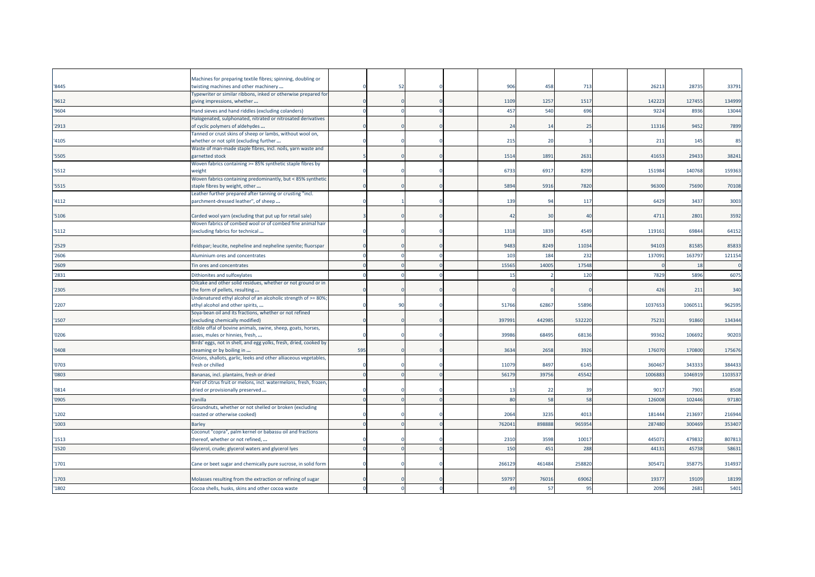| '8445 | Machines for preparing textile fibres; spinning, doubling or<br>twisting machines and other machinery |     | 52 |  | 906            | 458    | 713    | 2621    | 28735   | 33791   |
|-------|-------------------------------------------------------------------------------------------------------|-----|----|--|----------------|--------|--------|---------|---------|---------|
|       | Typewriter or similar ribbons, inked or otherwise prepared for                                        |     |    |  |                |        |        |         |         |         |
| '9612 | giving impressions, whether                                                                           |     |    |  | 1109           | 1257   | 1517   | 142223  | 127455  | 134999  |
| '9604 | Hand sieves and hand riddles (excluding colanders)                                                    |     |    |  | 457            | 540    | 696    | 9224    | 8936    | 13044   |
|       | Halogenated, sulphonated, nitrated or nitrosated derivatives                                          |     |    |  |                |        |        |         |         |         |
| '2913 | of cyclic polymers of aldehydes                                                                       |     |    |  | 2 <sup>2</sup> | 14     | 25     | 11316   | 9452    | 7899    |
| '4105 | Tanned or crust skins of sheep or lambs, without wool on,<br>whether or not split (excluding further  |     |    |  | 215            | 20     |        | 211     | 145     | 85      |
|       | Waste of man-made staple fibres, incl. noils, yarn waste and                                          |     |    |  |                |        |        |         |         |         |
| '5505 | garnetted stock                                                                                       |     |    |  | 1514           | 1891   | 2631   | 41653   | 29433   | 38241   |
|       | Woven fabrics containing >= 85% synthetic staple fibres by                                            |     |    |  |                |        |        |         |         |         |
| '5512 | weight                                                                                                |     |    |  | 6733           | 6917   | 8299   | 151984  | 140768  | 159363  |
|       | Woven fabrics containing predominantly, but < 85% synthetic                                           |     |    |  |                |        |        |         |         |         |
| '5515 | staple fibres by weight, other                                                                        |     |    |  | 5894           | 5916   | 7820   | 96300   | 75690   | 70108   |
| '4112 | Leather further prepared after tanning or crusting "incl.<br>parchment-dressed leather", of sheep     |     |    |  | 139            | 94     | 117    | 6429    | 3437    | 3003    |
|       |                                                                                                       |     |    |  |                |        |        |         |         |         |
| '5106 | Carded wool yarn (excluding that put up for retail sale)                                              |     |    |  | -42            | 30     | 40     | 4711    | 2801    | 3592    |
|       | Woven fabrics of combed wool or of combed fine animal hair                                            |     |    |  |                |        |        |         |         |         |
| '5112 | (excluding fabrics for technical                                                                      |     |    |  | 1318           | 1839   | 4549   | 119161  | 69844   | 64152   |
|       |                                                                                                       |     |    |  |                |        |        |         |         |         |
| '2529 | Feldspar; leucite, nepheline and nepheline syenite; fluorspar                                         |     |    |  | 9483           | 8249   | 11034  | 9410    | 81585   | 85833   |
| '2606 | Aluminium ores and concentrates                                                                       |     |    |  | 103            | 184    | 232    | 137091  | 163797  | 121154  |
| '2609 | Tin ores and concentrates                                                                             |     |    |  | 1556           | 14005  | 17548  |         | 18      |         |
| '2831 | Dithionites and sulfoxylates                                                                          |     |    |  | 15             |        | 120    | 7829    | 5896    | 6075    |
|       | Oilcake and other solid residues, whether or not ground or in                                         |     |    |  |                |        |        |         |         |         |
| '2305 | the form of pellets, resulting                                                                        |     |    |  |                |        |        | 426     | 211     | 340     |
|       | Undenatured ethyl alcohol of an alcoholic strength of >= 80%;                                         |     | 90 |  | 51766          | 62867  | 55896  | 1037653 | 1060511 | 962595  |
| '2207 | ethyl alcohol and other spirits,<br>Soya-bean oil and its fractions, whether or not refined           |     |    |  |                |        |        |         |         |         |
| '1507 | excluding chemically modified)                                                                        |     |    |  | 39799          | 442985 | 532220 | 75231   | 91860   | 134344  |
|       | Edible offal of bovine animals, swine, sheep, goats, horses,                                          |     |    |  |                |        |        |         |         |         |
| '0206 | asses, mules or hinnies, fresh,                                                                       |     |    |  | 3998           | 68495  | 68136  | 99362   | 106692  | 90203   |
|       | Birds' eggs, not in shell, and egg yolks, fresh, dried, cooked by                                     |     |    |  |                |        |        |         |         |         |
| '0408 | steaming or by boiling in                                                                             | 595 |    |  | 3634           | 2658   | 3926   | 176070  | 170800  | 175676  |
|       | Onions, shallots, garlic, leeks and other alliaceous vegetables,                                      |     |    |  | 11079          | 8497   |        | 36046   |         | 384433  |
| '0703 | fresh or chilled                                                                                      |     |    |  |                |        | 6145   |         | 343333  |         |
| '0803 | Bananas, incl. plantains, fresh or dried                                                              |     |    |  | 5617           | 39756  | 45542  | 100688  | 104691  | 1103537 |
| '0814 | Peel of citrus fruit or melons, incl. watermelons, fresh, frozen,<br>dried or provisionally preserved |     |    |  | $-1$           | 22     | 39     | 9017    | 7901    | 8508    |
| '0905 | Vanilla                                                                                               |     |    |  | 80             | 58     | 58     | 126008  | 102446  | 97180   |
|       | Groundnuts, whether or not shelled or broken (excluding                                               |     |    |  |                |        |        |         |         |         |
| '1202 | roasted or otherwise cooked)                                                                          |     |    |  | 2064           | 3235   | 4013   | 181444  | 21369   | 216944  |
| '1003 | <b>Barley</b>                                                                                         |     |    |  | 76204          | 898888 | 965954 | 287480  | 300469  | 353407  |
|       | Coconut "copra", palm kernel or babassu oil and fractions                                             |     |    |  |                |        |        |         |         |         |
| '1513 | thereof, whether or not refined,                                                                      |     |    |  | 2310           | 3598   | 10017  | 44507   | 479832  | 807813  |
| '1520 | Glycerol, crude; glycerol waters and glycerol lyes                                                    |     |    |  | 150            | 451    | 288    | 4413    | 45738   | 58631   |
|       |                                                                                                       |     |    |  |                |        |        |         |         |         |
| '1701 | Cane or beet sugar and chemically pure sucrose, in solid form                                         |     |    |  | 266129         | 461484 | 258820 | 305471  | 358775  | 314937  |
|       |                                                                                                       |     |    |  |                |        |        |         |         |         |
| '1703 | Molasses resulting from the extraction or refining of sugar                                           |     |    |  | 59797          | 76016  | 69062  | 1937    | 19109   | 18199   |
| '1802 | Cocoa shells, husks, skins and other cocoa waste                                                      |     |    |  | 49             | 57     | 95     | 2096    | 2681    | 5401    |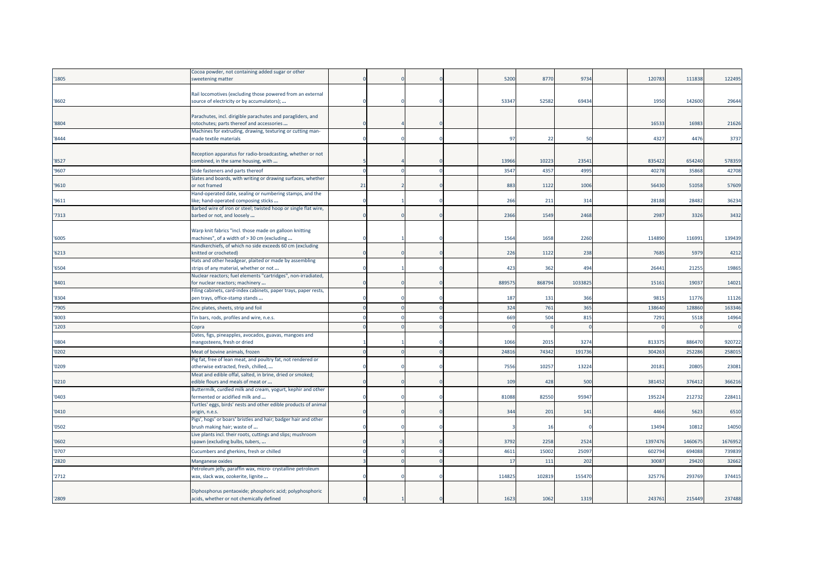|        | Cocoa powder, not containing added sugar or other                                                       |    |  |        |        |         |         |         |         |
|--------|---------------------------------------------------------------------------------------------------------|----|--|--------|--------|---------|---------|---------|---------|
| '1805  | sweetening matter                                                                                       |    |  | 5200   | 8770   | 9734    | 120783  | 111838  | 122495  |
|        |                                                                                                         |    |  |        |        |         |         |         |         |
|        | Rail locomotives (excluding those powered from an external                                              |    |  |        |        |         |         |         |         |
| '8602  | source of electricity or by accumulators);                                                              |    |  | 53347  | 52582  | 69434   | 1950    | 142600  | 29644   |
|        |                                                                                                         |    |  |        |        |         |         |         |         |
| '8804  | Parachutes, incl. dirigible parachutes and paragliders, and                                             |    |  |        |        |         | 16533   | 16983   | 21626   |
|        | rotochutes; parts thereof and accessories<br>Machines for extruding, drawing, texturing or cutting man- |    |  |        |        |         |         |         |         |
| '8444  | made textile materials                                                                                  |    |  | 97     | 22     | 50      | 4327    | 4476    | 3737    |
|        |                                                                                                         |    |  |        |        |         |         |         |         |
|        | Reception apparatus for radio-broadcasting, whether or not                                              |    |  |        |        |         |         |         |         |
| '8527  | combined, in the same housing, with                                                                     |    |  | 13966  | 10223  | 23541   | 835422  | 654240  | 578359  |
| '9607  | Slide fasteners and parts thereof                                                                       |    |  | 3547   | 4357   | 4995    | 4027    | 35868   | 42708   |
|        | Slates and boards, with writing or drawing surfaces, whether                                            |    |  |        |        |         |         |         |         |
| '9610  | or not framed                                                                                           | 21 |  | 883    | 1122   | 1006    | 56430   | 51058   | 57609   |
|        | Hand-operated date, sealing or numbering stamps, and the                                                |    |  |        |        |         |         |         |         |
| '9611  | like; hand-operated composing sticks                                                                    |    |  | 266    | 211    | 314     | 28188   | 28482   | 36234   |
|        | Barbed wire of iron or steel; twisted hoop or single flat wire,                                         |    |  |        |        |         |         |         |         |
| 7313   | barbed or not, and loosely                                                                              |    |  | 2366   | 1549   | 2468    | 2987    | 3326    | 3432    |
|        |                                                                                                         |    |  |        |        |         |         |         |         |
|        | Warp knit fabrics "incl. those made on galloon knitting                                                 |    |  |        |        |         |         |         |         |
| '6005  | machines", of a width of > 30 cm (excluding                                                             |    |  | 1564   | 1658   | 2260    | 114890  | 116991  | 139439  |
|        | Handkerchiefs, of which no side exceeds 60 cm (excluding                                                |    |  |        |        |         |         |         |         |
| '6213  | knitted or crocheted)                                                                                   |    |  | 226    | 1122   | 238     | 7685    | 5979    | 4212    |
|        | Hats and other headgear, plaited or made by assembling                                                  |    |  |        |        |         |         |         |         |
| '6504  | strips of any material, whether or not                                                                  |    |  | 423    | 362    | 494     | 2644    | 21255   | 19865   |
|        | Nuclear reactors; fuel elements "cartridges", non-irradiated,                                           |    |  |        |        |         |         |         |         |
| '8401  | for nuclear reactors; machinery                                                                         |    |  | 88957  | 868794 | 1033825 | 15161   | 19037   | 14021   |
|        | Filing cabinets, card-index cabinets, paper trays, paper rests,                                         |    |  |        |        |         |         |         |         |
| '8304  | pen trays, office-stamp stands                                                                          |    |  | 187    | 131    | 366     | 9815    | 11776   | 11126   |
| '7905  | Zinc plates, sheets, strip and foil                                                                     |    |  | 324    | 761    | 365     | 13864   | 128860  | 163346  |
| '8003  | Tin bars, rods, profiles and wire, n.e.s.                                                               |    |  | 669    | 504    | 815     | 7291    | 5518    | 14964   |
| '1203  | Copra                                                                                                   |    |  |        |        |         |         |         |         |
|        | Dates, figs, pineapples, avocados, guavas, mangoes and                                                  |    |  |        |        |         |         |         |         |
| '0804  | mangosteens, fresh or dried                                                                             |    |  | 1066   | 2015   | 3274    | 81337   | 886470  | 920722  |
| '0202  | Meat of bovine animals, frozen                                                                          |    |  | 24816  | 74342  | 191736  | 304263  | 252286  | 258015  |
|        | Pig fat, free of lean meat, and poultry fat, not rendered or                                            |    |  |        |        |         |         |         |         |
| '0209  | otherwise extracted, fresh, chilled,                                                                    |    |  | 7556   | 10257  | 13224   | 2018    | 20805   | 23081   |
|        | Meat and edible offal, salted, in brine, dried or smoked;                                               |    |  |        |        |         |         |         |         |
| '0210' | edible flours and meals of meat or                                                                      |    |  | 109    | 428    | 500     | 38145   | 37641   | 366216  |
|        | Buttermilk, curdled milk and cream, yogurt, kephir and other                                            |    |  |        |        |         |         |         |         |
| '0403  | fermented or acidified milk and                                                                         |    |  | 81088  | 82550  | 95947   | 19522   | 212732  | 228411  |
|        | Turtles' eggs, birds' nests and other edible products of animal                                         |    |  |        |        |         |         |         |         |
| '0410' | origin, n.e.s.                                                                                          |    |  | 344    | 201    | 141     | 4466    | 5623    | 6510    |
|        | Pigs', hogs' or boars' bristles and hair; badger hair and other                                         |    |  |        |        |         |         |         |         |
| '0502  | brush making hair; waste of                                                                             |    |  |        | 16     |         | 1349    | 10812   | 14050   |
|        | Live plants incl. their roots, cuttings and slips; mushroom                                             |    |  |        |        |         |         |         |         |
| '0602  | spawn (excluding bulbs, tubers,                                                                         |    |  | 3792   | 2258   | 2524    | 1397476 | 1460675 | 1676952 |
| '0707  | Cucumbers and gherkins, fresh or chilled                                                                |    |  | 4611   | 15002  | 25097   | 60279   | 694088  | 739839  |
| '2820  | Manganese oxides                                                                                        |    |  | 17     | 111    | 202     | 3008    | 29420   | 32662   |
|        | etroleum jelly, paraffin wax, micro- crystalline petroleum                                              |    |  |        |        |         |         |         |         |
| '2712  | wax, slack wax, ozokerite, lignite                                                                      |    |  | 114825 | 102819 | 155470  | 32577   | 29376   | 374415  |
|        |                                                                                                         |    |  |        |        |         |         |         |         |
|        | Diphosphorus pentaoxide; phosphoric acid; polyphosphoric                                                |    |  |        |        |         |         |         |         |
| '2809  | acids, whether or not chemically defined                                                                |    |  | 1623   | 1062   | 1319    | 243761  | 215449  | 237488  |
|        |                                                                                                         |    |  |        |        |         |         |         |         |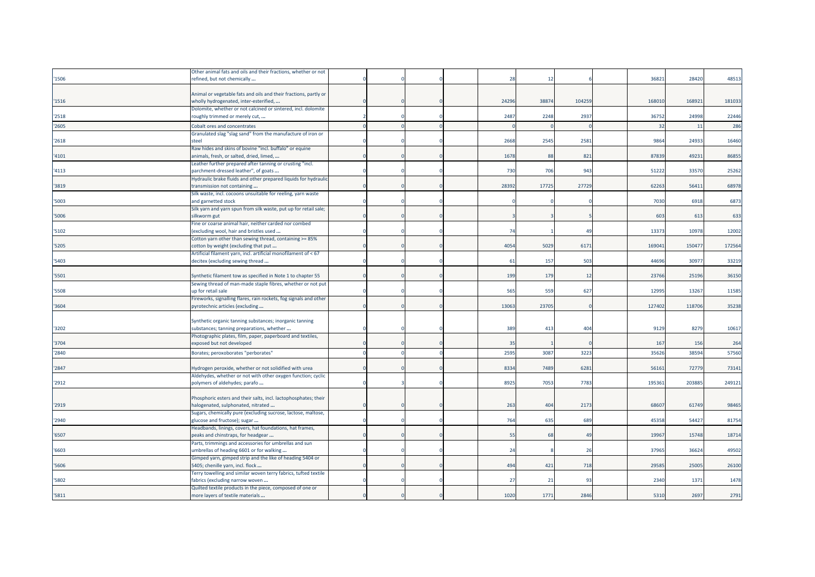|       | Other animal fats and oils and their fractions, whether or not    |  |  |       |       |          |        |        |        |
|-------|-------------------------------------------------------------------|--|--|-------|-------|----------|--------|--------|--------|
| 1506  | refined, but not chemically                                       |  |  | 28    | 12    |          | 36821  | 28420  | 48513  |
|       |                                                                   |  |  |       |       |          |        |        |        |
|       | Animal or vegetable fats and oils and their fractions, partly or  |  |  |       |       |          |        |        |        |
| 1516  | wholly hydrogenated, inter-esterified,                            |  |  | 24296 | 38874 | 104259   | 168010 | 168921 | 181033 |
|       | Dolomite, whether or not calcined or sintered, incl. dolomite     |  |  |       |       |          |        |        |        |
| 2518  | roughly trimmed or merely cut,                                    |  |  | 2487  | 2248  | 2937     | 36752  | 24998  | 22446  |
|       |                                                                   |  |  |       |       |          |        |        |        |
| '2605 | Cobalt ores and concentrates                                      |  |  |       |       |          | 32     | 11     | 286    |
|       | Granulated slag "slag sand" from the manufacture of iron or       |  |  |       |       |          |        |        |        |
| '2618 | steel                                                             |  |  | 2668  | 2545  | 2581     | 9864   | 24933  | 16460  |
|       | Raw hides and skins of bovine "incl. buffalo" or equine           |  |  |       |       |          |        |        |        |
| '4101 | animals, fresh, or salted, dried, limed,                          |  |  | 1678  | 88    | 821      | 87839  | 49231  | 86855  |
|       | Leather further prepared after tanning or crusting "incl.         |  |  |       |       |          |        |        |        |
| '4113 | parchment-dressed leather", of goats                              |  |  | 730   | 706   | 943      | 51222  | 33570  | 25262  |
|       | Hydraulic brake fluids and other prepared liquids for hydraulic   |  |  |       |       |          |        |        |        |
| 3819  | transmission not containing                                       |  |  | 28392 | 17725 | 27729    | 62263  | 56411  | 68978  |
|       | Silk waste, incl. cocoons unsuitable for reeling, yarn waste      |  |  |       |       |          |        |        |        |
| '5003 | and garnetted stock                                               |  |  |       |       |          | 7030   | 6918   | 6873   |
|       | Silk yarn and yarn spun from silk waste, put up for retail sale;  |  |  |       |       |          |        |        |        |
| 5006  | silkworm gut                                                      |  |  |       |       |          | 603    | 613    | 633    |
|       | Fine or coarse animal hair, neither carded nor combed             |  |  |       |       |          |        |        |        |
| '5102 | (excluding wool, hair and bristles used                           |  |  | 74    |       | 49       | 13373  | 10978  | 12002  |
|       | Cotton yarn other than sewing thread, containing >= 85%           |  |  |       |       |          |        |        |        |
| 5205  | cotton by weight (excluding that put                              |  |  | 4054  | 5029  | 6171     | 169041 | 150477 | 172564 |
|       | Artificial filament yarn, incl. artificial monofilament of < 67   |  |  |       |       |          |        |        |        |
| 5403  | decitex (excluding sewing thread                                  |  |  | 61    | 157   | 503      | 44696  | 30977  | 33219  |
|       |                                                                   |  |  |       |       |          |        |        |        |
| '5501 | Synthetic filament tow as specified in Note 1 to chapter 55       |  |  | 199   | 179   | 12       | 23766  | 25196  | 36150  |
|       | Sewing thread of man-made staple fibres, whether or not put       |  |  |       |       |          |        |        |        |
| '5508 | up for retail sale                                                |  |  | 565   | 559   | 627      | 12995  | 13267  | 11585  |
|       |                                                                   |  |  |       |       |          |        |        |        |
| '3604 | Fireworks, signalling flares, rain rockets, fog signals and other |  |  | 13063 | 23705 | $\Omega$ | 127402 | 118706 | 35238  |
|       | pyrotechnic articles (excluding                                   |  |  |       |       |          |        |        |        |
|       |                                                                   |  |  |       |       |          |        |        |        |
|       | Synthetic organic tanning substances; inorganic tanning           |  |  |       |       |          |        |        |        |
| '3202 | substances; tanning preparations, whether                         |  |  | 389   | 413   | 404      | 9129   | 8279   | 10617  |
|       | Photographic plates, film, paper, paperboard and textiles,        |  |  |       |       |          |        |        |        |
| '3704 | exposed but not developed                                         |  |  | 35    |       |          | 167    | 156    | 264    |
| '2840 | Borates; peroxoborates "perborates"                               |  |  | 2595  | 3087  | 3223     | 35626  | 38594  | 57560  |
|       |                                                                   |  |  |       |       |          |        |        |        |
| 2847  | Hydrogen peroxide, whether or not solidified with urea            |  |  | 8334  | 7489  | 6281     | 56161  | 72779  | 73141  |
|       | Aldehydes, whether or not with other oxygen function; cyclic      |  |  |       |       |          |        |        |        |
| '2912 | polymers of aldehydes; parafo                                     |  |  | 8925  | 7053  | 7783     | 195361 | 203885 | 249121 |
|       |                                                                   |  |  |       |       |          |        |        |        |
|       | Phosphoric esters and their salts, incl. lactophosphates; their   |  |  |       |       |          |        |        |        |
| 2919  | halogenated, sulphonated, nitrated                                |  |  | 263   | 404   | 2173     | 68607  | 61749  | 98465  |
|       | Sugars, chemically pure (excluding sucrose, lactose, maltose,     |  |  |       |       |          |        |        |        |
| '2940 | glucose and fructose); sugar                                      |  |  | 764   | 635   | 689      | 45358  | 54427  | 81754  |
|       | Headbands, linings, covers, hat foundations, hat frames,          |  |  |       |       |          |        |        |        |
| '6507 | peaks and chinstraps, for headgear                                |  |  | 55    | 68    | 49       | 19967  | 15748  | 18714  |
|       |                                                                   |  |  |       |       |          |        |        |        |
|       | Parts, trimmings and accessories for umbrellas and sun            |  |  | 24    |       | 26       | 37965  | 36624  | 49502  |
| '6603 | umbrellas of heading 6601 or for walking                          |  |  |       |       |          |        |        |        |
|       | Gimped yarn, gimped strip and the like of heading 5404 or         |  |  |       |       |          |        |        |        |
| '5606 | 5405; chenille yarn, incl. flock                                  |  |  | 494   | 421   | 718      | 29585  | 25005  | 26100  |
|       | Ferry towelling and similar woven terry fabrics, tufted textile   |  |  |       |       |          |        |        |        |
| 5802  | fabrics (excluding narrow woven                                   |  |  | 27    | 21    | 93       | 2340   | 1371   | 1478   |
|       | Quilted textile products in the piece, composed of one or         |  |  |       |       |          |        |        |        |
| '5811 | more layers of textile materials                                  |  |  | 1020  | 1771  | 2846     | 5310   | 2697   | 2791   |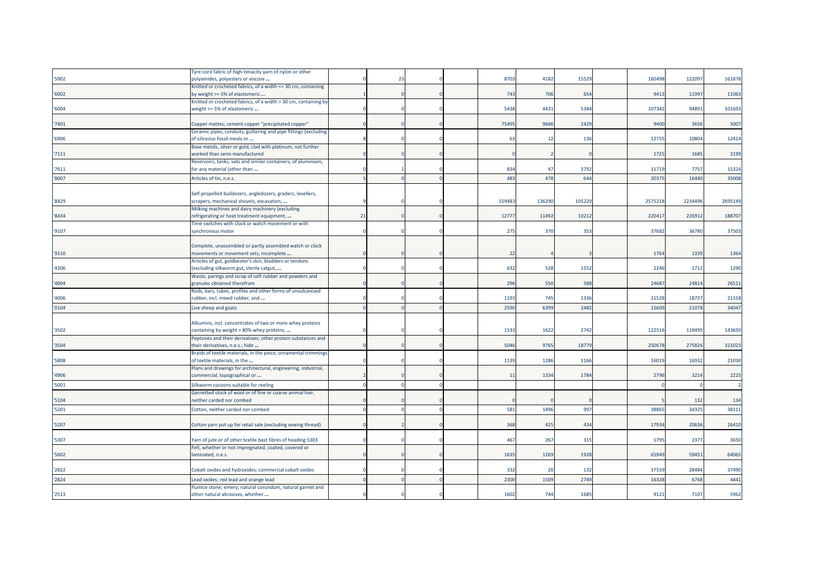|       | Tyre cord fabric of high-tenacity yarn of nylon or other                                           |    |             |  |        |        |        |         |         |         |
|-------|----------------------------------------------------------------------------------------------------|----|-------------|--|--------|--------|--------|---------|---------|---------|
| '5902 | polyamides, polyesters or viscose                                                                  |    | $2^{\circ}$ |  | 8703   | 4182   | 15529  | 160498  | 12209   | 161878  |
|       | Knitted or crocheted fabrics, of a width <= 30 cm, containing                                      |    |             |  |        |        |        |         |         |         |
| '6002 | by weight >= 5% of elastomeric                                                                     |    |             |  | 743    | 706    | 654    | 9413    | 11997   | 11063   |
|       | Knitted or crocheted fabrics, of a width > 30 cm, containing by                                    |    |             |  |        |        |        |         |         |         |
| '6004 | weight >= 5% of elastomeric                                                                        |    |             |  | 5438   | 4431   | 5344   | 107342  | 94891   | 101693  |
|       |                                                                                                    |    |             |  |        |        |        |         |         |         |
| '7401 | Copper mattes; cement copper "precipitated copper"                                                 |    |             |  | 75495  | 9666   | 2429   | 9400    | 3656    | 5007    |
|       | Ceramic pipes, conduits, guttering and pipe fittings (excluding                                    |    |             |  |        |        |        |         |         |         |
| '6906 | of siliceous fossil meals or                                                                       |    |             |  | 63     | 12     | 136    | 1275    | 10804   | 12414   |
|       | Base metals, silver or gold, clad with platinum, not further                                       |    |             |  |        |        |        |         |         |         |
| '7111 | worked than semi-manufactured                                                                      |    |             |  |        |        |        | 1725    | 1685    | 2199    |
|       | Reservoirs, tanks, vats and similar containers, of aluminium,                                      |    |             |  |        |        |        |         |         |         |
| '7611 | for any material (other than                                                                       |    |             |  | 834    | 47     | 3792   | 11719   | 7757    | 15324   |
| '8007 | Articles of tin, n.e.s.                                                                            |    |             |  | 483    | 478    | 644    | 2037    | 16440   | 35008   |
|       |                                                                                                    |    |             |  |        |        |        |         |         |         |
|       | Self-propelled bulldozers, angledozers, graders, levellers,                                        |    |             |  |        |        |        |         |         |         |
| '8429 | scrapers, mechanical shovels, excavators,                                                          |    |             |  | 159483 | 136290 | 105229 | 2575218 | 2234496 | 2695149 |
|       | Milking machines and dairy machinery (excluding                                                    |    |             |  |        |        |        |         |         |         |
| '8434 | refrigerating or heat treatment equipment,                                                         | 21 |             |  | 12777  | 11492  | 10212  | 22041   | 226912  | 188707  |
|       | Time switches with clock or watch movement or with                                                 |    |             |  |        |        |        |         |         |         |
| '9107 | synchronous motor                                                                                  |    |             |  | 275    | 370    | 353    | 3768    | 36780   | 37503   |
|       |                                                                                                    |    |             |  |        |        |        |         |         |         |
|       | Complete, unassembled or partly assembled watch or clock                                           |    |             |  |        |        |        |         |         |         |
| '9110 | movements or movement sets; incomplete                                                             |    |             |  | 22     |        |        | 1764    | 1339    | 1364    |
|       | Articles of gut, goldbeater's skin, bladders or tendons                                            |    |             |  |        |        |        |         |         |         |
| '4206 | (excluding silkworm gut, sterile catgut,                                                           |    |             |  | 632    | 528    | 1552   | 1246    | 1711    | 1290    |
|       | Waste, parings and scrap of soft rubber and powders and                                            |    |             |  | 296    |        |        |         |         |         |
| '4004 | granules obtained therefrom                                                                        |    |             |  |        | 550    | 588    | 24687   | 24814   | 26511   |
|       | Rods, bars, tubes, profiles and other forms of unvulcanised<br>rubber, incl. mixed rubber, and     |    |             |  | 1193   | 745    | 1336   | 21528   | 18727   | 21318   |
| '4006 |                                                                                                    |    |             |  |        |        |        |         |         |         |
| '0104 | Live sheep and goats                                                                               |    |             |  | 2590   | 6399   | 2482   | 1560    | 2107    | 34047   |
|       |                                                                                                    |    |             |  |        |        |        |         |         |         |
|       | Albumins, incl. concentrates of two or more whey proteins                                          |    |             |  |        |        |        |         |         |         |
| '3502 | containing by weight > 80% whey proteins,                                                          |    |             |  | 1533   | 1622   | 2742   | 122516  | 118495  | 143650  |
| '3504 | Peptones and their derivatives; other protein substances and                                       |    |             |  | 5046   | 9765   | 18779  | 25067   | 275826  | 321023  |
|       | their derivatives, n.e.s.; hide<br>Braids of textile materials, in the piece; ornamental trimmings |    |             |  |        |        |        |         |         |         |
| '5808 | of textile materials, in the                                                                       |    |             |  | 1139   | 1286   | 1166   | 16019   | 16932   | 21030   |
|       | Plans and drawings for architectural, engineering, industrial,                                     |    |             |  |        |        |        |         |         |         |
| '4906 | commercial, topographical or                                                                       |    |             |  | 11     | 1334   | 1784   | 2796    | 3214    | 2225    |
|       |                                                                                                    |    |             |  |        |        |        |         |         |         |
| '5001 | Silkworm cocoons suitable for reeling                                                              |    |             |  |        |        |        |         |         |         |
|       | Garnetted stock of wool or of fine or coarse animal hair,                                          |    |             |  |        |        |        |         |         |         |
| '5104 | neither carded nor combed                                                                          |    |             |  |        |        |        |         | 132     | 134     |
| '5201 | Cotton, neither carded nor combed                                                                  |    |             |  | 581    | 1496   | 997    | 3886    | 34325   | 38111   |
|       |                                                                                                    |    |             |  |        |        |        |         |         |         |
| '5207 | Cotton yarn put up for retail sale (excluding sewing thread)                                       |    |             |  | 368    | 425    | 434    | 17934   | 20636   | 26410   |
|       |                                                                                                    |    |             |  |        |        |        |         |         |         |
| '5307 | Yarn of jute or of other textile bast fibres of heading 5303                                       |    |             |  | 467    | 267    | 315    | 1795    | 2377    | 3650    |
|       | Felt, whether or not impregnated, coated, covered or                                               |    |             |  |        |        |        |         |         |         |
| '5602 | laminated, n.e.s.                                                                                  |    |             |  | 1635   | 1269   | 1928   | 65949   | 59451   | 64065   |
|       |                                                                                                    |    |             |  |        |        |        |         |         |         |
| '2822 | Cobalt oxides and hydroxides; commercial cobalt oxides                                             |    |             |  | 332    | 20     | 132    | 37559   | 28484   | 37490   |
| '2824 | Lead oxides; red lead and orange lead                                                              |    |             |  | 2300   | 1509   | 2749   | 1632    | 676     | 4441    |
|       | Pumice stone; emery; natural corundum, natural garnet and                                          |    |             |  |        |        |        |         |         |         |
| '2513 | other natural abrasives, whether                                                                   |    |             |  | 1602   | 744    | 1685   | 9121    | 7107    | 5962    |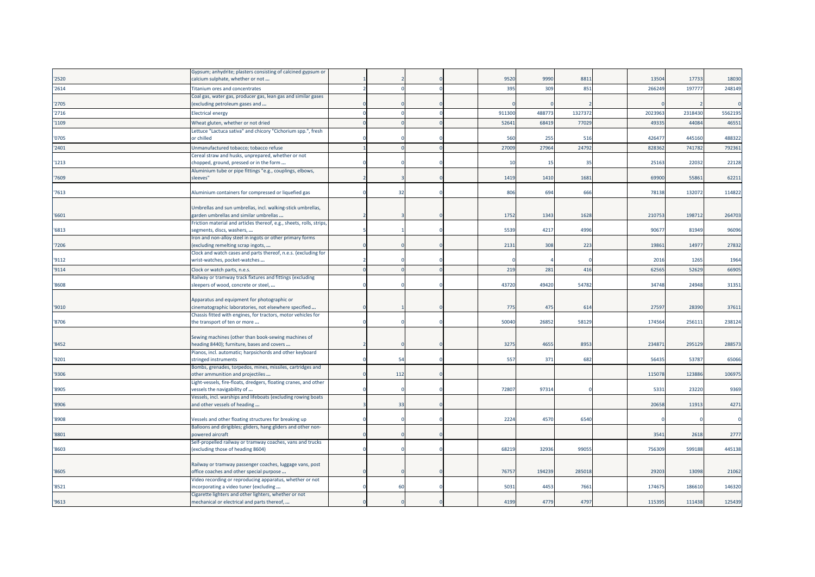| '2520 | Gypsum; anhydrite; plasters consisting of calcined gypsum or<br>calcium sulphate, whether or not      |     |  | 9520           | 9990   | 8811    | 13504   | 17733   | 18030   |
|-------|-------------------------------------------------------------------------------------------------------|-----|--|----------------|--------|---------|---------|---------|---------|
| '2614 | Titanium ores and concentrates                                                                        |     |  | 395            | 309    | 851     | 266249  | 19777   | 248149  |
|       | Coal gas, water gas, producer gas, lean gas and similar gases                                         |     |  |                |        |         |         |         |         |
| '2705 | (excluding petroleum gases and                                                                        |     |  |                |        |         |         |         |         |
| '2716 | <b>Electrical energy</b>                                                                              |     |  | 91130          | 488773 | 1327372 | 2023963 | 2318430 | 5562195 |
| '1109 | Wheat gluten, whether or not dried                                                                    |     |  | 5264           | 68419  | 77029   | 4933    | 44084   | 46551   |
| '0705 | ettuce "Lactuca sativa" and chicory "Cichorium spp.", fresh<br>or chilled                             |     |  | 560            | 255    | 516     | 42647   | 445160  | 488322  |
| '2401 | Unmanufactured tobacco; tobacco refuse                                                                |     |  | 27009          | 27964  | 24792   | 82836   | 741782  | 792361  |
|       | Cereal straw and husks, unprepared, whether or not                                                    |     |  |                |        |         |         |         |         |
| '1213 | chopped, ground, pressed or in the form                                                               |     |  | 1 <sup>1</sup> | 15     | 35      | 25163   | 22032   | 22128   |
| '7609 | Aluminium tube or pipe fittings "e.g., couplings, elbows,<br>sleeves"                                 |     |  | 1419           | 1410   | 1681    | 69900   | 55861   | 62211   |
| '7613 | Aluminium containers for compressed or liquefied gas                                                  | 32  |  | 806            | 694    | 666     | 78138   | 132072  | 114822  |
|       |                                                                                                       |     |  |                |        |         |         |         |         |
| '6601 | Umbrellas and sun umbrellas, incl. walking-stick umbrellas,<br>garden umbrellas and similar umbrellas |     |  | 1752           | 1343   | 1628    | 21075   | 198712  | 264703  |
|       | Friction material and articles thereof, e.g., sheets, rolls, strips,                                  |     |  |                |        |         |         |         |         |
| '6813 | segments, discs, washers,                                                                             |     |  | 5539           | 4217   | 4996    | 90677   | 81949   | 96096   |
|       | Iron and non-alloy steel in ingots or other primary forms                                             |     |  |                |        |         |         |         |         |
| '7206 | (excluding remelting scrap ingots,<br>Clock and watch cases and parts thereof, n.e.s. (excluding for  |     |  | 2131           | 308    | 223     | 19861   | 14977   | 27832   |
| '9112 | wrist-watches, pocket-watches                                                                         |     |  |                |        |         | 2016    | 1265    | 1964    |
| '9114 | Clock or watch parts, n.e.s.                                                                          |     |  | 219            | 281    | 416     | 6256    | 52629   | 66905   |
|       | Railway or tramway track fixtures and fittings (excluding                                             |     |  |                |        |         |         |         |         |
| '8608 | sleepers of wood, concrete or steel,                                                                  |     |  | 43720          | 49420  | 54782   | 34748   | 24948   | 31351   |
|       | Apparatus and equipment for photographic or                                                           |     |  |                |        |         |         |         |         |
| '9010 | cinematographic laboratories, not elsewhere specified                                                 |     |  | 775            | 475    | 614     | 27597   | 28390   | 37611   |
|       | Chassis fitted with engines, for tractors, motor vehicles for                                         |     |  |                |        |         |         |         |         |
| '8706 | the transport of ten or more                                                                          |     |  | 50040          | 26852  | 58129   | 174564  | 256111  | 238124  |
|       | Sewing machines (other than book-sewing machines of                                                   |     |  |                |        |         |         |         |         |
| '8452 | heading 8440); furniture, bases and covers                                                            |     |  | 3275           | 4655   | 8953    | 234871  | 295129  | 288573  |
|       | Pianos, incl. automatic; harpsichords and other keyboard                                              |     |  |                |        |         |         |         |         |
| '9201 | stringed instruments<br>Bombs, grenades, torpedos, mines, missiles, cartridges and                    | 54  |  | 557            | 371    | 682     | 56435   | 53787   | 65066   |
| '9306 | other ammunition and projectiles                                                                      | 112 |  |                |        |         | 115078  | 123886  | 106975  |
|       | Light-vessels, fire-floats, dredgers, floating cranes, and other                                      |     |  |                |        |         |         |         |         |
| '8905 | vessels the navigability of<br>Vessels, incl. warships and lifeboats (excluding rowing boats          |     |  | 72807          | 97314  |         | 5331    | 23220   | 9369    |
| '8906 | and other vessels of heading                                                                          | 33  |  |                |        |         | 20658   | 11913   | 4271    |
| '8908 | Vessels and other floating structures for breaking up                                                 |     |  | 2224           | 4570   | 6540    |         |         |         |
|       | Balloons and dirigibles; gliders, hang gliders and other non-                                         |     |  |                |        |         |         |         |         |
| '8801 | powered aircraft<br>Self-propelled railway or tramway coaches, vans and trucks                        |     |  |                |        |         | 3541    | 2618    | 2777    |
| '8603 | excluding those of heading 8604)                                                                      |     |  | 68219          | 32936  | 99055   | 756309  | 599188  | 445138  |
|       | Railway or tramway passenger coaches, luggage vans, post                                              |     |  |                |        |         |         |         |         |
| '8605 | office coaches and other special purpose                                                              |     |  | 7675           | 194239 | 285018  | 29203   | 13098   | 21062   |
|       | Video recording or reproducing apparatus, whether or not                                              |     |  |                |        |         |         |         |         |
| '8521 | incorporating a video tuner (excluding                                                                | 60  |  | 5031           | 4453   | 7661    | 17467   | 186610  | 146320  |
| '9613 | Cigarette lighters and other lighters, whether or not<br>mechanical or electrical and parts thereof,  |     |  | 4199           | 4779   | 4797    | 115395  | 111438  | 125439  |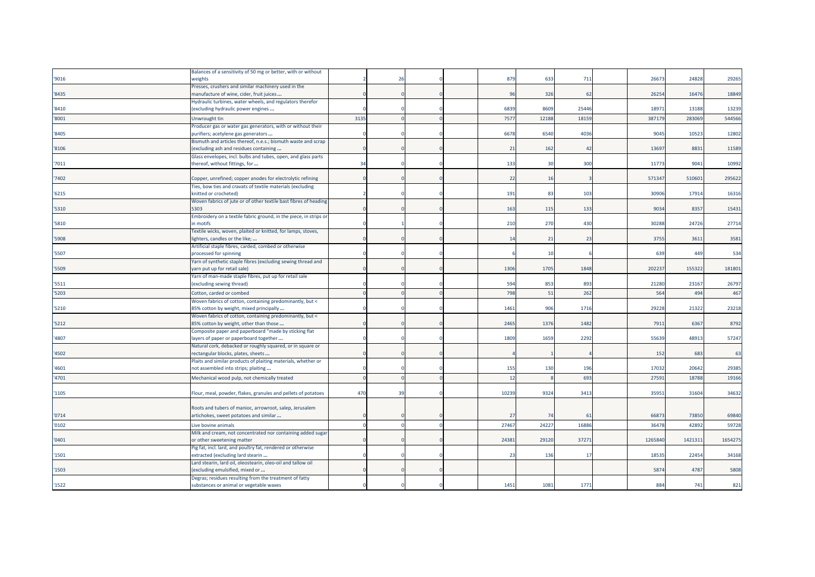|       | Balances of a sensitivity of 50 mg or better, with or without                                  |      |                |  |       |       |       |                 |         |         |
|-------|------------------------------------------------------------------------------------------------|------|----------------|--|-------|-------|-------|-----------------|---------|---------|
| '9016 | weights                                                                                        |      | $\overline{2}$ |  | 879   | 633   | 711   | 26673           | 24828   | 29265   |
|       | Presses, crushers and similar machinery used in the                                            |      |                |  |       |       |       |                 |         |         |
| '8435 | manufacture of wine, cider, fruit juices                                                       |      |                |  | 96    | 326   | 62    | 26254           | 16476   | 18849   |
|       | Hydraulic turbines, water wheels, and regulators therefor                                      |      |                |  |       |       |       |                 |         |         |
| '8410 | (excluding hydraulic power engines                                                             |      |                |  | 6839  | 8609  | 25446 | 18971           | 13188   | 13239   |
| '8001 | Unwrought tin                                                                                  | 3135 |                |  | 7577  | 12188 | 18159 | 387179          | 28306   | 544566  |
|       | Producer gas or water gas generators, with or without their                                    |      |                |  |       |       |       |                 |         |         |
| '8405 | purifiers; acetylene gas generators                                                            |      |                |  | 6678  | 6540  | 4036  | 9045            | 10523   | 12802   |
|       | Bismuth and articles thereof, n.e.s.; bismuth waste and scrap                                  |      |                |  |       |       |       |                 |         |         |
| '8106 | (excluding ash and residues containing                                                         |      |                |  | 21    | 162   | 42    | 13697           | 8831    | 11589   |
|       | Glass envelopes, incl. bulbs and tubes, open, and glass parts                                  |      |                |  |       |       |       |                 |         |         |
| '7011 | thereof, without fittings, for                                                                 | 34   |                |  | 133   | 30    | 300   | 11773           | 9041    | 10992   |
|       |                                                                                                |      |                |  |       |       |       |                 |         |         |
| '7402 | Copper, unrefined; copper anodes for electrolytic refining                                     |      |                |  | 22    | 16    |       | 571347          | 510601  | 295622  |
|       | Ties, bow ties and cravats of textile materials (excluding                                     |      |                |  |       |       |       |                 |         |         |
| '6215 | knitted or crocheted)                                                                          |      |                |  | 191   | 83    | 103   | 30906           | 17914   | 16316   |
|       | Woven fabrics of jute or of other textile bast fibres of heading                               |      |                |  |       |       |       |                 |         |         |
| '5310 | 5303                                                                                           |      |                |  | 163   | 115   | 133   | 9034            | 8357    | 15431   |
| '5810 | Embroidery on a textile fabric ground, in the piece, in strips or                              |      |                |  |       |       | 430   | 30288           | 24726   |         |
|       | in motifs                                                                                      |      |                |  | 210   | 270   |       |                 |         | 27714   |
| '5908 | Textile wicks, woven, plaited or knitted, for lamps, stoves,<br>lighters, candles or the like; |      |                |  | 14    | 21    | 23    | 3755            | 3611    | 3581    |
|       |                                                                                                |      |                |  |       |       |       |                 |         |         |
| '5507 | Artificial staple fibres, carded, combed or otherwise<br>processed for spinning                |      |                |  |       | 10    |       | 63 <sup>9</sup> | 449     | 534     |
|       | Yarn of synthetic staple fibres (excluding sewing thread and                                   |      |                |  |       |       |       |                 |         |         |
| '5509 | yarn put up for retail sale)                                                                   |      |                |  | 1306  | 1705  | 1848  | 202237          | 155322  | 181801  |
|       | Yarn of man-made staple fibres, put up for retail sale                                         |      |                |  |       |       |       |                 |         |         |
| '5511 | (excluding sewing thread)                                                                      |      |                |  | 594   | 853   | 893   | 21280           | 23167   | 26797   |
| '5203 | Cotton, carded or combed                                                                       |      |                |  | 798   | 51    | 262   | 564             | 494     | 467     |
|       | Woven fabrics of cotton, containing predominantly, but <                                       |      |                |  |       |       |       |                 |         |         |
| '5210 | 85% cotton by weight, mixed principally                                                        |      |                |  | 1461  | 906   | 1716  | 29228           | 21322   | 23218   |
|       | Woven fabrics of cotton, containing predominantly, but <                                       |      |                |  |       |       |       |                 |         |         |
| '5212 | 85% cotton by weight, other than those                                                         |      |                |  | 2465  | 1376  | 1482  | 7911            | 6367    | 8792    |
|       | Composite paper and paperboard "made by sticking flat                                          |      |                |  |       |       |       |                 |         |         |
| '4807 | layers of paper or paperboard together                                                         |      |                |  | 1809  | 1659  | 2292  | 55639           | 48913   | 57247   |
|       | Natural cork, debacked or roughly squared, or in square or                                     |      |                |  |       |       |       |                 |         |         |
| '4502 | rectangular blocks, plates, sheets                                                             |      |                |  |       |       |       | 152             | 683     | 63      |
|       | Plaits and similar products of plaiting materials, whether or                                  |      |                |  |       |       |       |                 |         |         |
| '4601 | not assembled into strips; plaiting                                                            |      |                |  | 155   | 130   | 196   | 17032           | 20642   | 29385   |
| '4701 | Mechanical wood pulp, not chemically treated                                                   |      |                |  | 12    |       | 693   | 27591           | 18788   | 19166   |
|       |                                                                                                |      |                |  |       |       |       |                 |         |         |
| '1105 | Flour, meal, powder, flakes, granules and pellets of potatoes                                  | 470  | 39             |  | 10239 | 9324  | 3413  | 3595            | 31604   | 34632   |
|       |                                                                                                |      |                |  |       |       |       |                 |         |         |
|       | Roots and tubers of manioc, arrowroot, salep, Jerusalem                                        |      |                |  |       |       |       |                 |         |         |
| '0714 | artichokes, sweet potatoes and similar                                                         |      |                |  | 27    | 74    | 61    | 66873           | 73850   | 69840   |
| '0102 | Live bovine animals                                                                            |      |                |  | 27467 | 24227 | 16886 | 36478           | 42892   | 59728   |
|       | Milk and cream, not concentrated nor containing added sugar                                    |      |                |  |       |       |       |                 |         |         |
| '0401 | or other sweetening matter                                                                     |      |                |  | 2438  | 29120 | 37271 | 1265840         | 1421311 | 1654275 |
|       | Pig fat, incl. lard, and poultry fat, rendered or otherwise                                    |      |                |  |       |       |       |                 |         |         |
| '1501 | extracted (excluding lard stearin                                                              |      |                |  | 23    | 136   | 17    | 18535           | 22454   | 34168   |
|       | Lard stearin, lard oil, oleostearin, oleo-oil and tallow oil                                   |      |                |  |       |       |       |                 |         |         |
| '1503 | excluding emulsified, mixed or                                                                 |      |                |  |       |       |       | 5874            | 4787    | 5808    |
|       | Degras; residues resulting from the treatment of fatty                                         |      |                |  |       |       |       |                 |         |         |
| 1522  | substances or animal or vegetable waxes                                                        |      |                |  | 1451  | 1081  | 1771  | 884             | 741     | 821     |